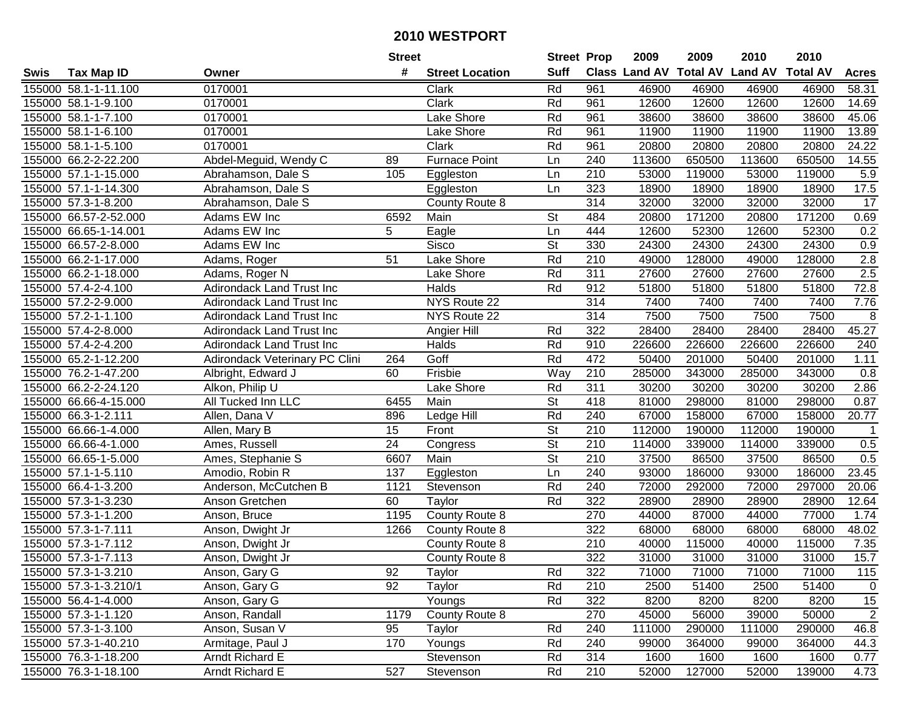| #<br><b>Suff</b><br>Class Land AV Total AV Land AV<br><b>Total AV</b><br><b>Tax Map ID</b><br><b>Street Location</b><br><b>Acres</b><br>Swis<br>Owner<br>Rd<br>961<br>46900<br>155000 58.1-1-11.100<br>0170001<br>46900<br>46900<br>46900<br>58.31<br>Clark<br>Clark<br>Rd<br>961<br>155000 58.1-1-9.100<br>0170001<br>12600<br>12600<br>12600<br>12600<br>14.69<br>Rd<br>155000 58.1-1-7.100<br>0170001<br>Lake Shore<br>961<br>38600<br>38600<br>38600<br>38600<br>45.06<br>13.89<br>155000 58.1-1-6.100<br>0170001<br>Rd<br>961<br>11900<br>11900<br>11900<br>11900<br>Lake Shore<br>0170001<br>Rd<br>961<br>20800<br>20800<br>20800<br>20800<br>24.22<br>155000 58.1-1-5.100<br>Clark<br>Abdel-Meguid, Wendy C<br>Furnace Point<br>155000 66.2-2-22.200<br>240<br>113600<br>650500<br>113600<br>650500<br>14.55<br>89<br>Ln<br>210<br>5.9<br>155000 57.1-1-15.000<br>105<br>Ln<br>53000<br>119000<br>53000<br>119000<br>Abrahamson, Dale S<br>Eggleston<br>155000 57.1-1-14.300<br>323<br>18900<br>18900<br>18900<br>18900<br>17.5<br>Abrahamson, Dale S<br>Eggleston<br>Ln<br>$\overline{314}$<br>155000 57.3-1-8.200<br>32000<br>32000<br>32000<br>17<br>Abrahamson, Dale S<br>County Route 8<br>32000<br>6592<br>St<br>171200<br>171200<br>155000 66.57-2-52.000<br>Adams EW Inc<br>Main<br>484<br>20800<br>20800<br>0.69<br>5<br>444<br>0.2<br>155000 66.65-1-14.001<br>Adams EW Inc<br>Eagle<br>12600<br>52300<br>12600<br>52300<br>Ln<br>St<br>155000 66.57-2-8.000<br>Adams EW Inc<br>Sisco<br>330<br>24300<br>24300<br>24300<br>24300<br>0.9<br>Rd<br>210<br>2.8<br>155000 66.2-1-17.000<br>Lake Shore<br>49000<br>128000<br>128000<br>Adams, Roger<br>51<br>49000<br>$\overline{311}$<br>2.5<br>155000 66.2-1-18.000<br>Lake Shore<br>Rd<br>27600<br>27600<br>27600<br>27600<br>Adams, Roger N<br>Rd<br>72.8<br>155000 57.4-2-4.100<br><b>Adirondack Land Trust Inc</b><br>Halds<br>912<br>51800<br>51800<br>51800<br>51800<br>155000 57.2-2-9.000<br>NYS Route 22<br>314<br>7400<br>7400<br>7400<br>7400<br>7.76<br><b>Adirondack Land Trust Inc</b><br>314<br>155000 57.2-1-1.100<br>NYS Route 22<br>7500<br>7500<br>7500<br>7500<br>8<br><b>Adirondack Land Trust Inc</b><br>322<br>45.27<br>155000 57.4-2-8.000<br>Rd<br>28400<br>28400<br>28400<br>28400<br><b>Adirondack Land Trust Inc</b><br>Angier Hill<br>Rd<br>910<br>155000 57.4-2-4.200<br><b>Adirondack Land Trust Inc</b><br>Halds<br>226600<br>226600<br>226600<br>226600<br>240<br>Goff<br>Rd<br>472<br>155000 65.2-1-12.200<br>Adirondack Veterinary PC Clini<br>50400<br>201000<br>50400<br>201000<br>1.11<br>264<br>155000 76.2-1-47.200<br>Albright, Edward J<br>Frisbie<br>Way<br>210<br>285000<br>343000<br>285000<br>343000<br>0.8<br>60<br>155000 66.2-2-24.120<br>Rd<br>311<br>30200<br>30200<br>30200<br>2.86<br>Alkon, Philip U<br>Lake Shore<br>30200<br>0.87<br>155000 66.66-4-15.000<br>All Tucked Inn LLC<br>6455<br>Main<br><b>St</b><br>418<br>81000<br>298000<br>81000<br>298000<br>Rd<br>20.77<br>155000 66.3-1-2.111<br>Ledge Hill<br>240<br>67000<br>158000<br>67000<br>158000<br>Allen, Dana V<br>896<br>St<br>210<br>155000 66.66-1-4.000<br>15<br>112000<br>190000<br>112000<br>190000<br>Allen, Mary B<br>Front<br>$\overline{1}$<br>$\overline{St}$<br>$\overline{210}$<br>155000 66.66-4-1.000<br>24<br>114000<br>339000<br>339000<br>0.5<br>114000<br>Ames, Russell<br>Congress<br>$\overline{\mathsf{St}}$<br>155000 66.65-1-5.000<br>Main<br>210<br>37500<br>0.5<br>Ames, Stephanie S<br>6607<br>86500<br>37500<br>86500<br>155000 57.1-1-5.110<br>137<br>240<br>186000<br>186000<br>Amodio, Robin R<br>Ln<br>93000<br>93000<br>23.45<br>Eggleston<br>Rd<br>155000 66.4-1-3.200<br>Anderson, McCutchen B<br>1121<br>Stevenson<br>240<br>72000<br>292000<br>72000<br>297000<br>20.06<br>155000 57.3-1-3.230<br>Rd<br>322<br>28900<br>28900<br>28900<br>12.64<br>60<br>Taylor<br>28900<br>Anson Gretchen<br>270<br>77000<br>155000 57.3-1-1.200<br>County Route 8<br>44000<br>87000<br>44000<br>1.74<br>Anson, Bruce<br>1195<br>322<br>155000 57.3-1-7.111<br>1266<br>County Route 8<br>68000<br>68000<br>68000<br>68000<br>48.02<br>Anson, Dwight Jr<br>155000 57.3-1-7.112<br>210<br>40000<br>115000<br>115000<br>7.35<br>Anson, Dwight Jr<br>County Route 8<br>40000<br>322<br>15.7<br>155000 57.3-1-7.113<br>31000<br>31000<br>31000<br>31000<br>Anson, Dwight Jr<br>County Route 8<br>155000 57.3-1-3.210<br>Anson, Gary G<br>92<br>Taylor<br>Rd<br>322<br>71000<br>71000<br>71000<br>71000<br>115<br>92<br>155000 57.3-1-3.210/1<br>Anson, Gary G<br>Taylor<br>Rd<br>210<br>2500<br>51400<br>2500<br>51400<br>$\mathbf 0$<br>Rd<br>322<br>8200<br>8200<br>15<br>155000 56.4-1-4.000<br>Anson, Gary G<br>Youngs<br>8200<br>8200<br>$\overline{2}$<br>County Route 8<br>270<br>155000 57.3-1-1.120<br>Anson, Randall<br>1179<br>45000<br>56000<br>39000<br>50000<br>155000 57.3-1-3.100<br>Rd<br>240<br>111000<br>46.8<br>Anson, Susan V<br>95<br>Taylor<br>290000<br>111000<br>290000<br>Armitage, Paul J<br>Rd<br>44.3<br>155000 57.3-1-40.210<br>170<br>Youngs<br>240<br>99000<br>364000<br>99000<br>364000<br>155000 76.3-1-18.200<br>Arndt Richard E<br>Rd<br>314<br>1600<br>1600<br>Stevenson<br>1600<br>1600<br>0.77<br><b>Arndt Richard E</b><br>527<br>$\overline{210}$<br>52000<br>155000 76.3-1-18.100<br>Rd<br>127000<br>52000<br>139000<br>4.73<br>Stevenson |  | <b>Street</b> | <b>Street Prop</b> | 2009 | 2009 | 2010 | 2010 |  |
|-----------------------------------------------------------------------------------------------------------------------------------------------------------------------------------------------------------------------------------------------------------------------------------------------------------------------------------------------------------------------------------------------------------------------------------------------------------------------------------------------------------------------------------------------------------------------------------------------------------------------------------------------------------------------------------------------------------------------------------------------------------------------------------------------------------------------------------------------------------------------------------------------------------------------------------------------------------------------------------------------------------------------------------------------------------------------------------------------------------------------------------------------------------------------------------------------------------------------------------------------------------------------------------------------------------------------------------------------------------------------------------------------------------------------------------------------------------------------------------------------------------------------------------------------------------------------------------------------------------------------------------------------------------------------------------------------------------------------------------------------------------------------------------------------------------------------------------------------------------------------------------------------------------------------------------------------------------------------------------------------------------------------------------------------------------------------------------------------------------------------------------------------------------------------------------------------------------------------------------------------------------------------------------------------------------------------------------------------------------------------------------------------------------------------------------------------------------------------------------------------------------------------------------------------------------------------------------------------------------------------------------------------------------------------------------------------------------------------------------------------------------------------------------------------------------------------------------------------------------------------------------------------------------------------------------------------------------------------------------------------------------------------------------------------------------------------------------------------------------------------------------------------------------------------------------------------------------------------------------------------------------------------------------------------------------------------------------------------------------------------------------------------------------------------------------------------------------------------------------------------------------------------------------------------------------------------------------------------------------------------------------------------------------------------------------------------------------------------------------------------------------------------------------------------------------------------------------------------------------------------------------------------------------------------------------------------------------------------------------------------------------------------------------------------------------------------------------------------------------------------------------------------------------------------------------------------------------------------------------------------------------------------------------------------------------------------------------------------------------------------------------------------------------------------------------------------------------------------------------------------------------------------------------------------------------------------------------------------------------------------------------------------------------------------------------------------------------------------------------------------------------------------------------------------------------------------------------------------------------------------------------------------------------------------------------------------------------------------------------------------------------------------------------------------------------------------------------------------------------------------------------------------------------------------------------------------------------------------------------------------------------------------------------------------------------------------------------------------------------------------------------------|--|---------------|--------------------|------|------|------|------|--|
|                                                                                                                                                                                                                                                                                                                                                                                                                                                                                                                                                                                                                                                                                                                                                                                                                                                                                                                                                                                                                                                                                                                                                                                                                                                                                                                                                                                                                                                                                                                                                                                                                                                                                                                                                                                                                                                                                                                                                                                                                                                                                                                                                                                                                                                                                                                                                                                                                                                                                                                                                                                                                                                                                                                                                                                                                                                                                                                                                                                                                                                                                                                                                                                                                                                                                                                                                                                                                                                                                                                                                                                                                                                                                                                                                                                                                                                                                                                                                                                                                                                                                                                                                                                                                                                                                                                                                                                                                                                                                                                                                                                                                                                                                                                                                                                                                                                                                                                                                                                                                                                                                                                                                                                                                                                                                                                                                                                         |  |               |                    |      |      |      |      |  |
|                                                                                                                                                                                                                                                                                                                                                                                                                                                                                                                                                                                                                                                                                                                                                                                                                                                                                                                                                                                                                                                                                                                                                                                                                                                                                                                                                                                                                                                                                                                                                                                                                                                                                                                                                                                                                                                                                                                                                                                                                                                                                                                                                                                                                                                                                                                                                                                                                                                                                                                                                                                                                                                                                                                                                                                                                                                                                                                                                                                                                                                                                                                                                                                                                                                                                                                                                                                                                                                                                                                                                                                                                                                                                                                                                                                                                                                                                                                                                                                                                                                                                                                                                                                                                                                                                                                                                                                                                                                                                                                                                                                                                                                                                                                                                                                                                                                                                                                                                                                                                                                                                                                                                                                                                                                                                                                                                                                         |  |               |                    |      |      |      |      |  |
|                                                                                                                                                                                                                                                                                                                                                                                                                                                                                                                                                                                                                                                                                                                                                                                                                                                                                                                                                                                                                                                                                                                                                                                                                                                                                                                                                                                                                                                                                                                                                                                                                                                                                                                                                                                                                                                                                                                                                                                                                                                                                                                                                                                                                                                                                                                                                                                                                                                                                                                                                                                                                                                                                                                                                                                                                                                                                                                                                                                                                                                                                                                                                                                                                                                                                                                                                                                                                                                                                                                                                                                                                                                                                                                                                                                                                                                                                                                                                                                                                                                                                                                                                                                                                                                                                                                                                                                                                                                                                                                                                                                                                                                                                                                                                                                                                                                                                                                                                                                                                                                                                                                                                                                                                                                                                                                                                                                         |  |               |                    |      |      |      |      |  |
|                                                                                                                                                                                                                                                                                                                                                                                                                                                                                                                                                                                                                                                                                                                                                                                                                                                                                                                                                                                                                                                                                                                                                                                                                                                                                                                                                                                                                                                                                                                                                                                                                                                                                                                                                                                                                                                                                                                                                                                                                                                                                                                                                                                                                                                                                                                                                                                                                                                                                                                                                                                                                                                                                                                                                                                                                                                                                                                                                                                                                                                                                                                                                                                                                                                                                                                                                                                                                                                                                                                                                                                                                                                                                                                                                                                                                                                                                                                                                                                                                                                                                                                                                                                                                                                                                                                                                                                                                                                                                                                                                                                                                                                                                                                                                                                                                                                                                                                                                                                                                                                                                                                                                                                                                                                                                                                                                                                         |  |               |                    |      |      |      |      |  |
|                                                                                                                                                                                                                                                                                                                                                                                                                                                                                                                                                                                                                                                                                                                                                                                                                                                                                                                                                                                                                                                                                                                                                                                                                                                                                                                                                                                                                                                                                                                                                                                                                                                                                                                                                                                                                                                                                                                                                                                                                                                                                                                                                                                                                                                                                                                                                                                                                                                                                                                                                                                                                                                                                                                                                                                                                                                                                                                                                                                                                                                                                                                                                                                                                                                                                                                                                                                                                                                                                                                                                                                                                                                                                                                                                                                                                                                                                                                                                                                                                                                                                                                                                                                                                                                                                                                                                                                                                                                                                                                                                                                                                                                                                                                                                                                                                                                                                                                                                                                                                                                                                                                                                                                                                                                                                                                                                                                         |  |               |                    |      |      |      |      |  |
|                                                                                                                                                                                                                                                                                                                                                                                                                                                                                                                                                                                                                                                                                                                                                                                                                                                                                                                                                                                                                                                                                                                                                                                                                                                                                                                                                                                                                                                                                                                                                                                                                                                                                                                                                                                                                                                                                                                                                                                                                                                                                                                                                                                                                                                                                                                                                                                                                                                                                                                                                                                                                                                                                                                                                                                                                                                                                                                                                                                                                                                                                                                                                                                                                                                                                                                                                                                                                                                                                                                                                                                                                                                                                                                                                                                                                                                                                                                                                                                                                                                                                                                                                                                                                                                                                                                                                                                                                                                                                                                                                                                                                                                                                                                                                                                                                                                                                                                                                                                                                                                                                                                                                                                                                                                                                                                                                                                         |  |               |                    |      |      |      |      |  |
|                                                                                                                                                                                                                                                                                                                                                                                                                                                                                                                                                                                                                                                                                                                                                                                                                                                                                                                                                                                                                                                                                                                                                                                                                                                                                                                                                                                                                                                                                                                                                                                                                                                                                                                                                                                                                                                                                                                                                                                                                                                                                                                                                                                                                                                                                                                                                                                                                                                                                                                                                                                                                                                                                                                                                                                                                                                                                                                                                                                                                                                                                                                                                                                                                                                                                                                                                                                                                                                                                                                                                                                                                                                                                                                                                                                                                                                                                                                                                                                                                                                                                                                                                                                                                                                                                                                                                                                                                                                                                                                                                                                                                                                                                                                                                                                                                                                                                                                                                                                                                                                                                                                                                                                                                                                                                                                                                                                         |  |               |                    |      |      |      |      |  |
|                                                                                                                                                                                                                                                                                                                                                                                                                                                                                                                                                                                                                                                                                                                                                                                                                                                                                                                                                                                                                                                                                                                                                                                                                                                                                                                                                                                                                                                                                                                                                                                                                                                                                                                                                                                                                                                                                                                                                                                                                                                                                                                                                                                                                                                                                                                                                                                                                                                                                                                                                                                                                                                                                                                                                                                                                                                                                                                                                                                                                                                                                                                                                                                                                                                                                                                                                                                                                                                                                                                                                                                                                                                                                                                                                                                                                                                                                                                                                                                                                                                                                                                                                                                                                                                                                                                                                                                                                                                                                                                                                                                                                                                                                                                                                                                                                                                                                                                                                                                                                                                                                                                                                                                                                                                                                                                                                                                         |  |               |                    |      |      |      |      |  |
|                                                                                                                                                                                                                                                                                                                                                                                                                                                                                                                                                                                                                                                                                                                                                                                                                                                                                                                                                                                                                                                                                                                                                                                                                                                                                                                                                                                                                                                                                                                                                                                                                                                                                                                                                                                                                                                                                                                                                                                                                                                                                                                                                                                                                                                                                                                                                                                                                                                                                                                                                                                                                                                                                                                                                                                                                                                                                                                                                                                                                                                                                                                                                                                                                                                                                                                                                                                                                                                                                                                                                                                                                                                                                                                                                                                                                                                                                                                                                                                                                                                                                                                                                                                                                                                                                                                                                                                                                                                                                                                                                                                                                                                                                                                                                                                                                                                                                                                                                                                                                                                                                                                                                                                                                                                                                                                                                                                         |  |               |                    |      |      |      |      |  |
|                                                                                                                                                                                                                                                                                                                                                                                                                                                                                                                                                                                                                                                                                                                                                                                                                                                                                                                                                                                                                                                                                                                                                                                                                                                                                                                                                                                                                                                                                                                                                                                                                                                                                                                                                                                                                                                                                                                                                                                                                                                                                                                                                                                                                                                                                                                                                                                                                                                                                                                                                                                                                                                                                                                                                                                                                                                                                                                                                                                                                                                                                                                                                                                                                                                                                                                                                                                                                                                                                                                                                                                                                                                                                                                                                                                                                                                                                                                                                                                                                                                                                                                                                                                                                                                                                                                                                                                                                                                                                                                                                                                                                                                                                                                                                                                                                                                                                                                                                                                                                                                                                                                                                                                                                                                                                                                                                                                         |  |               |                    |      |      |      |      |  |
|                                                                                                                                                                                                                                                                                                                                                                                                                                                                                                                                                                                                                                                                                                                                                                                                                                                                                                                                                                                                                                                                                                                                                                                                                                                                                                                                                                                                                                                                                                                                                                                                                                                                                                                                                                                                                                                                                                                                                                                                                                                                                                                                                                                                                                                                                                                                                                                                                                                                                                                                                                                                                                                                                                                                                                                                                                                                                                                                                                                                                                                                                                                                                                                                                                                                                                                                                                                                                                                                                                                                                                                                                                                                                                                                                                                                                                                                                                                                                                                                                                                                                                                                                                                                                                                                                                                                                                                                                                                                                                                                                                                                                                                                                                                                                                                                                                                                                                                                                                                                                                                                                                                                                                                                                                                                                                                                                                                         |  |               |                    |      |      |      |      |  |
|                                                                                                                                                                                                                                                                                                                                                                                                                                                                                                                                                                                                                                                                                                                                                                                                                                                                                                                                                                                                                                                                                                                                                                                                                                                                                                                                                                                                                                                                                                                                                                                                                                                                                                                                                                                                                                                                                                                                                                                                                                                                                                                                                                                                                                                                                                                                                                                                                                                                                                                                                                                                                                                                                                                                                                                                                                                                                                                                                                                                                                                                                                                                                                                                                                                                                                                                                                                                                                                                                                                                                                                                                                                                                                                                                                                                                                                                                                                                                                                                                                                                                                                                                                                                                                                                                                                                                                                                                                                                                                                                                                                                                                                                                                                                                                                                                                                                                                                                                                                                                                                                                                                                                                                                                                                                                                                                                                                         |  |               |                    |      |      |      |      |  |
|                                                                                                                                                                                                                                                                                                                                                                                                                                                                                                                                                                                                                                                                                                                                                                                                                                                                                                                                                                                                                                                                                                                                                                                                                                                                                                                                                                                                                                                                                                                                                                                                                                                                                                                                                                                                                                                                                                                                                                                                                                                                                                                                                                                                                                                                                                                                                                                                                                                                                                                                                                                                                                                                                                                                                                                                                                                                                                                                                                                                                                                                                                                                                                                                                                                                                                                                                                                                                                                                                                                                                                                                                                                                                                                                                                                                                                                                                                                                                                                                                                                                                                                                                                                                                                                                                                                                                                                                                                                                                                                                                                                                                                                                                                                                                                                                                                                                                                                                                                                                                                                                                                                                                                                                                                                                                                                                                                                         |  |               |                    |      |      |      |      |  |
|                                                                                                                                                                                                                                                                                                                                                                                                                                                                                                                                                                                                                                                                                                                                                                                                                                                                                                                                                                                                                                                                                                                                                                                                                                                                                                                                                                                                                                                                                                                                                                                                                                                                                                                                                                                                                                                                                                                                                                                                                                                                                                                                                                                                                                                                                                                                                                                                                                                                                                                                                                                                                                                                                                                                                                                                                                                                                                                                                                                                                                                                                                                                                                                                                                                                                                                                                                                                                                                                                                                                                                                                                                                                                                                                                                                                                                                                                                                                                                                                                                                                                                                                                                                                                                                                                                                                                                                                                                                                                                                                                                                                                                                                                                                                                                                                                                                                                                                                                                                                                                                                                                                                                                                                                                                                                                                                                                                         |  |               |                    |      |      |      |      |  |
|                                                                                                                                                                                                                                                                                                                                                                                                                                                                                                                                                                                                                                                                                                                                                                                                                                                                                                                                                                                                                                                                                                                                                                                                                                                                                                                                                                                                                                                                                                                                                                                                                                                                                                                                                                                                                                                                                                                                                                                                                                                                                                                                                                                                                                                                                                                                                                                                                                                                                                                                                                                                                                                                                                                                                                                                                                                                                                                                                                                                                                                                                                                                                                                                                                                                                                                                                                                                                                                                                                                                                                                                                                                                                                                                                                                                                                                                                                                                                                                                                                                                                                                                                                                                                                                                                                                                                                                                                                                                                                                                                                                                                                                                                                                                                                                                                                                                                                                                                                                                                                                                                                                                                                                                                                                                                                                                                                                         |  |               |                    |      |      |      |      |  |
|                                                                                                                                                                                                                                                                                                                                                                                                                                                                                                                                                                                                                                                                                                                                                                                                                                                                                                                                                                                                                                                                                                                                                                                                                                                                                                                                                                                                                                                                                                                                                                                                                                                                                                                                                                                                                                                                                                                                                                                                                                                                                                                                                                                                                                                                                                                                                                                                                                                                                                                                                                                                                                                                                                                                                                                                                                                                                                                                                                                                                                                                                                                                                                                                                                                                                                                                                                                                                                                                                                                                                                                                                                                                                                                                                                                                                                                                                                                                                                                                                                                                                                                                                                                                                                                                                                                                                                                                                                                                                                                                                                                                                                                                                                                                                                                                                                                                                                                                                                                                                                                                                                                                                                                                                                                                                                                                                                                         |  |               |                    |      |      |      |      |  |
|                                                                                                                                                                                                                                                                                                                                                                                                                                                                                                                                                                                                                                                                                                                                                                                                                                                                                                                                                                                                                                                                                                                                                                                                                                                                                                                                                                                                                                                                                                                                                                                                                                                                                                                                                                                                                                                                                                                                                                                                                                                                                                                                                                                                                                                                                                                                                                                                                                                                                                                                                                                                                                                                                                                                                                                                                                                                                                                                                                                                                                                                                                                                                                                                                                                                                                                                                                                                                                                                                                                                                                                                                                                                                                                                                                                                                                                                                                                                                                                                                                                                                                                                                                                                                                                                                                                                                                                                                                                                                                                                                                                                                                                                                                                                                                                                                                                                                                                                                                                                                                                                                                                                                                                                                                                                                                                                                                                         |  |               |                    |      |      |      |      |  |
|                                                                                                                                                                                                                                                                                                                                                                                                                                                                                                                                                                                                                                                                                                                                                                                                                                                                                                                                                                                                                                                                                                                                                                                                                                                                                                                                                                                                                                                                                                                                                                                                                                                                                                                                                                                                                                                                                                                                                                                                                                                                                                                                                                                                                                                                                                                                                                                                                                                                                                                                                                                                                                                                                                                                                                                                                                                                                                                                                                                                                                                                                                                                                                                                                                                                                                                                                                                                                                                                                                                                                                                                                                                                                                                                                                                                                                                                                                                                                                                                                                                                                                                                                                                                                                                                                                                                                                                                                                                                                                                                                                                                                                                                                                                                                                                                                                                                                                                                                                                                                                                                                                                                                                                                                                                                                                                                                                                         |  |               |                    |      |      |      |      |  |
|                                                                                                                                                                                                                                                                                                                                                                                                                                                                                                                                                                                                                                                                                                                                                                                                                                                                                                                                                                                                                                                                                                                                                                                                                                                                                                                                                                                                                                                                                                                                                                                                                                                                                                                                                                                                                                                                                                                                                                                                                                                                                                                                                                                                                                                                                                                                                                                                                                                                                                                                                                                                                                                                                                                                                                                                                                                                                                                                                                                                                                                                                                                                                                                                                                                                                                                                                                                                                                                                                                                                                                                                                                                                                                                                                                                                                                                                                                                                                                                                                                                                                                                                                                                                                                                                                                                                                                                                                                                                                                                                                                                                                                                                                                                                                                                                                                                                                                                                                                                                                                                                                                                                                                                                                                                                                                                                                                                         |  |               |                    |      |      |      |      |  |
|                                                                                                                                                                                                                                                                                                                                                                                                                                                                                                                                                                                                                                                                                                                                                                                                                                                                                                                                                                                                                                                                                                                                                                                                                                                                                                                                                                                                                                                                                                                                                                                                                                                                                                                                                                                                                                                                                                                                                                                                                                                                                                                                                                                                                                                                                                                                                                                                                                                                                                                                                                                                                                                                                                                                                                                                                                                                                                                                                                                                                                                                                                                                                                                                                                                                                                                                                                                                                                                                                                                                                                                                                                                                                                                                                                                                                                                                                                                                                                                                                                                                                                                                                                                                                                                                                                                                                                                                                                                                                                                                                                                                                                                                                                                                                                                                                                                                                                                                                                                                                                                                                                                                                                                                                                                                                                                                                                                         |  |               |                    |      |      |      |      |  |
|                                                                                                                                                                                                                                                                                                                                                                                                                                                                                                                                                                                                                                                                                                                                                                                                                                                                                                                                                                                                                                                                                                                                                                                                                                                                                                                                                                                                                                                                                                                                                                                                                                                                                                                                                                                                                                                                                                                                                                                                                                                                                                                                                                                                                                                                                                                                                                                                                                                                                                                                                                                                                                                                                                                                                                                                                                                                                                                                                                                                                                                                                                                                                                                                                                                                                                                                                                                                                                                                                                                                                                                                                                                                                                                                                                                                                                                                                                                                                                                                                                                                                                                                                                                                                                                                                                                                                                                                                                                                                                                                                                                                                                                                                                                                                                                                                                                                                                                                                                                                                                                                                                                                                                                                                                                                                                                                                                                         |  |               |                    |      |      |      |      |  |
|                                                                                                                                                                                                                                                                                                                                                                                                                                                                                                                                                                                                                                                                                                                                                                                                                                                                                                                                                                                                                                                                                                                                                                                                                                                                                                                                                                                                                                                                                                                                                                                                                                                                                                                                                                                                                                                                                                                                                                                                                                                                                                                                                                                                                                                                                                                                                                                                                                                                                                                                                                                                                                                                                                                                                                                                                                                                                                                                                                                                                                                                                                                                                                                                                                                                                                                                                                                                                                                                                                                                                                                                                                                                                                                                                                                                                                                                                                                                                                                                                                                                                                                                                                                                                                                                                                                                                                                                                                                                                                                                                                                                                                                                                                                                                                                                                                                                                                                                                                                                                                                                                                                                                                                                                                                                                                                                                                                         |  |               |                    |      |      |      |      |  |
|                                                                                                                                                                                                                                                                                                                                                                                                                                                                                                                                                                                                                                                                                                                                                                                                                                                                                                                                                                                                                                                                                                                                                                                                                                                                                                                                                                                                                                                                                                                                                                                                                                                                                                                                                                                                                                                                                                                                                                                                                                                                                                                                                                                                                                                                                                                                                                                                                                                                                                                                                                                                                                                                                                                                                                                                                                                                                                                                                                                                                                                                                                                                                                                                                                                                                                                                                                                                                                                                                                                                                                                                                                                                                                                                                                                                                                                                                                                                                                                                                                                                                                                                                                                                                                                                                                                                                                                                                                                                                                                                                                                                                                                                                                                                                                                                                                                                                                                                                                                                                                                                                                                                                                                                                                                                                                                                                                                         |  |               |                    |      |      |      |      |  |
|                                                                                                                                                                                                                                                                                                                                                                                                                                                                                                                                                                                                                                                                                                                                                                                                                                                                                                                                                                                                                                                                                                                                                                                                                                                                                                                                                                                                                                                                                                                                                                                                                                                                                                                                                                                                                                                                                                                                                                                                                                                                                                                                                                                                                                                                                                                                                                                                                                                                                                                                                                                                                                                                                                                                                                                                                                                                                                                                                                                                                                                                                                                                                                                                                                                                                                                                                                                                                                                                                                                                                                                                                                                                                                                                                                                                                                                                                                                                                                                                                                                                                                                                                                                                                                                                                                                                                                                                                                                                                                                                                                                                                                                                                                                                                                                                                                                                                                                                                                                                                                                                                                                                                                                                                                                                                                                                                                                         |  |               |                    |      |      |      |      |  |
|                                                                                                                                                                                                                                                                                                                                                                                                                                                                                                                                                                                                                                                                                                                                                                                                                                                                                                                                                                                                                                                                                                                                                                                                                                                                                                                                                                                                                                                                                                                                                                                                                                                                                                                                                                                                                                                                                                                                                                                                                                                                                                                                                                                                                                                                                                                                                                                                                                                                                                                                                                                                                                                                                                                                                                                                                                                                                                                                                                                                                                                                                                                                                                                                                                                                                                                                                                                                                                                                                                                                                                                                                                                                                                                                                                                                                                                                                                                                                                                                                                                                                                                                                                                                                                                                                                                                                                                                                                                                                                                                                                                                                                                                                                                                                                                                                                                                                                                                                                                                                                                                                                                                                                                                                                                                                                                                                                                         |  |               |                    |      |      |      |      |  |
|                                                                                                                                                                                                                                                                                                                                                                                                                                                                                                                                                                                                                                                                                                                                                                                                                                                                                                                                                                                                                                                                                                                                                                                                                                                                                                                                                                                                                                                                                                                                                                                                                                                                                                                                                                                                                                                                                                                                                                                                                                                                                                                                                                                                                                                                                                                                                                                                                                                                                                                                                                                                                                                                                                                                                                                                                                                                                                                                                                                                                                                                                                                                                                                                                                                                                                                                                                                                                                                                                                                                                                                                                                                                                                                                                                                                                                                                                                                                                                                                                                                                                                                                                                                                                                                                                                                                                                                                                                                                                                                                                                                                                                                                                                                                                                                                                                                                                                                                                                                                                                                                                                                                                                                                                                                                                                                                                                                         |  |               |                    |      |      |      |      |  |
|                                                                                                                                                                                                                                                                                                                                                                                                                                                                                                                                                                                                                                                                                                                                                                                                                                                                                                                                                                                                                                                                                                                                                                                                                                                                                                                                                                                                                                                                                                                                                                                                                                                                                                                                                                                                                                                                                                                                                                                                                                                                                                                                                                                                                                                                                                                                                                                                                                                                                                                                                                                                                                                                                                                                                                                                                                                                                                                                                                                                                                                                                                                                                                                                                                                                                                                                                                                                                                                                                                                                                                                                                                                                                                                                                                                                                                                                                                                                                                                                                                                                                                                                                                                                                                                                                                                                                                                                                                                                                                                                                                                                                                                                                                                                                                                                                                                                                                                                                                                                                                                                                                                                                                                                                                                                                                                                                                                         |  |               |                    |      |      |      |      |  |
|                                                                                                                                                                                                                                                                                                                                                                                                                                                                                                                                                                                                                                                                                                                                                                                                                                                                                                                                                                                                                                                                                                                                                                                                                                                                                                                                                                                                                                                                                                                                                                                                                                                                                                                                                                                                                                                                                                                                                                                                                                                                                                                                                                                                                                                                                                                                                                                                                                                                                                                                                                                                                                                                                                                                                                                                                                                                                                                                                                                                                                                                                                                                                                                                                                                                                                                                                                                                                                                                                                                                                                                                                                                                                                                                                                                                                                                                                                                                                                                                                                                                                                                                                                                                                                                                                                                                                                                                                                                                                                                                                                                                                                                                                                                                                                                                                                                                                                                                                                                                                                                                                                                                                                                                                                                                                                                                                                                         |  |               |                    |      |      |      |      |  |
|                                                                                                                                                                                                                                                                                                                                                                                                                                                                                                                                                                                                                                                                                                                                                                                                                                                                                                                                                                                                                                                                                                                                                                                                                                                                                                                                                                                                                                                                                                                                                                                                                                                                                                                                                                                                                                                                                                                                                                                                                                                                                                                                                                                                                                                                                                                                                                                                                                                                                                                                                                                                                                                                                                                                                                                                                                                                                                                                                                                                                                                                                                                                                                                                                                                                                                                                                                                                                                                                                                                                                                                                                                                                                                                                                                                                                                                                                                                                                                                                                                                                                                                                                                                                                                                                                                                                                                                                                                                                                                                                                                                                                                                                                                                                                                                                                                                                                                                                                                                                                                                                                                                                                                                                                                                                                                                                                                                         |  |               |                    |      |      |      |      |  |
|                                                                                                                                                                                                                                                                                                                                                                                                                                                                                                                                                                                                                                                                                                                                                                                                                                                                                                                                                                                                                                                                                                                                                                                                                                                                                                                                                                                                                                                                                                                                                                                                                                                                                                                                                                                                                                                                                                                                                                                                                                                                                                                                                                                                                                                                                                                                                                                                                                                                                                                                                                                                                                                                                                                                                                                                                                                                                                                                                                                                                                                                                                                                                                                                                                                                                                                                                                                                                                                                                                                                                                                                                                                                                                                                                                                                                                                                                                                                                                                                                                                                                                                                                                                                                                                                                                                                                                                                                                                                                                                                                                                                                                                                                                                                                                                                                                                                                                                                                                                                                                                                                                                                                                                                                                                                                                                                                                                         |  |               |                    |      |      |      |      |  |
|                                                                                                                                                                                                                                                                                                                                                                                                                                                                                                                                                                                                                                                                                                                                                                                                                                                                                                                                                                                                                                                                                                                                                                                                                                                                                                                                                                                                                                                                                                                                                                                                                                                                                                                                                                                                                                                                                                                                                                                                                                                                                                                                                                                                                                                                                                                                                                                                                                                                                                                                                                                                                                                                                                                                                                                                                                                                                                                                                                                                                                                                                                                                                                                                                                                                                                                                                                                                                                                                                                                                                                                                                                                                                                                                                                                                                                                                                                                                                                                                                                                                                                                                                                                                                                                                                                                                                                                                                                                                                                                                                                                                                                                                                                                                                                                                                                                                                                                                                                                                                                                                                                                                                                                                                                                                                                                                                                                         |  |               |                    |      |      |      |      |  |
|                                                                                                                                                                                                                                                                                                                                                                                                                                                                                                                                                                                                                                                                                                                                                                                                                                                                                                                                                                                                                                                                                                                                                                                                                                                                                                                                                                                                                                                                                                                                                                                                                                                                                                                                                                                                                                                                                                                                                                                                                                                                                                                                                                                                                                                                                                                                                                                                                                                                                                                                                                                                                                                                                                                                                                                                                                                                                                                                                                                                                                                                                                                                                                                                                                                                                                                                                                                                                                                                                                                                                                                                                                                                                                                                                                                                                                                                                                                                                                                                                                                                                                                                                                                                                                                                                                                                                                                                                                                                                                                                                                                                                                                                                                                                                                                                                                                                                                                                                                                                                                                                                                                                                                                                                                                                                                                                                                                         |  |               |                    |      |      |      |      |  |
|                                                                                                                                                                                                                                                                                                                                                                                                                                                                                                                                                                                                                                                                                                                                                                                                                                                                                                                                                                                                                                                                                                                                                                                                                                                                                                                                                                                                                                                                                                                                                                                                                                                                                                                                                                                                                                                                                                                                                                                                                                                                                                                                                                                                                                                                                                                                                                                                                                                                                                                                                                                                                                                                                                                                                                                                                                                                                                                                                                                                                                                                                                                                                                                                                                                                                                                                                                                                                                                                                                                                                                                                                                                                                                                                                                                                                                                                                                                                                                                                                                                                                                                                                                                                                                                                                                                                                                                                                                                                                                                                                                                                                                                                                                                                                                                                                                                                                                                                                                                                                                                                                                                                                                                                                                                                                                                                                                                         |  |               |                    |      |      |      |      |  |
|                                                                                                                                                                                                                                                                                                                                                                                                                                                                                                                                                                                                                                                                                                                                                                                                                                                                                                                                                                                                                                                                                                                                                                                                                                                                                                                                                                                                                                                                                                                                                                                                                                                                                                                                                                                                                                                                                                                                                                                                                                                                                                                                                                                                                                                                                                                                                                                                                                                                                                                                                                                                                                                                                                                                                                                                                                                                                                                                                                                                                                                                                                                                                                                                                                                                                                                                                                                                                                                                                                                                                                                                                                                                                                                                                                                                                                                                                                                                                                                                                                                                                                                                                                                                                                                                                                                                                                                                                                                                                                                                                                                                                                                                                                                                                                                                                                                                                                                                                                                                                                                                                                                                                                                                                                                                                                                                                                                         |  |               |                    |      |      |      |      |  |
|                                                                                                                                                                                                                                                                                                                                                                                                                                                                                                                                                                                                                                                                                                                                                                                                                                                                                                                                                                                                                                                                                                                                                                                                                                                                                                                                                                                                                                                                                                                                                                                                                                                                                                                                                                                                                                                                                                                                                                                                                                                                                                                                                                                                                                                                                                                                                                                                                                                                                                                                                                                                                                                                                                                                                                                                                                                                                                                                                                                                                                                                                                                                                                                                                                                                                                                                                                                                                                                                                                                                                                                                                                                                                                                                                                                                                                                                                                                                                                                                                                                                                                                                                                                                                                                                                                                                                                                                                                                                                                                                                                                                                                                                                                                                                                                                                                                                                                                                                                                                                                                                                                                                                                                                                                                                                                                                                                                         |  |               |                    |      |      |      |      |  |
|                                                                                                                                                                                                                                                                                                                                                                                                                                                                                                                                                                                                                                                                                                                                                                                                                                                                                                                                                                                                                                                                                                                                                                                                                                                                                                                                                                                                                                                                                                                                                                                                                                                                                                                                                                                                                                                                                                                                                                                                                                                                                                                                                                                                                                                                                                                                                                                                                                                                                                                                                                                                                                                                                                                                                                                                                                                                                                                                                                                                                                                                                                                                                                                                                                                                                                                                                                                                                                                                                                                                                                                                                                                                                                                                                                                                                                                                                                                                                                                                                                                                                                                                                                                                                                                                                                                                                                                                                                                                                                                                                                                                                                                                                                                                                                                                                                                                                                                                                                                                                                                                                                                                                                                                                                                                                                                                                                                         |  |               |                    |      |      |      |      |  |
|                                                                                                                                                                                                                                                                                                                                                                                                                                                                                                                                                                                                                                                                                                                                                                                                                                                                                                                                                                                                                                                                                                                                                                                                                                                                                                                                                                                                                                                                                                                                                                                                                                                                                                                                                                                                                                                                                                                                                                                                                                                                                                                                                                                                                                                                                                                                                                                                                                                                                                                                                                                                                                                                                                                                                                                                                                                                                                                                                                                                                                                                                                                                                                                                                                                                                                                                                                                                                                                                                                                                                                                                                                                                                                                                                                                                                                                                                                                                                                                                                                                                                                                                                                                                                                                                                                                                                                                                                                                                                                                                                                                                                                                                                                                                                                                                                                                                                                                                                                                                                                                                                                                                                                                                                                                                                                                                                                                         |  |               |                    |      |      |      |      |  |
|                                                                                                                                                                                                                                                                                                                                                                                                                                                                                                                                                                                                                                                                                                                                                                                                                                                                                                                                                                                                                                                                                                                                                                                                                                                                                                                                                                                                                                                                                                                                                                                                                                                                                                                                                                                                                                                                                                                                                                                                                                                                                                                                                                                                                                                                                                                                                                                                                                                                                                                                                                                                                                                                                                                                                                                                                                                                                                                                                                                                                                                                                                                                                                                                                                                                                                                                                                                                                                                                                                                                                                                                                                                                                                                                                                                                                                                                                                                                                                                                                                                                                                                                                                                                                                                                                                                                                                                                                                                                                                                                                                                                                                                                                                                                                                                                                                                                                                                                                                                                                                                                                                                                                                                                                                                                                                                                                                                         |  |               |                    |      |      |      |      |  |
|                                                                                                                                                                                                                                                                                                                                                                                                                                                                                                                                                                                                                                                                                                                                                                                                                                                                                                                                                                                                                                                                                                                                                                                                                                                                                                                                                                                                                                                                                                                                                                                                                                                                                                                                                                                                                                                                                                                                                                                                                                                                                                                                                                                                                                                                                                                                                                                                                                                                                                                                                                                                                                                                                                                                                                                                                                                                                                                                                                                                                                                                                                                                                                                                                                                                                                                                                                                                                                                                                                                                                                                                                                                                                                                                                                                                                                                                                                                                                                                                                                                                                                                                                                                                                                                                                                                                                                                                                                                                                                                                                                                                                                                                                                                                                                                                                                                                                                                                                                                                                                                                                                                                                                                                                                                                                                                                                                                         |  |               |                    |      |      |      |      |  |
|                                                                                                                                                                                                                                                                                                                                                                                                                                                                                                                                                                                                                                                                                                                                                                                                                                                                                                                                                                                                                                                                                                                                                                                                                                                                                                                                                                                                                                                                                                                                                                                                                                                                                                                                                                                                                                                                                                                                                                                                                                                                                                                                                                                                                                                                                                                                                                                                                                                                                                                                                                                                                                                                                                                                                                                                                                                                                                                                                                                                                                                                                                                                                                                                                                                                                                                                                                                                                                                                                                                                                                                                                                                                                                                                                                                                                                                                                                                                                                                                                                                                                                                                                                                                                                                                                                                                                                                                                                                                                                                                                                                                                                                                                                                                                                                                                                                                                                                                                                                                                                                                                                                                                                                                                                                                                                                                                                                         |  |               |                    |      |      |      |      |  |
|                                                                                                                                                                                                                                                                                                                                                                                                                                                                                                                                                                                                                                                                                                                                                                                                                                                                                                                                                                                                                                                                                                                                                                                                                                                                                                                                                                                                                                                                                                                                                                                                                                                                                                                                                                                                                                                                                                                                                                                                                                                                                                                                                                                                                                                                                                                                                                                                                                                                                                                                                                                                                                                                                                                                                                                                                                                                                                                                                                                                                                                                                                                                                                                                                                                                                                                                                                                                                                                                                                                                                                                                                                                                                                                                                                                                                                                                                                                                                                                                                                                                                                                                                                                                                                                                                                                                                                                                                                                                                                                                                                                                                                                                                                                                                                                                                                                                                                                                                                                                                                                                                                                                                                                                                                                                                                                                                                                         |  |               |                    |      |      |      |      |  |
|                                                                                                                                                                                                                                                                                                                                                                                                                                                                                                                                                                                                                                                                                                                                                                                                                                                                                                                                                                                                                                                                                                                                                                                                                                                                                                                                                                                                                                                                                                                                                                                                                                                                                                                                                                                                                                                                                                                                                                                                                                                                                                                                                                                                                                                                                                                                                                                                                                                                                                                                                                                                                                                                                                                                                                                                                                                                                                                                                                                                                                                                                                                                                                                                                                                                                                                                                                                                                                                                                                                                                                                                                                                                                                                                                                                                                                                                                                                                                                                                                                                                                                                                                                                                                                                                                                                                                                                                                                                                                                                                                                                                                                                                                                                                                                                                                                                                                                                                                                                                                                                                                                                                                                                                                                                                                                                                                                                         |  |               |                    |      |      |      |      |  |
|                                                                                                                                                                                                                                                                                                                                                                                                                                                                                                                                                                                                                                                                                                                                                                                                                                                                                                                                                                                                                                                                                                                                                                                                                                                                                                                                                                                                                                                                                                                                                                                                                                                                                                                                                                                                                                                                                                                                                                                                                                                                                                                                                                                                                                                                                                                                                                                                                                                                                                                                                                                                                                                                                                                                                                                                                                                                                                                                                                                                                                                                                                                                                                                                                                                                                                                                                                                                                                                                                                                                                                                                                                                                                                                                                                                                                                                                                                                                                                                                                                                                                                                                                                                                                                                                                                                                                                                                                                                                                                                                                                                                                                                                                                                                                                                                                                                                                                                                                                                                                                                                                                                                                                                                                                                                                                                                                                                         |  |               |                    |      |      |      |      |  |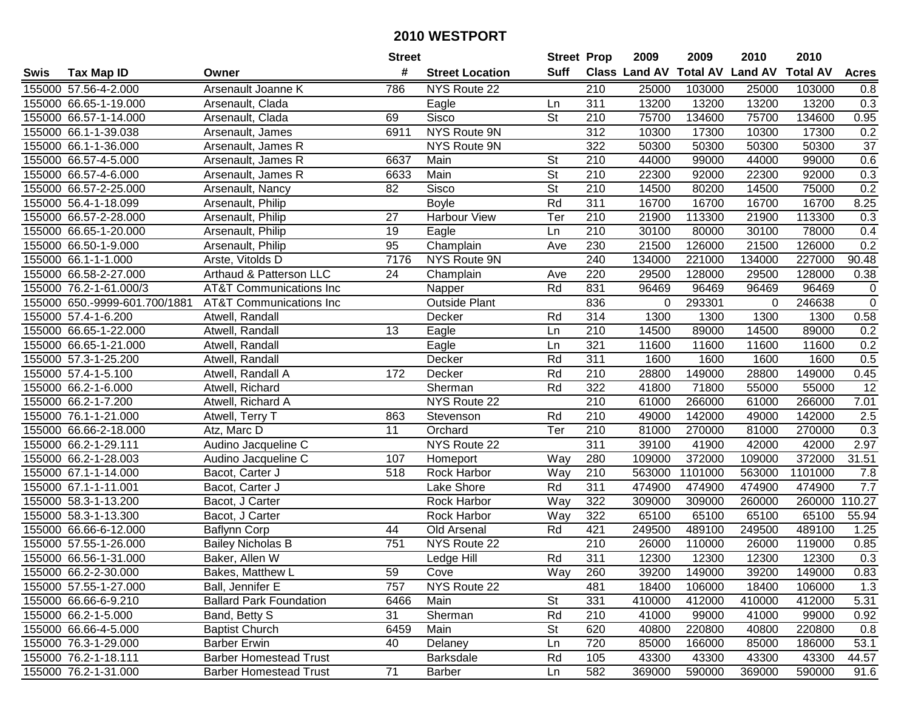| #<br><b>Suff</b><br><b>Total AV</b><br><b>Land AV</b><br>Class Land AV<br><b>Total AV</b><br><b>Tax Map ID</b><br><b>Street Location</b><br><b>Acres</b><br>Swis<br>Owner<br>155000 57.56-4-2.000<br>Arsenault Joanne K<br>786<br>NYS Route 22<br>210<br>25000<br>103000<br>25000<br>103000<br>0.8<br>311<br>0.3<br>155000 66.65-1-19.000<br>13200<br>13200<br>13200<br>13200<br>Arsenault, Clada<br>Eagle<br>Ln<br>Sisco<br><b>St</b><br>75700<br>155000 66.57-1-14.000<br>134600<br>75700<br>134600<br>0.95<br>Arsenault, Clada<br>69<br>210<br>NYS Route 9N<br>312<br>10300<br>17300<br>0.2<br>155000 66.1-1-39.038<br>6911<br>17300<br>10300<br>Arsenault, James<br>NYS Route 9N<br>$\overline{37}$<br>155000 66.1-1-36.000<br>322<br>50300<br>50300<br>50300<br>50300<br>Arsenault, James R<br>0.6<br>155000 66.57-4-5.000<br>6637<br>Main<br>St<br>210<br>44000<br>99000<br>44000<br>99000<br>Arsenault, James R<br>155000 66.57-4-6.000<br>Main<br>St<br>210<br>22300<br>92000<br>0.3<br>Arsenault, James R<br>6633<br>92000<br>22300<br>0.2<br>155000 66.57-2-25.000<br><b>Sisco</b><br>$\overline{\mathsf{St}}$<br>$\overline{210}$<br>75000<br>Arsenault, Nancy<br>82<br>14500<br>80200<br>14500<br>Rd<br>311<br>16700<br>155000 56.4-1-18.099<br>16700<br>16700<br>16700<br>8.25<br>Arsenault, Philip<br><b>Boyle</b><br>27<br><b>Harbour View</b><br>210<br>155000 66.57-2-28.000<br>Ter<br>21900<br>113300<br>21900<br>113300<br>0.3<br>Arsenault, Philip<br>210<br>30100<br>155000 66.65-1-20.000<br>Arsenault, Philip<br>19<br>80000<br>30100<br>78000<br>0.4<br>Eagle<br>Ln<br>0.2<br>155000 66.50-1-9.000<br>95<br>Champlain<br>230<br>21500<br>126000<br>21500<br>126000<br>Arsenault, Philip<br>Ave<br>240<br>NYS Route 9N<br>134000<br>134000<br>227000<br>90.48<br>155000 66.1-1-1.000<br>Arste, Vitolds D<br>7176<br>221000<br>220<br>155000 66.58-2-27.000<br>Arthaud & Patterson LLC<br>24<br>29500<br>128000<br>29500<br>128000<br>0.38<br>Champlain<br>Ave<br>831<br>96469<br>155000 76.2-1-61.000/3<br>Rd<br>96469<br>96469<br>96469<br>$\mathbf 0$<br><b>AT&amp;T Communications Inc</b><br>Napper<br>836<br>155000 650.-9999-601.700/1881<br><b>Outside Plant</b><br>293301<br>246638<br>$\mathbf 0$<br><b>AT&amp;T Communications Inc</b><br>0<br>0<br>314<br>0.58<br>155000 57.4-1-6.200<br>Rd<br>1300<br>1300<br>1300<br>1300<br>Atwell, Randall<br>Decker<br>0.2<br>155000 66.65-1-22.000<br>13<br>Eagle<br>210<br>14500<br>89000<br>89000<br>Atwell, Randall<br>Ln<br>14500<br>0.2<br>321<br>155000 66.65-1-21.000<br>Eagle<br>11600<br>11600<br>11600<br>11600<br>Atwell, Randall<br>Ln<br>155000 57.3-1-25.200<br>Rd<br>311<br>1600<br>1600<br>1600<br>1600<br>0.5<br>Atwell, Randall<br>Decker<br>Rd<br>0.45<br>210<br>28800<br>28800<br>149000<br>155000 57.4-1-5.100<br>172<br>Decker<br>149000<br>Atwell, Randall A<br>Rd<br>322<br>12<br>155000 66.2-1-6.000<br>Sherman<br>41800<br>71800<br>55000<br>55000<br>Atwell, Richard<br>210<br>7.01<br>155000 66.2-1-7.200<br>Atwell, Richard A<br>NYS Route 22<br>61000<br>266000<br>61000<br>266000<br>155000 76.1-1-21.000<br>Rd<br>210<br>49000<br>142000<br>49000<br>142000<br>2.5<br>863<br>Stevenson<br>Atwell, Terry T<br>Ter<br>$\overline{210}$<br>0.3<br>11<br>81000<br>270000<br>270000<br>155000 66.66-2-18.000<br>Atz, Marc D<br>Orchard<br>81000<br>$\overline{311}$<br>155000 66.2-1-29.111<br>NYS Route 22<br>39100<br>41900<br>2.97<br>Audino Jacqueline C<br>42000<br>42000<br>372000<br>109000<br>109000<br>372000<br>31.51<br>155000 66.2-1-28.003<br>Audino Jacqueline C<br>107<br>Way<br>280<br>Homeport<br>Rock Harbor<br>210<br>563000<br>1101000<br>563000<br>155000 67.1-1-14.000<br>Bacot, Carter J<br>518<br>1101000<br>Way<br>7.8<br>$\overline{311}$<br>7.7<br>Lake Shore<br>Rd<br>474900<br>474900<br>474900<br>474900<br>155000 67.1-1-11.001<br>Bacot, Carter J<br>322<br>155000 58.3-1-13.200<br>Bacot, J Carter<br>Rock Harbor<br>Way<br>309000<br>309000<br>260000<br>260000<br>110.27<br>322<br>65100<br>65100<br>65100<br>65100<br>55.94<br>155000 58.3-1-13.300<br>Bacot, J Carter<br>Rock Harbor<br>Way<br>489100<br>155000 66.66-6-12.000<br>421<br>249500<br>489100<br>249500<br><b>Baflynn Corp</b><br>44<br>Old Arsenal<br>Rd<br>1.25<br>210<br>155000 57.55-1-26.000<br>751<br>NYS Route 22<br>26000<br>110000<br>26000<br>119000<br>0.85<br><b>Bailey Nicholas B</b><br>Rd<br>311<br>155000 66.56-1-31.000<br>12300<br>12300<br>12300<br>12300<br>0.3<br>Baker, Allen W<br>Ledge Hill<br>155000 66.2-2-30.000<br>Bakes, Matthew L<br>59<br>Cove<br>Way<br>260<br>39200<br>149000<br>39200<br>149000<br>0.83<br>Ball, Jennifer E<br>757<br>NYS Route 22<br>481<br>106000<br>106000<br>1.3<br>155000 57.55-1-27.000<br>18400<br>18400<br>331<br>155000 66.66-6-9.210<br><b>Ballard Park Foundation</b><br>6466<br>Main<br>St<br>410000<br>412000<br>410000<br>412000<br>5.31<br>Rd<br>155000 66.2-1-5.000<br>31<br>Sherman<br>210<br>41000<br>0.92<br>Band, Betty S<br>99000<br>41000<br>99000<br>155000 66.66-4-5.000<br><b>Baptist Church</b><br>6459<br>Main<br>St<br>620<br>40800<br>220800<br>40800<br>220800<br>0.8<br>720<br>155000 76.3-1-29.000<br>40<br>85000<br>166000<br>85000<br>186000<br>53.1<br><b>Barber Erwin</b><br>Delaney<br>Ln<br>155000 76.2-1-18.111<br><b>Barber Homestead Trust</b><br><b>Barksdale</b><br>Rd<br>105<br>43300<br>43300<br>43300<br>43300<br>44.57<br>71<br>155000 76.2-1-31.000<br>582<br>369000<br>590000<br>91.6<br><b>Barber Homestead Trust</b><br>369000<br>590000<br><b>Barber</b><br>Ln |  | <b>Street</b> | <b>Street Prop</b> | 2009 | 2009 | 2010 | 2010 |  |
|--------------------------------------------------------------------------------------------------------------------------------------------------------------------------------------------------------------------------------------------------------------------------------------------------------------------------------------------------------------------------------------------------------------------------------------------------------------------------------------------------------------------------------------------------------------------------------------------------------------------------------------------------------------------------------------------------------------------------------------------------------------------------------------------------------------------------------------------------------------------------------------------------------------------------------------------------------------------------------------------------------------------------------------------------------------------------------------------------------------------------------------------------------------------------------------------------------------------------------------------------------------------------------------------------------------------------------------------------------------------------------------------------------------------------------------------------------------------------------------------------------------------------------------------------------------------------------------------------------------------------------------------------------------------------------------------------------------------------------------------------------------------------------------------------------------------------------------------------------------------------------------------------------------------------------------------------------------------------------------------------------------------------------------------------------------------------------------------------------------------------------------------------------------------------------------------------------------------------------------------------------------------------------------------------------------------------------------------------------------------------------------------------------------------------------------------------------------------------------------------------------------------------------------------------------------------------------------------------------------------------------------------------------------------------------------------------------------------------------------------------------------------------------------------------------------------------------------------------------------------------------------------------------------------------------------------------------------------------------------------------------------------------------------------------------------------------------------------------------------------------------------------------------------------------------------------------------------------------------------------------------------------------------------------------------------------------------------------------------------------------------------------------------------------------------------------------------------------------------------------------------------------------------------------------------------------------------------------------------------------------------------------------------------------------------------------------------------------------------------------------------------------------------------------------------------------------------------------------------------------------------------------------------------------------------------------------------------------------------------------------------------------------------------------------------------------------------------------------------------------------------------------------------------------------------------------------------------------------------------------------------------------------------------------------------------------------------------------------------------------------------------------------------------------------------------------------------------------------------------------------------------------------------------------------------------------------------------------------------------------------------------------------------------------------------------------------------------------------------------------------------------------------------------------------------------------------------------------------------------------------------------------------------------------------------------------------------------------------------------------------------------------------------------------------------------------------------------------------------------------------------------------------------------------------------------------------------------------------------------------------------------------------------------------------------------------------------------------------------------------------------------------------------------------------------------------------------------------------------------------------------------------------------------------------------------------------|--|---------------|--------------------|------|------|------|------|--|
|                                                                                                                                                                                                                                                                                                                                                                                                                                                                                                                                                                                                                                                                                                                                                                                                                                                                                                                                                                                                                                                                                                                                                                                                                                                                                                                                                                                                                                                                                                                                                                                                                                                                                                                                                                                                                                                                                                                                                                                                                                                                                                                                                                                                                                                                                                                                                                                                                                                                                                                                                                                                                                                                                                                                                                                                                                                                                                                                                                                                                                                                                                                                                                                                                                                                                                                                                                                                                                                                                                                                                                                                                                                                                                                                                                                                                                                                                                                                                                                                                                                                                                                                                                                                                                                                                                                                                                                                                                                                                                                                                                                                                                                                                                                                                                                                                                                                                                                                                                                                                                                                                                                                                                                                                                                                                                                                                                                                                                                                                                                                                                          |  |               |                    |      |      |      |      |  |
|                                                                                                                                                                                                                                                                                                                                                                                                                                                                                                                                                                                                                                                                                                                                                                                                                                                                                                                                                                                                                                                                                                                                                                                                                                                                                                                                                                                                                                                                                                                                                                                                                                                                                                                                                                                                                                                                                                                                                                                                                                                                                                                                                                                                                                                                                                                                                                                                                                                                                                                                                                                                                                                                                                                                                                                                                                                                                                                                                                                                                                                                                                                                                                                                                                                                                                                                                                                                                                                                                                                                                                                                                                                                                                                                                                                                                                                                                                                                                                                                                                                                                                                                                                                                                                                                                                                                                                                                                                                                                                                                                                                                                                                                                                                                                                                                                                                                                                                                                                                                                                                                                                                                                                                                                                                                                                                                                                                                                                                                                                                                                                          |  |               |                    |      |      |      |      |  |
|                                                                                                                                                                                                                                                                                                                                                                                                                                                                                                                                                                                                                                                                                                                                                                                                                                                                                                                                                                                                                                                                                                                                                                                                                                                                                                                                                                                                                                                                                                                                                                                                                                                                                                                                                                                                                                                                                                                                                                                                                                                                                                                                                                                                                                                                                                                                                                                                                                                                                                                                                                                                                                                                                                                                                                                                                                                                                                                                                                                                                                                                                                                                                                                                                                                                                                                                                                                                                                                                                                                                                                                                                                                                                                                                                                                                                                                                                                                                                                                                                                                                                                                                                                                                                                                                                                                                                                                                                                                                                                                                                                                                                                                                                                                                                                                                                                                                                                                                                                                                                                                                                                                                                                                                                                                                                                                                                                                                                                                                                                                                                                          |  |               |                    |      |      |      |      |  |
|                                                                                                                                                                                                                                                                                                                                                                                                                                                                                                                                                                                                                                                                                                                                                                                                                                                                                                                                                                                                                                                                                                                                                                                                                                                                                                                                                                                                                                                                                                                                                                                                                                                                                                                                                                                                                                                                                                                                                                                                                                                                                                                                                                                                                                                                                                                                                                                                                                                                                                                                                                                                                                                                                                                                                                                                                                                                                                                                                                                                                                                                                                                                                                                                                                                                                                                                                                                                                                                                                                                                                                                                                                                                                                                                                                                                                                                                                                                                                                                                                                                                                                                                                                                                                                                                                                                                                                                                                                                                                                                                                                                                                                                                                                                                                                                                                                                                                                                                                                                                                                                                                                                                                                                                                                                                                                                                                                                                                                                                                                                                                                          |  |               |                    |      |      |      |      |  |
|                                                                                                                                                                                                                                                                                                                                                                                                                                                                                                                                                                                                                                                                                                                                                                                                                                                                                                                                                                                                                                                                                                                                                                                                                                                                                                                                                                                                                                                                                                                                                                                                                                                                                                                                                                                                                                                                                                                                                                                                                                                                                                                                                                                                                                                                                                                                                                                                                                                                                                                                                                                                                                                                                                                                                                                                                                                                                                                                                                                                                                                                                                                                                                                                                                                                                                                                                                                                                                                                                                                                                                                                                                                                                                                                                                                                                                                                                                                                                                                                                                                                                                                                                                                                                                                                                                                                                                                                                                                                                                                                                                                                                                                                                                                                                                                                                                                                                                                                                                                                                                                                                                                                                                                                                                                                                                                                                                                                                                                                                                                                                                          |  |               |                    |      |      |      |      |  |
|                                                                                                                                                                                                                                                                                                                                                                                                                                                                                                                                                                                                                                                                                                                                                                                                                                                                                                                                                                                                                                                                                                                                                                                                                                                                                                                                                                                                                                                                                                                                                                                                                                                                                                                                                                                                                                                                                                                                                                                                                                                                                                                                                                                                                                                                                                                                                                                                                                                                                                                                                                                                                                                                                                                                                                                                                                                                                                                                                                                                                                                                                                                                                                                                                                                                                                                                                                                                                                                                                                                                                                                                                                                                                                                                                                                                                                                                                                                                                                                                                                                                                                                                                                                                                                                                                                                                                                                                                                                                                                                                                                                                                                                                                                                                                                                                                                                                                                                                                                                                                                                                                                                                                                                                                                                                                                                                                                                                                                                                                                                                                                          |  |               |                    |      |      |      |      |  |
|                                                                                                                                                                                                                                                                                                                                                                                                                                                                                                                                                                                                                                                                                                                                                                                                                                                                                                                                                                                                                                                                                                                                                                                                                                                                                                                                                                                                                                                                                                                                                                                                                                                                                                                                                                                                                                                                                                                                                                                                                                                                                                                                                                                                                                                                                                                                                                                                                                                                                                                                                                                                                                                                                                                                                                                                                                                                                                                                                                                                                                                                                                                                                                                                                                                                                                                                                                                                                                                                                                                                                                                                                                                                                                                                                                                                                                                                                                                                                                                                                                                                                                                                                                                                                                                                                                                                                                                                                                                                                                                                                                                                                                                                                                                                                                                                                                                                                                                                                                                                                                                                                                                                                                                                                                                                                                                                                                                                                                                                                                                                                                          |  |               |                    |      |      |      |      |  |
|                                                                                                                                                                                                                                                                                                                                                                                                                                                                                                                                                                                                                                                                                                                                                                                                                                                                                                                                                                                                                                                                                                                                                                                                                                                                                                                                                                                                                                                                                                                                                                                                                                                                                                                                                                                                                                                                                                                                                                                                                                                                                                                                                                                                                                                                                                                                                                                                                                                                                                                                                                                                                                                                                                                                                                                                                                                                                                                                                                                                                                                                                                                                                                                                                                                                                                                                                                                                                                                                                                                                                                                                                                                                                                                                                                                                                                                                                                                                                                                                                                                                                                                                                                                                                                                                                                                                                                                                                                                                                                                                                                                                                                                                                                                                                                                                                                                                                                                                                                                                                                                                                                                                                                                                                                                                                                                                                                                                                                                                                                                                                                          |  |               |                    |      |      |      |      |  |
|                                                                                                                                                                                                                                                                                                                                                                                                                                                                                                                                                                                                                                                                                                                                                                                                                                                                                                                                                                                                                                                                                                                                                                                                                                                                                                                                                                                                                                                                                                                                                                                                                                                                                                                                                                                                                                                                                                                                                                                                                                                                                                                                                                                                                                                                                                                                                                                                                                                                                                                                                                                                                                                                                                                                                                                                                                                                                                                                                                                                                                                                                                                                                                                                                                                                                                                                                                                                                                                                                                                                                                                                                                                                                                                                                                                                                                                                                                                                                                                                                                                                                                                                                                                                                                                                                                                                                                                                                                                                                                                                                                                                                                                                                                                                                                                                                                                                                                                                                                                                                                                                                                                                                                                                                                                                                                                                                                                                                                                                                                                                                                          |  |               |                    |      |      |      |      |  |
|                                                                                                                                                                                                                                                                                                                                                                                                                                                                                                                                                                                                                                                                                                                                                                                                                                                                                                                                                                                                                                                                                                                                                                                                                                                                                                                                                                                                                                                                                                                                                                                                                                                                                                                                                                                                                                                                                                                                                                                                                                                                                                                                                                                                                                                                                                                                                                                                                                                                                                                                                                                                                                                                                                                                                                                                                                                                                                                                                                                                                                                                                                                                                                                                                                                                                                                                                                                                                                                                                                                                                                                                                                                                                                                                                                                                                                                                                                                                                                                                                                                                                                                                                                                                                                                                                                                                                                                                                                                                                                                                                                                                                                                                                                                                                                                                                                                                                                                                                                                                                                                                                                                                                                                                                                                                                                                                                                                                                                                                                                                                                                          |  |               |                    |      |      |      |      |  |
|                                                                                                                                                                                                                                                                                                                                                                                                                                                                                                                                                                                                                                                                                                                                                                                                                                                                                                                                                                                                                                                                                                                                                                                                                                                                                                                                                                                                                                                                                                                                                                                                                                                                                                                                                                                                                                                                                                                                                                                                                                                                                                                                                                                                                                                                                                                                                                                                                                                                                                                                                                                                                                                                                                                                                                                                                                                                                                                                                                                                                                                                                                                                                                                                                                                                                                                                                                                                                                                                                                                                                                                                                                                                                                                                                                                                                                                                                                                                                                                                                                                                                                                                                                                                                                                                                                                                                                                                                                                                                                                                                                                                                                                                                                                                                                                                                                                                                                                                                                                                                                                                                                                                                                                                                                                                                                                                                                                                                                                                                                                                                                          |  |               |                    |      |      |      |      |  |
|                                                                                                                                                                                                                                                                                                                                                                                                                                                                                                                                                                                                                                                                                                                                                                                                                                                                                                                                                                                                                                                                                                                                                                                                                                                                                                                                                                                                                                                                                                                                                                                                                                                                                                                                                                                                                                                                                                                                                                                                                                                                                                                                                                                                                                                                                                                                                                                                                                                                                                                                                                                                                                                                                                                                                                                                                                                                                                                                                                                                                                                                                                                                                                                                                                                                                                                                                                                                                                                                                                                                                                                                                                                                                                                                                                                                                                                                                                                                                                                                                                                                                                                                                                                                                                                                                                                                                                                                                                                                                                                                                                                                                                                                                                                                                                                                                                                                                                                                                                                                                                                                                                                                                                                                                                                                                                                                                                                                                                                                                                                                                                          |  |               |                    |      |      |      |      |  |
|                                                                                                                                                                                                                                                                                                                                                                                                                                                                                                                                                                                                                                                                                                                                                                                                                                                                                                                                                                                                                                                                                                                                                                                                                                                                                                                                                                                                                                                                                                                                                                                                                                                                                                                                                                                                                                                                                                                                                                                                                                                                                                                                                                                                                                                                                                                                                                                                                                                                                                                                                                                                                                                                                                                                                                                                                                                                                                                                                                                                                                                                                                                                                                                                                                                                                                                                                                                                                                                                                                                                                                                                                                                                                                                                                                                                                                                                                                                                                                                                                                                                                                                                                                                                                                                                                                                                                                                                                                                                                                                                                                                                                                                                                                                                                                                                                                                                                                                                                                                                                                                                                                                                                                                                                                                                                                                                                                                                                                                                                                                                                                          |  |               |                    |      |      |      |      |  |
|                                                                                                                                                                                                                                                                                                                                                                                                                                                                                                                                                                                                                                                                                                                                                                                                                                                                                                                                                                                                                                                                                                                                                                                                                                                                                                                                                                                                                                                                                                                                                                                                                                                                                                                                                                                                                                                                                                                                                                                                                                                                                                                                                                                                                                                                                                                                                                                                                                                                                                                                                                                                                                                                                                                                                                                                                                                                                                                                                                                                                                                                                                                                                                                                                                                                                                                                                                                                                                                                                                                                                                                                                                                                                                                                                                                                                                                                                                                                                                                                                                                                                                                                                                                                                                                                                                                                                                                                                                                                                                                                                                                                                                                                                                                                                                                                                                                                                                                                                                                                                                                                                                                                                                                                                                                                                                                                                                                                                                                                                                                                                                          |  |               |                    |      |      |      |      |  |
|                                                                                                                                                                                                                                                                                                                                                                                                                                                                                                                                                                                                                                                                                                                                                                                                                                                                                                                                                                                                                                                                                                                                                                                                                                                                                                                                                                                                                                                                                                                                                                                                                                                                                                                                                                                                                                                                                                                                                                                                                                                                                                                                                                                                                                                                                                                                                                                                                                                                                                                                                                                                                                                                                                                                                                                                                                                                                                                                                                                                                                                                                                                                                                                                                                                                                                                                                                                                                                                                                                                                                                                                                                                                                                                                                                                                                                                                                                                                                                                                                                                                                                                                                                                                                                                                                                                                                                                                                                                                                                                                                                                                                                                                                                                                                                                                                                                                                                                                                                                                                                                                                                                                                                                                                                                                                                                                                                                                                                                                                                                                                                          |  |               |                    |      |      |      |      |  |
|                                                                                                                                                                                                                                                                                                                                                                                                                                                                                                                                                                                                                                                                                                                                                                                                                                                                                                                                                                                                                                                                                                                                                                                                                                                                                                                                                                                                                                                                                                                                                                                                                                                                                                                                                                                                                                                                                                                                                                                                                                                                                                                                                                                                                                                                                                                                                                                                                                                                                                                                                                                                                                                                                                                                                                                                                                                                                                                                                                                                                                                                                                                                                                                                                                                                                                                                                                                                                                                                                                                                                                                                                                                                                                                                                                                                                                                                                                                                                                                                                                                                                                                                                                                                                                                                                                                                                                                                                                                                                                                                                                                                                                                                                                                                                                                                                                                                                                                                                                                                                                                                                                                                                                                                                                                                                                                                                                                                                                                                                                                                                                          |  |               |                    |      |      |      |      |  |
|                                                                                                                                                                                                                                                                                                                                                                                                                                                                                                                                                                                                                                                                                                                                                                                                                                                                                                                                                                                                                                                                                                                                                                                                                                                                                                                                                                                                                                                                                                                                                                                                                                                                                                                                                                                                                                                                                                                                                                                                                                                                                                                                                                                                                                                                                                                                                                                                                                                                                                                                                                                                                                                                                                                                                                                                                                                                                                                                                                                                                                                                                                                                                                                                                                                                                                                                                                                                                                                                                                                                                                                                                                                                                                                                                                                                                                                                                                                                                                                                                                                                                                                                                                                                                                                                                                                                                                                                                                                                                                                                                                                                                                                                                                                                                                                                                                                                                                                                                                                                                                                                                                                                                                                                                                                                                                                                                                                                                                                                                                                                                                          |  |               |                    |      |      |      |      |  |
|                                                                                                                                                                                                                                                                                                                                                                                                                                                                                                                                                                                                                                                                                                                                                                                                                                                                                                                                                                                                                                                                                                                                                                                                                                                                                                                                                                                                                                                                                                                                                                                                                                                                                                                                                                                                                                                                                                                                                                                                                                                                                                                                                                                                                                                                                                                                                                                                                                                                                                                                                                                                                                                                                                                                                                                                                                                                                                                                                                                                                                                                                                                                                                                                                                                                                                                                                                                                                                                                                                                                                                                                                                                                                                                                                                                                                                                                                                                                                                                                                                                                                                                                                                                                                                                                                                                                                                                                                                                                                                                                                                                                                                                                                                                                                                                                                                                                                                                                                                                                                                                                                                                                                                                                                                                                                                                                                                                                                                                                                                                                                                          |  |               |                    |      |      |      |      |  |
|                                                                                                                                                                                                                                                                                                                                                                                                                                                                                                                                                                                                                                                                                                                                                                                                                                                                                                                                                                                                                                                                                                                                                                                                                                                                                                                                                                                                                                                                                                                                                                                                                                                                                                                                                                                                                                                                                                                                                                                                                                                                                                                                                                                                                                                                                                                                                                                                                                                                                                                                                                                                                                                                                                                                                                                                                                                                                                                                                                                                                                                                                                                                                                                                                                                                                                                                                                                                                                                                                                                                                                                                                                                                                                                                                                                                                                                                                                                                                                                                                                                                                                                                                                                                                                                                                                                                                                                                                                                                                                                                                                                                                                                                                                                                                                                                                                                                                                                                                                                                                                                                                                                                                                                                                                                                                                                                                                                                                                                                                                                                                                          |  |               |                    |      |      |      |      |  |
|                                                                                                                                                                                                                                                                                                                                                                                                                                                                                                                                                                                                                                                                                                                                                                                                                                                                                                                                                                                                                                                                                                                                                                                                                                                                                                                                                                                                                                                                                                                                                                                                                                                                                                                                                                                                                                                                                                                                                                                                                                                                                                                                                                                                                                                                                                                                                                                                                                                                                                                                                                                                                                                                                                                                                                                                                                                                                                                                                                                                                                                                                                                                                                                                                                                                                                                                                                                                                                                                                                                                                                                                                                                                                                                                                                                                                                                                                                                                                                                                                                                                                                                                                                                                                                                                                                                                                                                                                                                                                                                                                                                                                                                                                                                                                                                                                                                                                                                                                                                                                                                                                                                                                                                                                                                                                                                                                                                                                                                                                                                                                                          |  |               |                    |      |      |      |      |  |
|                                                                                                                                                                                                                                                                                                                                                                                                                                                                                                                                                                                                                                                                                                                                                                                                                                                                                                                                                                                                                                                                                                                                                                                                                                                                                                                                                                                                                                                                                                                                                                                                                                                                                                                                                                                                                                                                                                                                                                                                                                                                                                                                                                                                                                                                                                                                                                                                                                                                                                                                                                                                                                                                                                                                                                                                                                                                                                                                                                                                                                                                                                                                                                                                                                                                                                                                                                                                                                                                                                                                                                                                                                                                                                                                                                                                                                                                                                                                                                                                                                                                                                                                                                                                                                                                                                                                                                                                                                                                                                                                                                                                                                                                                                                                                                                                                                                                                                                                                                                                                                                                                                                                                                                                                                                                                                                                                                                                                                                                                                                                                                          |  |               |                    |      |      |      |      |  |
|                                                                                                                                                                                                                                                                                                                                                                                                                                                                                                                                                                                                                                                                                                                                                                                                                                                                                                                                                                                                                                                                                                                                                                                                                                                                                                                                                                                                                                                                                                                                                                                                                                                                                                                                                                                                                                                                                                                                                                                                                                                                                                                                                                                                                                                                                                                                                                                                                                                                                                                                                                                                                                                                                                                                                                                                                                                                                                                                                                                                                                                                                                                                                                                                                                                                                                                                                                                                                                                                                                                                                                                                                                                                                                                                                                                                                                                                                                                                                                                                                                                                                                                                                                                                                                                                                                                                                                                                                                                                                                                                                                                                                                                                                                                                                                                                                                                                                                                                                                                                                                                                                                                                                                                                                                                                                                                                                                                                                                                                                                                                                                          |  |               |                    |      |      |      |      |  |
|                                                                                                                                                                                                                                                                                                                                                                                                                                                                                                                                                                                                                                                                                                                                                                                                                                                                                                                                                                                                                                                                                                                                                                                                                                                                                                                                                                                                                                                                                                                                                                                                                                                                                                                                                                                                                                                                                                                                                                                                                                                                                                                                                                                                                                                                                                                                                                                                                                                                                                                                                                                                                                                                                                                                                                                                                                                                                                                                                                                                                                                                                                                                                                                                                                                                                                                                                                                                                                                                                                                                                                                                                                                                                                                                                                                                                                                                                                                                                                                                                                                                                                                                                                                                                                                                                                                                                                                                                                                                                                                                                                                                                                                                                                                                                                                                                                                                                                                                                                                                                                                                                                                                                                                                                                                                                                                                                                                                                                                                                                                                                                          |  |               |                    |      |      |      |      |  |
|                                                                                                                                                                                                                                                                                                                                                                                                                                                                                                                                                                                                                                                                                                                                                                                                                                                                                                                                                                                                                                                                                                                                                                                                                                                                                                                                                                                                                                                                                                                                                                                                                                                                                                                                                                                                                                                                                                                                                                                                                                                                                                                                                                                                                                                                                                                                                                                                                                                                                                                                                                                                                                                                                                                                                                                                                                                                                                                                                                                                                                                                                                                                                                                                                                                                                                                                                                                                                                                                                                                                                                                                                                                                                                                                                                                                                                                                                                                                                                                                                                                                                                                                                                                                                                                                                                                                                                                                                                                                                                                                                                                                                                                                                                                                                                                                                                                                                                                                                                                                                                                                                                                                                                                                                                                                                                                                                                                                                                                                                                                                                                          |  |               |                    |      |      |      |      |  |
|                                                                                                                                                                                                                                                                                                                                                                                                                                                                                                                                                                                                                                                                                                                                                                                                                                                                                                                                                                                                                                                                                                                                                                                                                                                                                                                                                                                                                                                                                                                                                                                                                                                                                                                                                                                                                                                                                                                                                                                                                                                                                                                                                                                                                                                                                                                                                                                                                                                                                                                                                                                                                                                                                                                                                                                                                                                                                                                                                                                                                                                                                                                                                                                                                                                                                                                                                                                                                                                                                                                                                                                                                                                                                                                                                                                                                                                                                                                                                                                                                                                                                                                                                                                                                                                                                                                                                                                                                                                                                                                                                                                                                                                                                                                                                                                                                                                                                                                                                                                                                                                                                                                                                                                                                                                                                                                                                                                                                                                                                                                                                                          |  |               |                    |      |      |      |      |  |
|                                                                                                                                                                                                                                                                                                                                                                                                                                                                                                                                                                                                                                                                                                                                                                                                                                                                                                                                                                                                                                                                                                                                                                                                                                                                                                                                                                                                                                                                                                                                                                                                                                                                                                                                                                                                                                                                                                                                                                                                                                                                                                                                                                                                                                                                                                                                                                                                                                                                                                                                                                                                                                                                                                                                                                                                                                                                                                                                                                                                                                                                                                                                                                                                                                                                                                                                                                                                                                                                                                                                                                                                                                                                                                                                                                                                                                                                                                                                                                                                                                                                                                                                                                                                                                                                                                                                                                                                                                                                                                                                                                                                                                                                                                                                                                                                                                                                                                                                                                                                                                                                                                                                                                                                                                                                                                                                                                                                                                                                                                                                                                          |  |               |                    |      |      |      |      |  |
|                                                                                                                                                                                                                                                                                                                                                                                                                                                                                                                                                                                                                                                                                                                                                                                                                                                                                                                                                                                                                                                                                                                                                                                                                                                                                                                                                                                                                                                                                                                                                                                                                                                                                                                                                                                                                                                                                                                                                                                                                                                                                                                                                                                                                                                                                                                                                                                                                                                                                                                                                                                                                                                                                                                                                                                                                                                                                                                                                                                                                                                                                                                                                                                                                                                                                                                                                                                                                                                                                                                                                                                                                                                                                                                                                                                                                                                                                                                                                                                                                                                                                                                                                                                                                                                                                                                                                                                                                                                                                                                                                                                                                                                                                                                                                                                                                                                                                                                                                                                                                                                                                                                                                                                                                                                                                                                                                                                                                                                                                                                                                                          |  |               |                    |      |      |      |      |  |
|                                                                                                                                                                                                                                                                                                                                                                                                                                                                                                                                                                                                                                                                                                                                                                                                                                                                                                                                                                                                                                                                                                                                                                                                                                                                                                                                                                                                                                                                                                                                                                                                                                                                                                                                                                                                                                                                                                                                                                                                                                                                                                                                                                                                                                                                                                                                                                                                                                                                                                                                                                                                                                                                                                                                                                                                                                                                                                                                                                                                                                                                                                                                                                                                                                                                                                                                                                                                                                                                                                                                                                                                                                                                                                                                                                                                                                                                                                                                                                                                                                                                                                                                                                                                                                                                                                                                                                                                                                                                                                                                                                                                                                                                                                                                                                                                                                                                                                                                                                                                                                                                                                                                                                                                                                                                                                                                                                                                                                                                                                                                                                          |  |               |                    |      |      |      |      |  |
|                                                                                                                                                                                                                                                                                                                                                                                                                                                                                                                                                                                                                                                                                                                                                                                                                                                                                                                                                                                                                                                                                                                                                                                                                                                                                                                                                                                                                                                                                                                                                                                                                                                                                                                                                                                                                                                                                                                                                                                                                                                                                                                                                                                                                                                                                                                                                                                                                                                                                                                                                                                                                                                                                                                                                                                                                                                                                                                                                                                                                                                                                                                                                                                                                                                                                                                                                                                                                                                                                                                                                                                                                                                                                                                                                                                                                                                                                                                                                                                                                                                                                                                                                                                                                                                                                                                                                                                                                                                                                                                                                                                                                                                                                                                                                                                                                                                                                                                                                                                                                                                                                                                                                                                                                                                                                                                                                                                                                                                                                                                                                                          |  |               |                    |      |      |      |      |  |
|                                                                                                                                                                                                                                                                                                                                                                                                                                                                                                                                                                                                                                                                                                                                                                                                                                                                                                                                                                                                                                                                                                                                                                                                                                                                                                                                                                                                                                                                                                                                                                                                                                                                                                                                                                                                                                                                                                                                                                                                                                                                                                                                                                                                                                                                                                                                                                                                                                                                                                                                                                                                                                                                                                                                                                                                                                                                                                                                                                                                                                                                                                                                                                                                                                                                                                                                                                                                                                                                                                                                                                                                                                                                                                                                                                                                                                                                                                                                                                                                                                                                                                                                                                                                                                                                                                                                                                                                                                                                                                                                                                                                                                                                                                                                                                                                                                                                                                                                                                                                                                                                                                                                                                                                                                                                                                                                                                                                                                                                                                                                                                          |  |               |                    |      |      |      |      |  |
|                                                                                                                                                                                                                                                                                                                                                                                                                                                                                                                                                                                                                                                                                                                                                                                                                                                                                                                                                                                                                                                                                                                                                                                                                                                                                                                                                                                                                                                                                                                                                                                                                                                                                                                                                                                                                                                                                                                                                                                                                                                                                                                                                                                                                                                                                                                                                                                                                                                                                                                                                                                                                                                                                                                                                                                                                                                                                                                                                                                                                                                                                                                                                                                                                                                                                                                                                                                                                                                                                                                                                                                                                                                                                                                                                                                                                                                                                                                                                                                                                                                                                                                                                                                                                                                                                                                                                                                                                                                                                                                                                                                                                                                                                                                                                                                                                                                                                                                                                                                                                                                                                                                                                                                                                                                                                                                                                                                                                                                                                                                                                                          |  |               |                    |      |      |      |      |  |
|                                                                                                                                                                                                                                                                                                                                                                                                                                                                                                                                                                                                                                                                                                                                                                                                                                                                                                                                                                                                                                                                                                                                                                                                                                                                                                                                                                                                                                                                                                                                                                                                                                                                                                                                                                                                                                                                                                                                                                                                                                                                                                                                                                                                                                                                                                                                                                                                                                                                                                                                                                                                                                                                                                                                                                                                                                                                                                                                                                                                                                                                                                                                                                                                                                                                                                                                                                                                                                                                                                                                                                                                                                                                                                                                                                                                                                                                                                                                                                                                                                                                                                                                                                                                                                                                                                                                                                                                                                                                                                                                                                                                                                                                                                                                                                                                                                                                                                                                                                                                                                                                                                                                                                                                                                                                                                                                                                                                                                                                                                                                                                          |  |               |                    |      |      |      |      |  |
|                                                                                                                                                                                                                                                                                                                                                                                                                                                                                                                                                                                                                                                                                                                                                                                                                                                                                                                                                                                                                                                                                                                                                                                                                                                                                                                                                                                                                                                                                                                                                                                                                                                                                                                                                                                                                                                                                                                                                                                                                                                                                                                                                                                                                                                                                                                                                                                                                                                                                                                                                                                                                                                                                                                                                                                                                                                                                                                                                                                                                                                                                                                                                                                                                                                                                                                                                                                                                                                                                                                                                                                                                                                                                                                                                                                                                                                                                                                                                                                                                                                                                                                                                                                                                                                                                                                                                                                                                                                                                                                                                                                                                                                                                                                                                                                                                                                                                                                                                                                                                                                                                                                                                                                                                                                                                                                                                                                                                                                                                                                                                                          |  |               |                    |      |      |      |      |  |
|                                                                                                                                                                                                                                                                                                                                                                                                                                                                                                                                                                                                                                                                                                                                                                                                                                                                                                                                                                                                                                                                                                                                                                                                                                                                                                                                                                                                                                                                                                                                                                                                                                                                                                                                                                                                                                                                                                                                                                                                                                                                                                                                                                                                                                                                                                                                                                                                                                                                                                                                                                                                                                                                                                                                                                                                                                                                                                                                                                                                                                                                                                                                                                                                                                                                                                                                                                                                                                                                                                                                                                                                                                                                                                                                                                                                                                                                                                                                                                                                                                                                                                                                                                                                                                                                                                                                                                                                                                                                                                                                                                                                                                                                                                                                                                                                                                                                                                                                                                                                                                                                                                                                                                                                                                                                                                                                                                                                                                                                                                                                                                          |  |               |                    |      |      |      |      |  |
|                                                                                                                                                                                                                                                                                                                                                                                                                                                                                                                                                                                                                                                                                                                                                                                                                                                                                                                                                                                                                                                                                                                                                                                                                                                                                                                                                                                                                                                                                                                                                                                                                                                                                                                                                                                                                                                                                                                                                                                                                                                                                                                                                                                                                                                                                                                                                                                                                                                                                                                                                                                                                                                                                                                                                                                                                                                                                                                                                                                                                                                                                                                                                                                                                                                                                                                                                                                                                                                                                                                                                                                                                                                                                                                                                                                                                                                                                                                                                                                                                                                                                                                                                                                                                                                                                                                                                                                                                                                                                                                                                                                                                                                                                                                                                                                                                                                                                                                                                                                                                                                                                                                                                                                                                                                                                                                                                                                                                                                                                                                                                                          |  |               |                    |      |      |      |      |  |
|                                                                                                                                                                                                                                                                                                                                                                                                                                                                                                                                                                                                                                                                                                                                                                                                                                                                                                                                                                                                                                                                                                                                                                                                                                                                                                                                                                                                                                                                                                                                                                                                                                                                                                                                                                                                                                                                                                                                                                                                                                                                                                                                                                                                                                                                                                                                                                                                                                                                                                                                                                                                                                                                                                                                                                                                                                                                                                                                                                                                                                                                                                                                                                                                                                                                                                                                                                                                                                                                                                                                                                                                                                                                                                                                                                                                                                                                                                                                                                                                                                                                                                                                                                                                                                                                                                                                                                                                                                                                                                                                                                                                                                                                                                                                                                                                                                                                                                                                                                                                                                                                                                                                                                                                                                                                                                                                                                                                                                                                                                                                                                          |  |               |                    |      |      |      |      |  |
|                                                                                                                                                                                                                                                                                                                                                                                                                                                                                                                                                                                                                                                                                                                                                                                                                                                                                                                                                                                                                                                                                                                                                                                                                                                                                                                                                                                                                                                                                                                                                                                                                                                                                                                                                                                                                                                                                                                                                                                                                                                                                                                                                                                                                                                                                                                                                                                                                                                                                                                                                                                                                                                                                                                                                                                                                                                                                                                                                                                                                                                                                                                                                                                                                                                                                                                                                                                                                                                                                                                                                                                                                                                                                                                                                                                                                                                                                                                                                                                                                                                                                                                                                                                                                                                                                                                                                                                                                                                                                                                                                                                                                                                                                                                                                                                                                                                                                                                                                                                                                                                                                                                                                                                                                                                                                                                                                                                                                                                                                                                                                                          |  |               |                    |      |      |      |      |  |
|                                                                                                                                                                                                                                                                                                                                                                                                                                                                                                                                                                                                                                                                                                                                                                                                                                                                                                                                                                                                                                                                                                                                                                                                                                                                                                                                                                                                                                                                                                                                                                                                                                                                                                                                                                                                                                                                                                                                                                                                                                                                                                                                                                                                                                                                                                                                                                                                                                                                                                                                                                                                                                                                                                                                                                                                                                                                                                                                                                                                                                                                                                                                                                                                                                                                                                                                                                                                                                                                                                                                                                                                                                                                                                                                                                                                                                                                                                                                                                                                                                                                                                                                                                                                                                                                                                                                                                                                                                                                                                                                                                                                                                                                                                                                                                                                                                                                                                                                                                                                                                                                                                                                                                                                                                                                                                                                                                                                                                                                                                                                                                          |  |               |                    |      |      |      |      |  |
|                                                                                                                                                                                                                                                                                                                                                                                                                                                                                                                                                                                                                                                                                                                                                                                                                                                                                                                                                                                                                                                                                                                                                                                                                                                                                                                                                                                                                                                                                                                                                                                                                                                                                                                                                                                                                                                                                                                                                                                                                                                                                                                                                                                                                                                                                                                                                                                                                                                                                                                                                                                                                                                                                                                                                                                                                                                                                                                                                                                                                                                                                                                                                                                                                                                                                                                                                                                                                                                                                                                                                                                                                                                                                                                                                                                                                                                                                                                                                                                                                                                                                                                                                                                                                                                                                                                                                                                                                                                                                                                                                                                                                                                                                                                                                                                                                                                                                                                                                                                                                                                                                                                                                                                                                                                                                                                                                                                                                                                                                                                                                                          |  |               |                    |      |      |      |      |  |
|                                                                                                                                                                                                                                                                                                                                                                                                                                                                                                                                                                                                                                                                                                                                                                                                                                                                                                                                                                                                                                                                                                                                                                                                                                                                                                                                                                                                                                                                                                                                                                                                                                                                                                                                                                                                                                                                                                                                                                                                                                                                                                                                                                                                                                                                                                                                                                                                                                                                                                                                                                                                                                                                                                                                                                                                                                                                                                                                                                                                                                                                                                                                                                                                                                                                                                                                                                                                                                                                                                                                                                                                                                                                                                                                                                                                                                                                                                                                                                                                                                                                                                                                                                                                                                                                                                                                                                                                                                                                                                                                                                                                                                                                                                                                                                                                                                                                                                                                                                                                                                                                                                                                                                                                                                                                                                                                                                                                                                                                                                                                                                          |  |               |                    |      |      |      |      |  |
|                                                                                                                                                                                                                                                                                                                                                                                                                                                                                                                                                                                                                                                                                                                                                                                                                                                                                                                                                                                                                                                                                                                                                                                                                                                                                                                                                                                                                                                                                                                                                                                                                                                                                                                                                                                                                                                                                                                                                                                                                                                                                                                                                                                                                                                                                                                                                                                                                                                                                                                                                                                                                                                                                                                                                                                                                                                                                                                                                                                                                                                                                                                                                                                                                                                                                                                                                                                                                                                                                                                                                                                                                                                                                                                                                                                                                                                                                                                                                                                                                                                                                                                                                                                                                                                                                                                                                                                                                                                                                                                                                                                                                                                                                                                                                                                                                                                                                                                                                                                                                                                                                                                                                                                                                                                                                                                                                                                                                                                                                                                                                                          |  |               |                    |      |      |      |      |  |
|                                                                                                                                                                                                                                                                                                                                                                                                                                                                                                                                                                                                                                                                                                                                                                                                                                                                                                                                                                                                                                                                                                                                                                                                                                                                                                                                                                                                                                                                                                                                                                                                                                                                                                                                                                                                                                                                                                                                                                                                                                                                                                                                                                                                                                                                                                                                                                                                                                                                                                                                                                                                                                                                                                                                                                                                                                                                                                                                                                                                                                                                                                                                                                                                                                                                                                                                                                                                                                                                                                                                                                                                                                                                                                                                                                                                                                                                                                                                                                                                                                                                                                                                                                                                                                                                                                                                                                                                                                                                                                                                                                                                                                                                                                                                                                                                                                                                                                                                                                                                                                                                                                                                                                                                                                                                                                                                                                                                                                                                                                                                                                          |  |               |                    |      |      |      |      |  |
|                                                                                                                                                                                                                                                                                                                                                                                                                                                                                                                                                                                                                                                                                                                                                                                                                                                                                                                                                                                                                                                                                                                                                                                                                                                                                                                                                                                                                                                                                                                                                                                                                                                                                                                                                                                                                                                                                                                                                                                                                                                                                                                                                                                                                                                                                                                                                                                                                                                                                                                                                                                                                                                                                                                                                                                                                                                                                                                                                                                                                                                                                                                                                                                                                                                                                                                                                                                                                                                                                                                                                                                                                                                                                                                                                                                                                                                                                                                                                                                                                                                                                                                                                                                                                                                                                                                                                                                                                                                                                                                                                                                                                                                                                                                                                                                                                                                                                                                                                                                                                                                                                                                                                                                                                                                                                                                                                                                                                                                                                                                                                                          |  |               |                    |      |      |      |      |  |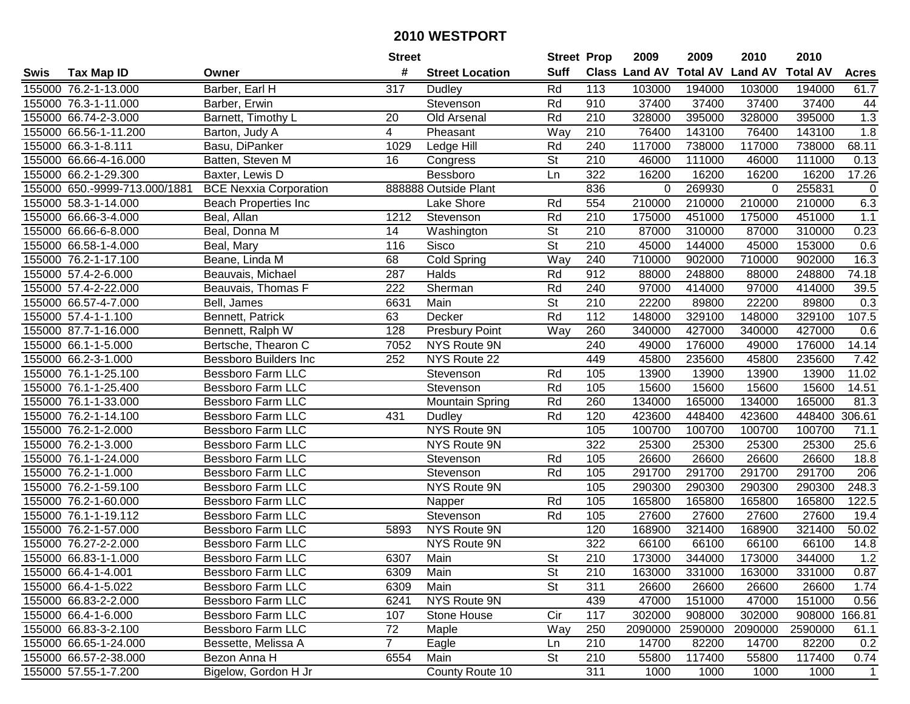|      |                               |                               | <b>Street</b>  |                        | <b>Street Prop</b>       |                  | 2009          | 2009            | 2010           | 2010            |                |
|------|-------------------------------|-------------------------------|----------------|------------------------|--------------------------|------------------|---------------|-----------------|----------------|-----------------|----------------|
| Swis | <b>Tax Map ID</b>             | Owner                         | #              | <b>Street Location</b> | <b>Suff</b>              |                  | Class Land AV | <b>Total AV</b> | <b>Land AV</b> | <b>Total AV</b> | <b>Acres</b>   |
|      | 155000 76.2-1-13.000          | Barber, Earl H                | 317            | Dudley                 | Rd                       | 113              | 103000        | 194000          | 103000         | 194000          | 61.7           |
|      | 155000 76.3-1-11.000          | Barber, Erwin                 |                | Stevenson              | Rd                       | 910              | 37400         | 37400           | 37400          | 37400           | 44             |
|      | 155000 66.74-2-3.000          | Barnett, Timothy L            | 20             | Old Arsenal            | Rd                       | 210              | 328000        | 395000          | 328000         | 395000          | 1.3            |
|      | 155000 66.56-1-11.200         | Barton, Judy A                | $\overline{4}$ | Pheasant               | Way                      | 210              | 76400         | 143100          | 76400          | 143100          | 1.8            |
|      | 155000 66.3-1-8.111           | Basu, DiPanker                | 1029           | Ledge Hill             | Rd                       | 240              | 117000        | 738000          | 117000         | 738000          | 68.11          |
|      | 155000 66.66-4-16.000         | Batten, Steven M              | 16             | Congress               | St                       | 210              | 46000         | 111000          | 46000          | 111000          | 0.13           |
|      | 155000 66.2-1-29.300          | Baxter, Lewis D               |                | Bessboro               | Ln                       | 322              | 16200         | 16200           | 16200          | 16200           | 17.26          |
|      | 155000 650.-9999-713.000/1881 | <b>BCE Nexxia Corporation</b> |                | 888888 Outside Plant   |                          | 836              | 0             | 269930          | 0              | 255831          | $\mathbf 0$    |
|      | 155000 58.3-1-14.000          | <b>Beach Properties Inc</b>   |                | Lake Shore             | Rd                       | 554              | 210000        | 210000          | 210000         | 210000          | 6.3            |
|      | 155000 66.66-3-4.000          | Beal, Allan                   | 1212           | Stevenson              | Rd                       | 210              | 175000        | 451000          | 175000         | 451000          | 1.1            |
|      | 155000 66.66-6-8.000          | Beal, Donna M                 | 14             | Washington             | St                       | 210              | 87000         | 310000          | 87000          | 310000          | 0.23           |
|      | 155000 66.58-1-4.000          | Beal, Mary                    | 116            | Sisco                  | St                       | 210              | 45000         | 144000          | 45000          | 153000          | 0.6            |
|      | 155000 76.2-1-17.100          | Beane, Linda M                | 68             | <b>Cold Spring</b>     | Way                      | 240              | 710000        | 902000          | 710000         | 902000          | 16.3           |
|      | 155000 57.4-2-6.000           | Beauvais, Michael             | 287            | Halds                  | Rd                       | 912              | 88000         | 248800          | 88000          | 248800          | 74.18          |
|      | 155000 57.4-2-22.000          | Beauvais, Thomas F            | 222            | Sherman                | Rd                       | 240              | 97000         | 414000          | 97000          | 414000          | 39.5           |
|      | 155000 66.57-4-7.000          | Bell, James                   | 6631           | Main                   | St                       | 210              | 22200         | 89800           | 22200          | 89800           | 0.3            |
|      | 155000 57.4-1-1.100           | Bennett, Patrick              | 63             | Decker                 | Rd                       | 112              | 148000        | 329100          | 148000         | 329100          | 107.5          |
|      | 155000 87.7-1-16.000          | Bennett, Ralph W              | 128            | <b>Presbury Point</b>  | Way                      | 260              | 340000        | 427000          | 340000         | 427000          | 0.6            |
|      | 155000 66.1-1-5.000           | Bertsche, Thearon C           | 7052           | NYS Route 9N           |                          | 240              | 49000         | 176000          | 49000          | 176000          | 14.14          |
|      | 155000 66.2-3-1.000           | <b>Bessboro Builders Inc</b>  | 252            | NYS Route 22           |                          | 449              | 45800         | 235600          | 45800          | 235600          | 7.42           |
|      | 155000 76.1-1-25.100          | Bessboro Farm LLC             |                | Stevenson              | Rd                       | 105              | 13900         | 13900           | 13900          | 13900           | 11.02          |
|      | 155000 76.1-1-25.400          | <b>Bessboro Farm LLC</b>      |                | Stevenson              | Rd                       | 105              | 15600         | 15600           | 15600          | 15600           | 14.51          |
|      | 155000 76.1-1-33.000          | <b>Bessboro Farm LLC</b>      |                | <b>Mountain Spring</b> | Rd                       | 260              | 134000        | 165000          | 134000         | 165000          | 81.3           |
|      | 155000 76.2-1-14.100          | <b>Bessboro Farm LLC</b>      | 431            | Dudley                 | Rd                       | 120              | 423600        | 448400          | 423600         | 448400          | 306.61         |
|      | 155000 76.2-1-2.000           | <b>Bessboro Farm LLC</b>      |                | NYS Route 9N           |                          | 105              | 100700        | 100700          | 100700         | 100700          | 71.1           |
|      | 155000 76.2-1-3.000           | <b>Bessboro Farm LLC</b>      |                | NYS Route 9N           |                          | 322              | 25300         | 25300           | 25300          | 25300           | 25.6           |
|      | 155000 76.1-1-24.000          | <b>Bessboro Farm LLC</b>      |                | Stevenson              | Rd                       | 105              | 26600         | 26600           | 26600          | 26600           | 18.8           |
|      | 155000 76.2-1-1.000           | <b>Bessboro Farm LLC</b>      |                | Stevenson              | Rd                       | 105              | 291700        | 291700          | 291700         | 291700          | 206            |
|      | 155000 76.2-1-59.100          | <b>Bessboro Farm LLC</b>      |                | NYS Route 9N           |                          | 105              | 290300        | 290300          | 290300         | 290300          | 248.3          |
|      | 155000 76.2-1-60.000          | <b>Bessboro Farm LLC</b>      |                | Napper                 | Rd                       | 105              | 165800        | 165800          | 165800         | 165800          | 122.5          |
|      | 155000 76.1-1-19.112          | <b>Bessboro Farm LLC</b>      |                | Stevenson              | Rd                       | 105              | 27600         | 27600           | 27600          | 27600           | 19.4           |
|      | 155000 76.2-1-57.000          | <b>Bessboro Farm LLC</b>      | 5893           | NYS Route 9N           |                          | 120              | 168900        | 321400          | 168900         | 321400          | 50.02          |
|      | 155000 76.27-2-2.000          | <b>Bessboro Farm LLC</b>      |                | NYS Route 9N           |                          | 322              | 66100         | 66100           | 66100          | 66100           | 14.8           |
|      | 155000 66.83-1-1.000          | <b>Bessboro Farm LLC</b>      | 6307           | Main                   | $\overline{\mathsf{St}}$ | $\overline{210}$ | 173000        | 344000          | 173000         | 344000          | 1.2            |
|      | 155000 66.4-1-4.001           | Bessboro Farm LLC             | 6309           | Main                   | St                       | 210              | 163000        | 331000          | 163000         | 331000          | 0.87           |
|      | 155000 66.4-1-5.022           | Bessboro Farm LLC             | 6309           | Main                   | <b>St</b>                | 311              | 26600         | 26600           | 26600          | 26600           | 1.74           |
|      | 155000 66.83-2-2.000          | Bessboro Farm LLC             | 6241           | NYS Route 9N           |                          | 439              | 47000         | 151000          | 47000          | 151000          | 0.56           |
|      | 155000 66.4-1-6.000           | <b>Bessboro Farm LLC</b>      | 107            | Stone House            | Cir                      | 117              | 302000        | 908000          | 302000         | 908000 166.81   |                |
|      | 155000 66.83-3-2.100          | <b>Bessboro Farm LLC</b>      | 72             | Maple                  | Way                      | 250              | 2090000       | 2590000         | 2090000        | 2590000         | 61.1           |
|      | 155000 66.65-1-24.000         | Bessette, Melissa A           | $\overline{7}$ | Eagle                  | Ln                       | 210              | 14700         | 82200           | 14700          | 82200           | 0.2            |
|      | 155000 66.57-2-38.000         | Bezon Anna H                  | 6554           | Main                   | St                       | 210              | 55800         | 117400          | 55800          | 117400          | 0.74           |
|      | 155000 57.55-1-7.200          | Bigelow, Gordon H Jr          |                | County Route 10        |                          | 311              | 1000          | 1000            | 1000           | 1000            | $\overline{1}$ |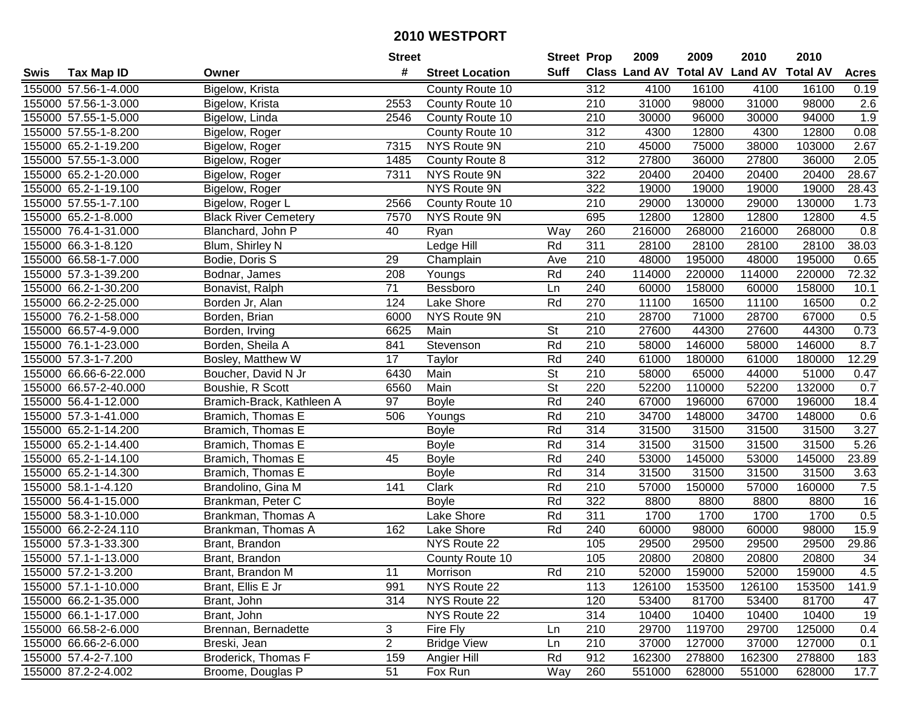|      |                       |                             | <b>Street</b>  |                        | <b>Street Prop</b> |                  | 2009   | 2009   | 2010                           | 2010            |              |
|------|-----------------------|-----------------------------|----------------|------------------------|--------------------|------------------|--------|--------|--------------------------------|-----------------|--------------|
| Swis | <b>Tax Map ID</b>     | Owner                       | #              | <b>Street Location</b> | Suff               |                  |        |        | Class Land AV Total AV Land AV | <b>Total AV</b> | <b>Acres</b> |
|      | 155000 57.56-1-4.000  | Bigelow, Krista             |                | County Route 10        |                    | 312              | 4100   | 16100  | 4100                           | 16100           | 0.19         |
|      | 155000 57.56-1-3.000  | Bigelow, Krista             | 2553           | County Route 10        |                    | 210              | 31000  | 98000  | 31000                          | 98000           | 2.6          |
|      | 155000 57.55-1-5.000  | Bigelow, Linda              | 2546           | County Route 10        |                    | 210              | 30000  | 96000  | 30000                          | 94000           | 1.9          |
|      | 155000 57.55-1-8.200  | Bigelow, Roger              |                | County Route 10        |                    | 312              | 4300   | 12800  | 4300                           | 12800           | 0.08         |
|      | 155000 65.2-1-19.200  | Bigelow, Roger              | 7315           | NYS Route 9N           |                    | 210              | 45000  | 75000  | 38000                          | 103000          | 2.67         |
|      | 155000 57.55-1-3.000  | Bigelow, Roger              | 1485           | County Route 8         |                    | $\overline{312}$ | 27800  | 36000  | 27800                          | 36000           | 2.05         |
|      | 155000 65.2-1-20.000  | Bigelow, Roger              | 7311           | NYS Route 9N           |                    | 322              | 20400  | 20400  | 20400                          | 20400           | 28.67        |
|      | 155000 65.2-1-19.100  | Bigelow, Roger              |                | NYS Route 9N           |                    | 322              | 19000  | 19000  | 19000                          | 19000           | 28.43        |
|      | 155000 57.55-1-7.100  | Bigelow, Roger L            | 2566           | County Route 10        |                    | $\overline{210}$ | 29000  | 130000 | 29000                          | 130000          | 1.73         |
|      | 155000 65.2-1-8.000   | <b>Black River Cemetery</b> | 7570           | NYS Route 9N           |                    | 695              | 12800  | 12800  | 12800                          | 12800           | 4.5          |
|      | 155000 76.4-1-31.000  | Blanchard, John P           | 40             | Ryan                   | Way                | 260              | 216000 | 268000 | 216000                         | 268000          | 0.8          |
|      | 155000 66.3-1-8.120   | Blum, Shirley N             |                | Ledge Hill             | Rd                 | 311              | 28100  | 28100  | 28100                          | 28100           | 38.03        |
|      | 155000 66.58-1-7.000  | Bodie, Doris S              | 29             | Champlain              | Ave                | 210              | 48000  | 195000 | 48000                          | 195000          | 0.65         |
|      | 155000 57.3-1-39.200  | Bodnar, James               | 208            | Youngs                 | Rd                 | 240              | 114000 | 220000 | 114000                         | 220000          | 72.32        |
|      | 155000 66.2-1-30.200  | Bonavist, Ralph             | 71             | Bessboro               | Ln                 | 240              | 60000  | 158000 | 60000                          | 158000          | 10.1         |
|      | 155000 66.2-2-25.000  | Borden Jr, Alan             | 124            | Lake Shore             | Rd                 | 270              | 11100  | 16500  | 11100                          | 16500           | 0.2          |
|      | 155000 76.2-1-58.000  | Borden, Brian               | 6000           | NYS Route 9N           |                    | 210              | 28700  | 71000  | 28700                          | 67000           | 0.5          |
|      | 155000 66.57-4-9.000  | Borden, Irving              | 6625           | Main                   | <b>St</b>          | 210              | 27600  | 44300  | 27600                          | 44300           | 0.73         |
|      | 155000 76.1-1-23.000  | Borden, Sheila A            | 841            | Stevenson              | Rd                 | 210              | 58000  | 146000 | 58000                          | 146000          | 8.7          |
|      | 155000 57.3-1-7.200   | Bosley, Matthew W           | 17             | Taylor                 | Rd                 | 240              | 61000  | 180000 | 61000                          | 180000          | 12.29        |
|      | 155000 66.66-6-22.000 | Boucher, David N Jr         | 6430           | Main                   | <b>St</b>          | 210              | 58000  | 65000  | 44000                          | 51000           | 0.47         |
|      | 155000 66.57-2-40.000 | Boushie, R Scott            | 6560           | Main                   | <b>St</b>          | 220              | 52200  | 110000 | 52200                          | 132000          | 0.7          |
|      | 155000 56.4-1-12.000  | Bramich-Brack, Kathleen A   | 97             | <b>Boyle</b>           | Rd                 | 240              | 67000  | 196000 | 67000                          | 196000          | 18.4         |
|      | 155000 57.3-1-41.000  | Bramich, Thomas E           | 506            | Youngs                 | Rd                 | 210              | 34700  | 148000 | 34700                          | 148000          | 0.6          |
|      | 155000 65.2-1-14.200  | Bramich, Thomas E           |                | <b>Boyle</b>           | Rd                 | 314              | 31500  | 31500  | 31500                          | 31500           | 3.27         |
|      | 155000 65.2-1-14.400  | Bramich, Thomas E           |                | <b>Boyle</b>           | Rd                 | 314              | 31500  | 31500  | 31500                          | 31500           | 5.26         |
|      | 155000 65.2-1-14.100  | Bramich, Thomas E           | 45             | <b>Boyle</b>           | Rd                 | 240              | 53000  | 145000 | 53000                          | 145000          | 23.89        |
|      | 155000 65.2-1-14.300  | Bramich, Thomas E           |                | <b>Boyle</b>           | Rd                 | 314              | 31500  | 31500  | 31500                          | 31500           | 3.63         |
|      | 155000 58.1-1-4.120   | Brandolino, Gina M          | 141            | Clark                  | Rd                 | 210              | 57000  | 150000 | 57000                          | 160000          | $7.5$        |
|      | 155000 56.4-1-15.000  | Brankman, Peter C           |                | <b>Boyle</b>           | Rd                 | 322              | 8800   | 8800   | 8800                           | 8800            | 16           |
|      | 155000 58.3-1-10.000  | Brankman, Thomas A          |                | Lake Shore             | Rd                 | 311              | 1700   | 1700   | 1700                           | 1700            | 0.5          |
|      | 155000 66.2-2-24.110  | Brankman, Thomas A          | 162            | Lake Shore             | Rd                 | 240              | 60000  | 98000  | 60000                          | 98000           | 15.9         |
|      | 155000 57.3-1-33.300  | Brant, Brandon              |                | NYS Route 22           |                    | 105              | 29500  | 29500  | 29500                          | 29500           | 29.86        |
|      | 155000 57.1-1-13.000  | Brant, Brandon              |                | County Route 10        |                    | 105              | 20800  | 20800  | 20800                          | 20800           | 34           |
|      | 155000 57.2-1-3.200   | Brant, Brandon M            | 11             | Morrison               | Rd                 | 210              | 52000  | 159000 | 52000                          | 159000          | 4.5          |
|      | 155000 57.1-1-10.000  | Brant, Ellis E Jr           | 991            | NYS Route 22           |                    | 113              | 126100 | 153500 | 126100                         | 153500          | 141.9        |
|      | 155000 66.2-1-35.000  | Brant, John                 | 314            | NYS Route 22           |                    | 120              | 53400  | 81700  | 53400                          | 81700           | 47           |
|      | 155000 66.1-1-17.000  | Brant, John                 |                | NYS Route 22           |                    | 314              | 10400  | 10400  | 10400                          | 10400           | 19           |
|      | 155000 66.58-2-6.000  | Brennan, Bernadette         | 3              | Fire Fly               | Ln                 | 210              | 29700  | 119700 | 29700                          | 125000          | 0.4          |
|      | 155000 66.66-2-6.000  | Breski, Jean                | $\overline{2}$ | <b>Bridge View</b>     | Ln                 | 210              | 37000  | 127000 | 37000                          | 127000          | 0.1          |
|      | 155000 57.4-2-7.100   | Broderick, Thomas F         | 159            | Angier Hill            | Rd                 | 912              | 162300 | 278800 | 162300                         | 278800          | 183          |
|      | 155000 87.2-2-4.002   | Broome, Douglas P           | 51             | Fox Run                | Way                | 260              | 551000 | 628000 | 551000                         | 628000          | 17.7         |
|      |                       |                             |                |                        |                    |                  |        |        |                                |                 |              |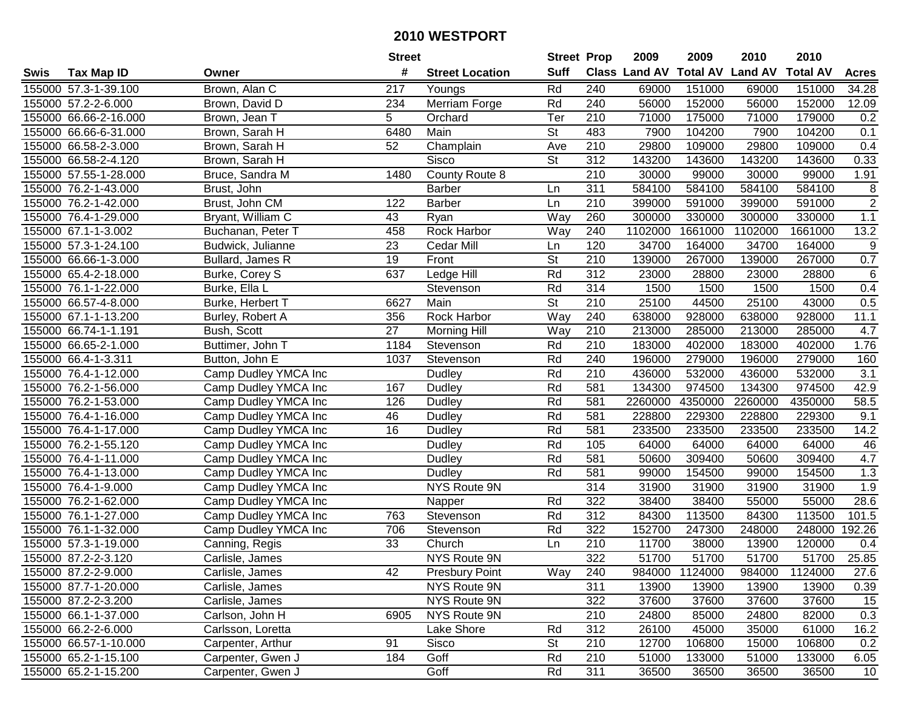|      |                       |                      | <b>Street</b>   |                        | <b>Street Prop</b>       |                  | 2009    | 2009           | 2010                                    | 2010    |                  |
|------|-----------------------|----------------------|-----------------|------------------------|--------------------------|------------------|---------|----------------|-----------------------------------------|---------|------------------|
| Swis | <b>Tax Map ID</b>     | Owner                | #               | <b>Street Location</b> | <b>Suff</b>              |                  |         |                | Class Land AV Total AV Land AV Total AV |         | <b>Acres</b>     |
|      | 155000 57.3-1-39.100  | Brown, Alan C        | 217             | Youngs                 | Rd                       | 240              | 69000   | 151000         | 69000                                   | 151000  | 34.28            |
|      | 155000 57.2-2-6.000   | Brown, David D       | 234             | Merriam Forge          | Rd                       | 240              | 56000   | 152000         | 56000                                   | 152000  | 12.09            |
|      | 155000 66.66-2-16.000 | Brown, Jean T        | 5               | Orchard                | Ter                      | 210              | 71000   | 175000         | 71000                                   | 179000  | 0.2              |
|      | 155000 66.66-6-31.000 | Brown, Sarah H       | 6480            | Main                   | St                       | 483              | 7900    | 104200         | 7900                                    | 104200  | 0.1              |
|      | 155000 66.58-2-3.000  | Brown, Sarah H       | 52              | Champlain              | Ave                      | $\overline{210}$ | 29800   | 109000         | 29800                                   | 109000  | 0.4              |
|      | 155000 66.58-2-4.120  | Brown, Sarah H       |                 | Sisco                  | $\overline{\mathsf{St}}$ | 312              | 143200  | 143600         | 143200                                  | 143600  | 0.33             |
|      | 155000 57.55-1-28.000 | Bruce, Sandra M      | 1480            | County Route 8         |                          | 210              | 30000   | 99000          | 30000                                   | 99000   | 1.91             |
|      | 155000 76.2-1-43.000  | Brust, John          |                 | <b>Barber</b>          | Ln                       | 311              | 584100  | 584100         | 584100                                  | 584100  | 8                |
|      | 155000 76.2-1-42.000  | Brust, John CM       | 122             | <b>Barber</b>          | Ln                       | $\overline{210}$ | 399000  | 591000         | 399000                                  | 591000  | $\overline{2}$   |
|      | 155000 76.4-1-29.000  | Bryant, William C    | 43              | Ryan                   | Way                      | 260              | 300000  | 330000         | 300000                                  | 330000  | 1.1              |
|      | 155000 67.1-1-3.002   | Buchanan, Peter T    | 458             | Rock Harbor            | Way                      | 240              | 1102000 | 1661000        | 1102000                                 | 1661000 | 13.2             |
|      | 155000 57.3-1-24.100  | Budwick, Julianne    | 23              | Cedar Mill             | Ln                       | 120              | 34700   | 164000         | 34700                                   | 164000  | $\boldsymbol{9}$ |
|      | 155000 66.66-1-3.000  | Bullard, James R     | 19              | Front                  | St                       | 210              | 139000  | 267000         | 139000                                  | 267000  | $0.7\,$          |
|      | 155000 65.4-2-18.000  | Burke, Corey S       | 637             | Ledge Hill             | Rd                       | 312              | 23000   | 28800          | 23000                                   | 28800   | $\,6$            |
|      | 155000 76.1-1-22.000  | Burke, Ella L        |                 | Stevenson              | Rd                       | 314              | 1500    | 1500           | 1500                                    | 1500    | 0.4              |
|      | 155000 66.57-4-8.000  | Burke, Herbert T     | 6627            | Main                   | $\overline{\mathsf{St}}$ | 210              | 25100   | 44500          | 25100                                   | 43000   | 0.5              |
|      | 155000 67.1-1-13.200  | Burley, Robert A     | 356             | Rock Harbor            | Way                      | 240              | 638000  | 928000         | 638000                                  | 928000  | 11.1             |
|      | 155000 66.74-1-1.191  | Bush, Scott          | 27              | <b>Morning Hill</b>    | Way                      | 210              | 213000  | 285000         | 213000                                  | 285000  | 4.7              |
|      | 155000 66.65-2-1.000  | Buttimer, John T     | 1184            | Stevenson              | Rd                       | 210              | 183000  | 402000         | 183000                                  | 402000  | 1.76             |
|      | 155000 66.4-1-3.311   | Button, John E       | 1037            | Stevenson              | Rd                       | 240              | 196000  | 279000         | 196000                                  | 279000  | 160              |
|      | 155000 76.4-1-12.000  | Camp Dudley YMCA Inc |                 | Dudley                 | Rd                       | 210              | 436000  | 532000         | 436000                                  | 532000  | 3.1              |
|      | 155000 76.2-1-56.000  | Camp Dudley YMCA Inc | 167             | <b>Dudley</b>          | Rd                       | 581              | 134300  | 974500         | 134300                                  | 974500  | 42.9             |
|      | 155000 76.2-1-53.000  | Camp Dudley YMCA Inc | 126             | Dudley                 | Rd                       | 581              | 2260000 | 4350000        | 2260000                                 | 4350000 | 58.5             |
|      | 155000 76.4-1-16.000  | Camp Dudley YMCA Inc | 46              | Dudley                 | Rd                       | 581              | 228800  | 229300         | 228800                                  | 229300  | 9.1              |
|      | 155000 76.4-1-17.000  | Camp Dudley YMCA Inc | 16              | Dudley                 | Rd                       | 581              | 233500  | 233500         | 233500                                  | 233500  | 14.2             |
|      | 155000 76.2-1-55.120  | Camp Dudley YMCA Inc |                 | Dudley                 | Rd                       | 105              | 64000   | 64000          | 64000                                   | 64000   | 46               |
|      | 155000 76.4-1-11.000  | Camp Dudley YMCA Inc |                 | Dudley                 | Rd                       | 581              | 50600   | 309400         | 50600                                   | 309400  | 4.7              |
|      | 155000 76.4-1-13.000  | Camp Dudley YMCA Inc |                 | Dudley                 | Rd                       | 581              | 99000   | 154500         | 99000                                   | 154500  | 1.3              |
|      | 155000 76.4-1-9.000   | Camp Dudley YMCA Inc |                 | NYS Route 9N           |                          | 314              | 31900   | 31900          | 31900                                   | 31900   | 1.9              |
|      | 155000 76.2-1-62.000  | Camp Dudley YMCA Inc |                 | Napper                 | Rd                       | 322              | 38400   | 38400          | 55000                                   | 55000   | 28.6             |
|      | 155000 76.1-1-27.000  | Camp Dudley YMCA Inc | 763             | Stevenson              | Rd                       | 312              | 84300   | 113500         | 84300                                   | 113500  | 101.5            |
|      | 155000 76.1-1-32.000  | Camp Dudley YMCA Inc | 706             | Stevenson              | Rd                       | 322              | 152700  | 247300         | 248000                                  | 248000  | 192.26           |
|      | 155000 57.3-1-19.000  | Canning, Regis       | $\overline{33}$ | Church                 | Ln                       | 210              | 11700   | 38000          | 13900                                   | 120000  | 0.4              |
|      | 155000 87.2-2-3.120   | Carlisle, James      |                 | NYS Route 9N           |                          | 322              | 51700   | 51700          | 51700                                   | 51700   | 25.85            |
|      | 155000 87.2-2-9.000   | Carlisle, James      | 42              | <b>Presbury Point</b>  | Way                      | 240              |         | 984000 1124000 | 984000                                  | 1124000 | 27.6             |
|      | 155000 87.7-1-20.000  | Carlisle, James      |                 | NYS Route 9N           |                          | 311              | 13900   | 13900          | 13900                                   | 13900   | 0.39             |
|      | 155000 87.2-2-3.200   | Carlisle, James      |                 | NYS Route 9N           |                          | 322              | 37600   | 37600          | 37600                                   | 37600   | 15               |
|      | 155000 66.1-1-37.000  | Carlson, John H      | 6905            | NYS Route 9N           |                          | 210              | 24800   | 85000          | 24800                                   | 82000   | 0.3              |
|      | 155000 66.2-2-6.000   | Carlsson, Loretta    |                 | Lake Shore             | Rd                       | 312              | 26100   | 45000          | 35000                                   | 61000   | 16.2             |
|      | 155000 66.57-1-10.000 | Carpenter, Arthur    | 91              | Sisco                  | St                       | 210              | 12700   | 106800         | 15000                                   | 106800  | 0.2              |
|      | 155000 65.2-1-15.100  | Carpenter, Gwen J    | 184             | Goff                   | Rd                       | 210              | 51000   | 133000         | 51000                                   | 133000  | 6.05             |
|      | 155000 65.2-1-15.200  | Carpenter, Gwen J    |                 | Goff                   | Rd                       | 311              | 36500   | 36500          | 36500                                   | 36500   | 10               |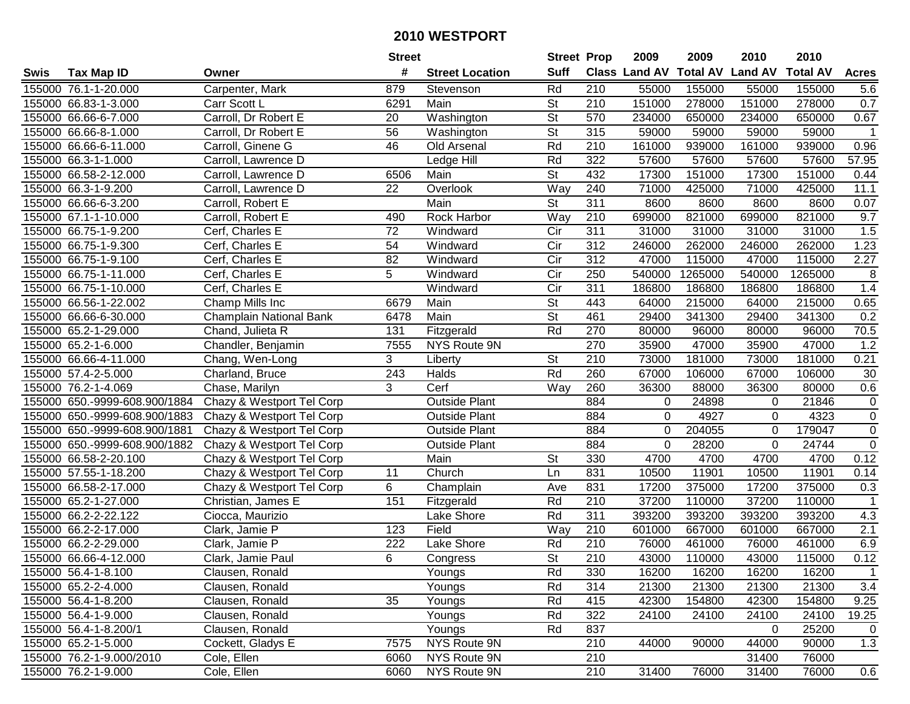| #<br><b>Suff</b><br><b>Total AV</b><br><b>Class Land AV</b><br><b>Land AV</b><br><b>Total AV</b><br><b>Tax Map ID</b><br><b>Street Location</b><br><b>Acres</b><br>Swis<br>Owner<br>Rd<br>155000 76.1-1-20.000<br>Carpenter, Mark<br>879<br>210<br>55000<br>155000<br>55000<br>155000<br>Stevenson<br>5.6<br>St<br>0.7<br>155000 66.83-1-3.000<br>Main<br>210<br>151000<br>278000<br>151000<br>278000<br>Carr Scott L<br>6291<br>155000 66.66-6-7.000<br>Carroll, Dr Robert E<br>St<br>570<br>234000<br>650000<br>234000<br>650000<br>0.67<br>20<br>Washington<br>56<br>St<br>315<br>155000 66.66-8-1.000<br>Carroll, Dr Robert E<br>59000<br>59000<br>59000<br>59000<br>$\overline{1}$<br>Washington<br>155000 66.66-6-11.000<br>Carroll, Ginene G<br>Rd<br>210<br>161000<br>939000<br>939000<br>0.96<br>46<br>Old Arsenal<br>161000<br>Ledge Hill<br>Rd<br>322<br>57600<br>57600<br>57600<br>57600<br>57.95<br>155000 66.3-1-1.000<br>Carroll, Lawrence D<br><b>St</b><br>151000<br>151000<br>0.44<br>155000 66.58-2-12.000<br>Carroll, Lawrence D<br>6506<br>Main<br>432<br>17300<br>17300<br>Way<br>240<br>71000<br>11.1<br>155000 66.3-1-9.200<br>22<br>425000<br>71000<br>425000<br>Carroll, Lawrence D<br>Overlook<br>$\overline{\mathsf{St}}$<br>311<br>155000 66.66-6-3.200<br>Carroll, Robert E<br>Main<br>8600<br>8600<br>8600<br>8600<br>0.07<br>210<br>821000<br>155000 67.1-1-10.000<br><b>Rock Harbor</b><br>Way<br>699000<br>821000<br>699000<br>9.7<br>Carroll, Robert E<br>490<br>72<br>Cir<br>311<br>155000 66.75-1-9.200<br>Cerf, Charles E<br>31000<br>31000<br>31000<br>31000<br>1.5<br>Windward<br>155000 66.75-1-9.300<br>54<br>Cir<br>312<br>246000<br>262000<br>246000<br>262000<br>1.23<br>Cerf, Charles E<br>Windward<br>82<br>Cir<br>312<br>47000<br>115000<br>2.27<br>155000 66.75-1-9.100<br>Windward<br>115000<br>47000<br>Cerf, Charles E<br>Cir<br>5<br>250<br>540000<br>1265000<br>540000<br>1265000<br>8<br>155000 66.75-1-11.000<br>Cerf, Charles E<br>Windward<br>Cir<br>311<br>1.4<br>155000 66.75-1-10.000<br>186800<br>186800<br>186800<br>Cerf, Charles E<br>Windward<br>186800<br>St<br>155000 66.56-1-22.002<br>443<br>215000<br>215000<br>0.65<br>6679<br>Main<br>64000<br>64000<br>Champ Mills Inc<br>$\overline{St}$<br>461<br>0.2<br>155000 66.66-6-30.000<br>Main<br>29400<br>341300<br>29400<br>341300<br>Champlain National Bank<br>6478<br>Rd<br>155000 65.2-1-29.000<br>270<br>80000<br>96000<br>70.5<br>Chand, Julieta R<br>131<br>Fitzgerald<br>96000<br>80000<br>1.2<br>155000 65.2-1-6.000<br>7555<br>NYS Route 9N<br>270<br>35900<br>47000<br>35900<br>47000<br>Chandler, Benjamin<br>3<br><b>St</b><br>210<br>73000<br>181000<br>73000<br>181000<br>0.21<br>155000 66.66-4-11.000<br>Chang, Wen-Long<br>Liberty<br>Rd<br>155000 57.4-2-5.000<br>243<br>260<br>67000<br>30<br>Charland, Bruce<br>Halds<br>106000<br>67000<br>106000<br>155000 76.2-1-4.069<br>Chase, Marilyn<br>3<br>Cerf<br>Way<br>260<br>36300<br>36300<br>80000<br>0.6<br>88000<br>884<br>155000 650.-9999-608.900/1884<br>Chazy & Westport Tel Corp<br><b>Outside Plant</b><br>24898<br>21846<br>$\mathbf 0$<br>$\mathbf 0$<br>0<br>155000 650.-9999-608.900/1883<br>Chazy & Westport Tel Corp<br>884<br>0<br>4927<br>0<br>4323<br>$\mathbf 0$<br><b>Outside Plant</b><br>$\overline{0}$<br>155000 650.-9999-608.900/1881<br>884<br>$\pmb{0}$<br>204055<br>$\mathbf 0$<br>179047<br>Chazy & Westport Tel Corp<br><b>Outside Plant</b><br>$\mathbf 0$<br>$\mathbf 0$<br>$\mathbf 0$<br>155000 650.-9999-608.900/1882<br>Chazy & Westport Tel Corp<br><b>Outside Plant</b><br>884<br>28200<br>24744<br>155000 66.58-2-20.100<br>St<br>0.12<br>Chazy & Westport Tel Corp<br>Main<br>330<br>4700<br>4700<br>4700<br>4700<br>11901<br>11901<br>155000 57.55-1-18.200<br>Chazy & Westport Tel Corp<br>Church<br>Ln<br>831<br>10500<br>10500<br>11<br>0.14<br>6<br>831<br>17200<br>375000<br>17200<br>375000<br>155000 66.58-2-17.000<br>Chazy & Westport Tel Corp<br>Champlain<br>Ave<br>0.3<br>Rd<br>$\overline{210}$<br>155000 65.2-1-27.000<br>Christian, James E<br>151<br>37200<br>110000<br>37200<br>110000<br>Fitzgerald<br>$\mathbf 1$<br>Rd<br>311<br>4.3<br>155000 66.2-2-22.122<br>Ciocca, Maurizio<br>Lake Shore<br>393200<br>393200<br>393200<br>393200<br>155000 66.2-2-17.000<br>Way<br>210<br>667000<br>2.1<br>Clark, Jamie P<br>123<br>Field<br>601000<br>601000<br>667000<br><b>Lake Shore</b><br>$\overline{210}$<br>6.9<br>155000 66.2-2-29.000<br>222<br>Rd<br>76000<br>461000<br>76000<br>461000<br>Clark, Jamie P<br>$\overline{\mathsf{St}}$<br>6<br>$\overline{210}$<br>0.12<br>155000 66.66-4-12.000<br>43000<br>110000<br>115000<br>Clark, Jamie Paul<br>Congress<br>43000<br>155000 56.4-1-8.100<br>Clausen, Ronald<br>Youngs<br>Rd<br>330<br>16200<br>16200<br>16200<br>16200<br>1<br>Rd<br>314<br>155000 65.2-2-4.000<br>Clausen, Ronald<br>Youngs<br>21300<br>21300<br>21300<br>21300<br>3.4<br>35<br>Rd<br>415<br>42300<br>42300<br>154800<br>155000 56.4-1-8.200<br>Clausen, Ronald<br>Youngs<br>154800<br>9.25<br>322<br>155000 56.4-1-9.000<br>Youngs<br>Rd<br>24100<br>24100<br>24100<br>19.25<br>Clausen, Ronald<br>24100<br>837<br>155000 56.4-1-8.200/1<br>Clausen, Ronald<br>Youngs<br>Rd<br>25200<br>$\mathbf 0$<br>0<br>NYS Route 9N<br>210<br>44000<br>1.3<br>155000 65.2-1-5.000<br>Cockett, Gladys E<br>7575<br>90000<br>44000<br>90000<br>NYS Route 9N<br>155000 76.2-1-9.000/2010<br>Cole, Ellen<br>6060<br>210<br>31400<br>76000<br>155000 76.2-1-9.000<br>NYS Route 9N<br>210<br>Cole, Ellen<br>31400<br>31400<br>76000<br>0.6<br>6060<br>76000 |  | <b>Street</b> | <b>Street Prop</b> | 2009 | 2009 | 2010 | 2010 |  |
|--------------------------------------------------------------------------------------------------------------------------------------------------------------------------------------------------------------------------------------------------------------------------------------------------------------------------------------------------------------------------------------------------------------------------------------------------------------------------------------------------------------------------------------------------------------------------------------------------------------------------------------------------------------------------------------------------------------------------------------------------------------------------------------------------------------------------------------------------------------------------------------------------------------------------------------------------------------------------------------------------------------------------------------------------------------------------------------------------------------------------------------------------------------------------------------------------------------------------------------------------------------------------------------------------------------------------------------------------------------------------------------------------------------------------------------------------------------------------------------------------------------------------------------------------------------------------------------------------------------------------------------------------------------------------------------------------------------------------------------------------------------------------------------------------------------------------------------------------------------------------------------------------------------------------------------------------------------------------------------------------------------------------------------------------------------------------------------------------------------------------------------------------------------------------------------------------------------------------------------------------------------------------------------------------------------------------------------------------------------------------------------------------------------------------------------------------------------------------------------------------------------------------------------------------------------------------------------------------------------------------------------------------------------------------------------------------------------------------------------------------------------------------------------------------------------------------------------------------------------------------------------------------------------------------------------------------------------------------------------------------------------------------------------------------------------------------------------------------------------------------------------------------------------------------------------------------------------------------------------------------------------------------------------------------------------------------------------------------------------------------------------------------------------------------------------------------------------------------------------------------------------------------------------------------------------------------------------------------------------------------------------------------------------------------------------------------------------------------------------------------------------------------------------------------------------------------------------------------------------------------------------------------------------------------------------------------------------------------------------------------------------------------------------------------------------------------------------------------------------------------------------------------------------------------------------------------------------------------------------------------------------------------------------------------------------------------------------------------------------------------------------------------------------------------------------------------------------------------------------------------------------------------------------------------------------------------------------------------------------------------------------------------------------------------------------------------------------------------------------------------------------------------------------------------------------------------------------------------------------------------------------------------------------------------------------------------------------------------------------------------------------------------------------------------------------------------------------------------------------------------------------------------------------------------------------------------------------------------------------------------------------------------------------------------------------------------------------------------------------------------------------------------------------------------------------------------------------------------------------------------------------------------------------------------------------------------------------------------------------------------|--|---------------|--------------------|------|------|------|------|--|
|                                                                                                                                                                                                                                                                                                                                                                                                                                                                                                                                                                                                                                                                                                                                                                                                                                                                                                                                                                                                                                                                                                                                                                                                                                                                                                                                                                                                                                                                                                                                                                                                                                                                                                                                                                                                                                                                                                                                                                                                                                                                                                                                                                                                                                                                                                                                                                                                                                                                                                                                                                                                                                                                                                                                                                                                                                                                                                                                                                                                                                                                                                                                                                                                                                                                                                                                                                                                                                                                                                                                                                                                                                                                                                                                                                                                                                                                                                                                                                                                                                                                                                                                                                                                                                                                                                                                                                                                                                                                                                                                                                                                                                                                                                                                                                                                                                                                                                                                                                                                                                                                                                                                                                                                                                                                                                                                                                                                                                                                                                                                                                                                                          |  |               |                    |      |      |      |      |  |
|                                                                                                                                                                                                                                                                                                                                                                                                                                                                                                                                                                                                                                                                                                                                                                                                                                                                                                                                                                                                                                                                                                                                                                                                                                                                                                                                                                                                                                                                                                                                                                                                                                                                                                                                                                                                                                                                                                                                                                                                                                                                                                                                                                                                                                                                                                                                                                                                                                                                                                                                                                                                                                                                                                                                                                                                                                                                                                                                                                                                                                                                                                                                                                                                                                                                                                                                                                                                                                                                                                                                                                                                                                                                                                                                                                                                                                                                                                                                                                                                                                                                                                                                                                                                                                                                                                                                                                                                                                                                                                                                                                                                                                                                                                                                                                                                                                                                                                                                                                                                                                                                                                                                                                                                                                                                                                                                                                                                                                                                                                                                                                                                                          |  |               |                    |      |      |      |      |  |
|                                                                                                                                                                                                                                                                                                                                                                                                                                                                                                                                                                                                                                                                                                                                                                                                                                                                                                                                                                                                                                                                                                                                                                                                                                                                                                                                                                                                                                                                                                                                                                                                                                                                                                                                                                                                                                                                                                                                                                                                                                                                                                                                                                                                                                                                                                                                                                                                                                                                                                                                                                                                                                                                                                                                                                                                                                                                                                                                                                                                                                                                                                                                                                                                                                                                                                                                                                                                                                                                                                                                                                                                                                                                                                                                                                                                                                                                                                                                                                                                                                                                                                                                                                                                                                                                                                                                                                                                                                                                                                                                                                                                                                                                                                                                                                                                                                                                                                                                                                                                                                                                                                                                                                                                                                                                                                                                                                                                                                                                                                                                                                                                                          |  |               |                    |      |      |      |      |  |
|                                                                                                                                                                                                                                                                                                                                                                                                                                                                                                                                                                                                                                                                                                                                                                                                                                                                                                                                                                                                                                                                                                                                                                                                                                                                                                                                                                                                                                                                                                                                                                                                                                                                                                                                                                                                                                                                                                                                                                                                                                                                                                                                                                                                                                                                                                                                                                                                                                                                                                                                                                                                                                                                                                                                                                                                                                                                                                                                                                                                                                                                                                                                                                                                                                                                                                                                                                                                                                                                                                                                                                                                                                                                                                                                                                                                                                                                                                                                                                                                                                                                                                                                                                                                                                                                                                                                                                                                                                                                                                                                                                                                                                                                                                                                                                                                                                                                                                                                                                                                                                                                                                                                                                                                                                                                                                                                                                                                                                                                                                                                                                                                                          |  |               |                    |      |      |      |      |  |
|                                                                                                                                                                                                                                                                                                                                                                                                                                                                                                                                                                                                                                                                                                                                                                                                                                                                                                                                                                                                                                                                                                                                                                                                                                                                                                                                                                                                                                                                                                                                                                                                                                                                                                                                                                                                                                                                                                                                                                                                                                                                                                                                                                                                                                                                                                                                                                                                                                                                                                                                                                                                                                                                                                                                                                                                                                                                                                                                                                                                                                                                                                                                                                                                                                                                                                                                                                                                                                                                                                                                                                                                                                                                                                                                                                                                                                                                                                                                                                                                                                                                                                                                                                                                                                                                                                                                                                                                                                                                                                                                                                                                                                                                                                                                                                                                                                                                                                                                                                                                                                                                                                                                                                                                                                                                                                                                                                                                                                                                                                                                                                                                                          |  |               |                    |      |      |      |      |  |
|                                                                                                                                                                                                                                                                                                                                                                                                                                                                                                                                                                                                                                                                                                                                                                                                                                                                                                                                                                                                                                                                                                                                                                                                                                                                                                                                                                                                                                                                                                                                                                                                                                                                                                                                                                                                                                                                                                                                                                                                                                                                                                                                                                                                                                                                                                                                                                                                                                                                                                                                                                                                                                                                                                                                                                                                                                                                                                                                                                                                                                                                                                                                                                                                                                                                                                                                                                                                                                                                                                                                                                                                                                                                                                                                                                                                                                                                                                                                                                                                                                                                                                                                                                                                                                                                                                                                                                                                                                                                                                                                                                                                                                                                                                                                                                                                                                                                                                                                                                                                                                                                                                                                                                                                                                                                                                                                                                                                                                                                                                                                                                                                                          |  |               |                    |      |      |      |      |  |
|                                                                                                                                                                                                                                                                                                                                                                                                                                                                                                                                                                                                                                                                                                                                                                                                                                                                                                                                                                                                                                                                                                                                                                                                                                                                                                                                                                                                                                                                                                                                                                                                                                                                                                                                                                                                                                                                                                                                                                                                                                                                                                                                                                                                                                                                                                                                                                                                                                                                                                                                                                                                                                                                                                                                                                                                                                                                                                                                                                                                                                                                                                                                                                                                                                                                                                                                                                                                                                                                                                                                                                                                                                                                                                                                                                                                                                                                                                                                                                                                                                                                                                                                                                                                                                                                                                                                                                                                                                                                                                                                                                                                                                                                                                                                                                                                                                                                                                                                                                                                                                                                                                                                                                                                                                                                                                                                                                                                                                                                                                                                                                                                                          |  |               |                    |      |      |      |      |  |
|                                                                                                                                                                                                                                                                                                                                                                                                                                                                                                                                                                                                                                                                                                                                                                                                                                                                                                                                                                                                                                                                                                                                                                                                                                                                                                                                                                                                                                                                                                                                                                                                                                                                                                                                                                                                                                                                                                                                                                                                                                                                                                                                                                                                                                                                                                                                                                                                                                                                                                                                                                                                                                                                                                                                                                                                                                                                                                                                                                                                                                                                                                                                                                                                                                                                                                                                                                                                                                                                                                                                                                                                                                                                                                                                                                                                                                                                                                                                                                                                                                                                                                                                                                                                                                                                                                                                                                                                                                                                                                                                                                                                                                                                                                                                                                                                                                                                                                                                                                                                                                                                                                                                                                                                                                                                                                                                                                                                                                                                                                                                                                                                                          |  |               |                    |      |      |      |      |  |
|                                                                                                                                                                                                                                                                                                                                                                                                                                                                                                                                                                                                                                                                                                                                                                                                                                                                                                                                                                                                                                                                                                                                                                                                                                                                                                                                                                                                                                                                                                                                                                                                                                                                                                                                                                                                                                                                                                                                                                                                                                                                                                                                                                                                                                                                                                                                                                                                                                                                                                                                                                                                                                                                                                                                                                                                                                                                                                                                                                                                                                                                                                                                                                                                                                                                                                                                                                                                                                                                                                                                                                                                                                                                                                                                                                                                                                                                                                                                                                                                                                                                                                                                                                                                                                                                                                                                                                                                                                                                                                                                                                                                                                                                                                                                                                                                                                                                                                                                                                                                                                                                                                                                                                                                                                                                                                                                                                                                                                                                                                                                                                                                                          |  |               |                    |      |      |      |      |  |
|                                                                                                                                                                                                                                                                                                                                                                                                                                                                                                                                                                                                                                                                                                                                                                                                                                                                                                                                                                                                                                                                                                                                                                                                                                                                                                                                                                                                                                                                                                                                                                                                                                                                                                                                                                                                                                                                                                                                                                                                                                                                                                                                                                                                                                                                                                                                                                                                                                                                                                                                                                                                                                                                                                                                                                                                                                                                                                                                                                                                                                                                                                                                                                                                                                                                                                                                                                                                                                                                                                                                                                                                                                                                                                                                                                                                                                                                                                                                                                                                                                                                                                                                                                                                                                                                                                                                                                                                                                                                                                                                                                                                                                                                                                                                                                                                                                                                                                                                                                                                                                                                                                                                                                                                                                                                                                                                                                                                                                                                                                                                                                                                                          |  |               |                    |      |      |      |      |  |
|                                                                                                                                                                                                                                                                                                                                                                                                                                                                                                                                                                                                                                                                                                                                                                                                                                                                                                                                                                                                                                                                                                                                                                                                                                                                                                                                                                                                                                                                                                                                                                                                                                                                                                                                                                                                                                                                                                                                                                                                                                                                                                                                                                                                                                                                                                                                                                                                                                                                                                                                                                                                                                                                                                                                                                                                                                                                                                                                                                                                                                                                                                                                                                                                                                                                                                                                                                                                                                                                                                                                                                                                                                                                                                                                                                                                                                                                                                                                                                                                                                                                                                                                                                                                                                                                                                                                                                                                                                                                                                                                                                                                                                                                                                                                                                                                                                                                                                                                                                                                                                                                                                                                                                                                                                                                                                                                                                                                                                                                                                                                                                                                                          |  |               |                    |      |      |      |      |  |
|                                                                                                                                                                                                                                                                                                                                                                                                                                                                                                                                                                                                                                                                                                                                                                                                                                                                                                                                                                                                                                                                                                                                                                                                                                                                                                                                                                                                                                                                                                                                                                                                                                                                                                                                                                                                                                                                                                                                                                                                                                                                                                                                                                                                                                                                                                                                                                                                                                                                                                                                                                                                                                                                                                                                                                                                                                                                                                                                                                                                                                                                                                                                                                                                                                                                                                                                                                                                                                                                                                                                                                                                                                                                                                                                                                                                                                                                                                                                                                                                                                                                                                                                                                                                                                                                                                                                                                                                                                                                                                                                                                                                                                                                                                                                                                                                                                                                                                                                                                                                                                                                                                                                                                                                                                                                                                                                                                                                                                                                                                                                                                                                                          |  |               |                    |      |      |      |      |  |
|                                                                                                                                                                                                                                                                                                                                                                                                                                                                                                                                                                                                                                                                                                                                                                                                                                                                                                                                                                                                                                                                                                                                                                                                                                                                                                                                                                                                                                                                                                                                                                                                                                                                                                                                                                                                                                                                                                                                                                                                                                                                                                                                                                                                                                                                                                                                                                                                                                                                                                                                                                                                                                                                                                                                                                                                                                                                                                                                                                                                                                                                                                                                                                                                                                                                                                                                                                                                                                                                                                                                                                                                                                                                                                                                                                                                                                                                                                                                                                                                                                                                                                                                                                                                                                                                                                                                                                                                                                                                                                                                                                                                                                                                                                                                                                                                                                                                                                                                                                                                                                                                                                                                                                                                                                                                                                                                                                                                                                                                                                                                                                                                                          |  |               |                    |      |      |      |      |  |
|                                                                                                                                                                                                                                                                                                                                                                                                                                                                                                                                                                                                                                                                                                                                                                                                                                                                                                                                                                                                                                                                                                                                                                                                                                                                                                                                                                                                                                                                                                                                                                                                                                                                                                                                                                                                                                                                                                                                                                                                                                                                                                                                                                                                                                                                                                                                                                                                                                                                                                                                                                                                                                                                                                                                                                                                                                                                                                                                                                                                                                                                                                                                                                                                                                                                                                                                                                                                                                                                                                                                                                                                                                                                                                                                                                                                                                                                                                                                                                                                                                                                                                                                                                                                                                                                                                                                                                                                                                                                                                                                                                                                                                                                                                                                                                                                                                                                                                                                                                                                                                                                                                                                                                                                                                                                                                                                                                                                                                                                                                                                                                                                                          |  |               |                    |      |      |      |      |  |
|                                                                                                                                                                                                                                                                                                                                                                                                                                                                                                                                                                                                                                                                                                                                                                                                                                                                                                                                                                                                                                                                                                                                                                                                                                                                                                                                                                                                                                                                                                                                                                                                                                                                                                                                                                                                                                                                                                                                                                                                                                                                                                                                                                                                                                                                                                                                                                                                                                                                                                                                                                                                                                                                                                                                                                                                                                                                                                                                                                                                                                                                                                                                                                                                                                                                                                                                                                                                                                                                                                                                                                                                                                                                                                                                                                                                                                                                                                                                                                                                                                                                                                                                                                                                                                                                                                                                                                                                                                                                                                                                                                                                                                                                                                                                                                                                                                                                                                                                                                                                                                                                                                                                                                                                                                                                                                                                                                                                                                                                                                                                                                                                                          |  |               |                    |      |      |      |      |  |
|                                                                                                                                                                                                                                                                                                                                                                                                                                                                                                                                                                                                                                                                                                                                                                                                                                                                                                                                                                                                                                                                                                                                                                                                                                                                                                                                                                                                                                                                                                                                                                                                                                                                                                                                                                                                                                                                                                                                                                                                                                                                                                                                                                                                                                                                                                                                                                                                                                                                                                                                                                                                                                                                                                                                                                                                                                                                                                                                                                                                                                                                                                                                                                                                                                                                                                                                                                                                                                                                                                                                                                                                                                                                                                                                                                                                                                                                                                                                                                                                                                                                                                                                                                                                                                                                                                                                                                                                                                                                                                                                                                                                                                                                                                                                                                                                                                                                                                                                                                                                                                                                                                                                                                                                                                                                                                                                                                                                                                                                                                                                                                                                                          |  |               |                    |      |      |      |      |  |
|                                                                                                                                                                                                                                                                                                                                                                                                                                                                                                                                                                                                                                                                                                                                                                                                                                                                                                                                                                                                                                                                                                                                                                                                                                                                                                                                                                                                                                                                                                                                                                                                                                                                                                                                                                                                                                                                                                                                                                                                                                                                                                                                                                                                                                                                                                                                                                                                                                                                                                                                                                                                                                                                                                                                                                                                                                                                                                                                                                                                                                                                                                                                                                                                                                                                                                                                                                                                                                                                                                                                                                                                                                                                                                                                                                                                                                                                                                                                                                                                                                                                                                                                                                                                                                                                                                                                                                                                                                                                                                                                                                                                                                                                                                                                                                                                                                                                                                                                                                                                                                                                                                                                                                                                                                                                                                                                                                                                                                                                                                                                                                                                                          |  |               |                    |      |      |      |      |  |
|                                                                                                                                                                                                                                                                                                                                                                                                                                                                                                                                                                                                                                                                                                                                                                                                                                                                                                                                                                                                                                                                                                                                                                                                                                                                                                                                                                                                                                                                                                                                                                                                                                                                                                                                                                                                                                                                                                                                                                                                                                                                                                                                                                                                                                                                                                                                                                                                                                                                                                                                                                                                                                                                                                                                                                                                                                                                                                                                                                                                                                                                                                                                                                                                                                                                                                                                                                                                                                                                                                                                                                                                                                                                                                                                                                                                                                                                                                                                                                                                                                                                                                                                                                                                                                                                                                                                                                                                                                                                                                                                                                                                                                                                                                                                                                                                                                                                                                                                                                                                                                                                                                                                                                                                                                                                                                                                                                                                                                                                                                                                                                                                                          |  |               |                    |      |      |      |      |  |
|                                                                                                                                                                                                                                                                                                                                                                                                                                                                                                                                                                                                                                                                                                                                                                                                                                                                                                                                                                                                                                                                                                                                                                                                                                                                                                                                                                                                                                                                                                                                                                                                                                                                                                                                                                                                                                                                                                                                                                                                                                                                                                                                                                                                                                                                                                                                                                                                                                                                                                                                                                                                                                                                                                                                                                                                                                                                                                                                                                                                                                                                                                                                                                                                                                                                                                                                                                                                                                                                                                                                                                                                                                                                                                                                                                                                                                                                                                                                                                                                                                                                                                                                                                                                                                                                                                                                                                                                                                                                                                                                                                                                                                                                                                                                                                                                                                                                                                                                                                                                                                                                                                                                                                                                                                                                                                                                                                                                                                                                                                                                                                                                                          |  |               |                    |      |      |      |      |  |
|                                                                                                                                                                                                                                                                                                                                                                                                                                                                                                                                                                                                                                                                                                                                                                                                                                                                                                                                                                                                                                                                                                                                                                                                                                                                                                                                                                                                                                                                                                                                                                                                                                                                                                                                                                                                                                                                                                                                                                                                                                                                                                                                                                                                                                                                                                                                                                                                                                                                                                                                                                                                                                                                                                                                                                                                                                                                                                                                                                                                                                                                                                                                                                                                                                                                                                                                                                                                                                                                                                                                                                                                                                                                                                                                                                                                                                                                                                                                                                                                                                                                                                                                                                                                                                                                                                                                                                                                                                                                                                                                                                                                                                                                                                                                                                                                                                                                                                                                                                                                                                                                                                                                                                                                                                                                                                                                                                                                                                                                                                                                                                                                                          |  |               |                    |      |      |      |      |  |
|                                                                                                                                                                                                                                                                                                                                                                                                                                                                                                                                                                                                                                                                                                                                                                                                                                                                                                                                                                                                                                                                                                                                                                                                                                                                                                                                                                                                                                                                                                                                                                                                                                                                                                                                                                                                                                                                                                                                                                                                                                                                                                                                                                                                                                                                                                                                                                                                                                                                                                                                                                                                                                                                                                                                                                                                                                                                                                                                                                                                                                                                                                                                                                                                                                                                                                                                                                                                                                                                                                                                                                                                                                                                                                                                                                                                                                                                                                                                                                                                                                                                                                                                                                                                                                                                                                                                                                                                                                                                                                                                                                                                                                                                                                                                                                                                                                                                                                                                                                                                                                                                                                                                                                                                                                                                                                                                                                                                                                                                                                                                                                                                                          |  |               |                    |      |      |      |      |  |
|                                                                                                                                                                                                                                                                                                                                                                                                                                                                                                                                                                                                                                                                                                                                                                                                                                                                                                                                                                                                                                                                                                                                                                                                                                                                                                                                                                                                                                                                                                                                                                                                                                                                                                                                                                                                                                                                                                                                                                                                                                                                                                                                                                                                                                                                                                                                                                                                                                                                                                                                                                                                                                                                                                                                                                                                                                                                                                                                                                                                                                                                                                                                                                                                                                                                                                                                                                                                                                                                                                                                                                                                                                                                                                                                                                                                                                                                                                                                                                                                                                                                                                                                                                                                                                                                                                                                                                                                                                                                                                                                                                                                                                                                                                                                                                                                                                                                                                                                                                                                                                                                                                                                                                                                                                                                                                                                                                                                                                                                                                                                                                                                                          |  |               |                    |      |      |      |      |  |
|                                                                                                                                                                                                                                                                                                                                                                                                                                                                                                                                                                                                                                                                                                                                                                                                                                                                                                                                                                                                                                                                                                                                                                                                                                                                                                                                                                                                                                                                                                                                                                                                                                                                                                                                                                                                                                                                                                                                                                                                                                                                                                                                                                                                                                                                                                                                                                                                                                                                                                                                                                                                                                                                                                                                                                                                                                                                                                                                                                                                                                                                                                                                                                                                                                                                                                                                                                                                                                                                                                                                                                                                                                                                                                                                                                                                                                                                                                                                                                                                                                                                                                                                                                                                                                                                                                                                                                                                                                                                                                                                                                                                                                                                                                                                                                                                                                                                                                                                                                                                                                                                                                                                                                                                                                                                                                                                                                                                                                                                                                                                                                                                                          |  |               |                    |      |      |      |      |  |
|                                                                                                                                                                                                                                                                                                                                                                                                                                                                                                                                                                                                                                                                                                                                                                                                                                                                                                                                                                                                                                                                                                                                                                                                                                                                                                                                                                                                                                                                                                                                                                                                                                                                                                                                                                                                                                                                                                                                                                                                                                                                                                                                                                                                                                                                                                                                                                                                                                                                                                                                                                                                                                                                                                                                                                                                                                                                                                                                                                                                                                                                                                                                                                                                                                                                                                                                                                                                                                                                                                                                                                                                                                                                                                                                                                                                                                                                                                                                                                                                                                                                                                                                                                                                                                                                                                                                                                                                                                                                                                                                                                                                                                                                                                                                                                                                                                                                                                                                                                                                                                                                                                                                                                                                                                                                                                                                                                                                                                                                                                                                                                                                                          |  |               |                    |      |      |      |      |  |
|                                                                                                                                                                                                                                                                                                                                                                                                                                                                                                                                                                                                                                                                                                                                                                                                                                                                                                                                                                                                                                                                                                                                                                                                                                                                                                                                                                                                                                                                                                                                                                                                                                                                                                                                                                                                                                                                                                                                                                                                                                                                                                                                                                                                                                                                                                                                                                                                                                                                                                                                                                                                                                                                                                                                                                                                                                                                                                                                                                                                                                                                                                                                                                                                                                                                                                                                                                                                                                                                                                                                                                                                                                                                                                                                                                                                                                                                                                                                                                                                                                                                                                                                                                                                                                                                                                                                                                                                                                                                                                                                                                                                                                                                                                                                                                                                                                                                                                                                                                                                                                                                                                                                                                                                                                                                                                                                                                                                                                                                                                                                                                                                                          |  |               |                    |      |      |      |      |  |
|                                                                                                                                                                                                                                                                                                                                                                                                                                                                                                                                                                                                                                                                                                                                                                                                                                                                                                                                                                                                                                                                                                                                                                                                                                                                                                                                                                                                                                                                                                                                                                                                                                                                                                                                                                                                                                                                                                                                                                                                                                                                                                                                                                                                                                                                                                                                                                                                                                                                                                                                                                                                                                                                                                                                                                                                                                                                                                                                                                                                                                                                                                                                                                                                                                                                                                                                                                                                                                                                                                                                                                                                                                                                                                                                                                                                                                                                                                                                                                                                                                                                                                                                                                                                                                                                                                                                                                                                                                                                                                                                                                                                                                                                                                                                                                                                                                                                                                                                                                                                                                                                                                                                                                                                                                                                                                                                                                                                                                                                                                                                                                                                                          |  |               |                    |      |      |      |      |  |
|                                                                                                                                                                                                                                                                                                                                                                                                                                                                                                                                                                                                                                                                                                                                                                                                                                                                                                                                                                                                                                                                                                                                                                                                                                                                                                                                                                                                                                                                                                                                                                                                                                                                                                                                                                                                                                                                                                                                                                                                                                                                                                                                                                                                                                                                                                                                                                                                                                                                                                                                                                                                                                                                                                                                                                                                                                                                                                                                                                                                                                                                                                                                                                                                                                                                                                                                                                                                                                                                                                                                                                                                                                                                                                                                                                                                                                                                                                                                                                                                                                                                                                                                                                                                                                                                                                                                                                                                                                                                                                                                                                                                                                                                                                                                                                                                                                                                                                                                                                                                                                                                                                                                                                                                                                                                                                                                                                                                                                                                                                                                                                                                                          |  |               |                    |      |      |      |      |  |
|                                                                                                                                                                                                                                                                                                                                                                                                                                                                                                                                                                                                                                                                                                                                                                                                                                                                                                                                                                                                                                                                                                                                                                                                                                                                                                                                                                                                                                                                                                                                                                                                                                                                                                                                                                                                                                                                                                                                                                                                                                                                                                                                                                                                                                                                                                                                                                                                                                                                                                                                                                                                                                                                                                                                                                                                                                                                                                                                                                                                                                                                                                                                                                                                                                                                                                                                                                                                                                                                                                                                                                                                                                                                                                                                                                                                                                                                                                                                                                                                                                                                                                                                                                                                                                                                                                                                                                                                                                                                                                                                                                                                                                                                                                                                                                                                                                                                                                                                                                                                                                                                                                                                                                                                                                                                                                                                                                                                                                                                                                                                                                                                                          |  |               |                    |      |      |      |      |  |
|                                                                                                                                                                                                                                                                                                                                                                                                                                                                                                                                                                                                                                                                                                                                                                                                                                                                                                                                                                                                                                                                                                                                                                                                                                                                                                                                                                                                                                                                                                                                                                                                                                                                                                                                                                                                                                                                                                                                                                                                                                                                                                                                                                                                                                                                                                                                                                                                                                                                                                                                                                                                                                                                                                                                                                                                                                                                                                                                                                                                                                                                                                                                                                                                                                                                                                                                                                                                                                                                                                                                                                                                                                                                                                                                                                                                                                                                                                                                                                                                                                                                                                                                                                                                                                                                                                                                                                                                                                                                                                                                                                                                                                                                                                                                                                                                                                                                                                                                                                                                                                                                                                                                                                                                                                                                                                                                                                                                                                                                                                                                                                                                                          |  |               |                    |      |      |      |      |  |
|                                                                                                                                                                                                                                                                                                                                                                                                                                                                                                                                                                                                                                                                                                                                                                                                                                                                                                                                                                                                                                                                                                                                                                                                                                                                                                                                                                                                                                                                                                                                                                                                                                                                                                                                                                                                                                                                                                                                                                                                                                                                                                                                                                                                                                                                                                                                                                                                                                                                                                                                                                                                                                                                                                                                                                                                                                                                                                                                                                                                                                                                                                                                                                                                                                                                                                                                                                                                                                                                                                                                                                                                                                                                                                                                                                                                                                                                                                                                                                                                                                                                                                                                                                                                                                                                                                                                                                                                                                                                                                                                                                                                                                                                                                                                                                                                                                                                                                                                                                                                                                                                                                                                                                                                                                                                                                                                                                                                                                                                                                                                                                                                                          |  |               |                    |      |      |      |      |  |
|                                                                                                                                                                                                                                                                                                                                                                                                                                                                                                                                                                                                                                                                                                                                                                                                                                                                                                                                                                                                                                                                                                                                                                                                                                                                                                                                                                                                                                                                                                                                                                                                                                                                                                                                                                                                                                                                                                                                                                                                                                                                                                                                                                                                                                                                                                                                                                                                                                                                                                                                                                                                                                                                                                                                                                                                                                                                                                                                                                                                                                                                                                                                                                                                                                                                                                                                                                                                                                                                                                                                                                                                                                                                                                                                                                                                                                                                                                                                                                                                                                                                                                                                                                                                                                                                                                                                                                                                                                                                                                                                                                                                                                                                                                                                                                                                                                                                                                                                                                                                                                                                                                                                                                                                                                                                                                                                                                                                                                                                                                                                                                                                                          |  |               |                    |      |      |      |      |  |
|                                                                                                                                                                                                                                                                                                                                                                                                                                                                                                                                                                                                                                                                                                                                                                                                                                                                                                                                                                                                                                                                                                                                                                                                                                                                                                                                                                                                                                                                                                                                                                                                                                                                                                                                                                                                                                                                                                                                                                                                                                                                                                                                                                                                                                                                                                                                                                                                                                                                                                                                                                                                                                                                                                                                                                                                                                                                                                                                                                                                                                                                                                                                                                                                                                                                                                                                                                                                                                                                                                                                                                                                                                                                                                                                                                                                                                                                                                                                                                                                                                                                                                                                                                                                                                                                                                                                                                                                                                                                                                                                                                                                                                                                                                                                                                                                                                                                                                                                                                                                                                                                                                                                                                                                                                                                                                                                                                                                                                                                                                                                                                                                                          |  |               |                    |      |      |      |      |  |
|                                                                                                                                                                                                                                                                                                                                                                                                                                                                                                                                                                                                                                                                                                                                                                                                                                                                                                                                                                                                                                                                                                                                                                                                                                                                                                                                                                                                                                                                                                                                                                                                                                                                                                                                                                                                                                                                                                                                                                                                                                                                                                                                                                                                                                                                                                                                                                                                                                                                                                                                                                                                                                                                                                                                                                                                                                                                                                                                                                                                                                                                                                                                                                                                                                                                                                                                                                                                                                                                                                                                                                                                                                                                                                                                                                                                                                                                                                                                                                                                                                                                                                                                                                                                                                                                                                                                                                                                                                                                                                                                                                                                                                                                                                                                                                                                                                                                                                                                                                                                                                                                                                                                                                                                                                                                                                                                                                                                                                                                                                                                                                                                                          |  |               |                    |      |      |      |      |  |
|                                                                                                                                                                                                                                                                                                                                                                                                                                                                                                                                                                                                                                                                                                                                                                                                                                                                                                                                                                                                                                                                                                                                                                                                                                                                                                                                                                                                                                                                                                                                                                                                                                                                                                                                                                                                                                                                                                                                                                                                                                                                                                                                                                                                                                                                                                                                                                                                                                                                                                                                                                                                                                                                                                                                                                                                                                                                                                                                                                                                                                                                                                                                                                                                                                                                                                                                                                                                                                                                                                                                                                                                                                                                                                                                                                                                                                                                                                                                                                                                                                                                                                                                                                                                                                                                                                                                                                                                                                                                                                                                                                                                                                                                                                                                                                                                                                                                                                                                                                                                                                                                                                                                                                                                                                                                                                                                                                                                                                                                                                                                                                                                                          |  |               |                    |      |      |      |      |  |
|                                                                                                                                                                                                                                                                                                                                                                                                                                                                                                                                                                                                                                                                                                                                                                                                                                                                                                                                                                                                                                                                                                                                                                                                                                                                                                                                                                                                                                                                                                                                                                                                                                                                                                                                                                                                                                                                                                                                                                                                                                                                                                                                                                                                                                                                                                                                                                                                                                                                                                                                                                                                                                                                                                                                                                                                                                                                                                                                                                                                                                                                                                                                                                                                                                                                                                                                                                                                                                                                                                                                                                                                                                                                                                                                                                                                                                                                                                                                                                                                                                                                                                                                                                                                                                                                                                                                                                                                                                                                                                                                                                                                                                                                                                                                                                                                                                                                                                                                                                                                                                                                                                                                                                                                                                                                                                                                                                                                                                                                                                                                                                                                                          |  |               |                    |      |      |      |      |  |
|                                                                                                                                                                                                                                                                                                                                                                                                                                                                                                                                                                                                                                                                                                                                                                                                                                                                                                                                                                                                                                                                                                                                                                                                                                                                                                                                                                                                                                                                                                                                                                                                                                                                                                                                                                                                                                                                                                                                                                                                                                                                                                                                                                                                                                                                                                                                                                                                                                                                                                                                                                                                                                                                                                                                                                                                                                                                                                                                                                                                                                                                                                                                                                                                                                                                                                                                                                                                                                                                                                                                                                                                                                                                                                                                                                                                                                                                                                                                                                                                                                                                                                                                                                                                                                                                                                                                                                                                                                                                                                                                                                                                                                                                                                                                                                                                                                                                                                                                                                                                                                                                                                                                                                                                                                                                                                                                                                                                                                                                                                                                                                                                                          |  |               |                    |      |      |      |      |  |
|                                                                                                                                                                                                                                                                                                                                                                                                                                                                                                                                                                                                                                                                                                                                                                                                                                                                                                                                                                                                                                                                                                                                                                                                                                                                                                                                                                                                                                                                                                                                                                                                                                                                                                                                                                                                                                                                                                                                                                                                                                                                                                                                                                                                                                                                                                                                                                                                                                                                                                                                                                                                                                                                                                                                                                                                                                                                                                                                                                                                                                                                                                                                                                                                                                                                                                                                                                                                                                                                                                                                                                                                                                                                                                                                                                                                                                                                                                                                                                                                                                                                                                                                                                                                                                                                                                                                                                                                                                                                                                                                                                                                                                                                                                                                                                                                                                                                                                                                                                                                                                                                                                                                                                                                                                                                                                                                                                                                                                                                                                                                                                                                                          |  |               |                    |      |      |      |      |  |
|                                                                                                                                                                                                                                                                                                                                                                                                                                                                                                                                                                                                                                                                                                                                                                                                                                                                                                                                                                                                                                                                                                                                                                                                                                                                                                                                                                                                                                                                                                                                                                                                                                                                                                                                                                                                                                                                                                                                                                                                                                                                                                                                                                                                                                                                                                                                                                                                                                                                                                                                                                                                                                                                                                                                                                                                                                                                                                                                                                                                                                                                                                                                                                                                                                                                                                                                                                                                                                                                                                                                                                                                                                                                                                                                                                                                                                                                                                                                                                                                                                                                                                                                                                                                                                                                                                                                                                                                                                                                                                                                                                                                                                                                                                                                                                                                                                                                                                                                                                                                                                                                                                                                                                                                                                                                                                                                                                                                                                                                                                                                                                                                                          |  |               |                    |      |      |      |      |  |
|                                                                                                                                                                                                                                                                                                                                                                                                                                                                                                                                                                                                                                                                                                                                                                                                                                                                                                                                                                                                                                                                                                                                                                                                                                                                                                                                                                                                                                                                                                                                                                                                                                                                                                                                                                                                                                                                                                                                                                                                                                                                                                                                                                                                                                                                                                                                                                                                                                                                                                                                                                                                                                                                                                                                                                                                                                                                                                                                                                                                                                                                                                                                                                                                                                                                                                                                                                                                                                                                                                                                                                                                                                                                                                                                                                                                                                                                                                                                                                                                                                                                                                                                                                                                                                                                                                                                                                                                                                                                                                                                                                                                                                                                                                                                                                                                                                                                                                                                                                                                                                                                                                                                                                                                                                                                                                                                                                                                                                                                                                                                                                                                                          |  |               |                    |      |      |      |      |  |
|                                                                                                                                                                                                                                                                                                                                                                                                                                                                                                                                                                                                                                                                                                                                                                                                                                                                                                                                                                                                                                                                                                                                                                                                                                                                                                                                                                                                                                                                                                                                                                                                                                                                                                                                                                                                                                                                                                                                                                                                                                                                                                                                                                                                                                                                                                                                                                                                                                                                                                                                                                                                                                                                                                                                                                                                                                                                                                                                                                                                                                                                                                                                                                                                                                                                                                                                                                                                                                                                                                                                                                                                                                                                                                                                                                                                                                                                                                                                                                                                                                                                                                                                                                                                                                                                                                                                                                                                                                                                                                                                                                                                                                                                                                                                                                                                                                                                                                                                                                                                                                                                                                                                                                                                                                                                                                                                                                                                                                                                                                                                                                                                                          |  |               |                    |      |      |      |      |  |
|                                                                                                                                                                                                                                                                                                                                                                                                                                                                                                                                                                                                                                                                                                                                                                                                                                                                                                                                                                                                                                                                                                                                                                                                                                                                                                                                                                                                                                                                                                                                                                                                                                                                                                                                                                                                                                                                                                                                                                                                                                                                                                                                                                                                                                                                                                                                                                                                                                                                                                                                                                                                                                                                                                                                                                                                                                                                                                                                                                                                                                                                                                                                                                                                                                                                                                                                                                                                                                                                                                                                                                                                                                                                                                                                                                                                                                                                                                                                                                                                                                                                                                                                                                                                                                                                                                                                                                                                                                                                                                                                                                                                                                                                                                                                                                                                                                                                                                                                                                                                                                                                                                                                                                                                                                                                                                                                                                                                                                                                                                                                                                                                                          |  |               |                    |      |      |      |      |  |
|                                                                                                                                                                                                                                                                                                                                                                                                                                                                                                                                                                                                                                                                                                                                                                                                                                                                                                                                                                                                                                                                                                                                                                                                                                                                                                                                                                                                                                                                                                                                                                                                                                                                                                                                                                                                                                                                                                                                                                                                                                                                                                                                                                                                                                                                                                                                                                                                                                                                                                                                                                                                                                                                                                                                                                                                                                                                                                                                                                                                                                                                                                                                                                                                                                                                                                                                                                                                                                                                                                                                                                                                                                                                                                                                                                                                                                                                                                                                                                                                                                                                                                                                                                                                                                                                                                                                                                                                                                                                                                                                                                                                                                                                                                                                                                                                                                                                                                                                                                                                                                                                                                                                                                                                                                                                                                                                                                                                                                                                                                                                                                                                                          |  |               |                    |      |      |      |      |  |
|                                                                                                                                                                                                                                                                                                                                                                                                                                                                                                                                                                                                                                                                                                                                                                                                                                                                                                                                                                                                                                                                                                                                                                                                                                                                                                                                                                                                                                                                                                                                                                                                                                                                                                                                                                                                                                                                                                                                                                                                                                                                                                                                                                                                                                                                                                                                                                                                                                                                                                                                                                                                                                                                                                                                                                                                                                                                                                                                                                                                                                                                                                                                                                                                                                                                                                                                                                                                                                                                                                                                                                                                                                                                                                                                                                                                                                                                                                                                                                                                                                                                                                                                                                                                                                                                                                                                                                                                                                                                                                                                                                                                                                                                                                                                                                                                                                                                                                                                                                                                                                                                                                                                                                                                                                                                                                                                                                                                                                                                                                                                                                                                                          |  |               |                    |      |      |      |      |  |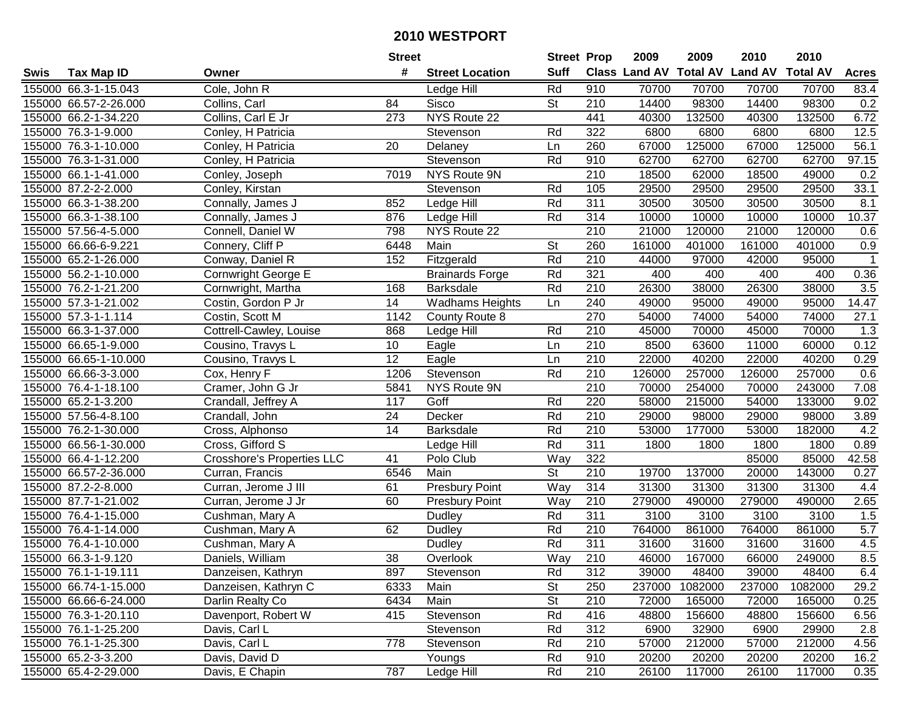|      |                       |                                   | <b>Street</b>   |                        | <b>Street Prop</b> |                  | 2009   | 2009    | 2010                           | 2010            |                |
|------|-----------------------|-----------------------------------|-----------------|------------------------|--------------------|------------------|--------|---------|--------------------------------|-----------------|----------------|
| Swis | <b>Tax Map ID</b>     | Owner                             | #               | <b>Street Location</b> | <b>Suff</b>        |                  |        |         | Class Land AV Total AV Land AV | <b>Total AV</b> | <b>Acres</b>   |
|      | 155000 66.3-1-15.043  | Cole, John R                      |                 | Ledge Hill             | Rd                 | 910              | 70700  | 70700   | 70700                          | 70700           | 83.4           |
|      | 155000 66.57-2-26.000 | Collins, Carl                     | 84              | Sisco                  | <b>St</b>          | 210              | 14400  | 98300   | 14400                          | 98300           | 0.2            |
|      | 155000 66.2-1-34.220  | Collins, Carl E Jr                | 273             | NYS Route 22           |                    | 441              | 40300  | 132500  | 40300                          | 132500          | 6.72           |
|      | 155000 76.3-1-9.000   | Conley, H Patricia                |                 | Stevenson              | Rd                 | 322              | 6800   | 6800    | 6800                           | 6800            | 12.5           |
|      | 155000 76.3-1-10.000  | Conley, H Patricia                | 20              | Delaney                | Ln                 | 260              | 67000  | 125000  | 67000                          | 125000          | 56.1           |
|      | 155000 76.3-1-31.000  | Conley, H Patricia                |                 | Stevenson              | Rd                 | 910              | 62700  | 62700   | 62700                          | 62700           | 97.15          |
|      | 155000 66.1-1-41.000  | Conley, Joseph                    | 7019            | NYS Route 9N           |                    | 210              | 18500  | 62000   | 18500                          | 49000           | 0.2            |
|      | 155000 87.2-2-2.000   | Conley, Kirstan                   |                 | Stevenson              | Rd                 | 105              | 29500  | 29500   | 29500                          | 29500           | 33.1           |
|      | 155000 66.3-1-38.200  | Connally, James J                 | 852             | Ledge Hill             | Rd                 | 311              | 30500  | 30500   | 30500                          | 30500           | 8.1            |
|      | 155000 66.3-1-38.100  | Connally, James J                 | 876             | Ledge Hill             | Rd                 | 314              | 10000  | 10000   | 10000                          | 10000           | 10.37          |
|      | 155000 57.56-4-5.000  | Connell, Daniel W                 | 798             | NYS Route 22           |                    | 210              | 21000  | 120000  | 21000                          | 120000          | 0.6            |
|      | 155000 66.66-6-9.221  | Connery, Cliff P                  | 6448            | Main                   | <b>St</b>          | 260              | 161000 | 401000  | 161000                         | 401000          | 0.9            |
|      | 155000 65.2-1-26.000  | Conway, Daniel R                  | 152             | Fitzgerald             | Rd                 | 210              | 44000  | 97000   | 42000                          | 95000           | $\overline{1}$ |
|      | 155000 56.2-1-10.000  | <b>Cornwright George E</b>        |                 | <b>Brainards Forge</b> | Rd                 | 321              | 400    | 400     | 400                            | 400             | 0.36           |
|      | 155000 76.2-1-21.200  | Cornwright, Martha                | 168             | <b>Barksdale</b>       | Rd                 | 210              | 26300  | 38000   | 26300                          | 38000           | 3.5            |
|      | 155000 57.3-1-21.002  | Costin, Gordon P Jr               | 14              | <b>Wadhams Heights</b> | Ln                 | 240              | 49000  | 95000   | 49000                          | 95000           | 14.47          |
|      | 155000 57.3-1-1.114   | Costin, Scott M                   | 1142            | County Route 8         |                    | 270              | 54000  | 74000   | 54000                          | 74000           | 27.1           |
|      | 155000 66.3-1-37.000  | Cottrell-Cawley, Louise           | 868             | Ledge Hill             | Rd                 | 210              | 45000  | 70000   | 45000                          | 70000           | 1.3            |
|      | 155000 66.65-1-9.000  | Cousino, Travys L                 | 10              | Eagle                  | Ln                 | 210              | 8500   | 63600   | 11000                          | 60000           | 0.12           |
|      | 155000 66.65-1-10.000 | Cousino, Travys L                 | 12              | Eagle                  | Ln                 | 210              | 22000  | 40200   | 22000                          | 40200           | 0.29           |
|      | 155000 66.66-3-3.000  | Cox, Henry F                      | 1206            | Stevenson              | Rd                 | 210              | 126000 | 257000  | 126000                         | 257000          | 0.6            |
|      | 155000 76.4-1-18.100  | Cramer, John G Jr                 | 5841            | NYS Route 9N           |                    | 210              | 70000  | 254000  | 70000                          | 243000          | 7.08           |
|      | 155000 65.2-1-3.200   | Crandall, Jeffrey A               | 117             | Goff                   | Rd                 | 220              | 58000  | 215000  | 54000                          | 133000          | 9.02           |
|      | 155000 57.56-4-8.100  | Crandall, John                    | 24              | Decker                 | Rd                 | 210              | 29000  | 98000   | 29000                          | 98000           | 3.89           |
|      | 155000 76.2-1-30.000  | Cross, Alphonso                   | $\overline{14}$ | <b>Barksdale</b>       | Rd                 | 210              | 53000  | 177000  | 53000                          | 182000          | 4.2            |
|      | 155000 66.56-1-30.000 | Cross, Gifford S                  |                 | Ledge Hill             | Rd                 | 311              | 1800   | 1800    | 1800                           | 1800            | 0.89           |
|      | 155000 66.4-1-12.200  | <b>Crosshore's Properties LLC</b> | 41              | Polo Club              | Way                | 322              |        |         | 85000                          | 85000           | 42.58          |
|      | 155000 66.57-2-36.000 | Curran, Francis                   | 6546            | Main                   | St                 | 210              | 19700  | 137000  | 20000                          | 143000          | 0.27           |
|      | 155000 87.2-2-8.000   | Curran, Jerome J III              | 61              | <b>Presbury Point</b>  | Way                | $\overline{314}$ | 31300  | 31300   | 31300                          | 31300           | 4.4            |
|      | 155000 87.7-1-21.002  | Curran, Jerome J Jr               | 60              | <b>Presbury Point</b>  | Way                | 210              | 279000 | 490000  | 279000                         | 490000          | 2.65           |
|      | 155000 76.4-1-15.000  | Cushman, Mary A                   |                 | Dudley                 | Rd                 | $\overline{311}$ | 3100   | 3100    | 3100                           | 3100            | 1.5            |
|      | 155000 76.4-1-14.000  | Cushman, Mary A                   | 62              | Dudley                 | Rd                 | 210              | 764000 | 861000  | 764000                         | 861000          | 5.7            |
|      | 155000 76.4-1-10.000  | Cushman, Mary A                   |                 | Dudley                 | Rd                 | 311              | 31600  | 31600   | 31600                          | 31600           | 4.5            |
|      | 155000 66.3-1-9.120   | Daniels, William                  | $\overline{38}$ | Overlook               | $\overline{W}$ ay  | $\overline{210}$ | 46000  | 167000  | 66000                          | 249000          | 8.5            |
|      | 155000 76.1-1-19.111  | Danzeisen, Kathryn                | 897             | Stevenson              | Rd                 | 312              | 39000  | 48400   | 39000                          | 48400           | 6.4            |
|      | 155000 66.74-1-15.000 | Danzeisen, Kathryn C              | 6333            | Main                   | <b>St</b>          | 250              | 237000 | 1082000 | 237000                         | 1082000         | 29.2           |
|      | 155000 66.66-6-24.000 | Darlin Realty Co                  | 6434            | Main                   | <b>St</b>          | 210              | 72000  | 165000  | 72000                          | 165000          | 0.25           |
|      | 155000 76.3-1-20.110  | Davenport, Robert W               | 415             | Stevenson              | Rd                 | 416              | 48800  | 156600  | 48800                          | 156600          | 6.56           |
|      | 155000 76.1-1-25.200  | Davis, Carl L                     |                 | Stevenson              | Rd                 | 312              | 6900   | 32900   | 6900                           | 29900           | 2.8            |
|      | 155000 76.1-1-25.300  | Davis, Carl L                     | 778             | Stevenson              | Rd                 | 210              | 57000  | 212000  | 57000                          | 212000          | 4.56           |
|      | 155000 65.2-3-3.200   | Davis, David D                    |                 | Youngs                 | Rd                 | 910              | 20200  | 20200   | 20200                          | 20200           | 16.2           |
|      | 155000 65.4-2-29.000  | Davis, E Chapin                   | 787             | Ledge Hill             | Rd                 | 210              | 26100  | 117000  | 26100                          | 117000          | 0.35           |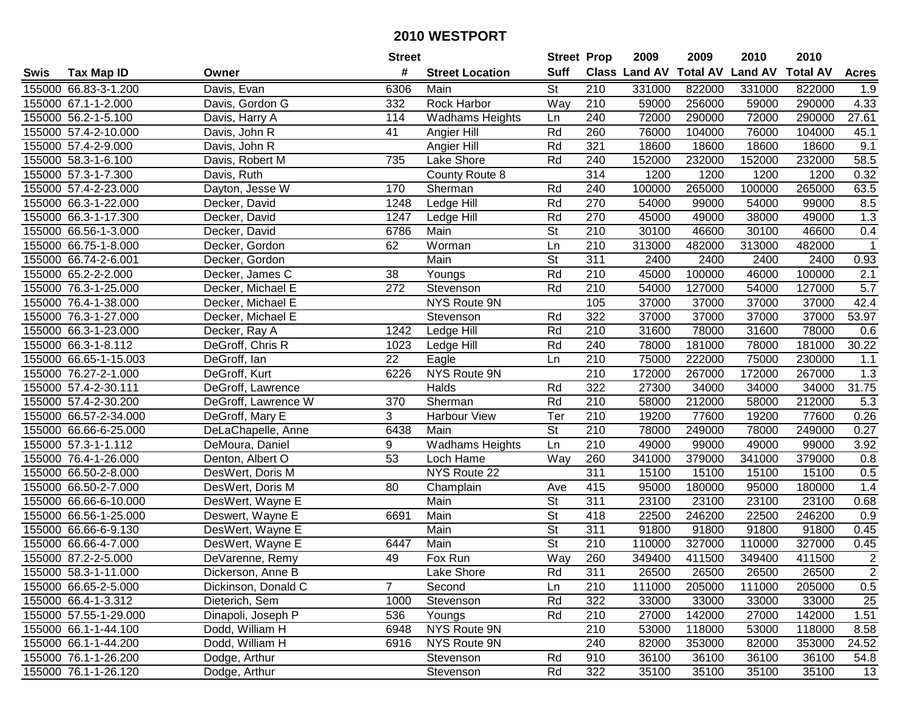|      |                       |                     | <b>Street</b> |                        |                          | <b>Street Prop</b> | 2009          | 2009            | 2010           | 2010            |                |
|------|-----------------------|---------------------|---------------|------------------------|--------------------------|--------------------|---------------|-----------------|----------------|-----------------|----------------|
| Swis | <b>Tax Map ID</b>     | Owner               | #             | <b>Street Location</b> | <b>Suff</b>              |                    | Class Land AV | <b>Total AV</b> | <b>Land AV</b> | <b>Total AV</b> | <b>Acres</b>   |
|      | 155000 66.83-3-1.200  | Davis, Evan         | 6306          | Main                   | <b>St</b>                | 210                | 331000        | 822000          | 331000         | 822000          | 1.9            |
|      | 155000 67.1-1-2.000   | Davis, Gordon G     | 332           | Rock Harbor            | Way                      | 210                | 59000         | 256000          | 59000          | 290000          | 4.33           |
|      | 155000 56.2-1-5.100   | Davis, Harry A      | 114           | <b>Wadhams Heights</b> | Ln                       | 240                | 72000         | 290000          | 72000          | 290000          | 27.61          |
|      | 155000 57.4-2-10.000  | Davis, John R       | 41            | Angier Hill            | Rd                       | 260                | 76000         | 104000          | 76000          | 104000          | 45.1           |
|      | 155000 57.4-2-9.000   | Davis, John R       |               | Angier Hill            | Rd                       | 321                | 18600         | 18600           | 18600          | 18600           | 9.1            |
|      | 155000 58.3-1-6.100   | Davis, Robert M     | 735           | Lake Shore             | Rd                       | 240                | 152000        | 232000          | 152000         | 232000          | 58.5           |
|      | 155000 57.3-1-7.300   | Davis, Ruth         |               | County Route 8         |                          | 314                | 1200          | 1200            | 1200           | 1200            | 0.32           |
|      | 155000 57.4-2-23.000  | Dayton, Jesse W     | 170           | Sherman                | Rd                       | 240                | 100000        | 265000          | 100000         | 265000          | 63.5           |
|      | 155000 66.3-1-22.000  | Decker, David       | 1248          | Ledge Hill             | Rd                       | 270                | 54000         | 99000           | 54000          | 99000           | 8.5            |
|      | 155000 66.3-1-17.300  | Decker, David       | 1247          | Ledge Hill             | Rd                       | 270                | 45000         | 49000           | 38000          | 49000           | 1.3            |
|      | 155000 66.56-1-3.000  | Decker, David       | 6786          | Main                   | St                       | 210                | 30100         | 46600           | 30100          | 46600           | 0.4            |
|      | 155000 66.75-1-8.000  | Decker, Gordon      | 62            | Worman                 | Ln                       | 210                | 313000        | 482000          | 313000         | 482000          |                |
|      | 155000 66.74-2-6.001  | Decker, Gordon      |               | Main                   | $\overline{\mathsf{St}}$ | $\overline{311}$   | 2400          | 2400            | 2400           | 2400            | 0.93           |
|      | 155000 65.2-2-2.000   | Decker, James C     | 38            | Youngs                 | Rd                       | 210                | 45000         | 100000          | 46000          | 100000          | 2.1            |
|      | 155000 76.3-1-25.000  | Decker, Michael E   | 272           | Stevenson              | Rd                       | 210                | 54000         | 127000          | 54000          | 127000          | 5.7            |
|      | 155000 76.4-1-38.000  | Decker, Michael E   |               | NYS Route 9N           |                          | 105                | 37000         | 37000           | 37000          | 37000           | 42.4           |
|      | 155000 76.3-1-27.000  | Decker, Michael E   |               | Stevenson              | Rd                       | 322                | 37000         | 37000           | 37000          | 37000           | 53.97          |
|      | 155000 66.3-1-23.000  | Decker, Ray A       | 1242          | Ledge Hill             | Rd                       | 210                | 31600         | 78000           | 31600          | 78000           | 0.6            |
|      | 155000 66.3-1-8.112   | DeGroff, Chris R    | 1023          | Ledge Hill             | Rd                       | 240                | 78000         | 181000          | 78000          | 181000          | 30.22          |
|      | 155000 66.65-1-15.003 | DeGroff, Ian        | 22            | Eagle                  | Ln                       | 210                | 75000         | 222000          | 75000          | 230000          | 1.1            |
|      | 155000 76.27-2-1.000  | DeGroff, Kurt       | 6226          | NYS Route 9N           |                          | $\overline{210}$   | 172000        | 267000          | 172000         | 267000          | 1.3            |
|      | 155000 57.4-2-30.111  | DeGroff, Lawrence   |               | Halds                  | Rd                       | 322                | 27300         | 34000           | 34000          | 34000           | 31.75          |
|      | 155000 57.4-2-30.200  | DeGroff, Lawrence W | 370           | Sherman                | Rd                       | 210                | 58000         | 212000          | 58000          | 212000          | 5.3            |
|      | 155000 66.57-2-34.000 | DeGroff, Mary E     | 3             | <b>Harbour View</b>    | Ter                      | 210                | 19200         | 77600           | 19200          | 77600           | 0.26           |
|      | 155000 66.66-6-25.000 | DeLaChapelle, Anne  | 6438          | Main                   | $\overline{\mathsf{St}}$ | $\overline{210}$   | 78000         | 249000          | 78000          | 249000          | 0.27           |
|      | 155000 57.3-1-1.112   | DeMoura, Daniel     | 9             | <b>Wadhams Heights</b> | Ln                       | 210                | 49000         | 99000           | 49000          | 99000           | 3.92           |
|      | 155000 76.4-1-26.000  | Denton, Albert O    | 53            | Loch Hame              | Way                      | 260                | 341000        | 379000          | 341000         | 379000          | 0.8            |
|      | 155000 66.50-2-8.000  | DesWert, Doris M    |               | NYS Route 22           |                          | 311                | 15100         | 15100           | 15100          | 15100           | 0.5            |
|      | 155000 66.50-2-7.000  | DesWert, Doris M    | 80            | Champlain              | Ave                      | 415                | 95000         | 180000          | 95000          | 180000          | 1.4            |
|      | 155000 66.66-6-10.000 | DesWert, Wayne E    |               | Main                   | $\overline{\mathsf{St}}$ | $\overline{311}$   | 23100         | 23100           | 23100          | 23100           | 0.68           |
|      | 155000 66.56-1-25.000 | Deswert, Wayne E    | 6691          | Main                   | $\overline{\mathsf{St}}$ | 418                | 22500         | 246200          | 22500          | 246200          | 0.9            |
|      | 155000 66.66-6-9.130  | DesWert, Wayne E    |               | Main                   | $\overline{\mathsf{St}}$ | 311                | 91800         | 91800           | 91800          | 91800           | 0.45           |
|      | 155000 66.66-4-7.000  | DesWert, Wayne E    | 6447          | Main                   | $\overline{\mathsf{St}}$ | $\overline{210}$   | 110000        | 327000          | 110000         | 327000          | 0.45           |
|      | 155000 87.2-2-5.000   | DeVarenne, Remy     | 49            | Fox Run                | Way                      | 260                | 349400        | 411500          | 349400         | 411500          | $\overline{2}$ |
|      | 155000 58.3-1-11.000  | Dickerson, Anne B   |               | Lake Shore             | Rd                       | 311                | 26500         | 26500           | 26500          | 26500           | $\mathbf{2}$   |
|      | 155000 66.65-2-5.000  | Dickinson, Donald C | 7             | Second                 | Ln                       | 210                | 111000        | 205000          | 111000         | 205000          | 0.5            |
|      | 155000 66.4-1-3.312   | Dieterich, Sem      | 1000          | Stevenson              | Rd                       | 322                | 33000         | 33000           | 33000          | 33000           | 25             |
|      | 155000 57.55-1-29.000 | Dinapoli, Joseph P  | 536           | Youngs                 | Rd                       | 210                | 27000         | 142000          | 27000          | 142000          | 1.51           |
|      | 155000 66.1-1-44.100  | Dodd, William H     | 6948          | NYS Route 9N           |                          | 210                | 53000         | 118000          | 53000          | 118000          | 8.58           |
|      | 155000 66.1-1-44.200  | Dodd, William H     | 6916          | NYS Route 9N           |                          | 240                | 82000         | 353000          | 82000          | 353000          | 24.52          |
|      | 155000 76.1-1-26.200  | Dodge, Arthur       |               | Stevenson              | Rd                       | 910                | 36100         | 36100           | 36100          | 36100           | 54.8           |
|      | 155000 76.1-1-26.120  | Dodge, Arthur       |               | Stevenson              | Rd                       | 322                | 35100         | 35100           | 35100          | 35100           | 13             |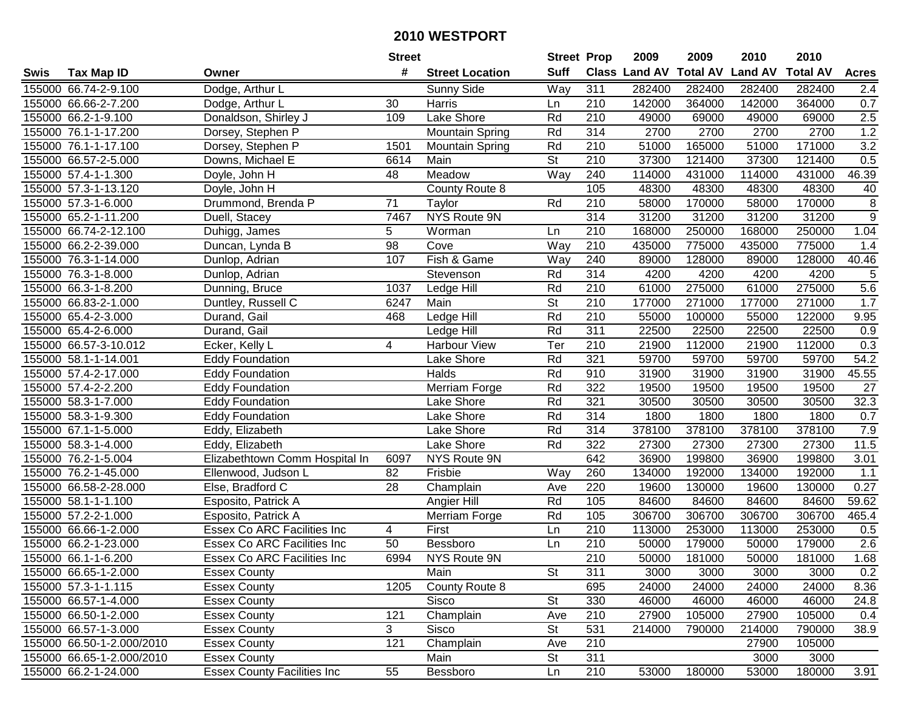|      |                           |                                    | <b>Street</b>   |                        | <b>Street Prop</b>       |                  | 2009                          | 2009   | 2010           | 2010            |                |
|------|---------------------------|------------------------------------|-----------------|------------------------|--------------------------|------------------|-------------------------------|--------|----------------|-----------------|----------------|
| Swis | <b>Tax Map ID</b>         | Owner                              | #               | <b>Street Location</b> | <b>Suff</b>              |                  | <b>Class Land AV Total AV</b> |        | <b>Land AV</b> | <b>Total AV</b> | <b>Acres</b>   |
|      | 155000 66.74-2-9.100      | Dodge, Arthur L                    |                 | Sunny Side             | Way                      | 311              | 282400                        | 282400 | 282400         | 282400          | 2.4            |
|      | 155000 66.66-2-7.200      | Dodge, Arthur L                    | 30              | Harris                 | Ln                       | 210              | 142000                        | 364000 | 142000         | 364000          | 0.7            |
|      | 155000 66.2-1-9.100       | Donaldson, Shirley J               | 109             | Lake Shore             | Rd                       | 210              | 49000                         | 69000  | 49000          | 69000           | 2.5            |
|      | 155000 76.1-1-17.200      | Dorsey, Stephen P                  |                 | Mountain Spring        | Rd                       | 314              | 2700                          | 2700   | 2700           | 2700            | 1.2            |
|      | 155000 76.1-1-17.100      | Dorsey, Stephen P                  | 1501            | <b>Mountain Spring</b> | Rd                       | 210              | 51000                         | 165000 | 51000          | 171000          | 3.2            |
|      | 155000 66.57-2-5.000      | Downs, Michael E                   | 6614            | Main                   | $\overline{\mathsf{St}}$ | 210              | 37300                         | 121400 | 37300          | 121400          | 0.5            |
|      | 155000 57.4-1-1.300       | Doyle, John H                      | 48              | Meadow                 | Way                      | 240              | 114000                        | 431000 | 114000         | 431000          | 46.39          |
|      | 155000 57.3-1-13.120      | Doyle, John H                      |                 | County Route 8         |                          | 105              | 48300                         | 48300  | 48300          | 48300           | 40             |
|      | 155000 57.3-1-6.000       | Drummond, Brenda P                 | $\overline{71}$ | Taylor                 | Rd                       | 210              | 58000                         | 170000 | 58000          | 170000          | 8              |
|      | 155000 65.2-1-11.200      | Duell, Stacey                      | 7467            | NYS Route 9N           |                          | 314              | 31200                         | 31200  | 31200          | 31200           | $\overline{9}$ |
|      | 155000 66.74-2-12.100     | Duhigg, James                      | 5               | Worman                 | Ln                       | 210              | 168000                        | 250000 | 168000         | 250000          | 1.04           |
|      | 155000 66.2-2-39.000      | Duncan, Lynda B                    | 98              | Cove                   | Way                      | 210              | 435000                        | 775000 | 435000         | 775000          | 1.4            |
|      | 155000 76.3-1-14.000      | Dunlop, Adrian                     | 107             | Fish & Game            | Way                      | 240              | 89000                         | 128000 | 89000          | 128000          | 40.46          |
|      | 155000 76.3-1-8.000       | Dunlop, Adrian                     |                 | Stevenson              | Rd                       | 314              | 4200                          | 4200   | 4200           | 4200            | 5              |
|      | 155000 66.3-1-8.200       | Dunning, Bruce                     | 1037            | Ledge Hill             | Rd                       | 210              | 61000                         | 275000 | 61000          | 275000          | 5.6            |
|      | 155000 66.83-2-1.000      | Duntley, Russell C                 | 6247            | Main                   | St                       | 210              | 177000                        | 271000 | 177000         | 271000          | 1.7            |
|      | 155000 65.4-2-3.000       | Durand, Gail                       | 468             | Ledge Hill             | Rd                       | $\overline{210}$ | 55000                         | 100000 | 55000          | 122000          | 9.95           |
|      | 155000 65.4-2-6.000       | Durand, Gail                       |                 | Ledge Hill             | Rd                       | 311              | 22500                         | 22500  | 22500          | 22500           | 0.9            |
|      | 155000 66.57-3-10.012     | Ecker, Kelly L                     | 4               | <b>Harbour View</b>    | Ter                      | 210              | 21900                         | 112000 | 21900          | 112000          | 0.3            |
|      | 155000 58.1-1-14.001      | <b>Eddy Foundation</b>             |                 | Lake Shore             | Rd                       | 321              | 59700                         | 59700  | 59700          | 59700           | 54.2           |
|      | 155000 57.4-2-17.000      | <b>Eddy Foundation</b>             |                 | Halds                  | Rd                       | 910              | 31900                         | 31900  | 31900          | 31900           | 45.55          |
|      | 155000 57.4-2-2.200       | <b>Eddy Foundation</b>             |                 | Merriam Forge          | Rd                       | 322              | 19500                         | 19500  | 19500          | 19500           | 27             |
|      | 155000 58.3-1-7.000       | <b>Eddy Foundation</b>             |                 | Lake Shore             | Rd                       | 321              | 30500                         | 30500  | 30500          | 30500           | 32.3           |
|      | 155000 58.3-1-9.300       | <b>Eddy Foundation</b>             |                 | Lake Shore             | Rd                       | 314              | 1800                          | 1800   | 1800           | 1800            | 0.7            |
|      | 155000 67.1-1-5.000       | Eddy, Elizabeth                    |                 | Lake Shore             | Rd                       | 314              | 378100                        | 378100 | 378100         | 378100          | 7.9            |
|      | 155000 58.3-1-4.000       | Eddy, Elizabeth                    |                 | Lake Shore             | Rd                       | 322              | 27300                         | 27300  | 27300          | 27300           | 11.5           |
|      | 155000 76.2-1-5.004       | Elizabethtown Comm Hospital In     | 6097            | NYS Route 9N           |                          | 642              | 36900                         | 199800 | 36900          | 199800          | 3.01           |
|      | 155000 76.2-1-45.000      | Ellenwood, Judson L                | 82              | Frisbie                | Way                      | 260              | 134000                        | 192000 | 134000         | 192000          | 1.1            |
|      | 155000 66.58-2-28.000     | Else, Bradford C                   | $\overline{28}$ | Champlain              | Ave                      | 220              | 19600                         | 130000 | 19600          | 130000          | 0.27           |
|      | 155000 58.1-1-1.100       | Esposito, Patrick A                |                 | Angier Hill            | Rd                       | 105              | 84600                         | 84600  | 84600          | 84600           | 59.62          |
|      | 155000 57.2-2-1.000       | Esposito, Patrick A                |                 | Merriam Forge          | Rd                       | 105              | 306700                        | 306700 | 306700         | 306700          | 465.4          |
|      | 155000 66.66-1-2.000      | Essex Co ARC Facilities Inc        | 4               | First                  | Ln                       | 210              | 113000                        | 253000 | 113000         | 253000          | 0.5            |
|      | 155000 66.2-1-23.000      | <b>Essex Co ARC Facilities Inc</b> | 50              | Bessboro               | Ln                       | $\overline{210}$ | 50000                         | 179000 | 50000          | 179000          | 2.6            |
|      | 155000 66.1-1-6.200       | Essex Co ARC Facilities Inc        | 6994            | NYS Route 9N           |                          | $\overline{210}$ | 50000                         | 181000 | 50000          | 181000          | 1.68           |
|      | 155000 66.65-1-2.000      | <b>Essex County</b>                |                 | Main                   | St                       | 311              | 3000                          | 3000   | 3000           | 3000            | 0.2            |
|      | 155000 57.3-1-1.115       | <b>Essex County</b>                | 1205            | County Route 8         |                          | 695              | 24000                         | 24000  | 24000          | 24000           | 8.36           |
|      | 155000 66.57-1-4.000      | <b>Essex County</b>                |                 | Sisco                  | <b>St</b>                | 330              | 46000                         | 46000  | 46000          | 46000           | 24.8           |
|      | 155000 66.50-1-2.000      | <b>Essex County</b>                | 121             | Champlain              | Ave                      | 210              | 27900                         | 105000 | 27900          | 105000          | 0.4            |
|      | 155000 66.57-1-3.000      | <b>Essex County</b>                | 3               | Sisco                  | <b>St</b>                | 531              | 214000                        | 790000 | 214000         | 790000          | 38.9           |
|      | 155000 66.50-1-2.000/2010 | <b>Essex County</b>                | 121             | Champlain              | Ave                      | 210              |                               |        | 27900          | 105000          |                |
|      | 155000 66.65-1-2.000/2010 | <b>Essex County</b>                |                 | Main                   | <b>St</b>                | 311              |                               |        | 3000           | 3000            |                |
|      | 155000 66.2-1-24.000      | <b>Essex County Facilities Inc</b> | 55              | Bessboro               | Ln                       | 210              | 53000                         | 180000 | 53000          | 180000          | 3.91           |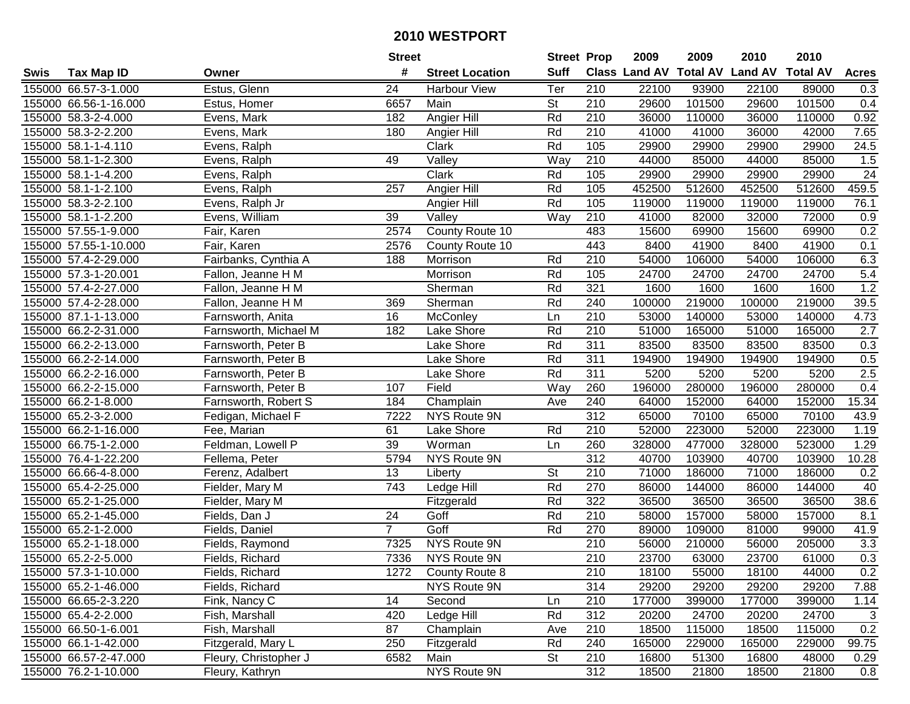| <b>Suff</b><br><b>Class Land AV Total AV</b><br>#<br><b>Land AV</b><br><b>Total AV</b><br><b>Tax Map ID</b><br><b>Street Location</b><br><b>Acres</b><br>Swis<br>Owner<br>155000 66.57-3-1.000<br>Estus, Glenn<br>24<br><b>Harbour View</b><br>Ter<br>210<br>22100<br>93900<br>22100<br>89000<br>0.3<br><b>St</b><br>101500<br>101500<br>155000 66.56-1-16.000<br>6657<br>Main<br>210<br>29600<br>29600<br>0.4<br>Estus, Homer<br>155000 58.3-2-4.000<br>Rd<br>210<br>36000<br>110000<br>36000<br>110000<br>0.92<br>Evens, Mark<br>182<br>Angier Hill<br>Rd<br>210<br>41000<br>7.65<br>155000 58.3-2-2.200<br>Evens, Mark<br>180<br>Angier Hill<br>41000<br>36000<br>42000<br>155000 58.1-1-4.110<br>Evens, Ralph<br>Clark<br>Rd<br>105<br>29900<br>29900<br>29900<br>29900<br>24.5<br>1.5<br>155000 58.1-1-2.300<br>49<br>Valley<br>Way<br>210<br>44000<br>85000<br>44000<br>85000<br>Evens, Ralph<br>$\overline{24}$<br>155000 58.1-1-4.200<br>Clark<br>Rd<br>105<br>29900<br>29900<br>Evens, Ralph<br>29900<br>29900<br>459.5<br>257<br>Rd<br>105<br>452500<br>512600<br>452500<br>512600<br>155000 58.1-1-2.100<br>Evens, Ralph<br>Angier Hill<br>Rd<br>105<br>76.1<br>155000 58.3-2-2.100<br>Evens, Ralph Jr<br>Angier Hill<br>119000<br>119000<br>119000<br>119000<br>41000<br>155000 58.1-1-2.200<br>Evens, William<br>39<br>Valley<br>Way<br>210<br>82000<br>32000<br>72000<br>0.9<br>483<br>0.2<br>155000 57.55-1-9.000<br>Fair, Karen<br>County Route 10<br>15600<br>69900<br>15600<br>69900<br>2574<br>155000 57.55-1-10.000<br>443<br>8400<br>41900<br>8400<br>41900<br>0.1<br>Fair, Karen<br>2576<br>County Route 10<br>155000 57.4-2-29.000<br>210<br>54000<br>106000<br>106000<br>6.3<br>Fairbanks, Cynthia A<br>188<br>Rd<br>54000<br>Morrison<br>155000 57.3-1-20.001<br>Fallon, Jeanne H M<br>Morrison<br>Rd<br>105<br>24700<br>24700<br>24700<br>24700<br>5.4<br>1.2<br>Rd<br>321<br>1600<br>155000 57.4-2-27.000<br>Fallon, Jeanne H M<br>Sherman<br>1600<br>1600<br>1600<br>219000<br>155000 57.4-2-28.000<br>Sherman<br>Rd<br>240<br>100000<br>219000<br>39.5<br>Fallon, Jeanne H M<br>369<br>100000<br>210<br>4.73<br>155000 87.1-1-13.000<br>16<br>53000<br>140000<br>53000<br>Farnsworth, Anita<br>McConley<br>Ln<br>140000<br>Rd<br>2.7<br>155000 66.2-2-31.000<br>182<br>Lake Shore<br>210<br>51000<br>165000<br>Farnsworth, Michael M<br>51000<br>165000<br>Rd<br>311<br>0.3<br>155000 66.2-2-13.000<br>Lake Shore<br>83500<br>83500<br>83500<br>83500<br>Farnsworth, Peter B<br>155000 66.2-2-14.000<br>Lake Shore<br>Rd<br>311<br>194900<br>194900<br>194900<br>194900<br>0.5<br>Farnsworth, Peter B<br>Rd<br>2.5<br>155000 66.2-2-16.000<br>311<br>5200<br>5200<br>5200<br>Farnsworth, Peter B<br>Lake Shore<br>5200<br>155000 66.2-2-15.000<br>Farnsworth, Peter B<br>107<br>Field<br>Way<br>260<br>196000<br>280000<br>196000<br>280000<br>0.4<br>240<br>15.34<br>155000 66.2-1-8.000<br>Farnsworth, Robert S<br>184<br>64000<br>152000<br>152000<br>Champlain<br>Ave<br>64000<br>312<br>155000 65.2-3-2.000<br>7222<br>NYS Route 9N<br>65000<br>70100<br>65000<br>70100<br>43.9<br>Fedigan, Michael F<br>155000 66.2-1-16.000<br>61<br>Rd<br>210<br>52000<br>223000<br>52000<br>223000<br>1.19<br>Lake Shore<br>Fee, Marian<br>Feldman, Lowell P<br>39<br>260<br>328000<br>477000<br>155000 66.75-1-2.000<br>Worman<br>328000<br>523000<br>1.29<br>Ln<br>$\overline{312}$<br>155000 76.4-1-22.200<br>Fellema, Peter<br>5794<br>NYS Route 9N<br>40700<br>103900<br>40700<br>103900<br>10.28<br>13<br>71000<br>155000 66.66-4-8.000<br>St<br>210<br>186000<br>71000<br>186000<br>Ferenz, Adalbert<br>Liberty<br>0.2<br>Rd<br>743<br>270<br>86000<br>144000<br>144000<br>40<br>155000 65.4-2-25.000<br>Fielder, Mary M<br>Ledge Hill<br>86000<br>Rd<br>322<br>155000 65.2-1-25.000<br>36500<br>36500<br>36500<br>36500<br>38.6<br>Fielder, Mary M<br>Fitzgerald<br>$\overline{24}$<br>Rd<br>$\overline{210}$<br>157000<br>157000<br>155000 65.2-1-45.000<br>Fields, Dan J<br>Goff<br>58000<br>58000<br>8.1<br>$\overline{7}$<br>Goff<br>155000 65.2-1-2.000<br>Rd<br>270<br>89000<br>109000<br>99000<br>41.9<br>Fields, Daniel<br>81000<br>210<br>155000 65.2-1-18.000<br>7325<br>NYS Route 9N<br>$\overline{3.3}$<br>56000<br>210000<br>56000<br>205000<br>Fields, Raymond<br>$\overline{210}$<br>0.3<br>155000 65.2-2-5.000<br>7336<br>NYS Route 9N<br>23700<br>63000<br>23700<br>Fields, Richard<br>61000<br>155000 57.3-1-10.000<br>Fields, Richard<br>1272<br>County Route 8<br>210<br>18100<br>55000<br>18100<br>44000<br>0.2<br>155000 65.2-1-46.000<br>Fields, Richard<br>NYS Route 9N<br>314<br>29200<br>29200<br>29200<br>29200<br>7.88<br>177000<br>177000<br>155000 66.65-2-3.220<br>Fink, Nancy C<br>14<br>Second<br>210<br>399000<br>399000<br>1.14<br>Ln<br>Rd<br>312<br>155000 65.4-2-2.000<br>420<br>20200<br>24700<br>20200<br>24700<br>3<br>Fish, Marshall<br>Ledge Hill<br>Fish, Marshall<br>0.2<br>155000 66.50-1-6.001<br>87<br>Champlain<br>210<br>18500<br>115000<br>18500<br>115000<br>Ave<br>Fitzgerald, Mary L<br>99.75<br>155000 66.1-1-42.000<br>250<br>Fitzgerald<br>Rd<br>240<br>165000<br>229000<br>165000<br>229000<br>6582<br>16800<br>155000 66.57-2-47.000<br>Fleury, Christopher J<br>Main<br>St<br>210<br>51300<br>16800<br>48000<br>0.29<br>NYS Route 9N<br>155000 76.2-1-10.000<br>312<br>Fleury, Kathryn<br>18500<br>21800<br>21800<br>0.8<br>18500 |  | <b>Street</b> | <b>Street Prop</b> | 2009 | 2009 | 2010 | 2010 |  |
|-----------------------------------------------------------------------------------------------------------------------------------------------------------------------------------------------------------------------------------------------------------------------------------------------------------------------------------------------------------------------------------------------------------------------------------------------------------------------------------------------------------------------------------------------------------------------------------------------------------------------------------------------------------------------------------------------------------------------------------------------------------------------------------------------------------------------------------------------------------------------------------------------------------------------------------------------------------------------------------------------------------------------------------------------------------------------------------------------------------------------------------------------------------------------------------------------------------------------------------------------------------------------------------------------------------------------------------------------------------------------------------------------------------------------------------------------------------------------------------------------------------------------------------------------------------------------------------------------------------------------------------------------------------------------------------------------------------------------------------------------------------------------------------------------------------------------------------------------------------------------------------------------------------------------------------------------------------------------------------------------------------------------------------------------------------------------------------------------------------------------------------------------------------------------------------------------------------------------------------------------------------------------------------------------------------------------------------------------------------------------------------------------------------------------------------------------------------------------------------------------------------------------------------------------------------------------------------------------------------------------------------------------------------------------------------------------------------------------------------------------------------------------------------------------------------------------------------------------------------------------------------------------------------------------------------------------------------------------------------------------------------------------------------------------------------------------------------------------------------------------------------------------------------------------------------------------------------------------------------------------------------------------------------------------------------------------------------------------------------------------------------------------------------------------------------------------------------------------------------------------------------------------------------------------------------------------------------------------------------------------------------------------------------------------------------------------------------------------------------------------------------------------------------------------------------------------------------------------------------------------------------------------------------------------------------------------------------------------------------------------------------------------------------------------------------------------------------------------------------------------------------------------------------------------------------------------------------------------------------------------------------------------------------------------------------------------------------------------------------------------------------------------------------------------------------------------------------------------------------------------------------------------------------------------------------------------------------------------------------------------------------------------------------------------------------------------------------------------------------------------------------------------------------------------------------------------------------------------------------------------------------------------------------------------------------------------------------------------------------------------------------------------------------------------------------------------------------------------------------------------------------------------------------------------------------------------------------------------------------------------------------------------------------------------------------------------------------------------------------------------------------------------------------------------------|--|---------------|--------------------|------|------|------|------|--|
|                                                                                                                                                                                                                                                                                                                                                                                                                                                                                                                                                                                                                                                                                                                                                                                                                                                                                                                                                                                                                                                                                                                                                                                                                                                                                                                                                                                                                                                                                                                                                                                                                                                                                                                                                                                                                                                                                                                                                                                                                                                                                                                                                                                                                                                                                                                                                                                                                                                                                                                                                                                                                                                                                                                                                                                                                                                                                                                                                                                                                                                                                                                                                                                                                                                                                                                                                                                                                                                                                                                                                                                                                                                                                                                                                                                                                                                                                                                                                                                                                                                                                                                                                                                                                                                                                                                                                                                                                                                                                                                                                                                                                                                                                                                                                                                                                                                                                                                                                                                                                                                                                                                                                                                                                                                                                                                                                                                                                             |  |               |                    |      |      |      |      |  |
|                                                                                                                                                                                                                                                                                                                                                                                                                                                                                                                                                                                                                                                                                                                                                                                                                                                                                                                                                                                                                                                                                                                                                                                                                                                                                                                                                                                                                                                                                                                                                                                                                                                                                                                                                                                                                                                                                                                                                                                                                                                                                                                                                                                                                                                                                                                                                                                                                                                                                                                                                                                                                                                                                                                                                                                                                                                                                                                                                                                                                                                                                                                                                                                                                                                                                                                                                                                                                                                                                                                                                                                                                                                                                                                                                                                                                                                                                                                                                                                                                                                                                                                                                                                                                                                                                                                                                                                                                                                                                                                                                                                                                                                                                                                                                                                                                                                                                                                                                                                                                                                                                                                                                                                                                                                                                                                                                                                                                             |  |               |                    |      |      |      |      |  |
|                                                                                                                                                                                                                                                                                                                                                                                                                                                                                                                                                                                                                                                                                                                                                                                                                                                                                                                                                                                                                                                                                                                                                                                                                                                                                                                                                                                                                                                                                                                                                                                                                                                                                                                                                                                                                                                                                                                                                                                                                                                                                                                                                                                                                                                                                                                                                                                                                                                                                                                                                                                                                                                                                                                                                                                                                                                                                                                                                                                                                                                                                                                                                                                                                                                                                                                                                                                                                                                                                                                                                                                                                                                                                                                                                                                                                                                                                                                                                                                                                                                                                                                                                                                                                                                                                                                                                                                                                                                                                                                                                                                                                                                                                                                                                                                                                                                                                                                                                                                                                                                                                                                                                                                                                                                                                                                                                                                                                             |  |               |                    |      |      |      |      |  |
|                                                                                                                                                                                                                                                                                                                                                                                                                                                                                                                                                                                                                                                                                                                                                                                                                                                                                                                                                                                                                                                                                                                                                                                                                                                                                                                                                                                                                                                                                                                                                                                                                                                                                                                                                                                                                                                                                                                                                                                                                                                                                                                                                                                                                                                                                                                                                                                                                                                                                                                                                                                                                                                                                                                                                                                                                                                                                                                                                                                                                                                                                                                                                                                                                                                                                                                                                                                                                                                                                                                                                                                                                                                                                                                                                                                                                                                                                                                                                                                                                                                                                                                                                                                                                                                                                                                                                                                                                                                                                                                                                                                                                                                                                                                                                                                                                                                                                                                                                                                                                                                                                                                                                                                                                                                                                                                                                                                                                             |  |               |                    |      |      |      |      |  |
|                                                                                                                                                                                                                                                                                                                                                                                                                                                                                                                                                                                                                                                                                                                                                                                                                                                                                                                                                                                                                                                                                                                                                                                                                                                                                                                                                                                                                                                                                                                                                                                                                                                                                                                                                                                                                                                                                                                                                                                                                                                                                                                                                                                                                                                                                                                                                                                                                                                                                                                                                                                                                                                                                                                                                                                                                                                                                                                                                                                                                                                                                                                                                                                                                                                                                                                                                                                                                                                                                                                                                                                                                                                                                                                                                                                                                                                                                                                                                                                                                                                                                                                                                                                                                                                                                                                                                                                                                                                                                                                                                                                                                                                                                                                                                                                                                                                                                                                                                                                                                                                                                                                                                                                                                                                                                                                                                                                                                             |  |               |                    |      |      |      |      |  |
|                                                                                                                                                                                                                                                                                                                                                                                                                                                                                                                                                                                                                                                                                                                                                                                                                                                                                                                                                                                                                                                                                                                                                                                                                                                                                                                                                                                                                                                                                                                                                                                                                                                                                                                                                                                                                                                                                                                                                                                                                                                                                                                                                                                                                                                                                                                                                                                                                                                                                                                                                                                                                                                                                                                                                                                                                                                                                                                                                                                                                                                                                                                                                                                                                                                                                                                                                                                                                                                                                                                                                                                                                                                                                                                                                                                                                                                                                                                                                                                                                                                                                                                                                                                                                                                                                                                                                                                                                                                                                                                                                                                                                                                                                                                                                                                                                                                                                                                                                                                                                                                                                                                                                                                                                                                                                                                                                                                                                             |  |               |                    |      |      |      |      |  |
|                                                                                                                                                                                                                                                                                                                                                                                                                                                                                                                                                                                                                                                                                                                                                                                                                                                                                                                                                                                                                                                                                                                                                                                                                                                                                                                                                                                                                                                                                                                                                                                                                                                                                                                                                                                                                                                                                                                                                                                                                                                                                                                                                                                                                                                                                                                                                                                                                                                                                                                                                                                                                                                                                                                                                                                                                                                                                                                                                                                                                                                                                                                                                                                                                                                                                                                                                                                                                                                                                                                                                                                                                                                                                                                                                                                                                                                                                                                                                                                                                                                                                                                                                                                                                                                                                                                                                                                                                                                                                                                                                                                                                                                                                                                                                                                                                                                                                                                                                                                                                                                                                                                                                                                                                                                                                                                                                                                                                             |  |               |                    |      |      |      |      |  |
|                                                                                                                                                                                                                                                                                                                                                                                                                                                                                                                                                                                                                                                                                                                                                                                                                                                                                                                                                                                                                                                                                                                                                                                                                                                                                                                                                                                                                                                                                                                                                                                                                                                                                                                                                                                                                                                                                                                                                                                                                                                                                                                                                                                                                                                                                                                                                                                                                                                                                                                                                                                                                                                                                                                                                                                                                                                                                                                                                                                                                                                                                                                                                                                                                                                                                                                                                                                                                                                                                                                                                                                                                                                                                                                                                                                                                                                                                                                                                                                                                                                                                                                                                                                                                                                                                                                                                                                                                                                                                                                                                                                                                                                                                                                                                                                                                                                                                                                                                                                                                                                                                                                                                                                                                                                                                                                                                                                                                             |  |               |                    |      |      |      |      |  |
|                                                                                                                                                                                                                                                                                                                                                                                                                                                                                                                                                                                                                                                                                                                                                                                                                                                                                                                                                                                                                                                                                                                                                                                                                                                                                                                                                                                                                                                                                                                                                                                                                                                                                                                                                                                                                                                                                                                                                                                                                                                                                                                                                                                                                                                                                                                                                                                                                                                                                                                                                                                                                                                                                                                                                                                                                                                                                                                                                                                                                                                                                                                                                                                                                                                                                                                                                                                                                                                                                                                                                                                                                                                                                                                                                                                                                                                                                                                                                                                                                                                                                                                                                                                                                                                                                                                                                                                                                                                                                                                                                                                                                                                                                                                                                                                                                                                                                                                                                                                                                                                                                                                                                                                                                                                                                                                                                                                                                             |  |               |                    |      |      |      |      |  |
|                                                                                                                                                                                                                                                                                                                                                                                                                                                                                                                                                                                                                                                                                                                                                                                                                                                                                                                                                                                                                                                                                                                                                                                                                                                                                                                                                                                                                                                                                                                                                                                                                                                                                                                                                                                                                                                                                                                                                                                                                                                                                                                                                                                                                                                                                                                                                                                                                                                                                                                                                                                                                                                                                                                                                                                                                                                                                                                                                                                                                                                                                                                                                                                                                                                                                                                                                                                                                                                                                                                                                                                                                                                                                                                                                                                                                                                                                                                                                                                                                                                                                                                                                                                                                                                                                                                                                                                                                                                                                                                                                                                                                                                                                                                                                                                                                                                                                                                                                                                                                                                                                                                                                                                                                                                                                                                                                                                                                             |  |               |                    |      |      |      |      |  |
|                                                                                                                                                                                                                                                                                                                                                                                                                                                                                                                                                                                                                                                                                                                                                                                                                                                                                                                                                                                                                                                                                                                                                                                                                                                                                                                                                                                                                                                                                                                                                                                                                                                                                                                                                                                                                                                                                                                                                                                                                                                                                                                                                                                                                                                                                                                                                                                                                                                                                                                                                                                                                                                                                                                                                                                                                                                                                                                                                                                                                                                                                                                                                                                                                                                                                                                                                                                                                                                                                                                                                                                                                                                                                                                                                                                                                                                                                                                                                                                                                                                                                                                                                                                                                                                                                                                                                                                                                                                                                                                                                                                                                                                                                                                                                                                                                                                                                                                                                                                                                                                                                                                                                                                                                                                                                                                                                                                                                             |  |               |                    |      |      |      |      |  |
|                                                                                                                                                                                                                                                                                                                                                                                                                                                                                                                                                                                                                                                                                                                                                                                                                                                                                                                                                                                                                                                                                                                                                                                                                                                                                                                                                                                                                                                                                                                                                                                                                                                                                                                                                                                                                                                                                                                                                                                                                                                                                                                                                                                                                                                                                                                                                                                                                                                                                                                                                                                                                                                                                                                                                                                                                                                                                                                                                                                                                                                                                                                                                                                                                                                                                                                                                                                                                                                                                                                                                                                                                                                                                                                                                                                                                                                                                                                                                                                                                                                                                                                                                                                                                                                                                                                                                                                                                                                                                                                                                                                                                                                                                                                                                                                                                                                                                                                                                                                                                                                                                                                                                                                                                                                                                                                                                                                                                             |  |               |                    |      |      |      |      |  |
|                                                                                                                                                                                                                                                                                                                                                                                                                                                                                                                                                                                                                                                                                                                                                                                                                                                                                                                                                                                                                                                                                                                                                                                                                                                                                                                                                                                                                                                                                                                                                                                                                                                                                                                                                                                                                                                                                                                                                                                                                                                                                                                                                                                                                                                                                                                                                                                                                                                                                                                                                                                                                                                                                                                                                                                                                                                                                                                                                                                                                                                                                                                                                                                                                                                                                                                                                                                                                                                                                                                                                                                                                                                                                                                                                                                                                                                                                                                                                                                                                                                                                                                                                                                                                                                                                                                                                                                                                                                                                                                                                                                                                                                                                                                                                                                                                                                                                                                                                                                                                                                                                                                                                                                                                                                                                                                                                                                                                             |  |               |                    |      |      |      |      |  |
|                                                                                                                                                                                                                                                                                                                                                                                                                                                                                                                                                                                                                                                                                                                                                                                                                                                                                                                                                                                                                                                                                                                                                                                                                                                                                                                                                                                                                                                                                                                                                                                                                                                                                                                                                                                                                                                                                                                                                                                                                                                                                                                                                                                                                                                                                                                                                                                                                                                                                                                                                                                                                                                                                                                                                                                                                                                                                                                                                                                                                                                                                                                                                                                                                                                                                                                                                                                                                                                                                                                                                                                                                                                                                                                                                                                                                                                                                                                                                                                                                                                                                                                                                                                                                                                                                                                                                                                                                                                                                                                                                                                                                                                                                                                                                                                                                                                                                                                                                                                                                                                                                                                                                                                                                                                                                                                                                                                                                             |  |               |                    |      |      |      |      |  |
|                                                                                                                                                                                                                                                                                                                                                                                                                                                                                                                                                                                                                                                                                                                                                                                                                                                                                                                                                                                                                                                                                                                                                                                                                                                                                                                                                                                                                                                                                                                                                                                                                                                                                                                                                                                                                                                                                                                                                                                                                                                                                                                                                                                                                                                                                                                                                                                                                                                                                                                                                                                                                                                                                                                                                                                                                                                                                                                                                                                                                                                                                                                                                                                                                                                                                                                                                                                                                                                                                                                                                                                                                                                                                                                                                                                                                                                                                                                                                                                                                                                                                                                                                                                                                                                                                                                                                                                                                                                                                                                                                                                                                                                                                                                                                                                                                                                                                                                                                                                                                                                                                                                                                                                                                                                                                                                                                                                                                             |  |               |                    |      |      |      |      |  |
|                                                                                                                                                                                                                                                                                                                                                                                                                                                                                                                                                                                                                                                                                                                                                                                                                                                                                                                                                                                                                                                                                                                                                                                                                                                                                                                                                                                                                                                                                                                                                                                                                                                                                                                                                                                                                                                                                                                                                                                                                                                                                                                                                                                                                                                                                                                                                                                                                                                                                                                                                                                                                                                                                                                                                                                                                                                                                                                                                                                                                                                                                                                                                                                                                                                                                                                                                                                                                                                                                                                                                                                                                                                                                                                                                                                                                                                                                                                                                                                                                                                                                                                                                                                                                                                                                                                                                                                                                                                                                                                                                                                                                                                                                                                                                                                                                                                                                                                                                                                                                                                                                                                                                                                                                                                                                                                                                                                                                             |  |               |                    |      |      |      |      |  |
|                                                                                                                                                                                                                                                                                                                                                                                                                                                                                                                                                                                                                                                                                                                                                                                                                                                                                                                                                                                                                                                                                                                                                                                                                                                                                                                                                                                                                                                                                                                                                                                                                                                                                                                                                                                                                                                                                                                                                                                                                                                                                                                                                                                                                                                                                                                                                                                                                                                                                                                                                                                                                                                                                                                                                                                                                                                                                                                                                                                                                                                                                                                                                                                                                                                                                                                                                                                                                                                                                                                                                                                                                                                                                                                                                                                                                                                                                                                                                                                                                                                                                                                                                                                                                                                                                                                                                                                                                                                                                                                                                                                                                                                                                                                                                                                                                                                                                                                                                                                                                                                                                                                                                                                                                                                                                                                                                                                                                             |  |               |                    |      |      |      |      |  |
|                                                                                                                                                                                                                                                                                                                                                                                                                                                                                                                                                                                                                                                                                                                                                                                                                                                                                                                                                                                                                                                                                                                                                                                                                                                                                                                                                                                                                                                                                                                                                                                                                                                                                                                                                                                                                                                                                                                                                                                                                                                                                                                                                                                                                                                                                                                                                                                                                                                                                                                                                                                                                                                                                                                                                                                                                                                                                                                                                                                                                                                                                                                                                                                                                                                                                                                                                                                                                                                                                                                                                                                                                                                                                                                                                                                                                                                                                                                                                                                                                                                                                                                                                                                                                                                                                                                                                                                                                                                                                                                                                                                                                                                                                                                                                                                                                                                                                                                                                                                                                                                                                                                                                                                                                                                                                                                                                                                                                             |  |               |                    |      |      |      |      |  |
|                                                                                                                                                                                                                                                                                                                                                                                                                                                                                                                                                                                                                                                                                                                                                                                                                                                                                                                                                                                                                                                                                                                                                                                                                                                                                                                                                                                                                                                                                                                                                                                                                                                                                                                                                                                                                                                                                                                                                                                                                                                                                                                                                                                                                                                                                                                                                                                                                                                                                                                                                                                                                                                                                                                                                                                                                                                                                                                                                                                                                                                                                                                                                                                                                                                                                                                                                                                                                                                                                                                                                                                                                                                                                                                                                                                                                                                                                                                                                                                                                                                                                                                                                                                                                                                                                                                                                                                                                                                                                                                                                                                                                                                                                                                                                                                                                                                                                                                                                                                                                                                                                                                                                                                                                                                                                                                                                                                                                             |  |               |                    |      |      |      |      |  |
|                                                                                                                                                                                                                                                                                                                                                                                                                                                                                                                                                                                                                                                                                                                                                                                                                                                                                                                                                                                                                                                                                                                                                                                                                                                                                                                                                                                                                                                                                                                                                                                                                                                                                                                                                                                                                                                                                                                                                                                                                                                                                                                                                                                                                                                                                                                                                                                                                                                                                                                                                                                                                                                                                                                                                                                                                                                                                                                                                                                                                                                                                                                                                                                                                                                                                                                                                                                                                                                                                                                                                                                                                                                                                                                                                                                                                                                                                                                                                                                                                                                                                                                                                                                                                                                                                                                                                                                                                                                                                                                                                                                                                                                                                                                                                                                                                                                                                                                                                                                                                                                                                                                                                                                                                                                                                                                                                                                                                             |  |               |                    |      |      |      |      |  |
|                                                                                                                                                                                                                                                                                                                                                                                                                                                                                                                                                                                                                                                                                                                                                                                                                                                                                                                                                                                                                                                                                                                                                                                                                                                                                                                                                                                                                                                                                                                                                                                                                                                                                                                                                                                                                                                                                                                                                                                                                                                                                                                                                                                                                                                                                                                                                                                                                                                                                                                                                                                                                                                                                                                                                                                                                                                                                                                                                                                                                                                                                                                                                                                                                                                                                                                                                                                                                                                                                                                                                                                                                                                                                                                                                                                                                                                                                                                                                                                                                                                                                                                                                                                                                                                                                                                                                                                                                                                                                                                                                                                                                                                                                                                                                                                                                                                                                                                                                                                                                                                                                                                                                                                                                                                                                                                                                                                                                             |  |               |                    |      |      |      |      |  |
|                                                                                                                                                                                                                                                                                                                                                                                                                                                                                                                                                                                                                                                                                                                                                                                                                                                                                                                                                                                                                                                                                                                                                                                                                                                                                                                                                                                                                                                                                                                                                                                                                                                                                                                                                                                                                                                                                                                                                                                                                                                                                                                                                                                                                                                                                                                                                                                                                                                                                                                                                                                                                                                                                                                                                                                                                                                                                                                                                                                                                                                                                                                                                                                                                                                                                                                                                                                                                                                                                                                                                                                                                                                                                                                                                                                                                                                                                                                                                                                                                                                                                                                                                                                                                                                                                                                                                                                                                                                                                                                                                                                                                                                                                                                                                                                                                                                                                                                                                                                                                                                                                                                                                                                                                                                                                                                                                                                                                             |  |               |                    |      |      |      |      |  |
|                                                                                                                                                                                                                                                                                                                                                                                                                                                                                                                                                                                                                                                                                                                                                                                                                                                                                                                                                                                                                                                                                                                                                                                                                                                                                                                                                                                                                                                                                                                                                                                                                                                                                                                                                                                                                                                                                                                                                                                                                                                                                                                                                                                                                                                                                                                                                                                                                                                                                                                                                                                                                                                                                                                                                                                                                                                                                                                                                                                                                                                                                                                                                                                                                                                                                                                                                                                                                                                                                                                                                                                                                                                                                                                                                                                                                                                                                                                                                                                                                                                                                                                                                                                                                                                                                                                                                                                                                                                                                                                                                                                                                                                                                                                                                                                                                                                                                                                                                                                                                                                                                                                                                                                                                                                                                                                                                                                                                             |  |               |                    |      |      |      |      |  |
|                                                                                                                                                                                                                                                                                                                                                                                                                                                                                                                                                                                                                                                                                                                                                                                                                                                                                                                                                                                                                                                                                                                                                                                                                                                                                                                                                                                                                                                                                                                                                                                                                                                                                                                                                                                                                                                                                                                                                                                                                                                                                                                                                                                                                                                                                                                                                                                                                                                                                                                                                                                                                                                                                                                                                                                                                                                                                                                                                                                                                                                                                                                                                                                                                                                                                                                                                                                                                                                                                                                                                                                                                                                                                                                                                                                                                                                                                                                                                                                                                                                                                                                                                                                                                                                                                                                                                                                                                                                                                                                                                                                                                                                                                                                                                                                                                                                                                                                                                                                                                                                                                                                                                                                                                                                                                                                                                                                                                             |  |               |                    |      |      |      |      |  |
|                                                                                                                                                                                                                                                                                                                                                                                                                                                                                                                                                                                                                                                                                                                                                                                                                                                                                                                                                                                                                                                                                                                                                                                                                                                                                                                                                                                                                                                                                                                                                                                                                                                                                                                                                                                                                                                                                                                                                                                                                                                                                                                                                                                                                                                                                                                                                                                                                                                                                                                                                                                                                                                                                                                                                                                                                                                                                                                                                                                                                                                                                                                                                                                                                                                                                                                                                                                                                                                                                                                                                                                                                                                                                                                                                                                                                                                                                                                                                                                                                                                                                                                                                                                                                                                                                                                                                                                                                                                                                                                                                                                                                                                                                                                                                                                                                                                                                                                                                                                                                                                                                                                                                                                                                                                                                                                                                                                                                             |  |               |                    |      |      |      |      |  |
|                                                                                                                                                                                                                                                                                                                                                                                                                                                                                                                                                                                                                                                                                                                                                                                                                                                                                                                                                                                                                                                                                                                                                                                                                                                                                                                                                                                                                                                                                                                                                                                                                                                                                                                                                                                                                                                                                                                                                                                                                                                                                                                                                                                                                                                                                                                                                                                                                                                                                                                                                                                                                                                                                                                                                                                                                                                                                                                                                                                                                                                                                                                                                                                                                                                                                                                                                                                                                                                                                                                                                                                                                                                                                                                                                                                                                                                                                                                                                                                                                                                                                                                                                                                                                                                                                                                                                                                                                                                                                                                                                                                                                                                                                                                                                                                                                                                                                                                                                                                                                                                                                                                                                                                                                                                                                                                                                                                                                             |  |               |                    |      |      |      |      |  |
|                                                                                                                                                                                                                                                                                                                                                                                                                                                                                                                                                                                                                                                                                                                                                                                                                                                                                                                                                                                                                                                                                                                                                                                                                                                                                                                                                                                                                                                                                                                                                                                                                                                                                                                                                                                                                                                                                                                                                                                                                                                                                                                                                                                                                                                                                                                                                                                                                                                                                                                                                                                                                                                                                                                                                                                                                                                                                                                                                                                                                                                                                                                                                                                                                                                                                                                                                                                                                                                                                                                                                                                                                                                                                                                                                                                                                                                                                                                                                                                                                                                                                                                                                                                                                                                                                                                                                                                                                                                                                                                                                                                                                                                                                                                                                                                                                                                                                                                                                                                                                                                                                                                                                                                                                                                                                                                                                                                                                             |  |               |                    |      |      |      |      |  |
|                                                                                                                                                                                                                                                                                                                                                                                                                                                                                                                                                                                                                                                                                                                                                                                                                                                                                                                                                                                                                                                                                                                                                                                                                                                                                                                                                                                                                                                                                                                                                                                                                                                                                                                                                                                                                                                                                                                                                                                                                                                                                                                                                                                                                                                                                                                                                                                                                                                                                                                                                                                                                                                                                                                                                                                                                                                                                                                                                                                                                                                                                                                                                                                                                                                                                                                                                                                                                                                                                                                                                                                                                                                                                                                                                                                                                                                                                                                                                                                                                                                                                                                                                                                                                                                                                                                                                                                                                                                                                                                                                                                                                                                                                                                                                                                                                                                                                                                                                                                                                                                                                                                                                                                                                                                                                                                                                                                                                             |  |               |                    |      |      |      |      |  |
|                                                                                                                                                                                                                                                                                                                                                                                                                                                                                                                                                                                                                                                                                                                                                                                                                                                                                                                                                                                                                                                                                                                                                                                                                                                                                                                                                                                                                                                                                                                                                                                                                                                                                                                                                                                                                                                                                                                                                                                                                                                                                                                                                                                                                                                                                                                                                                                                                                                                                                                                                                                                                                                                                                                                                                                                                                                                                                                                                                                                                                                                                                                                                                                                                                                                                                                                                                                                                                                                                                                                                                                                                                                                                                                                                                                                                                                                                                                                                                                                                                                                                                                                                                                                                                                                                                                                                                                                                                                                                                                                                                                                                                                                                                                                                                                                                                                                                                                                                                                                                                                                                                                                                                                                                                                                                                                                                                                                                             |  |               |                    |      |      |      |      |  |
|                                                                                                                                                                                                                                                                                                                                                                                                                                                                                                                                                                                                                                                                                                                                                                                                                                                                                                                                                                                                                                                                                                                                                                                                                                                                                                                                                                                                                                                                                                                                                                                                                                                                                                                                                                                                                                                                                                                                                                                                                                                                                                                                                                                                                                                                                                                                                                                                                                                                                                                                                                                                                                                                                                                                                                                                                                                                                                                                                                                                                                                                                                                                                                                                                                                                                                                                                                                                                                                                                                                                                                                                                                                                                                                                                                                                                                                                                                                                                                                                                                                                                                                                                                                                                                                                                                                                                                                                                                                                                                                                                                                                                                                                                                                                                                                                                                                                                                                                                                                                                                                                                                                                                                                                                                                                                                                                                                                                                             |  |               |                    |      |      |      |      |  |
|                                                                                                                                                                                                                                                                                                                                                                                                                                                                                                                                                                                                                                                                                                                                                                                                                                                                                                                                                                                                                                                                                                                                                                                                                                                                                                                                                                                                                                                                                                                                                                                                                                                                                                                                                                                                                                                                                                                                                                                                                                                                                                                                                                                                                                                                                                                                                                                                                                                                                                                                                                                                                                                                                                                                                                                                                                                                                                                                                                                                                                                                                                                                                                                                                                                                                                                                                                                                                                                                                                                                                                                                                                                                                                                                                                                                                                                                                                                                                                                                                                                                                                                                                                                                                                                                                                                                                                                                                                                                                                                                                                                                                                                                                                                                                                                                                                                                                                                                                                                                                                                                                                                                                                                                                                                                                                                                                                                                                             |  |               |                    |      |      |      |      |  |
|                                                                                                                                                                                                                                                                                                                                                                                                                                                                                                                                                                                                                                                                                                                                                                                                                                                                                                                                                                                                                                                                                                                                                                                                                                                                                                                                                                                                                                                                                                                                                                                                                                                                                                                                                                                                                                                                                                                                                                                                                                                                                                                                                                                                                                                                                                                                                                                                                                                                                                                                                                                                                                                                                                                                                                                                                                                                                                                                                                                                                                                                                                                                                                                                                                                                                                                                                                                                                                                                                                                                                                                                                                                                                                                                                                                                                                                                                                                                                                                                                                                                                                                                                                                                                                                                                                                                                                                                                                                                                                                                                                                                                                                                                                                                                                                                                                                                                                                                                                                                                                                                                                                                                                                                                                                                                                                                                                                                                             |  |               |                    |      |      |      |      |  |
|                                                                                                                                                                                                                                                                                                                                                                                                                                                                                                                                                                                                                                                                                                                                                                                                                                                                                                                                                                                                                                                                                                                                                                                                                                                                                                                                                                                                                                                                                                                                                                                                                                                                                                                                                                                                                                                                                                                                                                                                                                                                                                                                                                                                                                                                                                                                                                                                                                                                                                                                                                                                                                                                                                                                                                                                                                                                                                                                                                                                                                                                                                                                                                                                                                                                                                                                                                                                                                                                                                                                                                                                                                                                                                                                                                                                                                                                                                                                                                                                                                                                                                                                                                                                                                                                                                                                                                                                                                                                                                                                                                                                                                                                                                                                                                                                                                                                                                                                                                                                                                                                                                                                                                                                                                                                                                                                                                                                                             |  |               |                    |      |      |      |      |  |
|                                                                                                                                                                                                                                                                                                                                                                                                                                                                                                                                                                                                                                                                                                                                                                                                                                                                                                                                                                                                                                                                                                                                                                                                                                                                                                                                                                                                                                                                                                                                                                                                                                                                                                                                                                                                                                                                                                                                                                                                                                                                                                                                                                                                                                                                                                                                                                                                                                                                                                                                                                                                                                                                                                                                                                                                                                                                                                                                                                                                                                                                                                                                                                                                                                                                                                                                                                                                                                                                                                                                                                                                                                                                                                                                                                                                                                                                                                                                                                                                                                                                                                                                                                                                                                                                                                                                                                                                                                                                                                                                                                                                                                                                                                                                                                                                                                                                                                                                                                                                                                                                                                                                                                                                                                                                                                                                                                                                                             |  |               |                    |      |      |      |      |  |
|                                                                                                                                                                                                                                                                                                                                                                                                                                                                                                                                                                                                                                                                                                                                                                                                                                                                                                                                                                                                                                                                                                                                                                                                                                                                                                                                                                                                                                                                                                                                                                                                                                                                                                                                                                                                                                                                                                                                                                                                                                                                                                                                                                                                                                                                                                                                                                                                                                                                                                                                                                                                                                                                                                                                                                                                                                                                                                                                                                                                                                                                                                                                                                                                                                                                                                                                                                                                                                                                                                                                                                                                                                                                                                                                                                                                                                                                                                                                                                                                                                                                                                                                                                                                                                                                                                                                                                                                                                                                                                                                                                                                                                                                                                                                                                                                                                                                                                                                                                                                                                                                                                                                                                                                                                                                                                                                                                                                                             |  |               |                    |      |      |      |      |  |
|                                                                                                                                                                                                                                                                                                                                                                                                                                                                                                                                                                                                                                                                                                                                                                                                                                                                                                                                                                                                                                                                                                                                                                                                                                                                                                                                                                                                                                                                                                                                                                                                                                                                                                                                                                                                                                                                                                                                                                                                                                                                                                                                                                                                                                                                                                                                                                                                                                                                                                                                                                                                                                                                                                                                                                                                                                                                                                                                                                                                                                                                                                                                                                                                                                                                                                                                                                                                                                                                                                                                                                                                                                                                                                                                                                                                                                                                                                                                                                                                                                                                                                                                                                                                                                                                                                                                                                                                                                                                                                                                                                                                                                                                                                                                                                                                                                                                                                                                                                                                                                                                                                                                                                                                                                                                                                                                                                                                                             |  |               |                    |      |      |      |      |  |
|                                                                                                                                                                                                                                                                                                                                                                                                                                                                                                                                                                                                                                                                                                                                                                                                                                                                                                                                                                                                                                                                                                                                                                                                                                                                                                                                                                                                                                                                                                                                                                                                                                                                                                                                                                                                                                                                                                                                                                                                                                                                                                                                                                                                                                                                                                                                                                                                                                                                                                                                                                                                                                                                                                                                                                                                                                                                                                                                                                                                                                                                                                                                                                                                                                                                                                                                                                                                                                                                                                                                                                                                                                                                                                                                                                                                                                                                                                                                                                                                                                                                                                                                                                                                                                                                                                                                                                                                                                                                                                                                                                                                                                                                                                                                                                                                                                                                                                                                                                                                                                                                                                                                                                                                                                                                                                                                                                                                                             |  |               |                    |      |      |      |      |  |
|                                                                                                                                                                                                                                                                                                                                                                                                                                                                                                                                                                                                                                                                                                                                                                                                                                                                                                                                                                                                                                                                                                                                                                                                                                                                                                                                                                                                                                                                                                                                                                                                                                                                                                                                                                                                                                                                                                                                                                                                                                                                                                                                                                                                                                                                                                                                                                                                                                                                                                                                                                                                                                                                                                                                                                                                                                                                                                                                                                                                                                                                                                                                                                                                                                                                                                                                                                                                                                                                                                                                                                                                                                                                                                                                                                                                                                                                                                                                                                                                                                                                                                                                                                                                                                                                                                                                                                                                                                                                                                                                                                                                                                                                                                                                                                                                                                                                                                                                                                                                                                                                                                                                                                                                                                                                                                                                                                                                                             |  |               |                    |      |      |      |      |  |
|                                                                                                                                                                                                                                                                                                                                                                                                                                                                                                                                                                                                                                                                                                                                                                                                                                                                                                                                                                                                                                                                                                                                                                                                                                                                                                                                                                                                                                                                                                                                                                                                                                                                                                                                                                                                                                                                                                                                                                                                                                                                                                                                                                                                                                                                                                                                                                                                                                                                                                                                                                                                                                                                                                                                                                                                                                                                                                                                                                                                                                                                                                                                                                                                                                                                                                                                                                                                                                                                                                                                                                                                                                                                                                                                                                                                                                                                                                                                                                                                                                                                                                                                                                                                                                                                                                                                                                                                                                                                                                                                                                                                                                                                                                                                                                                                                                                                                                                                                                                                                                                                                                                                                                                                                                                                                                                                                                                                                             |  |               |                    |      |      |      |      |  |
|                                                                                                                                                                                                                                                                                                                                                                                                                                                                                                                                                                                                                                                                                                                                                                                                                                                                                                                                                                                                                                                                                                                                                                                                                                                                                                                                                                                                                                                                                                                                                                                                                                                                                                                                                                                                                                                                                                                                                                                                                                                                                                                                                                                                                                                                                                                                                                                                                                                                                                                                                                                                                                                                                                                                                                                                                                                                                                                                                                                                                                                                                                                                                                                                                                                                                                                                                                                                                                                                                                                                                                                                                                                                                                                                                                                                                                                                                                                                                                                                                                                                                                                                                                                                                                                                                                                                                                                                                                                                                                                                                                                                                                                                                                                                                                                                                                                                                                                                                                                                                                                                                                                                                                                                                                                                                                                                                                                                                             |  |               |                    |      |      |      |      |  |
|                                                                                                                                                                                                                                                                                                                                                                                                                                                                                                                                                                                                                                                                                                                                                                                                                                                                                                                                                                                                                                                                                                                                                                                                                                                                                                                                                                                                                                                                                                                                                                                                                                                                                                                                                                                                                                                                                                                                                                                                                                                                                                                                                                                                                                                                                                                                                                                                                                                                                                                                                                                                                                                                                                                                                                                                                                                                                                                                                                                                                                                                                                                                                                                                                                                                                                                                                                                                                                                                                                                                                                                                                                                                                                                                                                                                                                                                                                                                                                                                                                                                                                                                                                                                                                                                                                                                                                                                                                                                                                                                                                                                                                                                                                                                                                                                                                                                                                                                                                                                                                                                                                                                                                                                                                                                                                                                                                                                                             |  |               |                    |      |      |      |      |  |
|                                                                                                                                                                                                                                                                                                                                                                                                                                                                                                                                                                                                                                                                                                                                                                                                                                                                                                                                                                                                                                                                                                                                                                                                                                                                                                                                                                                                                                                                                                                                                                                                                                                                                                                                                                                                                                                                                                                                                                                                                                                                                                                                                                                                                                                                                                                                                                                                                                                                                                                                                                                                                                                                                                                                                                                                                                                                                                                                                                                                                                                                                                                                                                                                                                                                                                                                                                                                                                                                                                                                                                                                                                                                                                                                                                                                                                                                                                                                                                                                                                                                                                                                                                                                                                                                                                                                                                                                                                                                                                                                                                                                                                                                                                                                                                                                                                                                                                                                                                                                                                                                                                                                                                                                                                                                                                                                                                                                                             |  |               |                    |      |      |      |      |  |
|                                                                                                                                                                                                                                                                                                                                                                                                                                                                                                                                                                                                                                                                                                                                                                                                                                                                                                                                                                                                                                                                                                                                                                                                                                                                                                                                                                                                                                                                                                                                                                                                                                                                                                                                                                                                                                                                                                                                                                                                                                                                                                                                                                                                                                                                                                                                                                                                                                                                                                                                                                                                                                                                                                                                                                                                                                                                                                                                                                                                                                                                                                                                                                                                                                                                                                                                                                                                                                                                                                                                                                                                                                                                                                                                                                                                                                                                                                                                                                                                                                                                                                                                                                                                                                                                                                                                                                                                                                                                                                                                                                                                                                                                                                                                                                                                                                                                                                                                                                                                                                                                                                                                                                                                                                                                                                                                                                                                                             |  |               |                    |      |      |      |      |  |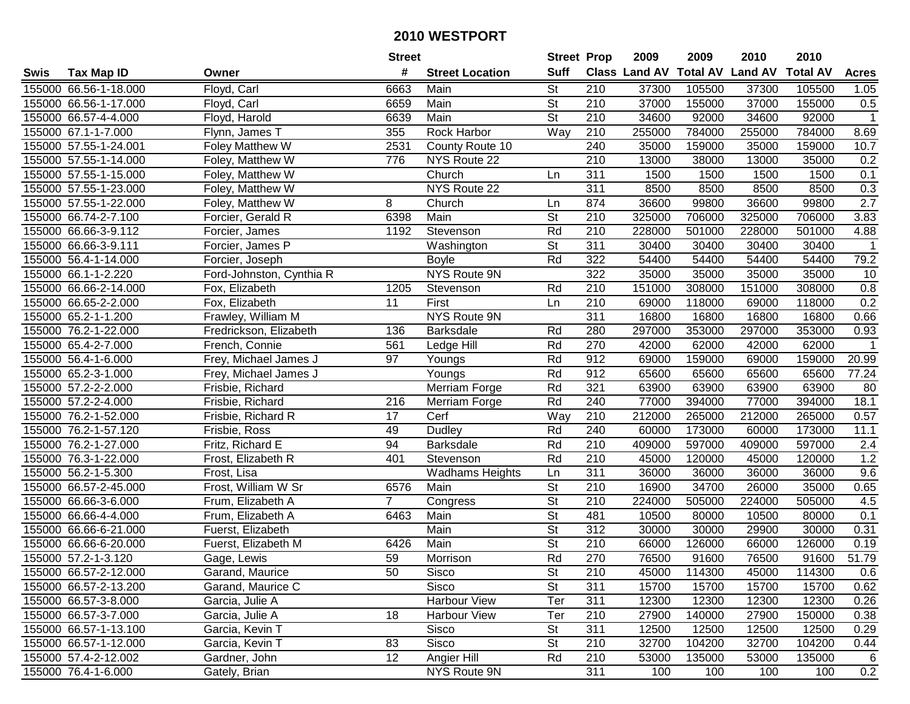|      |                       |                          | <b>Street</b>  |                        | <b>Street Prop</b>       |                  | 2009                 | 2009            | 2010           | 2010            |                  |
|------|-----------------------|--------------------------|----------------|------------------------|--------------------------|------------------|----------------------|-----------------|----------------|-----------------|------------------|
| Swis | <b>Tax Map ID</b>     | Owner                    | #              | <b>Street Location</b> | <b>Suff</b>              |                  | <b>Class Land AV</b> | <b>Total AV</b> | <b>Land AV</b> | <b>Total AV</b> | <b>Acres</b>     |
|      | 155000 66.56-1-18.000 | Floyd, Carl              | 6663           | Main                   | <b>St</b>                | 210              | 37300                | 105500          | 37300          | 105500          | 1.05             |
|      | 155000 66.56-1-17.000 | Floyd, Carl              | 6659           | Main                   | St                       | 210              | 37000                | 155000          | 37000          | 155000          | 0.5              |
|      | 155000 66.57-4-4.000  | Floyd, Harold            | 6639           | Main                   | St                       | 210              | 34600                | 92000           | 34600          | 92000           | $\mathbf{1}$     |
|      | 155000 67.1-1-7.000   | Flynn, James T           | 355            | Rock Harbor            | Way                      | 210              | 255000               | 784000          | 255000         | 784000          | 8.69             |
|      | 155000 57.55-1-24.001 | Foley Matthew W          | 2531           | County Route 10        |                          | 240              | 35000                | 159000          | 35000          | 159000          | 10.7             |
|      | 155000 57.55-1-14.000 | Foley, Matthew W         | 776            | NYS Route 22           |                          | 210              | 13000                | 38000           | 13000          | 35000           | 0.2              |
|      | 155000 57.55-1-15.000 | Foley, Matthew W         |                | Church                 | Ln                       | 311              | 1500                 | 1500            | 1500           | 1500            | 0.1              |
|      | 155000 57.55-1-23.000 | Foley, Matthew W         |                | NYS Route 22           |                          | 311              | 8500                 | 8500            | 8500           | 8500            | 0.3              |
|      | 155000 57.55-1-22.000 | Foley, Matthew W         | 8              | Church                 | Ln                       | 874              | 36600                | 99800           | 36600          | 99800           | $\overline{2.7}$ |
|      | 155000 66.74-2-7.100  | Forcier, Gerald R        | 6398           | Main                   | $\overline{\mathsf{St}}$ | 210              | 325000               | 706000          | 325000         | 706000          | 3.83             |
|      | 155000 66.66-3-9.112  | Forcier, James           | 1192           | Stevenson              | Rd                       | 210              | 228000               | 501000          | 228000         | 501000          | 4.88             |
|      | 155000 66.66-3-9.111  | Forcier, James P         |                | Washington             | St                       | 311              | 30400                | 30400           | 30400          | 30400           | 1                |
|      | 155000 56.4-1-14.000  | Forcier, Joseph          |                | <b>Boyle</b>           | Rd                       | 322              | 54400                | 54400           | 54400          | 54400           | 79.2             |
|      | 155000 66.1-1-2.220   | Ford-Johnston, Cynthia R |                | NYS Route 9N           |                          | 322              | 35000                | 35000           | 35000          | 35000           | 10               |
|      | 155000 66.66-2-14.000 | Fox, Elizabeth           | 1205           | Stevenson              | Rd                       | 210              | 151000               | 308000          | 151000         | 308000          | 0.8              |
|      | 155000 66.65-2-2.000  | Fox, Elizabeth           | 11             | First                  | Ln                       | 210              | 69000                | 118000          | 69000          | 118000          | 0.2              |
|      | 155000 65.2-1-1.200   | Frawley, William M       |                | <b>NYS Route 9N</b>    |                          | $\overline{311}$ | 16800                | 16800           | 16800          | 16800           | 0.66             |
|      | 155000 76.2-1-22.000  | Fredrickson, Elizabeth   | 136            | <b>Barksdale</b>       | Rd                       | 280              | 297000               | 353000          | 297000         | 353000          | 0.93             |
|      | 155000 65.4-2-7.000   | French, Connie           | 561            | Ledge Hill             | Rd                       | 270              | 42000                | 62000           | 42000          | 62000           | $\mathbf 1$      |
|      | 155000 56.4-1-6.000   | Frey, Michael James J    | 97             | Youngs                 | Rd                       | 912              | 69000                | 159000          | 69000          | 159000          | 20.99            |
|      | 155000 65.2-3-1.000   | Frey, Michael James J    |                | Youngs                 | Rd                       | 912              | 65600                | 65600           | 65600          | 65600           | 77.24            |
|      | 155000 57.2-2-2.000   | Frisbie, Richard         |                | Merriam Forge          | Rd                       | 321              | 63900                | 63900           | 63900          | 63900           | 80               |
|      | 155000 57.2-2-4.000   | Frisbie, Richard         | 216            | Merriam Forge          | Rd                       | 240              | 77000                | 394000          | 77000          | 394000          | 18.1             |
|      | 155000 76.2-1-52.000  | Frisbie, Richard R       | 17             | Cerf                   | Way                      | 210              | 212000               | 265000          | 212000         | 265000          | 0.57             |
|      | 155000 76.2-1-57.120  | Frisbie, Ross            | 49             | <b>Dudley</b>          | Rd                       | 240              | 60000                | 173000          | 60000          | 173000          | 11.1             |
|      | 155000 76.2-1-27.000  | Fritz, Richard E         | 94             | <b>Barksdale</b>       | Rd                       | 210              | 409000               | 597000          | 409000         | 597000          | 2.4              |
|      | 155000 76.3-1-22.000  | Frost, Elizabeth R       | 401            | Stevenson              | Rd                       | 210              | 45000                | 120000          | 45000          | 120000          | 1.2              |
|      | 155000 56.2-1-5.300   | Frost, Lisa              |                | <b>Wadhams Heights</b> | Ln                       | 311              | 36000                | 36000           | 36000          | 36000           | 9.6              |
|      | 155000 66.57-2-45.000 | Frost, William W Sr      | 6576           | Main                   | $\overline{\mathsf{St}}$ | 210              | 16900                | 34700           | 26000          | 35000           | 0.65             |
|      | 155000 66.66-3-6.000  | Frum, Elizabeth A        | $\overline{7}$ | Congress               | $\overline{St}$          | $\overline{210}$ | 224000               | 505000          | 224000         | 505000          | 4.5              |
|      | 155000 66.66-4-4.000  | Frum, Elizabeth A        | 6463           | Main                   | $\overline{\mathsf{St}}$ | 481              | 10500                | 80000           | 10500          | 80000           | 0.1              |
|      | 155000 66.66-6-21.000 | Fuerst, Elizabeth        |                | Main                   | $\overline{\mathsf{St}}$ | 312              | 30000                | 30000           | 29900          | 30000           | 0.31             |
|      | 155000 66.66-6-20.000 | Fuerst, Elizabeth M      | 6426           | Main                   | $\overline{\mathsf{St}}$ | $\overline{210}$ | 66000                | 126000          | 66000          | 126000          | 0.19             |
|      | 155000 57.2-1-3.120   | Gage, Lewis              | 59             | Morrison               | Rd                       | 270              | 76500                | 91600           | 76500          | 91600           | 51.79            |
|      | 155000 66.57-2-12.000 | Garand, Maurice          | 50             | Sisco                  | St                       | 210              | 45000                | 114300          | 45000          | 114300          | 0.6              |
|      | 155000 66.57-2-13.200 | Garand, Maurice C        |                | Sisco                  | <b>St</b>                | 311              | 15700                | 15700           | 15700          | 15700           | 0.62             |
|      | 155000 66.57-3-8.000  | Garcia, Julie A          |                | <b>Harbour View</b>    | Ter                      | 311              | 12300                | 12300           | 12300          | 12300           | 0.26             |
|      | 155000 66.57-3-7.000  | Garcia, Julie A          | 18             | Harbour View           | Ter                      | 210              | 27900                | 140000          | 27900          | 150000          | 0.38             |
|      | 155000 66.57-1-13.100 | Garcia, Kevin T          |                | Sisco                  | <b>St</b>                | 311              | 12500                | 12500           | 12500          | 12500           | 0.29             |
|      | 155000 66.57-1-12.000 | Garcia, Kevin T          | 83             | Sisco                  | <b>St</b>                | 210              | 32700                | 104200          | 32700          | 104200          | 0.44             |
|      | 155000 57.4-2-12.002  | Gardner, John            | 12             | Angier Hill            | Rd                       | 210              | 53000                | 135000          | 53000          | 135000          | 6                |
|      | 155000 76.4-1-6.000   | Gately, Brian            |                | NYS Route 9N           |                          | 311              | 100                  | 100             | 100            | 100             | 0.2              |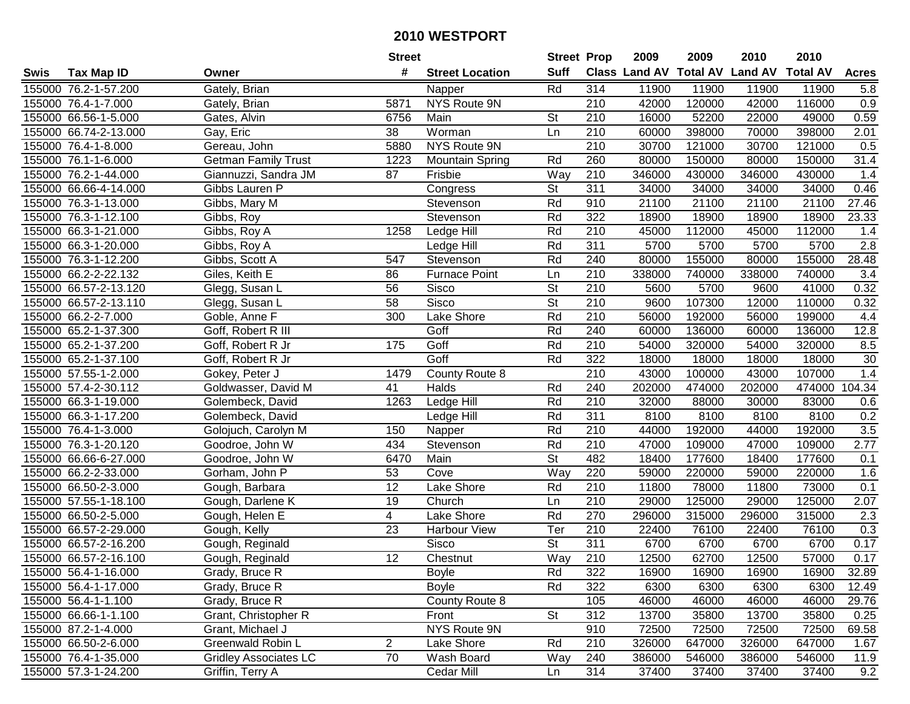|      |                       |                              | <b>Street</b>   |                        | <b>Street Prop</b>       |                  | 2009                          | 2009   | 2010           | 2010            |                  |
|------|-----------------------|------------------------------|-----------------|------------------------|--------------------------|------------------|-------------------------------|--------|----------------|-----------------|------------------|
| Swis | <b>Tax Map ID</b>     | Owner                        | #               | <b>Street Location</b> | <b>Suff</b>              |                  | <b>Class Land AV Total AV</b> |        | <b>Land AV</b> | <b>Total AV</b> | <b>Acres</b>     |
|      | 155000 76.2-1-57.200  | Gately, Brian                |                 | Napper                 | Rd                       | 314              | 11900                         | 11900  | 11900          | 11900           | 5.8              |
|      | 155000 76.4-1-7.000   | Gately, Brian                | 5871            | NYS Route 9N           |                          | 210              | 42000                         | 120000 | 42000          | 116000          | 0.9              |
|      | 155000 66.56-1-5.000  | Gates, Alvin                 | 6756            | Main                   | <b>St</b>                | 210              | 16000                         | 52200  | 22000          | 49000           | 0.59             |
|      | 155000 66.74-2-13.000 | Gay, Eric                    | 38              | Worman                 | Ln                       | 210              | 60000                         | 398000 | 70000          | 398000          | 2.01             |
|      | 155000 76.4-1-8.000   | Gereau, John                 | 5880            | <b>NYS Route 9N</b>    |                          | $\overline{210}$ | 30700                         | 121000 | 30700          | 121000          | 0.5              |
|      | 155000 76.1-1-6.000   | <b>Getman Family Trust</b>   | 1223            | <b>Mountain Spring</b> | Rd                       | 260              | 80000                         | 150000 | 80000          | 150000          | 31.4             |
|      | 155000 76.2-1-44.000  | Giannuzzi, Sandra JM         | 87              | Frisbie                | Way                      | 210              | 346000                        | 430000 | 346000         | 430000          | 1.4              |
|      | 155000 66.66-4-14.000 | Gibbs Lauren P               |                 | Congress               | $\overline{\mathsf{St}}$ | 311              | 34000                         | 34000  | 34000          | 34000           | 0.46             |
|      | 155000 76.3-1-13.000  | Gibbs, Mary M                |                 | Stevenson              | Rd                       | 910              | 21100                         | 21100  | 21100          | 21100           | 27.46            |
|      | 155000 76.3-1-12.100  | Gibbs, Roy                   |                 | Stevenson              | Rd                       | 322              | 18900                         | 18900  | 18900          | 18900           | 23.33            |
|      | 155000 66.3-1-21.000  | Gibbs, Roy A                 | 1258            | Ledge Hill             | Rd                       | 210              | 45000                         | 112000 | 45000          | 112000          | 1.4              |
|      | 155000 66.3-1-20.000  | Gibbs, Roy A                 |                 | Ledge Hill             | Rd                       | 311              | 5700                          | 5700   | 5700           | 5700            | 2.8              |
|      | 155000 76.3-1-12.200  | Gibbs, Scott A               | 547             | Stevenson              | Rd                       | 240              | 80000                         | 155000 | 80000          | 155000          | 28.48            |
|      | 155000 66.2-2-22.132  | Giles, Keith E               | 86              | <b>Furnace Point</b>   | Ln                       | 210              | 338000                        | 740000 | 338000         | 740000          | 3.4              |
|      | 155000 66.57-2-13.120 | Glegg, Susan L               | 56              | Sisco                  | St                       | 210              | 5600                          | 5700   | 9600           | 41000           | 0.32             |
|      | 155000 66.57-2-13.110 | Glegg, Susan L               | 58              | Sisco                  | St                       | 210              | 9600                          | 107300 | 12000          | 110000          | 0.32             |
|      | 155000 66.2-2-7.000   | Goble, Anne F                | 300             | Lake Shore             | Rd                       | $\overline{210}$ | 56000                         | 192000 | 56000          | 199000          | 4.4              |
|      | 155000 65.2-1-37.300  | Goff, Robert R III           |                 | Goff                   | Rd                       | 240              | 60000                         | 136000 | 60000          | 136000          | 12.8             |
|      | 155000 65.2-1-37.200  | Goff, Robert R Jr            | 175             | Goff                   | Rd                       | 210              | 54000                         | 320000 | 54000          | 320000          | 8.5              |
|      | 155000 65.2-1-37.100  | Goff, Robert R Jr            |                 | Goff                   | Rd                       | 322              | 18000                         | 18000  | 18000          | 18000           | $30\,$           |
|      | 155000 57.55-1-2.000  | Gokey, Peter J               | 1479            | County Route 8         |                          | 210              | 43000                         | 100000 | 43000          | 107000          | 1.4              |
|      | 155000 57.4-2-30.112  | Goldwasser, David M          | 41              | Halds                  | Rd                       | 240              | 202000                        | 474000 | 202000         | 474000          | 104.34           |
|      | 155000 66.3-1-19.000  | Golembeck, David             | 1263            | Ledge Hill             | Rd                       | 210              | 32000                         | 88000  | 30000          | 83000           | 0.6              |
|      | 155000 66.3-1-17.200  | Golembeck, David             |                 | Ledge Hill             | Rd                       | 311              | 8100                          | 8100   | 8100           | 8100            | 0.2              |
|      | 155000 76.4-1-3.000   | Golojuch, Carolyn M          | 150             | Napper                 | Rd                       | $\overline{210}$ | 44000                         | 192000 | 44000          | 192000          | 3.5              |
|      | 155000 76.3-1-20.120  | Goodroe, John W              | 434             | Stevenson              | Rd                       | 210              | 47000                         | 109000 | 47000          | 109000          | 2.77             |
|      | 155000 66.66-6-27.000 | Goodroe, John W              | 6470            | Main                   | $\overline{\mathsf{St}}$ | 482              | 18400                         | 177600 | 18400          | 177600          | 0.1              |
|      | 155000 66.2-2-33.000  | Gorham, John P               | 53              | Cove                   | Way                      | 220              | 59000                         | 220000 | 59000          | 220000          | 1.6              |
|      | 155000 66.50-2-3.000  | Gough, Barbara               | $\overline{12}$ | Lake Shore             | Rd                       | $\overline{210}$ | 11800                         | 78000  | 11800          | 73000           | 0.1              |
|      | 155000 57.55-1-18.100 | Gough, Darlene K             | 19              | Church                 | Ln                       | $\overline{210}$ | 29000                         | 125000 | 29000          | 125000          | 2.07             |
|      | 155000 66.50-2-5.000  | Gough, Helen E               | $\overline{4}$  | Lake Shore             | Rd                       | 270              | 296000                        | 315000 | 296000         | 315000          | $\overline{2.3}$ |
|      | 155000 66.57-2-29.000 | Gough, Kelly                 | 23              | Harbour View           | Ter                      | 210              | 22400                         | 76100  | 22400          | 76100           | 0.3              |
|      | 155000 66.57-2-16.200 | Gough, Reginald              |                 | <b>Sisco</b>           | $\overline{\mathsf{St}}$ | 311              | 6700                          | 6700   | 6700           | 6700            | 0.17             |
|      | 155000 66.57-2-16.100 | Gough, Reginald              | 12              | Chestnut               | Way                      | $\overline{210}$ | 12500                         | 62700  | 12500          | 57000           | 0.17             |
|      | 155000 56.4-1-16.000  | Grady, Bruce R               |                 | <b>Boyle</b>           | Rd                       | 322              | 16900                         | 16900  | 16900          | 16900           | 32.89            |
|      | 155000 56.4-1-17.000  | Grady, Bruce R               |                 | <b>Boyle</b>           | Rd                       | 322              | 6300                          | 6300   | 6300           | 6300            | 12.49            |
|      | 155000 56.4-1-1.100   | Grady, Bruce R               |                 | County Route 8         |                          | 105              | 46000                         | 46000  | 46000          | 46000           | 29.76            |
|      | 155000 66.66-1-1.100  | Grant, Christopher R         |                 | Front                  | <b>St</b>                | 312              | 13700                         | 35800  | 13700          | 35800           | 0.25             |
|      | 155000 87.2-1-4.000   | Grant, Michael J             |                 | NYS Route 9N           |                          | 910              | 72500                         | 72500  | 72500          | 72500           | 69.58            |
|      | 155000 66.50-2-6.000  | Greenwald Robin L            | $\overline{c}$  | Lake Shore             | Rd                       | 210              | 326000                        | 647000 | 326000         | 647000          | 1.67             |
|      | 155000 76.4-1-35.000  | <b>Gridley Associates LC</b> | 70              | Wash Board             | Way                      | 240              | 386000                        | 546000 | 386000         | 546000          | 11.9             |
|      | 155000 57.3-1-24.200  | Griffin, Terry A             |                 | Cedar Mill             | Ln                       | 314              | 37400                         | 37400  | 37400          | 37400           | 9.2              |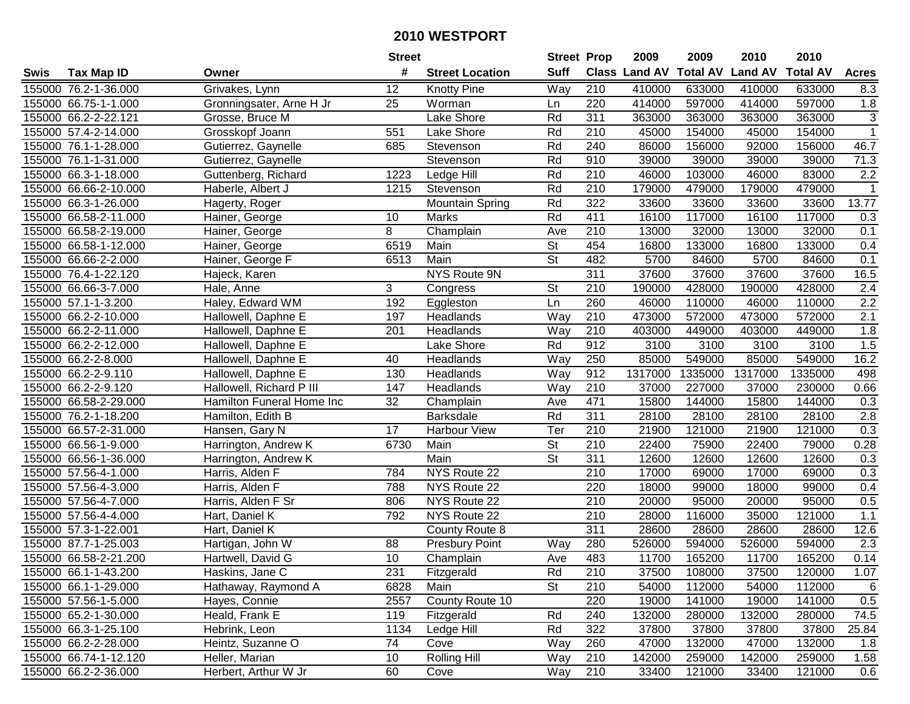|        |                       |                           | <b>Street</b> |                        | <b>Street Prop</b>       |                  | 2009          | 2009            | 2010           | 2010            |                           |
|--------|-----------------------|---------------------------|---------------|------------------------|--------------------------|------------------|---------------|-----------------|----------------|-----------------|---------------------------|
| Swis   | <b>Tax Map ID</b>     | Owner                     | #             | <b>Street Location</b> | <b>Suff</b>              |                  | Class Land AV | <b>Total AV</b> | <b>Land AV</b> | <b>Total AV</b> | <b>Acres</b>              |
|        | 155000 76.2-1-36.000  | Grivakes, Lynn            | 12            | <b>Knotty Pine</b>     | Way                      | 210              | 410000        | 633000          | 410000         | 633000          | 8.3                       |
|        | 155000 66.75-1-1.000  | Gronningsater, Arne H Jr  | 25            | Worman                 | Ln                       | 220              | 414000        | 597000          | 414000         | 597000          | 1.8                       |
|        | 155000 66.2-2-22.121  | Grosse, Bruce M           |               | Lake Shore             | Rd                       | 311              | 363000        | 363000          | 363000         | 363000          | $\ensuremath{\mathsf{3}}$ |
|        | 155000 57.4-2-14.000  | Grosskopf Joann           | 551           | Lake Shore             | Rd                       | 210              | 45000         | 154000          | 45000          | 154000          | $\overline{1}$            |
|        | 155000 76.1-1-28.000  | Gutierrez, Gaynelle       | 685           | Stevenson              | Rd                       | 240              | 86000         | 156000          | 92000          | 156000          | 46.7                      |
|        | 155000 76.1-1-31.000  | Gutierrez, Gaynelle       |               | Stevenson              | Rd                       | 910              | 39000         | 39000           | 39000          | 39000           | 71.3                      |
|        | 155000 66.3-1-18.000  | Guttenberg, Richard       | 1223          | Ledge Hill             | Rd                       | 210              | 46000         | 103000          | 46000          | 83000           | 2.2                       |
|        | 155000 66.66-2-10.000 | Haberle, Albert J         | 1215          | Stevenson              | Rd                       | 210              | 179000        | 479000          | 179000         | 479000          | $\mathbf 1$               |
|        | 155000 66.3-1-26.000  | Hagerty, Roger            |               | <b>Mountain Spring</b> | Rd                       | 322              | 33600         | 33600           | 33600          | 33600           | 13.77                     |
|        | 155000 66.58-2-11.000 | Hainer, George            | 10            | <b>Marks</b>           | Rd                       | 411              | 16100         | 117000          | 16100          | 117000          | 0.3                       |
|        | 155000 66.58-2-19.000 | Hainer, George            | 8             | Champlain              | Ave                      | 210              | 13000         | 32000           | 13000          | 32000           | 0.1                       |
|        | 155000 66.58-1-12.000 | Hainer, George            | 6519          | Main                   | <b>St</b>                | 454              | 16800         | 133000          | 16800          | 133000          | 0.4                       |
|        | 155000 66.66-2-2.000  | Hainer, George F          | 6513          | Main                   | $\overline{\mathsf{St}}$ | 482              | 5700          | 84600           | 5700           | 84600           | 0.1                       |
|        | 155000 76.4-1-22.120  | Hajeck, Karen             |               | NYS Route 9N           |                          | 311              | 37600         | 37600           | 37600          | 37600           | 16.5                      |
|        | 155000 66.66-3-7.000  | Hale, Anne                | 3             | Congress               | <b>St</b>                | 210              | 190000        | 428000          | 190000         | 428000          | 2.4                       |
|        | 155000 57.1-1-3.200   | Haley, Edward WM          | 192           | Eggleston              | Ln                       | 260              | 46000         | 110000          | 46000          | 110000          | 2.2                       |
|        | 155000 66.2-2-10.000  | Hallowell, Daphne E       | 197           | Headlands              | Way                      | 210              | 473000        | 572000          | 473000         | 572000          | $\overline{2.1}$          |
|        | 155000 66.2-2-11.000  | Hallowell, Daphne E       | 201           | Headlands              | Way                      | 210              | 403000        | 449000          | 403000         | 449000          | 1.8                       |
|        | 155000 66.2-2-12.000  | Hallowell, Daphne E       |               | Lake Shore             | Rd                       | 912              | 3100          | 3100            | 3100           | 3100            | 1.5                       |
|        | 155000 66.2-2-8.000   | Hallowell, Daphne E       | 40            | Headlands              | Way                      | 250              | 85000         | 549000          | 85000          | 549000          | 16.2                      |
|        | 155000 66.2-2-9.110   | Hallowell, Daphne E       | 130           | Headlands              | Way                      | 912              | 1317000       | 1335000         | 1317000        | 1335000         | 498                       |
|        | 155000 66.2-2-9.120   | Hallowell, Richard P III  | 147           | Headlands              | Way                      | 210              | 37000         | 227000          | 37000          | 230000          | 0.66                      |
| 155000 | 66.58-2-29.000        | Hamilton Funeral Home Inc | 32            | Champlain              | Ave                      | 471              | 15800         | 144000          | 15800          | 144000          | 0.3                       |
| 155000 | 76.2-1-18.200         | Hamilton, Edith B         |               | <b>Barksdale</b>       | Rd                       | 311              | 28100         | 28100           | 28100          | 28100           | 2.8                       |
|        | 155000 66.57-2-31.000 | Hansen, Gary N            | 17            | <b>Harbour View</b>    | Ter                      | 210              | 21900         | 121000          | 21900          | 121000          | 0.3                       |
|        | 155000 66.56-1-9.000  | Harrington, Andrew K      | 6730          | Main                   | $\overline{\mathsf{St}}$ | 210              | 22400         | 75900           | 22400          | 79000           | 0.28                      |
|        | 155000 66.56-1-36.000 | Harrington, Andrew K      |               | Main                   | $\overline{\mathsf{St}}$ | 311              | 12600         | 12600           | 12600          | 12600           | 0.3                       |
|        | 155000 57.56-4-1.000  | Harris, Alden F           | 784           | NYS Route 22           |                          | 210              | 17000         | 69000           | 17000          | 69000           | 0.3                       |
|        | 155000 57.56-4-3.000  | Harris, Alden F           | 788           | NYS Route 22           |                          | 220              | 18000         | 99000           | 18000          | 99000           | 0.4                       |
|        | 155000 57.56-4-7.000  | Harris, Alden F Sr        | 806           | NYS Route 22           |                          | $\overline{210}$ | 20000         | 95000           | 20000          | 95000           | 0.5                       |
|        | 155000 57.56-4-4.000  | Hart, Daniel K            | 792           | NYS Route 22           |                          | $\overline{210}$ | 28000         | 116000          | 35000          | 121000          | 1.1                       |
|        | 155000 57.3-1-22.001  | Hart, Daniel K            |               | County Route 8         |                          | 311              | 28600         | 28600           | 28600          | 28600           | 12.6                      |
|        | 155000 87.7-1-25.003  | Hartigan, John W          | 88            | <b>Presbury Point</b>  | Way                      | 280              | 526000        | 594000          | 526000         | 594000          | $\overline{2.3}$          |
|        | 155000 66.58-2-21.200 | Hartwell, David G         | 10            | Champlain              | Ave                      | 483              | 11700         | 165200          | 11700          | 165200          | 0.14                      |
|        | 155000 66.1-1-43.200  | Haskins, Jane C           | 231           | Fitzgerald             | Rd                       | 210              | 37500         | 108000          | 37500          | 120000          | 1.07                      |
|        | 155000 66.1-1-29.000  | Hathaway, Raymond A       | 6828          | Main                   | <b>St</b>                | 210              | 54000         | 112000          | 54000          | 112000          | 6                         |
|        | 155000 57.56-1-5.000  | Hayes, Connie             | 2557          | County Route 10        |                          | 220              | 19000         | 141000          | 19000          | 141000          | 0.5                       |
|        | 155000 65.2-1-30.000  | Heald, Frank E            | 119           | Fitzgerald             | Rd                       | 240              | 132000        | 280000          | 132000         | 280000          | 74.5                      |
|        | 155000 66.3-1-25.100  | Hebrink, Leon             | 1134          | Ledge Hill             | Rd                       | 322              | 37800         | 37800           | 37800          | 37800           | 25.84                     |
|        | 155000 66.2-2-28.000  | Heintz, Suzanne O         | 74            | Cove                   | Way                      | 260              | 47000         | 132000          | 47000          | 132000          | 1.8                       |
|        | 155000 66.74-1-12.120 | Heller, Marian            | 10            | Rolling Hill           | Way                      | 210              | 142000        | 259000          | 142000         | 259000          | 1.58                      |
|        | 155000 66.2-2-36.000  | Herbert, Arthur W Jr      | 60            | Cove                   | Way                      | 210              | 33400         | 121000          | 33400          | 121000          | 0.6                       |
|        |                       |                           |               |                        |                          |                  |               |                 |                |                 |                           |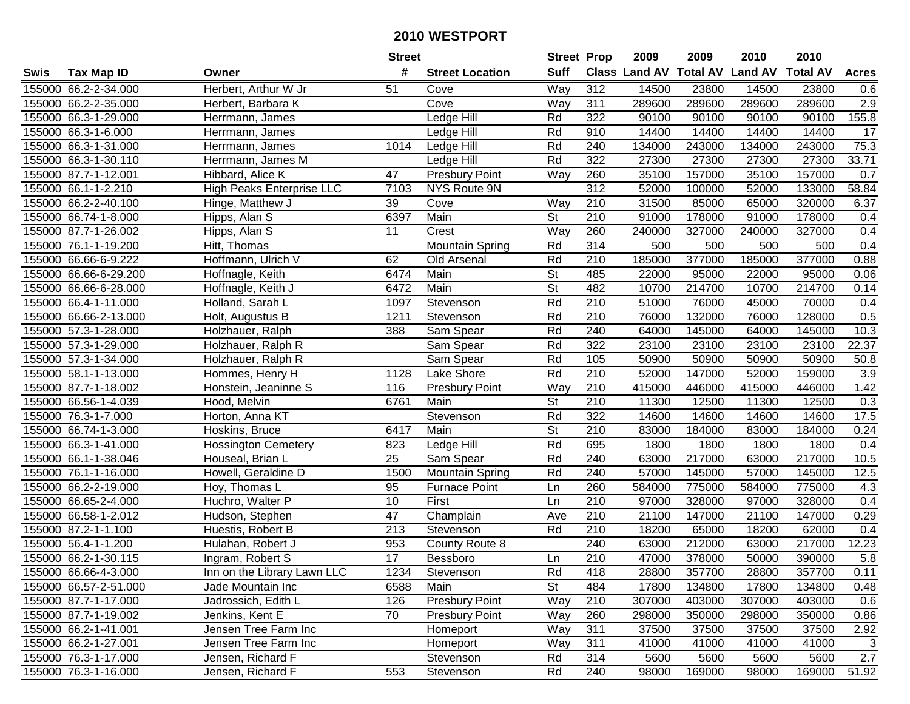| #<br><b>Suff</b><br><b>Total AV</b><br>Class Land AV<br><b>Land AV</b><br><b>Total AV</b><br><b>Tax Map ID</b><br><b>Street Location</b><br><b>Acres</b><br>Owner<br>Herbert, Arthur W Jr<br>Way<br>312<br>155000 66.2-2-34.000<br>51<br>14500<br>23800<br>14500<br>23800<br>Cove<br>0.6<br>Cove<br>2.9<br>155000 66.2-2-35.000<br>Way<br>311<br>289600<br>289600<br>289600<br>289600<br>Herbert, Barbara K<br>155000 66.3-1-29.000<br>322<br>90100<br>90100<br>90100<br>90100<br>155.8<br>Ledge Hill<br>Rd<br>Herrmann, James<br>Rd<br>14400<br>14400<br>17<br>155000 66.3-1-6.000<br>910<br>14400<br>14400<br>Herrmann, James<br>Ledge Hill<br>75.3<br>155000 66.3-1-31.000<br>1014<br>Rd<br>240<br>134000<br>243000<br>134000<br>243000<br>Herrmann, James<br>Ledge Hill<br>Rd<br>322<br>27300<br>27300<br>33.71<br>155000 66.3-1-30.110<br>27300<br>27300<br>Herrmann, James M<br>Ledge Hill<br>47<br>Way<br>35100<br>157000<br>35100<br>157000<br>0.7<br>155000 87.7-1-12.001<br>Hibbard, Alice K<br><b>Presbury Point</b><br>260<br><b>High Peaks Enterprise LLC</b><br>312<br>58.84<br>52000<br>133000<br>155000 66.1-1-2.210<br>7103<br>NYS Route 9N<br>100000<br>52000<br>$\overline{210}$<br>31500<br>155000 66.2-2-40.100<br>39<br>Cove<br>Way<br>85000<br>65000<br>320000<br>6.37<br>Hinge, Matthew J<br>$\overline{\mathsf{St}}$<br>6397<br>Main<br>210<br>91000<br>155000 66.74-1-8.000<br>178000<br>91000<br>178000<br>Hipps, Alan S<br>0.4<br>155000 87.7-1-26.002<br>Hipps, Alan S<br>11<br>Crest<br>Way<br>260<br>240000<br>327000<br>240000<br>327000<br>0.4<br>Rd<br>314<br>500<br>500<br>500<br>500<br>0.4<br>155000 76.1-1-19.200<br>Hitt, Thomas<br><b>Mountain Spring</b><br>Rd<br>210<br>185000<br>377000<br>185000<br>377000<br>0.88<br>155000 66.66-6-9.222<br>Hoffmann, Ulrich V<br>62<br>Old Arsenal<br><b>St</b><br>155000 66.66-6-29.200<br>6474<br>Main<br>485<br>22000<br>95000<br>22000<br>95000<br>0.06<br>Hoffnagle, Keith<br>$\overline{\mathsf{St}}$<br>482<br>214700<br>214700<br>155000 66.66-6-28.000<br>6472<br>Main<br>10700<br>10700<br>0.14<br>Hoffnagle, Keith J<br>Rd<br>Stevenson<br>210<br>76000<br>45000<br>70000<br>155000 66.4-1-11.000<br>Holland, Sarah L<br>1097<br>51000<br>0.4<br>Rd<br>210<br>0.5<br>1211<br>Stevenson<br>76000<br>132000<br>76000<br>155000 66.66-2-13.000<br>128000<br>Holt, Augustus B<br>Rd<br>388<br>240<br>64000<br>145000<br>145000<br>10.3<br>155000 57.3-1-28.000<br>Holzhauer, Ralph<br>Sam Spear<br>64000<br>Rd<br>322<br>22.37<br>155000 57.3-1-29.000<br>23100<br>23100<br>23100<br>23100<br>Holzhauer, Ralph R<br>Sam Spear<br>Rd<br>155000 57.3-1-34.000<br>105<br>50900<br>50900<br>50900<br>50900<br>50.8<br>Holzhauer, Ralph R<br>Sam Spear<br>Rd<br>3.9<br>210<br>52000<br>147000<br>52000<br>159000<br>155000 58.1-1-13.000<br>Hommes, Henry H<br>1128<br>Lake Shore<br>1.42<br>155000 87.7-1-18.002<br>Way<br>210<br>415000<br>446000<br>415000<br>446000<br>Honstein, Jeaninne S<br>116<br><b>Presbury Point</b><br>St<br>210<br>0.3<br>155000 66.56-1-4.039<br>6761<br>Main<br>11300<br>12500<br>Hood, Melvin<br>12500<br>11300<br>17.5<br>155000 76.3-1-7.000<br>Stevenson<br>Rd<br>322<br>14600<br>14600<br>14600<br>Horton, Anna KT<br>14600<br>$\overline{\mathsf{St}}$<br>$\overline{210}$<br>6417<br>Main<br>83000<br>155000 66.74-1-3.000<br>184000<br>83000<br>184000<br>0.24<br>Hoskins, Bruce<br>Rd<br>155000 66.3-1-41.000<br>823<br>Ledge Hill<br>695<br>1800<br>1800<br>1800<br>0.4<br><b>Hossington Cemetery</b><br>1800<br>25<br>Rd<br>63000<br>217000<br>217000<br>155000 66.1-1-38.046<br>Houseal, Brian L<br>240<br>63000<br>10.5<br>Sam Spear<br>Rd<br>57000<br>145000<br>155000 76.1-1-16.000<br>1500<br>240<br>57000<br>145000<br>12.5<br>Howell, Geraldine D<br><b>Mountain Spring</b><br>260<br>584000<br>775000<br>584000<br>775000<br>4.3<br>155000 66.2-2-19.000<br>Hoy, Thomas L<br>95<br><b>Furnace Point</b><br>Ln<br>$\overline{210}$<br>155000 66.65-2-4.000<br>Huchro, Walter P<br>10<br>First<br>97000<br>328000<br>97000<br>328000<br>0.4<br>Ln<br>47<br>$\overline{210}$<br>147000<br>147000<br>155000 66.58-1-2.012<br>Champlain<br>21100<br>21100<br>0.29<br>Hudson, Stephen<br>Ave<br>155000 87.2-1-1.100<br>213<br>Rd<br>210<br>18200<br>65000<br>18200<br>62000<br>0.4<br>Huestis, Robert B<br>Stevenson<br>240<br>155000 56.4-1-1.200<br>12.23<br>953<br>63000<br>212000<br>63000<br>217000<br>Hulahan, Robert J<br>County Route 8<br>$\overline{17}$<br>5.8<br>155000 66.2-1-30.115<br>210<br>47000<br>378000<br>50000<br>390000<br>Ingram, Robert S<br>Bessboro<br>Ln<br>155000 66.66-4-3.000<br>Inn on the Library Lawn LLC<br>1234<br>Stevenson<br>Rd<br>418<br>28800<br>357700<br>28800<br>357700<br>0.11<br><b>St</b><br>484<br>155000 66.57-2-51.000<br>Jade Mountain Inc<br>6588<br>Main<br>17800<br>134800<br>17800<br>134800<br>0.48<br><b>Presbury Point</b><br>210<br>307000<br>403000<br>155000 87.7-1-17.000<br>Jadrossich, Edith L<br>126<br>Way<br>307000<br>403000<br>0.6<br>155000 87.7-1-19.002<br>Presbury Point<br>Way<br>260<br>298000<br>350000<br>0.86<br>Jenkins, Kent E<br>70<br>298000<br>350000<br>Way<br>311<br>155000 66.2-1-41.001<br>Jensen Tree Farm Inc<br>Homeport<br>37500<br>37500<br>37500<br>37500<br>2.92<br>311<br>3<br>155000 66.2-1-27.001<br>Jensen Tree Farm Inc<br>Homeport<br>Way<br>41000<br>41000<br>41000<br>41000<br>155000 76.3-1-17.000<br>Jensen, Richard F<br>Rd<br>314<br>5600<br>5600<br>5600<br>5600<br>2.7<br>Stevenson |      |                      |                   | <b>Street</b> |           | <b>Street Prop</b> |     | 2009  | 2009   | 2010  | 2010   |       |
|------------------------------------------------------------------------------------------------------------------------------------------------------------------------------------------------------------------------------------------------------------------------------------------------------------------------------------------------------------------------------------------------------------------------------------------------------------------------------------------------------------------------------------------------------------------------------------------------------------------------------------------------------------------------------------------------------------------------------------------------------------------------------------------------------------------------------------------------------------------------------------------------------------------------------------------------------------------------------------------------------------------------------------------------------------------------------------------------------------------------------------------------------------------------------------------------------------------------------------------------------------------------------------------------------------------------------------------------------------------------------------------------------------------------------------------------------------------------------------------------------------------------------------------------------------------------------------------------------------------------------------------------------------------------------------------------------------------------------------------------------------------------------------------------------------------------------------------------------------------------------------------------------------------------------------------------------------------------------------------------------------------------------------------------------------------------------------------------------------------------------------------------------------------------------------------------------------------------------------------------------------------------------------------------------------------------------------------------------------------------------------------------------------------------------------------------------------------------------------------------------------------------------------------------------------------------------------------------------------------------------------------------------------------------------------------------------------------------------------------------------------------------------------------------------------------------------------------------------------------------------------------------------------------------------------------------------------------------------------------------------------------------------------------------------------------------------------------------------------------------------------------------------------------------------------------------------------------------------------------------------------------------------------------------------------------------------------------------------------------------------------------------------------------------------------------------------------------------------------------------------------------------------------------------------------------------------------------------------------------------------------------------------------------------------------------------------------------------------------------------------------------------------------------------------------------------------------------------------------------------------------------------------------------------------------------------------------------------------------------------------------------------------------------------------------------------------------------------------------------------------------------------------------------------------------------------------------------------------------------------------------------------------------------------------------------------------------------------------------------------------------------------------------------------------------------------------------------------------------------------------------------------------------------------------------------------------------------------------------------------------------------------------------------------------------------------------------------------------------------------------------------------------------------------------------------------------------------------------------------------------------------------------------------------------------------------------------------------------------------------------------------------------------------------------------------------------------------------------------------------------------------------------------------------------------------------------------------------------------------------------------------------------------------------------------------------------------------------------------------------------------------------------------------------------------------------------------------------------------------------------------------------------|------|----------------------|-------------------|---------------|-----------|--------------------|-----|-------|--------|-------|--------|-------|
|                                                                                                                                                                                                                                                                                                                                                                                                                                                                                                                                                                                                                                                                                                                                                                                                                                                                                                                                                                                                                                                                                                                                                                                                                                                                                                                                                                                                                                                                                                                                                                                                                                                                                                                                                                                                                                                                                                                                                                                                                                                                                                                                                                                                                                                                                                                                                                                                                                                                                                                                                                                                                                                                                                                                                                                                                                                                                                                                                                                                                                                                                                                                                                                                                                                                                                                                                                                                                                                                                                                                                                                                                                                                                                                                                                                                                                                                                                                                                                                                                                                                                                                                                                                                                                                                                                                                                                                                                                                                                                                                                                                                                                                                                                                                                                                                                                                                                                                                                                                                                                                                                                                                                                                                                                                                                                                                                                                                                                                                                                                              | Swis |                      |                   |               |           |                    |     |       |        |       |        |       |
|                                                                                                                                                                                                                                                                                                                                                                                                                                                                                                                                                                                                                                                                                                                                                                                                                                                                                                                                                                                                                                                                                                                                                                                                                                                                                                                                                                                                                                                                                                                                                                                                                                                                                                                                                                                                                                                                                                                                                                                                                                                                                                                                                                                                                                                                                                                                                                                                                                                                                                                                                                                                                                                                                                                                                                                                                                                                                                                                                                                                                                                                                                                                                                                                                                                                                                                                                                                                                                                                                                                                                                                                                                                                                                                                                                                                                                                                                                                                                                                                                                                                                                                                                                                                                                                                                                                                                                                                                                                                                                                                                                                                                                                                                                                                                                                                                                                                                                                                                                                                                                                                                                                                                                                                                                                                                                                                                                                                                                                                                                                              |      |                      |                   |               |           |                    |     |       |        |       |        |       |
|                                                                                                                                                                                                                                                                                                                                                                                                                                                                                                                                                                                                                                                                                                                                                                                                                                                                                                                                                                                                                                                                                                                                                                                                                                                                                                                                                                                                                                                                                                                                                                                                                                                                                                                                                                                                                                                                                                                                                                                                                                                                                                                                                                                                                                                                                                                                                                                                                                                                                                                                                                                                                                                                                                                                                                                                                                                                                                                                                                                                                                                                                                                                                                                                                                                                                                                                                                                                                                                                                                                                                                                                                                                                                                                                                                                                                                                                                                                                                                                                                                                                                                                                                                                                                                                                                                                                                                                                                                                                                                                                                                                                                                                                                                                                                                                                                                                                                                                                                                                                                                                                                                                                                                                                                                                                                                                                                                                                                                                                                                                              |      |                      |                   |               |           |                    |     |       |        |       |        |       |
|                                                                                                                                                                                                                                                                                                                                                                                                                                                                                                                                                                                                                                                                                                                                                                                                                                                                                                                                                                                                                                                                                                                                                                                                                                                                                                                                                                                                                                                                                                                                                                                                                                                                                                                                                                                                                                                                                                                                                                                                                                                                                                                                                                                                                                                                                                                                                                                                                                                                                                                                                                                                                                                                                                                                                                                                                                                                                                                                                                                                                                                                                                                                                                                                                                                                                                                                                                                                                                                                                                                                                                                                                                                                                                                                                                                                                                                                                                                                                                                                                                                                                                                                                                                                                                                                                                                                                                                                                                                                                                                                                                                                                                                                                                                                                                                                                                                                                                                                                                                                                                                                                                                                                                                                                                                                                                                                                                                                                                                                                                                              |      |                      |                   |               |           |                    |     |       |        |       |        |       |
|                                                                                                                                                                                                                                                                                                                                                                                                                                                                                                                                                                                                                                                                                                                                                                                                                                                                                                                                                                                                                                                                                                                                                                                                                                                                                                                                                                                                                                                                                                                                                                                                                                                                                                                                                                                                                                                                                                                                                                                                                                                                                                                                                                                                                                                                                                                                                                                                                                                                                                                                                                                                                                                                                                                                                                                                                                                                                                                                                                                                                                                                                                                                                                                                                                                                                                                                                                                                                                                                                                                                                                                                                                                                                                                                                                                                                                                                                                                                                                                                                                                                                                                                                                                                                                                                                                                                                                                                                                                                                                                                                                                                                                                                                                                                                                                                                                                                                                                                                                                                                                                                                                                                                                                                                                                                                                                                                                                                                                                                                                                              |      |                      |                   |               |           |                    |     |       |        |       |        |       |
|                                                                                                                                                                                                                                                                                                                                                                                                                                                                                                                                                                                                                                                                                                                                                                                                                                                                                                                                                                                                                                                                                                                                                                                                                                                                                                                                                                                                                                                                                                                                                                                                                                                                                                                                                                                                                                                                                                                                                                                                                                                                                                                                                                                                                                                                                                                                                                                                                                                                                                                                                                                                                                                                                                                                                                                                                                                                                                                                                                                                                                                                                                                                                                                                                                                                                                                                                                                                                                                                                                                                                                                                                                                                                                                                                                                                                                                                                                                                                                                                                                                                                                                                                                                                                                                                                                                                                                                                                                                                                                                                                                                                                                                                                                                                                                                                                                                                                                                                                                                                                                                                                                                                                                                                                                                                                                                                                                                                                                                                                                                              |      |                      |                   |               |           |                    |     |       |        |       |        |       |
|                                                                                                                                                                                                                                                                                                                                                                                                                                                                                                                                                                                                                                                                                                                                                                                                                                                                                                                                                                                                                                                                                                                                                                                                                                                                                                                                                                                                                                                                                                                                                                                                                                                                                                                                                                                                                                                                                                                                                                                                                                                                                                                                                                                                                                                                                                                                                                                                                                                                                                                                                                                                                                                                                                                                                                                                                                                                                                                                                                                                                                                                                                                                                                                                                                                                                                                                                                                                                                                                                                                                                                                                                                                                                                                                                                                                                                                                                                                                                                                                                                                                                                                                                                                                                                                                                                                                                                                                                                                                                                                                                                                                                                                                                                                                                                                                                                                                                                                                                                                                                                                                                                                                                                                                                                                                                                                                                                                                                                                                                                                              |      |                      |                   |               |           |                    |     |       |        |       |        |       |
|                                                                                                                                                                                                                                                                                                                                                                                                                                                                                                                                                                                                                                                                                                                                                                                                                                                                                                                                                                                                                                                                                                                                                                                                                                                                                                                                                                                                                                                                                                                                                                                                                                                                                                                                                                                                                                                                                                                                                                                                                                                                                                                                                                                                                                                                                                                                                                                                                                                                                                                                                                                                                                                                                                                                                                                                                                                                                                                                                                                                                                                                                                                                                                                                                                                                                                                                                                                                                                                                                                                                                                                                                                                                                                                                                                                                                                                                                                                                                                                                                                                                                                                                                                                                                                                                                                                                                                                                                                                                                                                                                                                                                                                                                                                                                                                                                                                                                                                                                                                                                                                                                                                                                                                                                                                                                                                                                                                                                                                                                                                              |      |                      |                   |               |           |                    |     |       |        |       |        |       |
|                                                                                                                                                                                                                                                                                                                                                                                                                                                                                                                                                                                                                                                                                                                                                                                                                                                                                                                                                                                                                                                                                                                                                                                                                                                                                                                                                                                                                                                                                                                                                                                                                                                                                                                                                                                                                                                                                                                                                                                                                                                                                                                                                                                                                                                                                                                                                                                                                                                                                                                                                                                                                                                                                                                                                                                                                                                                                                                                                                                                                                                                                                                                                                                                                                                                                                                                                                                                                                                                                                                                                                                                                                                                                                                                                                                                                                                                                                                                                                                                                                                                                                                                                                                                                                                                                                                                                                                                                                                                                                                                                                                                                                                                                                                                                                                                                                                                                                                                                                                                                                                                                                                                                                                                                                                                                                                                                                                                                                                                                                                              |      |                      |                   |               |           |                    |     |       |        |       |        |       |
|                                                                                                                                                                                                                                                                                                                                                                                                                                                                                                                                                                                                                                                                                                                                                                                                                                                                                                                                                                                                                                                                                                                                                                                                                                                                                                                                                                                                                                                                                                                                                                                                                                                                                                                                                                                                                                                                                                                                                                                                                                                                                                                                                                                                                                                                                                                                                                                                                                                                                                                                                                                                                                                                                                                                                                                                                                                                                                                                                                                                                                                                                                                                                                                                                                                                                                                                                                                                                                                                                                                                                                                                                                                                                                                                                                                                                                                                                                                                                                                                                                                                                                                                                                                                                                                                                                                                                                                                                                                                                                                                                                                                                                                                                                                                                                                                                                                                                                                                                                                                                                                                                                                                                                                                                                                                                                                                                                                                                                                                                                                              |      |                      |                   |               |           |                    |     |       |        |       |        |       |
|                                                                                                                                                                                                                                                                                                                                                                                                                                                                                                                                                                                                                                                                                                                                                                                                                                                                                                                                                                                                                                                                                                                                                                                                                                                                                                                                                                                                                                                                                                                                                                                                                                                                                                                                                                                                                                                                                                                                                                                                                                                                                                                                                                                                                                                                                                                                                                                                                                                                                                                                                                                                                                                                                                                                                                                                                                                                                                                                                                                                                                                                                                                                                                                                                                                                                                                                                                                                                                                                                                                                                                                                                                                                                                                                                                                                                                                                                                                                                                                                                                                                                                                                                                                                                                                                                                                                                                                                                                                                                                                                                                                                                                                                                                                                                                                                                                                                                                                                                                                                                                                                                                                                                                                                                                                                                                                                                                                                                                                                                                                              |      |                      |                   |               |           |                    |     |       |        |       |        |       |
|                                                                                                                                                                                                                                                                                                                                                                                                                                                                                                                                                                                                                                                                                                                                                                                                                                                                                                                                                                                                                                                                                                                                                                                                                                                                                                                                                                                                                                                                                                                                                                                                                                                                                                                                                                                                                                                                                                                                                                                                                                                                                                                                                                                                                                                                                                                                                                                                                                                                                                                                                                                                                                                                                                                                                                                                                                                                                                                                                                                                                                                                                                                                                                                                                                                                                                                                                                                                                                                                                                                                                                                                                                                                                                                                                                                                                                                                                                                                                                                                                                                                                                                                                                                                                                                                                                                                                                                                                                                                                                                                                                                                                                                                                                                                                                                                                                                                                                                                                                                                                                                                                                                                                                                                                                                                                                                                                                                                                                                                                                                              |      |                      |                   |               |           |                    |     |       |        |       |        |       |
|                                                                                                                                                                                                                                                                                                                                                                                                                                                                                                                                                                                                                                                                                                                                                                                                                                                                                                                                                                                                                                                                                                                                                                                                                                                                                                                                                                                                                                                                                                                                                                                                                                                                                                                                                                                                                                                                                                                                                                                                                                                                                                                                                                                                                                                                                                                                                                                                                                                                                                                                                                                                                                                                                                                                                                                                                                                                                                                                                                                                                                                                                                                                                                                                                                                                                                                                                                                                                                                                                                                                                                                                                                                                                                                                                                                                                                                                                                                                                                                                                                                                                                                                                                                                                                                                                                                                                                                                                                                                                                                                                                                                                                                                                                                                                                                                                                                                                                                                                                                                                                                                                                                                                                                                                                                                                                                                                                                                                                                                                                                              |      |                      |                   |               |           |                    |     |       |        |       |        |       |
|                                                                                                                                                                                                                                                                                                                                                                                                                                                                                                                                                                                                                                                                                                                                                                                                                                                                                                                                                                                                                                                                                                                                                                                                                                                                                                                                                                                                                                                                                                                                                                                                                                                                                                                                                                                                                                                                                                                                                                                                                                                                                                                                                                                                                                                                                                                                                                                                                                                                                                                                                                                                                                                                                                                                                                                                                                                                                                                                                                                                                                                                                                                                                                                                                                                                                                                                                                                                                                                                                                                                                                                                                                                                                                                                                                                                                                                                                                                                                                                                                                                                                                                                                                                                                                                                                                                                                                                                                                                                                                                                                                                                                                                                                                                                                                                                                                                                                                                                                                                                                                                                                                                                                                                                                                                                                                                                                                                                                                                                                                                              |      |                      |                   |               |           |                    |     |       |        |       |        |       |
|                                                                                                                                                                                                                                                                                                                                                                                                                                                                                                                                                                                                                                                                                                                                                                                                                                                                                                                                                                                                                                                                                                                                                                                                                                                                                                                                                                                                                                                                                                                                                                                                                                                                                                                                                                                                                                                                                                                                                                                                                                                                                                                                                                                                                                                                                                                                                                                                                                                                                                                                                                                                                                                                                                                                                                                                                                                                                                                                                                                                                                                                                                                                                                                                                                                                                                                                                                                                                                                                                                                                                                                                                                                                                                                                                                                                                                                                                                                                                                                                                                                                                                                                                                                                                                                                                                                                                                                                                                                                                                                                                                                                                                                                                                                                                                                                                                                                                                                                                                                                                                                                                                                                                                                                                                                                                                                                                                                                                                                                                                                              |      |                      |                   |               |           |                    |     |       |        |       |        |       |
|                                                                                                                                                                                                                                                                                                                                                                                                                                                                                                                                                                                                                                                                                                                                                                                                                                                                                                                                                                                                                                                                                                                                                                                                                                                                                                                                                                                                                                                                                                                                                                                                                                                                                                                                                                                                                                                                                                                                                                                                                                                                                                                                                                                                                                                                                                                                                                                                                                                                                                                                                                                                                                                                                                                                                                                                                                                                                                                                                                                                                                                                                                                                                                                                                                                                                                                                                                                                                                                                                                                                                                                                                                                                                                                                                                                                                                                                                                                                                                                                                                                                                                                                                                                                                                                                                                                                                                                                                                                                                                                                                                                                                                                                                                                                                                                                                                                                                                                                                                                                                                                                                                                                                                                                                                                                                                                                                                                                                                                                                                                              |      |                      |                   |               |           |                    |     |       |        |       |        |       |
|                                                                                                                                                                                                                                                                                                                                                                                                                                                                                                                                                                                                                                                                                                                                                                                                                                                                                                                                                                                                                                                                                                                                                                                                                                                                                                                                                                                                                                                                                                                                                                                                                                                                                                                                                                                                                                                                                                                                                                                                                                                                                                                                                                                                                                                                                                                                                                                                                                                                                                                                                                                                                                                                                                                                                                                                                                                                                                                                                                                                                                                                                                                                                                                                                                                                                                                                                                                                                                                                                                                                                                                                                                                                                                                                                                                                                                                                                                                                                                                                                                                                                                                                                                                                                                                                                                                                                                                                                                                                                                                                                                                                                                                                                                                                                                                                                                                                                                                                                                                                                                                                                                                                                                                                                                                                                                                                                                                                                                                                                                                              |      |                      |                   |               |           |                    |     |       |        |       |        |       |
|                                                                                                                                                                                                                                                                                                                                                                                                                                                                                                                                                                                                                                                                                                                                                                                                                                                                                                                                                                                                                                                                                                                                                                                                                                                                                                                                                                                                                                                                                                                                                                                                                                                                                                                                                                                                                                                                                                                                                                                                                                                                                                                                                                                                                                                                                                                                                                                                                                                                                                                                                                                                                                                                                                                                                                                                                                                                                                                                                                                                                                                                                                                                                                                                                                                                                                                                                                                                                                                                                                                                                                                                                                                                                                                                                                                                                                                                                                                                                                                                                                                                                                                                                                                                                                                                                                                                                                                                                                                                                                                                                                                                                                                                                                                                                                                                                                                                                                                                                                                                                                                                                                                                                                                                                                                                                                                                                                                                                                                                                                                              |      |                      |                   |               |           |                    |     |       |        |       |        |       |
|                                                                                                                                                                                                                                                                                                                                                                                                                                                                                                                                                                                                                                                                                                                                                                                                                                                                                                                                                                                                                                                                                                                                                                                                                                                                                                                                                                                                                                                                                                                                                                                                                                                                                                                                                                                                                                                                                                                                                                                                                                                                                                                                                                                                                                                                                                                                                                                                                                                                                                                                                                                                                                                                                                                                                                                                                                                                                                                                                                                                                                                                                                                                                                                                                                                                                                                                                                                                                                                                                                                                                                                                                                                                                                                                                                                                                                                                                                                                                                                                                                                                                                                                                                                                                                                                                                                                                                                                                                                                                                                                                                                                                                                                                                                                                                                                                                                                                                                                                                                                                                                                                                                                                                                                                                                                                                                                                                                                                                                                                                                              |      |                      |                   |               |           |                    |     |       |        |       |        |       |
|                                                                                                                                                                                                                                                                                                                                                                                                                                                                                                                                                                                                                                                                                                                                                                                                                                                                                                                                                                                                                                                                                                                                                                                                                                                                                                                                                                                                                                                                                                                                                                                                                                                                                                                                                                                                                                                                                                                                                                                                                                                                                                                                                                                                                                                                                                                                                                                                                                                                                                                                                                                                                                                                                                                                                                                                                                                                                                                                                                                                                                                                                                                                                                                                                                                                                                                                                                                                                                                                                                                                                                                                                                                                                                                                                                                                                                                                                                                                                                                                                                                                                                                                                                                                                                                                                                                                                                                                                                                                                                                                                                                                                                                                                                                                                                                                                                                                                                                                                                                                                                                                                                                                                                                                                                                                                                                                                                                                                                                                                                                              |      |                      |                   |               |           |                    |     |       |        |       |        |       |
|                                                                                                                                                                                                                                                                                                                                                                                                                                                                                                                                                                                                                                                                                                                                                                                                                                                                                                                                                                                                                                                                                                                                                                                                                                                                                                                                                                                                                                                                                                                                                                                                                                                                                                                                                                                                                                                                                                                                                                                                                                                                                                                                                                                                                                                                                                                                                                                                                                                                                                                                                                                                                                                                                                                                                                                                                                                                                                                                                                                                                                                                                                                                                                                                                                                                                                                                                                                                                                                                                                                                                                                                                                                                                                                                                                                                                                                                                                                                                                                                                                                                                                                                                                                                                                                                                                                                                                                                                                                                                                                                                                                                                                                                                                                                                                                                                                                                                                                                                                                                                                                                                                                                                                                                                                                                                                                                                                                                                                                                                                                              |      |                      |                   |               |           |                    |     |       |        |       |        |       |
|                                                                                                                                                                                                                                                                                                                                                                                                                                                                                                                                                                                                                                                                                                                                                                                                                                                                                                                                                                                                                                                                                                                                                                                                                                                                                                                                                                                                                                                                                                                                                                                                                                                                                                                                                                                                                                                                                                                                                                                                                                                                                                                                                                                                                                                                                                                                                                                                                                                                                                                                                                                                                                                                                                                                                                                                                                                                                                                                                                                                                                                                                                                                                                                                                                                                                                                                                                                                                                                                                                                                                                                                                                                                                                                                                                                                                                                                                                                                                                                                                                                                                                                                                                                                                                                                                                                                                                                                                                                                                                                                                                                                                                                                                                                                                                                                                                                                                                                                                                                                                                                                                                                                                                                                                                                                                                                                                                                                                                                                                                                              |      |                      |                   |               |           |                    |     |       |        |       |        |       |
|                                                                                                                                                                                                                                                                                                                                                                                                                                                                                                                                                                                                                                                                                                                                                                                                                                                                                                                                                                                                                                                                                                                                                                                                                                                                                                                                                                                                                                                                                                                                                                                                                                                                                                                                                                                                                                                                                                                                                                                                                                                                                                                                                                                                                                                                                                                                                                                                                                                                                                                                                                                                                                                                                                                                                                                                                                                                                                                                                                                                                                                                                                                                                                                                                                                                                                                                                                                                                                                                                                                                                                                                                                                                                                                                                                                                                                                                                                                                                                                                                                                                                                                                                                                                                                                                                                                                                                                                                                                                                                                                                                                                                                                                                                                                                                                                                                                                                                                                                                                                                                                                                                                                                                                                                                                                                                                                                                                                                                                                                                                              |      |                      |                   |               |           |                    |     |       |        |       |        |       |
|                                                                                                                                                                                                                                                                                                                                                                                                                                                                                                                                                                                                                                                                                                                                                                                                                                                                                                                                                                                                                                                                                                                                                                                                                                                                                                                                                                                                                                                                                                                                                                                                                                                                                                                                                                                                                                                                                                                                                                                                                                                                                                                                                                                                                                                                                                                                                                                                                                                                                                                                                                                                                                                                                                                                                                                                                                                                                                                                                                                                                                                                                                                                                                                                                                                                                                                                                                                                                                                                                                                                                                                                                                                                                                                                                                                                                                                                                                                                                                                                                                                                                                                                                                                                                                                                                                                                                                                                                                                                                                                                                                                                                                                                                                                                                                                                                                                                                                                                                                                                                                                                                                                                                                                                                                                                                                                                                                                                                                                                                                                              |      |                      |                   |               |           |                    |     |       |        |       |        |       |
|                                                                                                                                                                                                                                                                                                                                                                                                                                                                                                                                                                                                                                                                                                                                                                                                                                                                                                                                                                                                                                                                                                                                                                                                                                                                                                                                                                                                                                                                                                                                                                                                                                                                                                                                                                                                                                                                                                                                                                                                                                                                                                                                                                                                                                                                                                                                                                                                                                                                                                                                                                                                                                                                                                                                                                                                                                                                                                                                                                                                                                                                                                                                                                                                                                                                                                                                                                                                                                                                                                                                                                                                                                                                                                                                                                                                                                                                                                                                                                                                                                                                                                                                                                                                                                                                                                                                                                                                                                                                                                                                                                                                                                                                                                                                                                                                                                                                                                                                                                                                                                                                                                                                                                                                                                                                                                                                                                                                                                                                                                                              |      |                      |                   |               |           |                    |     |       |        |       |        |       |
|                                                                                                                                                                                                                                                                                                                                                                                                                                                                                                                                                                                                                                                                                                                                                                                                                                                                                                                                                                                                                                                                                                                                                                                                                                                                                                                                                                                                                                                                                                                                                                                                                                                                                                                                                                                                                                                                                                                                                                                                                                                                                                                                                                                                                                                                                                                                                                                                                                                                                                                                                                                                                                                                                                                                                                                                                                                                                                                                                                                                                                                                                                                                                                                                                                                                                                                                                                                                                                                                                                                                                                                                                                                                                                                                                                                                                                                                                                                                                                                                                                                                                                                                                                                                                                                                                                                                                                                                                                                                                                                                                                                                                                                                                                                                                                                                                                                                                                                                                                                                                                                                                                                                                                                                                                                                                                                                                                                                                                                                                                                              |      |                      |                   |               |           |                    |     |       |        |       |        |       |
|                                                                                                                                                                                                                                                                                                                                                                                                                                                                                                                                                                                                                                                                                                                                                                                                                                                                                                                                                                                                                                                                                                                                                                                                                                                                                                                                                                                                                                                                                                                                                                                                                                                                                                                                                                                                                                                                                                                                                                                                                                                                                                                                                                                                                                                                                                                                                                                                                                                                                                                                                                                                                                                                                                                                                                                                                                                                                                                                                                                                                                                                                                                                                                                                                                                                                                                                                                                                                                                                                                                                                                                                                                                                                                                                                                                                                                                                                                                                                                                                                                                                                                                                                                                                                                                                                                                                                                                                                                                                                                                                                                                                                                                                                                                                                                                                                                                                                                                                                                                                                                                                                                                                                                                                                                                                                                                                                                                                                                                                                                                              |      |                      |                   |               |           |                    |     |       |        |       |        |       |
|                                                                                                                                                                                                                                                                                                                                                                                                                                                                                                                                                                                                                                                                                                                                                                                                                                                                                                                                                                                                                                                                                                                                                                                                                                                                                                                                                                                                                                                                                                                                                                                                                                                                                                                                                                                                                                                                                                                                                                                                                                                                                                                                                                                                                                                                                                                                                                                                                                                                                                                                                                                                                                                                                                                                                                                                                                                                                                                                                                                                                                                                                                                                                                                                                                                                                                                                                                                                                                                                                                                                                                                                                                                                                                                                                                                                                                                                                                                                                                                                                                                                                                                                                                                                                                                                                                                                                                                                                                                                                                                                                                                                                                                                                                                                                                                                                                                                                                                                                                                                                                                                                                                                                                                                                                                                                                                                                                                                                                                                                                                              |      |                      |                   |               |           |                    |     |       |        |       |        |       |
|                                                                                                                                                                                                                                                                                                                                                                                                                                                                                                                                                                                                                                                                                                                                                                                                                                                                                                                                                                                                                                                                                                                                                                                                                                                                                                                                                                                                                                                                                                                                                                                                                                                                                                                                                                                                                                                                                                                                                                                                                                                                                                                                                                                                                                                                                                                                                                                                                                                                                                                                                                                                                                                                                                                                                                                                                                                                                                                                                                                                                                                                                                                                                                                                                                                                                                                                                                                                                                                                                                                                                                                                                                                                                                                                                                                                                                                                                                                                                                                                                                                                                                                                                                                                                                                                                                                                                                                                                                                                                                                                                                                                                                                                                                                                                                                                                                                                                                                                                                                                                                                                                                                                                                                                                                                                                                                                                                                                                                                                                                                              |      |                      |                   |               |           |                    |     |       |        |       |        |       |
|                                                                                                                                                                                                                                                                                                                                                                                                                                                                                                                                                                                                                                                                                                                                                                                                                                                                                                                                                                                                                                                                                                                                                                                                                                                                                                                                                                                                                                                                                                                                                                                                                                                                                                                                                                                                                                                                                                                                                                                                                                                                                                                                                                                                                                                                                                                                                                                                                                                                                                                                                                                                                                                                                                                                                                                                                                                                                                                                                                                                                                                                                                                                                                                                                                                                                                                                                                                                                                                                                                                                                                                                                                                                                                                                                                                                                                                                                                                                                                                                                                                                                                                                                                                                                                                                                                                                                                                                                                                                                                                                                                                                                                                                                                                                                                                                                                                                                                                                                                                                                                                                                                                                                                                                                                                                                                                                                                                                                                                                                                                              |      |                      |                   |               |           |                    |     |       |        |       |        |       |
|                                                                                                                                                                                                                                                                                                                                                                                                                                                                                                                                                                                                                                                                                                                                                                                                                                                                                                                                                                                                                                                                                                                                                                                                                                                                                                                                                                                                                                                                                                                                                                                                                                                                                                                                                                                                                                                                                                                                                                                                                                                                                                                                                                                                                                                                                                                                                                                                                                                                                                                                                                                                                                                                                                                                                                                                                                                                                                                                                                                                                                                                                                                                                                                                                                                                                                                                                                                                                                                                                                                                                                                                                                                                                                                                                                                                                                                                                                                                                                                                                                                                                                                                                                                                                                                                                                                                                                                                                                                                                                                                                                                                                                                                                                                                                                                                                                                                                                                                                                                                                                                                                                                                                                                                                                                                                                                                                                                                                                                                                                                              |      |                      |                   |               |           |                    |     |       |        |       |        |       |
|                                                                                                                                                                                                                                                                                                                                                                                                                                                                                                                                                                                                                                                                                                                                                                                                                                                                                                                                                                                                                                                                                                                                                                                                                                                                                                                                                                                                                                                                                                                                                                                                                                                                                                                                                                                                                                                                                                                                                                                                                                                                                                                                                                                                                                                                                                                                                                                                                                                                                                                                                                                                                                                                                                                                                                                                                                                                                                                                                                                                                                                                                                                                                                                                                                                                                                                                                                                                                                                                                                                                                                                                                                                                                                                                                                                                                                                                                                                                                                                                                                                                                                                                                                                                                                                                                                                                                                                                                                                                                                                                                                                                                                                                                                                                                                                                                                                                                                                                                                                                                                                                                                                                                                                                                                                                                                                                                                                                                                                                                                                              |      |                      |                   |               |           |                    |     |       |        |       |        |       |
|                                                                                                                                                                                                                                                                                                                                                                                                                                                                                                                                                                                                                                                                                                                                                                                                                                                                                                                                                                                                                                                                                                                                                                                                                                                                                                                                                                                                                                                                                                                                                                                                                                                                                                                                                                                                                                                                                                                                                                                                                                                                                                                                                                                                                                                                                                                                                                                                                                                                                                                                                                                                                                                                                                                                                                                                                                                                                                                                                                                                                                                                                                                                                                                                                                                                                                                                                                                                                                                                                                                                                                                                                                                                                                                                                                                                                                                                                                                                                                                                                                                                                                                                                                                                                                                                                                                                                                                                                                                                                                                                                                                                                                                                                                                                                                                                                                                                                                                                                                                                                                                                                                                                                                                                                                                                                                                                                                                                                                                                                                                              |      |                      |                   |               |           |                    |     |       |        |       |        |       |
|                                                                                                                                                                                                                                                                                                                                                                                                                                                                                                                                                                                                                                                                                                                                                                                                                                                                                                                                                                                                                                                                                                                                                                                                                                                                                                                                                                                                                                                                                                                                                                                                                                                                                                                                                                                                                                                                                                                                                                                                                                                                                                                                                                                                                                                                                                                                                                                                                                                                                                                                                                                                                                                                                                                                                                                                                                                                                                                                                                                                                                                                                                                                                                                                                                                                                                                                                                                                                                                                                                                                                                                                                                                                                                                                                                                                                                                                                                                                                                                                                                                                                                                                                                                                                                                                                                                                                                                                                                                                                                                                                                                                                                                                                                                                                                                                                                                                                                                                                                                                                                                                                                                                                                                                                                                                                                                                                                                                                                                                                                                              |      |                      |                   |               |           |                    |     |       |        |       |        |       |
|                                                                                                                                                                                                                                                                                                                                                                                                                                                                                                                                                                                                                                                                                                                                                                                                                                                                                                                                                                                                                                                                                                                                                                                                                                                                                                                                                                                                                                                                                                                                                                                                                                                                                                                                                                                                                                                                                                                                                                                                                                                                                                                                                                                                                                                                                                                                                                                                                                                                                                                                                                                                                                                                                                                                                                                                                                                                                                                                                                                                                                                                                                                                                                                                                                                                                                                                                                                                                                                                                                                                                                                                                                                                                                                                                                                                                                                                                                                                                                                                                                                                                                                                                                                                                                                                                                                                                                                                                                                                                                                                                                                                                                                                                                                                                                                                                                                                                                                                                                                                                                                                                                                                                                                                                                                                                                                                                                                                                                                                                                                              |      |                      |                   |               |           |                    |     |       |        |       |        |       |
|                                                                                                                                                                                                                                                                                                                                                                                                                                                                                                                                                                                                                                                                                                                                                                                                                                                                                                                                                                                                                                                                                                                                                                                                                                                                                                                                                                                                                                                                                                                                                                                                                                                                                                                                                                                                                                                                                                                                                                                                                                                                                                                                                                                                                                                                                                                                                                                                                                                                                                                                                                                                                                                                                                                                                                                                                                                                                                                                                                                                                                                                                                                                                                                                                                                                                                                                                                                                                                                                                                                                                                                                                                                                                                                                                                                                                                                                                                                                                                                                                                                                                                                                                                                                                                                                                                                                                                                                                                                                                                                                                                                                                                                                                                                                                                                                                                                                                                                                                                                                                                                                                                                                                                                                                                                                                                                                                                                                                                                                                                                              |      |                      |                   |               |           |                    |     |       |        |       |        |       |
|                                                                                                                                                                                                                                                                                                                                                                                                                                                                                                                                                                                                                                                                                                                                                                                                                                                                                                                                                                                                                                                                                                                                                                                                                                                                                                                                                                                                                                                                                                                                                                                                                                                                                                                                                                                                                                                                                                                                                                                                                                                                                                                                                                                                                                                                                                                                                                                                                                                                                                                                                                                                                                                                                                                                                                                                                                                                                                                                                                                                                                                                                                                                                                                                                                                                                                                                                                                                                                                                                                                                                                                                                                                                                                                                                                                                                                                                                                                                                                                                                                                                                                                                                                                                                                                                                                                                                                                                                                                                                                                                                                                                                                                                                                                                                                                                                                                                                                                                                                                                                                                                                                                                                                                                                                                                                                                                                                                                                                                                                                                              |      |                      |                   |               |           |                    |     |       |        |       |        |       |
|                                                                                                                                                                                                                                                                                                                                                                                                                                                                                                                                                                                                                                                                                                                                                                                                                                                                                                                                                                                                                                                                                                                                                                                                                                                                                                                                                                                                                                                                                                                                                                                                                                                                                                                                                                                                                                                                                                                                                                                                                                                                                                                                                                                                                                                                                                                                                                                                                                                                                                                                                                                                                                                                                                                                                                                                                                                                                                                                                                                                                                                                                                                                                                                                                                                                                                                                                                                                                                                                                                                                                                                                                                                                                                                                                                                                                                                                                                                                                                                                                                                                                                                                                                                                                                                                                                                                                                                                                                                                                                                                                                                                                                                                                                                                                                                                                                                                                                                                                                                                                                                                                                                                                                                                                                                                                                                                                                                                                                                                                                                              |      |                      |                   |               |           |                    |     |       |        |       |        |       |
|                                                                                                                                                                                                                                                                                                                                                                                                                                                                                                                                                                                                                                                                                                                                                                                                                                                                                                                                                                                                                                                                                                                                                                                                                                                                                                                                                                                                                                                                                                                                                                                                                                                                                                                                                                                                                                                                                                                                                                                                                                                                                                                                                                                                                                                                                                                                                                                                                                                                                                                                                                                                                                                                                                                                                                                                                                                                                                                                                                                                                                                                                                                                                                                                                                                                                                                                                                                                                                                                                                                                                                                                                                                                                                                                                                                                                                                                                                                                                                                                                                                                                                                                                                                                                                                                                                                                                                                                                                                                                                                                                                                                                                                                                                                                                                                                                                                                                                                                                                                                                                                                                                                                                                                                                                                                                                                                                                                                                                                                                                                              |      |                      |                   |               |           |                    |     |       |        |       |        |       |
|                                                                                                                                                                                                                                                                                                                                                                                                                                                                                                                                                                                                                                                                                                                                                                                                                                                                                                                                                                                                                                                                                                                                                                                                                                                                                                                                                                                                                                                                                                                                                                                                                                                                                                                                                                                                                                                                                                                                                                                                                                                                                                                                                                                                                                                                                                                                                                                                                                                                                                                                                                                                                                                                                                                                                                                                                                                                                                                                                                                                                                                                                                                                                                                                                                                                                                                                                                                                                                                                                                                                                                                                                                                                                                                                                                                                                                                                                                                                                                                                                                                                                                                                                                                                                                                                                                                                                                                                                                                                                                                                                                                                                                                                                                                                                                                                                                                                                                                                                                                                                                                                                                                                                                                                                                                                                                                                                                                                                                                                                                                              |      |                      |                   |               |           |                    |     |       |        |       |        |       |
|                                                                                                                                                                                                                                                                                                                                                                                                                                                                                                                                                                                                                                                                                                                                                                                                                                                                                                                                                                                                                                                                                                                                                                                                                                                                                                                                                                                                                                                                                                                                                                                                                                                                                                                                                                                                                                                                                                                                                                                                                                                                                                                                                                                                                                                                                                                                                                                                                                                                                                                                                                                                                                                                                                                                                                                                                                                                                                                                                                                                                                                                                                                                                                                                                                                                                                                                                                                                                                                                                                                                                                                                                                                                                                                                                                                                                                                                                                                                                                                                                                                                                                                                                                                                                                                                                                                                                                                                                                                                                                                                                                                                                                                                                                                                                                                                                                                                                                                                                                                                                                                                                                                                                                                                                                                                                                                                                                                                                                                                                                                              |      |                      |                   |               |           |                    |     |       |        |       |        |       |
|                                                                                                                                                                                                                                                                                                                                                                                                                                                                                                                                                                                                                                                                                                                                                                                                                                                                                                                                                                                                                                                                                                                                                                                                                                                                                                                                                                                                                                                                                                                                                                                                                                                                                                                                                                                                                                                                                                                                                                                                                                                                                                                                                                                                                                                                                                                                                                                                                                                                                                                                                                                                                                                                                                                                                                                                                                                                                                                                                                                                                                                                                                                                                                                                                                                                                                                                                                                                                                                                                                                                                                                                                                                                                                                                                                                                                                                                                                                                                                                                                                                                                                                                                                                                                                                                                                                                                                                                                                                                                                                                                                                                                                                                                                                                                                                                                                                                                                                                                                                                                                                                                                                                                                                                                                                                                                                                                                                                                                                                                                                              |      |                      |                   |               |           |                    |     |       |        |       |        |       |
|                                                                                                                                                                                                                                                                                                                                                                                                                                                                                                                                                                                                                                                                                                                                                                                                                                                                                                                                                                                                                                                                                                                                                                                                                                                                                                                                                                                                                                                                                                                                                                                                                                                                                                                                                                                                                                                                                                                                                                                                                                                                                                                                                                                                                                                                                                                                                                                                                                                                                                                                                                                                                                                                                                                                                                                                                                                                                                                                                                                                                                                                                                                                                                                                                                                                                                                                                                                                                                                                                                                                                                                                                                                                                                                                                                                                                                                                                                                                                                                                                                                                                                                                                                                                                                                                                                                                                                                                                                                                                                                                                                                                                                                                                                                                                                                                                                                                                                                                                                                                                                                                                                                                                                                                                                                                                                                                                                                                                                                                                                                              |      | 155000 76.3-1-16.000 | Jensen, Richard F | 553           | Stevenson | Rd                 | 240 | 98000 | 169000 | 98000 | 169000 | 51.92 |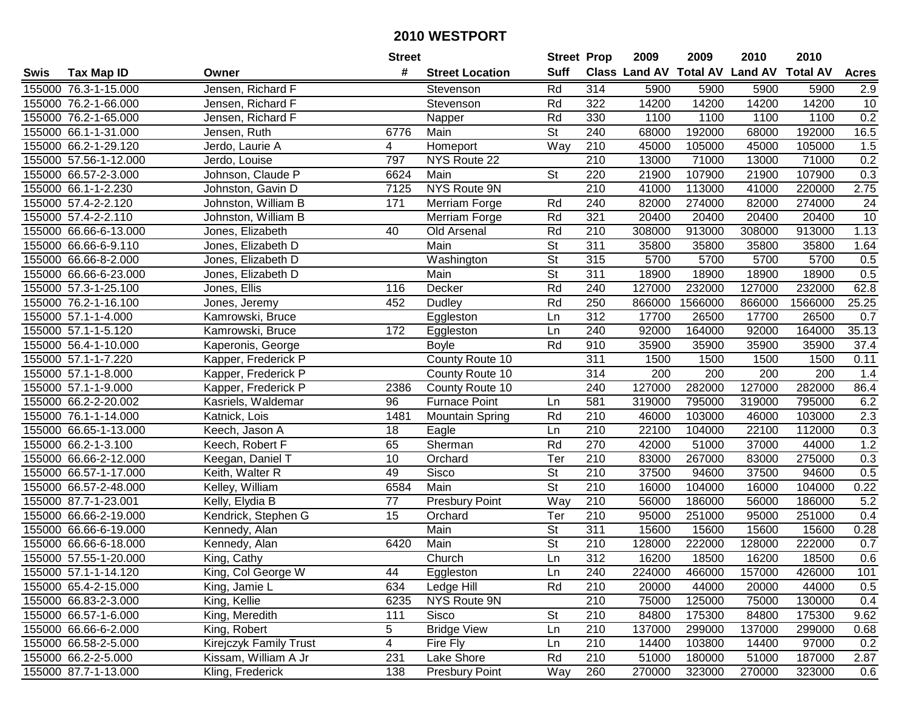|      |                       |                        | <b>Street</b>   |                        | <b>Street Prop</b>       |                  | 2009                          | 2009    | 2010           | 2010            |              |
|------|-----------------------|------------------------|-----------------|------------------------|--------------------------|------------------|-------------------------------|---------|----------------|-----------------|--------------|
| Swis | <b>Tax Map ID</b>     | Owner                  | #               | <b>Street Location</b> | <b>Suff</b>              |                  | <b>Class Land AV Total AV</b> |         | <b>Land AV</b> | <b>Total AV</b> | <b>Acres</b> |
|      | 155000 76.3-1-15.000  | Jensen, Richard F      |                 | Stevenson              | Rd                       | 314              | 5900                          | 5900    | 5900           | 5900            | 2.9          |
|      | 155000 76.2-1-66.000  | Jensen, Richard F      |                 | Stevenson              | Rd                       | 322              | 14200                         | 14200   | 14200          | 14200           | 10           |
|      | 155000 76.2-1-65.000  | Jensen, Richard F      |                 | Napper                 | Rd                       | 330              | 1100                          | 1100    | 1100           | 1100            | 0.2          |
|      | 155000 66.1-1-31.000  | Jensen, Ruth           | 6776            | Main                   | $\overline{\mathsf{St}}$ | 240              | 68000                         | 192000  | 68000          | 192000          | 16.5         |
|      | 155000 66.2-1-29.120  | Jerdo, Laurie A        | 4               | Homeport               | Way                      | 210              | 45000                         | 105000  | 45000          | 105000          | 1.5          |
|      | 155000 57.56-1-12.000 | Jerdo, Louise          | 797             | NYS Route 22           |                          | $\overline{210}$ | 13000                         | 71000   | 13000          | 71000           | 0.2          |
|      | 155000 66.57-2-3.000  | Johnson, Claude P      | 6624            | Main                   | <b>St</b>                | 220              | 21900                         | 107900  | 21900          | 107900          | 0.3          |
|      | 155000 66.1-1-2.230   | Johnston, Gavin D      | 7125            | <b>NYS Route 9N</b>    |                          | 210              | 41000                         | 113000  | 41000          | 220000          | 2.75         |
|      | 155000 57.4-2-2.120   | Johnston, William B    | 171             | Merriam Forge          | Rd                       | 240              | 82000                         | 274000  | 82000          | 274000          | 24           |
|      | 155000 57.4-2-2.110   | Johnston, William B    |                 | Merriam Forge          | Rd                       | 321              | 20400                         | 20400   | 20400          | 20400           | 10           |
|      | 155000 66.66-6-13.000 | Jones, Elizabeth       | 40              | Old Arsenal            | Rd                       | 210              | 308000                        | 913000  | 308000         | 913000          | 1.13         |
|      | 155000 66.66-6-9.110  | Jones, Elizabeth D     |                 | Main                   | <b>St</b>                | 311              | 35800                         | 35800   | 35800          | 35800           | 1.64         |
|      | 155000 66.66-8-2.000  | Jones, Elizabeth D     |                 | Washington             | $\overline{\mathsf{St}}$ | 315              | 5700                          | 5700    | 5700           | 5700            | 0.5          |
|      | 155000 66.66-6-23.000 | Jones, Elizabeth D     |                 | Main                   | $\overline{\mathsf{St}}$ | 311              | 18900                         | 18900   | 18900          | 18900           | 0.5          |
|      | 155000 57.3-1-25.100  | Jones, Ellis           | 116             | Decker                 | Rd                       | 240              | 127000                        | 232000  | 127000         | 232000          | 62.8         |
|      | 155000 76.2-1-16.100  | Jones, Jeremy          | 452             | <b>Dudley</b>          | Rd                       | 250              | 866000                        | 1566000 | 866000         | 1566000         | 25.25        |
|      | 155000 57.1-1-4.000   | Kamrowski, Bruce       |                 | Eggleston              | Ln                       | 312              | 17700                         | 26500   | 17700          | 26500           | 0.7          |
|      | 155000 57.1-1-5.120   | Kamrowski, Bruce       | 172             | Eggleston              | Ln                       | 240              | 92000                         | 164000  | 92000          | 164000          | 35.13        |
|      | 155000 56.4-1-10.000  | Kaperonis, George      |                 | <b>Boyle</b>           | Rd                       | 910              | 35900                         | 35900   | 35900          | 35900           | 37.4         |
|      | 155000 57.1-1-7.220   | Kapper, Frederick P    |                 | County Route 10        |                          | 311              | 1500                          | 1500    | 1500           | 1500            | 0.11         |
|      | 155000 57.1-1-8.000   | Kapper, Frederick P    |                 | County Route 10        |                          | 314              | 200                           | 200     | 200            | 200             | 1.4          |
|      | 155000 57.1-1-9.000   | Kapper, Frederick P    | 2386            | County Route 10        |                          | 240              | 127000                        | 282000  | 127000         | 282000          | 86.4         |
|      | 155000 66.2-2-20.002  | Kasriels, Waldemar     | 96              | <b>Furnace Point</b>   | Ln                       | 581              | 319000                        | 795000  | 319000         | 795000          | 6.2          |
|      | 155000 76.1-1-14.000  | Katnick, Lois          | 1481            | <b>Mountain Spring</b> | Rd                       | 210              | 46000                         | 103000  | 46000          | 103000          | 2.3          |
|      | 155000 66.65-1-13.000 | Keech, Jason A         | 18              | Eagle                  | Ln                       | 210              | 22100                         | 104000  | 22100          | 112000          | 0.3          |
|      | 155000 66.2-1-3.100   | Keech, Robert F        | 65              | Sherman                | Rd                       | 270              | 42000                         | 51000   | 37000          | 44000           | 1.2          |
|      | 155000 66.66-2-12.000 | Keegan, Daniel T       | 10              | Orchard                | Ter                      | 210              | 83000                         | 267000  | 83000          | 275000          | 0.3          |
|      | 155000 66.57-1-17.000 | Keith, Walter R        | 49              | Sisco                  | <b>St</b>                | 210              | 37500                         | 94600   | 37500          | 94600           | 0.5          |
|      | 155000 66.57-2-48.000 | Kelley, William        | 6584            | Main                   | $\overline{St}$          | $\overline{210}$ | 16000                         | 104000  | 16000          | 104000          | 0.22         |
|      | 155000 87.7-1-23.001  | Kelly, Elydia B        | $\overline{77}$ | <b>Presbury Point</b>  | Way                      | $\overline{210}$ | 56000                         | 186000  | 56000          | 186000          | 5.2          |
|      | 155000 66.66-2-19.000 | Kendrick, Stephen G    | 15              | Orchard                | Ter                      | $\overline{210}$ | 95000                         | 251000  | 95000          | 251000          | 0.4          |
|      | 155000 66.66-6-19.000 | Kennedy, Alan          |                 | Main                   | $\overline{\mathsf{St}}$ | 311              | 15600                         | 15600   | 15600          | 15600           | 0.28         |
|      | 155000 66.66-6-18.000 | Kennedy, Alan          | 6420            | Main                   | $\overline{\mathsf{St}}$ | $\overline{210}$ | 128000                        | 222000  | 128000         | 222000          | 0.7          |
|      | 155000 57.55-1-20.000 | King, Cathy            |                 | Church                 | Ln                       | 312              | 16200                         | 18500   | 16200          | 18500           | 0.6          |
|      | 155000 57.1-1-14.120  | King, Col George W     | 44              | Eggleston              | Ln                       | 240              | 224000                        | 466000  | 157000         | 426000          | 101          |
|      | 155000 65.4-2-15.000  | King, Jamie L          | 634             | Ledge Hill             | Rd                       | 210              | 20000                         | 44000   | 20000          | 44000           | 0.5          |
|      | 155000 66.83-2-3.000  | King, Kellie           | 6235            | NYS Route 9N           |                          | 210              | 75000                         | 125000  | 75000          | 130000          | 0.4          |
|      | 155000 66.57-1-6.000  | King, Meredith         | 111             | Sisco                  | <b>St</b>                | 210              | 84800                         | 175300  | 84800          | 175300          | 9.62         |
|      | 155000 66.66-6-2.000  | King, Robert           | 5               | <b>Bridge View</b>     | Ln                       | 210              | 137000                        | 299000  | 137000         | 299000          | 0.68         |
|      | 155000 66.58-2-5.000  | Kirejczyk Family Trust | 4               | Fire Fly               | Ln                       | 210              | 14400                         | 103800  | 14400          | 97000           | 0.2          |
|      | 155000 66.2-2-5.000   | Kissam, William A Jr   | 231             | Lake Shore             | Rd                       | 210              | 51000                         | 180000  | 51000          | 187000          | 2.87         |
|      | 155000 87.7-1-13.000  | Kling, Frederick       | 138             | Presbury Point         | Way                      | 260              | 270000                        | 323000  | 270000         | 323000          | 0.6          |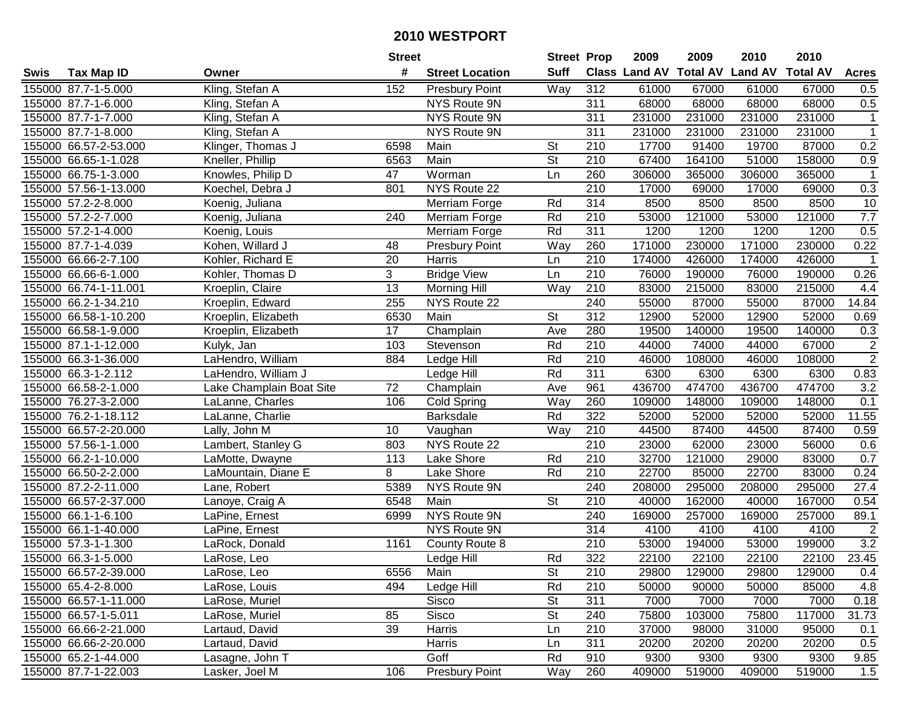|      |                       |                          | <b>Street</b> |                        | <b>Street Prop</b>       |                  | 2009   | 2009   | 2010                           | 2010            |                  |
|------|-----------------------|--------------------------|---------------|------------------------|--------------------------|------------------|--------|--------|--------------------------------|-----------------|------------------|
| Swis | <b>Tax Map ID</b>     | Owner                    | #             | <b>Street Location</b> | <b>Suff</b>              |                  |        |        | Class Land AV Total AV Land AV | <b>Total AV</b> | <b>Acres</b>     |
|      | 155000 87.7-1-5.000   | Kling, Stefan A          | 152           | <b>Presbury Point</b>  | Way                      | 312              | 61000  | 67000  | 61000                          | 67000           | 0.5              |
|      | 155000 87.7-1-6.000   | Kling, Stefan A          |               | NYS Route 9N           |                          | 311              | 68000  | 68000  | 68000                          | 68000           | 0.5              |
|      | 155000 87.7-1-7.000   | Kling, Stefan A          |               | NYS Route 9N           |                          | 311              | 231000 | 231000 | 231000                         | 231000          | $\mathbf{1}$     |
|      | 155000 87.7-1-8.000   | Kling, Stefan A          |               | NYS Route 9N           |                          | 311              | 231000 | 231000 | 231000                         | 231000          | $\mathbf{1}$     |
|      | 155000 66.57-2-53.000 | Klinger, Thomas J        | 6598          | Main                   | St                       | 210              | 17700  | 91400  | 19700                          | 87000           | 0.2              |
|      | 155000 66.65-1-1.028  | Kneller, Phillip         | 6563          | Main                   | $\overline{\mathsf{St}}$ | 210              | 67400  | 164100 | 51000                          | 158000          | 0.9              |
|      | 155000 66.75-1-3.000  | Knowles, Philip D        | 47            | Worman                 | Ln                       | 260              | 306000 | 365000 | 306000                         | 365000          | $\mathbf{1}$     |
|      | 155000 57.56-1-13.000 | Koechel, Debra J         | 801           | NYS Route 22           |                          | 210              | 17000  | 69000  | 17000                          | 69000           | 0.3              |
|      | 155000 57.2-2-8.000   | Koenig, Juliana          |               | Merriam Forge          | Rd                       | 314              | 8500   | 8500   | 8500                           | 8500            | 10               |
|      | 155000 57.2-2-7.000   | Koenig, Juliana          | 240           | Merriam Forge          | Rd                       | 210              | 53000  | 121000 | 53000                          | 121000          | 7.7              |
|      | 155000 57.2-1-4.000   | Koenig, Louis            |               | Merriam Forge          | Rd                       | 311              | 1200   | 1200   | 1200                           | 1200            | 0.5              |
|      | 155000 87.7-1-4.039   | Kohen, Willard J         | 48            | <b>Presbury Point</b>  | Way                      | 260              | 171000 | 230000 | 171000                         | 230000          | 0.22             |
|      | 155000 66.66-2-7.100  | Kohler, Richard E        | 20            | Harris                 | Ln                       | 210              | 174000 | 426000 | 174000                         | 426000          | $\overline{1}$   |
|      | 155000 66.66-6-1.000  | Kohler, Thomas D         | 3             | <b>Bridge View</b>     | Ln                       | 210              | 76000  | 190000 | 76000                          | 190000          | 0.26             |
|      | 155000 66.74-1-11.001 | Kroeplin, Claire         | 13            | <b>Morning Hill</b>    | Way                      | 210              | 83000  | 215000 | 83000                          | 215000          | 4.4              |
|      | 155000 66.2-1-34.210  | Kroeplin, Edward         | 255           | NYS Route 22           |                          | 240              | 55000  | 87000  | 55000                          | 87000           | 14.84            |
|      | 155000 66.58-1-10.200 | Kroeplin, Elizabeth      | 6530          | Main                   | St                       | 312              | 12900  | 52000  | 12900                          | 52000           | 0.69             |
|      | 155000 66.58-1-9.000  | Kroeplin, Elizabeth      | 17            | Champlain              | Ave                      | 280              | 19500  | 140000 | 19500                          | 140000          | 0.3              |
|      | 155000 87.1-1-12.000  | Kulyk, Jan               | 103           | Stevenson              | Rd                       | 210              | 44000  | 74000  | 44000                          | 67000           | $\overline{2}$   |
|      | 155000 66.3-1-36.000  | LaHendro, William        | 884           | Ledge Hill             | Rd                       | 210              | 46000  | 108000 | 46000                          | 108000          | $\overline{2}$   |
|      | 155000 66.3-1-2.112   | LaHendro, William J      |               | Ledge Hill             | Rd                       | 311              | 6300   | 6300   | 6300                           | 6300            | 0.83             |
|      | 155000 66.58-2-1.000  | Lake Champlain Boat Site | 72            | Champlain              | Ave                      | 961              | 436700 | 474700 | 436700                         | 474700          | 3.2              |
|      | 155000 76.27-3-2.000  | LaLanne, Charles         | 106           | Cold Spring            | Way                      | 260              | 109000 | 148000 | 109000                         | 148000          | 0.1              |
|      | 155000 76.2-1-18.112  | LaLanne, Charlie         |               | <b>Barksdale</b>       | Rd                       | 322              | 52000  | 52000  | 52000                          | 52000           | 11.55            |
|      | 155000 66.57-2-20.000 | Lally, John M            | 10            | Vaughan                | Way                      | 210              | 44500  | 87400  | 44500                          | 87400           | 0.59             |
|      | 155000 57.56-1-1.000  | Lambert, Stanley G       | 803           | NYS Route 22           |                          | 210              | 23000  | 62000  | 23000                          | 56000           | 0.6              |
|      | 155000 66.2-1-10.000  | LaMotte, Dwayne          | 113           | Lake Shore             | Rd                       | 210              | 32700  | 121000 | 29000                          | 83000           | 0.7              |
|      | 155000 66.50-2-2.000  | LaMountain, Diane E      | 8             | Lake Shore             | Rd                       | 210              | 22700  | 85000  | 22700                          | 83000           | 0.24             |
|      | 155000 87.2-2-11.000  | Lane, Robert             | 5389          | NYS Route 9N           |                          | 240              | 208000 | 295000 | 208000                         | 295000          | 27.4             |
|      | 155000 66.57-2-37.000 | Lanoye, Craig A          | 6548          | Main                   | $\overline{\mathsf{St}}$ | 210              | 40000  | 162000 | 40000                          | 167000          | 0.54             |
|      | 155000 66.1-1-6.100   | LaPine, Ernest           | 6999          | NYS Route 9N           |                          | 240              | 169000 | 257000 | 169000                         | 257000          | 89.1             |
|      | 155000 66.1-1-40.000  | LaPine, Ernest           |               | NYS Route 9N           |                          | 314              | 4100   | 4100   | 4100                           | 4100            | $\overline{2}$   |
|      | 155000 57.3-1-1.300   | LaRock, Donald           | 1161          | County Route 8         |                          | $\overline{210}$ | 53000  | 194000 | 53000                          | 199000          | $\overline{3.2}$ |
|      | 155000 66.3-1-5.000   | LaRose, Leo              |               | Ledge Hill             | Rd                       | 322              | 22100  | 22100  | 22100                          | 22100           | 23.45            |
|      | 155000 66.57-2-39.000 | LaRose, Leo              | 6556          | Main                   | St                       | 210              | 29800  | 129000 | 29800                          | 129000          | 0.4              |
|      | 155000 65.4-2-8.000   | LaRose, Louis            | 494           | Ledge Hill             | Rd                       | 210              | 50000  | 90000  | 50000                          | 85000           | 4.8              |
|      | 155000 66.57-1-11.000 | LaRose, Muriel           |               | Sisco                  | <b>St</b>                | 311              | 7000   | 7000   | 7000                           | 7000            | 0.18             |
|      | 155000 66.57-1-5.011  | LaRose, Muriel           | 85            | Sisco                  | <b>St</b>                | 240              | 75800  | 103000 | 75800                          | 117000          | 31.73            |
|      | 155000 66.66-2-21.000 | Lartaud, David           | 39            | Harris                 | Ln                       | 210              | 37000  | 98000  | 31000                          | 95000           | 0.1              |
|      | 155000 66.66-2-20.000 | Lartaud, David           |               | Harris                 | Ln                       | 311              | 20200  | 20200  | 20200                          | 20200           | 0.5              |
|      | 155000 65.2-1-44.000  | Lasagne, John T          |               | Goff                   | Rd                       | 910              | 9300   | 9300   | 9300                           | 9300            | 9.85             |
|      | 155000 87.7-1-22.003  | Lasker, Joel M           | 106           | <b>Presbury Point</b>  | Way                      | 260              | 409000 | 519000 | 409000                         | 519000          | 1.5              |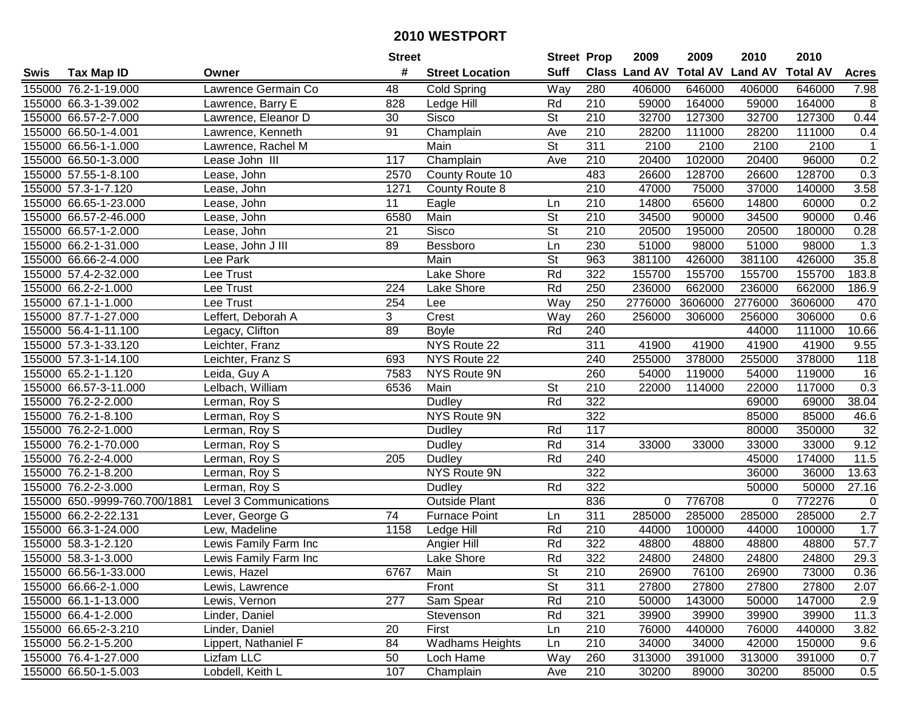|      |                               |                        | <b>Street</b>   |                        | <b>Street Prop</b>       |                   | 2009                          | 2009    | 2010           | 2010            |                   |
|------|-------------------------------|------------------------|-----------------|------------------------|--------------------------|-------------------|-------------------------------|---------|----------------|-----------------|-------------------|
| Swis | <b>Tax Map ID</b>             | Owner                  | #               | <b>Street Location</b> | <b>Suff</b>              |                   | <b>Class Land AV Total AV</b> |         | <b>Land AV</b> | <b>Total AV</b> | <b>Acres</b>      |
|      | 155000 76.2-1-19.000          | Lawrence Germain Co    | 48              | Cold Spring            | Way                      | 280               | 406000                        | 646000  | 406000         | 646000          | 7.98              |
|      | 155000 66.3-1-39.002          | Lawrence, Barry E      | 828             | Ledge Hill             | Rd                       | 210               | 59000                         | 164000  | 59000          | 164000          | 8                 |
|      | 155000 66.57-2-7.000          | Lawrence, Eleanor D    | 30              | <b>Sisco</b>           | St                       | 210               | 32700                         | 127300  | 32700          | 127300          | 0.44              |
|      | 155000 66.50-1-4.001          | Lawrence, Kenneth      | 91              | Champlain              | Ave                      | 210               | 28200                         | 111000  | 28200          | 111000          | 0.4               |
|      | 155000 66.56-1-1.000          | Lawrence, Rachel M     |                 | Main                   | $\overline{\mathsf{St}}$ | 311               | 2100                          | 2100    | 2100           | 2100            | $\mathbf{1}$      |
|      | 155000 66.50-1-3.000          | Lease John III         | 117             | Champlain              | Ave                      | 210               | 20400                         | 102000  | 20400          | 96000           | 0.2               |
|      | 155000 57.55-1-8.100          | Lease, John            | 2570            | County Route 10        |                          | 483               | 26600                         | 128700  | 26600          | 128700          | 0.3               |
|      | 155000 57.3-1-7.120           | Lease, John            | 1271            | County Route 8         |                          | 210               | 47000                         | 75000   | 37000          | 140000          | 3.58              |
|      | 155000 66.65-1-23.000         | Lease, John            | 11              | Eagle                  | Ln                       | $\overline{210}$  | 14800                         | 65600   | 14800          | 60000           | 0.2               |
|      | 155000 66.57-2-46.000         | Lease, John            | 6580            | Main                   | $\overline{\mathsf{St}}$ | 210               | 34500                         | 90000   | 34500          | 90000           | 0.46              |
|      | 155000 66.57-1-2.000          | Lease, John            | 21              | Sisco                  | $\overline{\mathsf{St}}$ | 210               | 20500                         | 195000  | 20500          | 180000          | 0.28              |
|      | 155000 66.2-1-31.000          | Lease, John J III      | 89              | Bessboro               | Ln                       | 230               | 51000                         | 98000   | 51000          | 98000           | 1.3               |
|      | 155000 66.66-2-4.000          | Lee Park               |                 | Main                   | $\overline{\mathsf{St}}$ | 963               | 381100                        | 426000  | 381100         | 426000          | 35.8              |
|      | 155000 57.4-2-32.000          | Lee Trust              |                 | Lake Shore             | Rd                       | 322               | 155700                        | 155700  | 155700         | 155700          | 183.8             |
|      | 155000 66.2-2-1.000           | Lee Trust              | 224             | Lake Shore             | Rd                       | 250               | 236000                        | 662000  | 236000         | 662000          | 186.9             |
|      | 155000 67.1-1-1.000           | Lee Trust              | 254             | Lee                    | Way                      | 250               | 2776000                       | 3606000 | 2776000        | 3606000         | 470               |
|      | 155000 87.7-1-27.000          | Leffert, Deborah A     | 3               | Crest                  | Way                      | 260               | 256000                        | 306000  | 256000         | 306000          | 0.6               |
|      | 155000 56.4-1-11.100          | Legacy, Clifton        | 89              | <b>Boyle</b>           | Rd                       | 240               |                               |         | 44000          | 111000          | 10.66             |
|      | 155000 57.3-1-33.120          | Leichter, Franz        |                 | NYS Route 22           |                          | 311               | 41900                         | 41900   | 41900          | 41900           | 9.55              |
|      | 155000 57.3-1-14.100          | Leichter, Franz S      | 693             | NYS Route 22           |                          | 240               | 255000                        | 378000  | 255000         | 378000          | 118               |
|      | 155000 65.2-1-1.120           | Leida, Guy A           | 7583            | NYS Route 9N           |                          | 260               | 54000                         | 119000  | 54000          | 119000          | 16                |
|      | 155000 66.57-3-11.000         | Lelbach, William       | 6536            | Main                   | <b>St</b>                | 210               | 22000                         | 114000  | 22000          | 117000          | 0.3               |
|      | 155000 76.2-2-2.000           | Lerman, Roy S          |                 | <b>Dudley</b>          | Rd                       | 322               |                               |         | 69000          | 69000           | 38.04             |
|      | 155000 76.2-1-8.100           | Lerman, Roy S          |                 | NYS Route 9N           |                          | 322               |                               |         | 85000          | 85000           | 46.6              |
|      | 155000 76.2-2-1.000           | Lerman, Roy S          |                 | Dudley                 | Rd                       | $\frac{117}{117}$ |                               |         | 80000          | 350000          | $\overline{32}$   |
|      | 155000 76.2-1-70.000          | Lerman, Roy S          |                 | Dudley                 | Rd                       | 314               | 33000                         | 33000   | 33000          | 33000           | 9.12              |
|      | 155000 76.2-2-4.000           | Lerman, Roy S          | 205             | Dudley                 | Rd                       | 240               |                               |         | 45000          | 174000          | 11.5              |
|      | 155000 76.2-1-8.200           | Lerman, Roy S          |                 | NYS Route 9N           |                          | 322               |                               |         | 36000          | 36000           | 13.63             |
|      | 155000 76.2-2-3.000           | Lerman, Roy S          |                 | Dudley                 | Rd                       | 322               |                               |         | 50000          | 50000           | 27.16             |
|      | 155000 650.-9999-760.700/1881 | Level 3 Communications |                 | Outside Plant          |                          | 836               | 0                             | 776708  | $\Omega$       | 772276          | 0                 |
|      | 155000 66.2-2-22.131          | Lever, George G        | $\overline{74}$ | <b>Furnace Point</b>   | Ln                       | 311               | 285000                        | 285000  | 285000         | 285000          | 2.7               |
|      | 155000 66.3-1-24.000          | Lew, Madeline          | 1158            | Ledge Hill             | Rd                       | 210               | 44000                         | 100000  | 44000          | 100000          | 1.7               |
|      | 155000 58.3-1-2.120           | Lewis Family Farm Inc  |                 | Angier Hill            | Rd                       | 322               | 48800                         | 48800   | 48800          | 48800           | $\overline{57.7}$ |
|      | 155000 58.3-1-3.000           | Lewis Family Farm Inc  |                 | Lake Shore             | Rd                       | 322               | 24800                         | 24800   | 24800          | 24800           | 29.3              |
|      | 155000 66.56-1-33.000         | Lewis, Hazel           | 6767            | Main                   | St                       | 210               | 26900                         | 76100   | 26900          | 73000           | 0.36              |
|      | 155000 66.66-2-1.000          | Lewis, Lawrence        |                 | Front                  | St                       | 311               | 27800                         | 27800   | 27800          | 27800           | 2.07              |
|      | 155000 66.1-1-13.000          | Lewis, Vernon          | 277             | Sam Spear              | Rd                       | 210               | 50000                         | 143000  | 50000          | 147000          | 2.9               |
|      | 155000 66.4-1-2.000           | Linder, Daniel         |                 | Stevenson              | Rd                       | 321               | 39900                         | 39900   | 39900          | 39900           | 11.3              |
|      | 155000 66.65-2-3.210          | Linder, Daniel         | 20              | First                  | Ln                       | 210               | 76000                         | 440000  | 76000          | 440000          | 3.82              |
|      | 155000 56.2-1-5.200           | Lippert, Nathaniel F   | 84              | <b>Wadhams Heights</b> | Ln                       | 210               | 34000                         | 34000   | 42000          | 150000          | 9.6               |
|      | 155000 76.4-1-27.000          | Lizfam LLC             | 50              | Loch Hame              | Way                      | 260               | 313000                        | 391000  | 313000         | 391000          | 0.7               |
|      | 155000 66.50-1-5.003          | Lobdell, Keith L       | 107             | Champlain              | Ave                      | 210               | 30200                         | 89000   | 30200          | 85000           | 0.5               |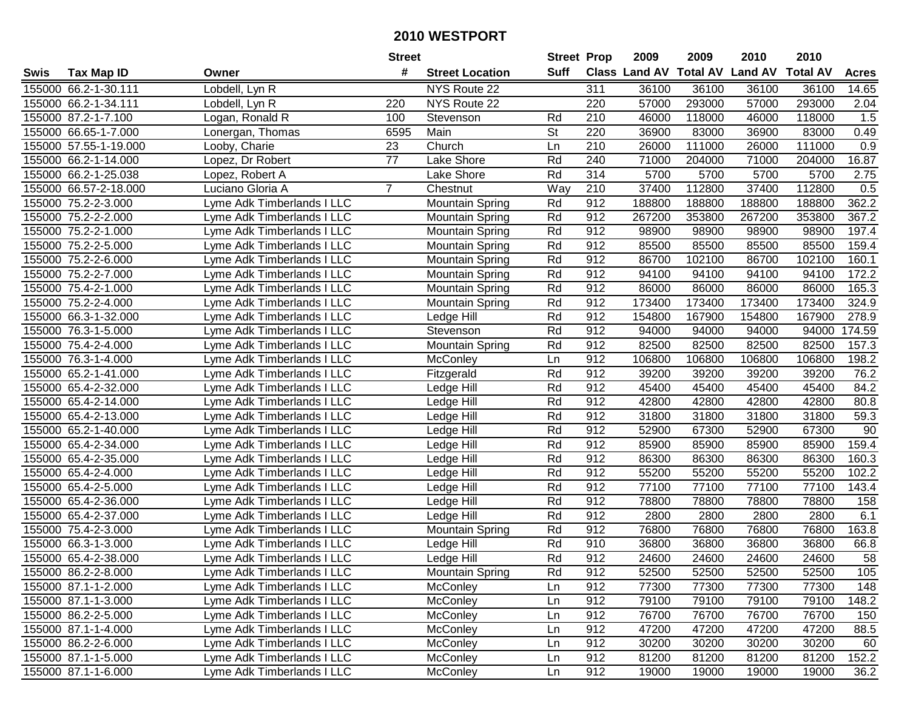|      |                       |                            | <b>Street</b>   |                        | <b>Street Prop</b> |                  | 2009          | 2009            | 2010           | 2010            |                  |
|------|-----------------------|----------------------------|-----------------|------------------------|--------------------|------------------|---------------|-----------------|----------------|-----------------|------------------|
| Swis | <b>Tax Map ID</b>     | Owner                      | #               | <b>Street Location</b> | <b>Suff</b>        |                  | Class Land AV | <b>Total AV</b> | <b>Land AV</b> | <b>Total AV</b> | <b>Acres</b>     |
|      | 155000 66.2-1-30.111  | Lobdell, Lyn R             |                 | NYS Route 22           |                    | 311              | 36100         | 36100           | 36100          | 36100           | 14.65            |
|      | 155000 66.2-1-34.111  | Lobdell, Lyn R             | 220             | NYS Route 22           |                    | 220              | 57000         | 293000          | 57000          | 293000          | 2.04             |
|      | 155000 87.2-1-7.100   | Logan, Ronald R            | 100             | Stevenson              | Rd                 | 210              | 46000         | 118000          | 46000          | 118000          | 1.5              |
|      | 155000 66.65-1-7.000  | Lonergan, Thomas           | 6595            | Main                   | <b>St</b>          | 220              | 36900         | 83000           | 36900          | 83000           | 0.49             |
|      | 155000 57.55-1-19.000 | Looby, Charie              | 23              | Church                 | Ln                 | 210              | 26000         | 111000          | 26000          | 111000          | 0.9              |
|      | 155000 66.2-1-14.000  | Lopez, Dr Robert           | $\overline{77}$ | Lake Shore             | Rd                 | 240              | 71000         | 204000          | 71000          | 204000          | 16.87            |
|      | 155000 66.2-1-25.038  | Lopez, Robert A            |                 | Lake Shore             | Rd                 | 314              | 5700          | 5700            | 5700           | 5700            | 2.75             |
|      | 155000 66.57-2-18.000 | Luciano Gloria A           | $\overline{7}$  | Chestnut               | Way                | $\overline{210}$ | 37400         | 112800          | 37400          | 112800          | $\overline{0.5}$ |
|      | 155000 75.2-2-3.000   | Lyme Adk Timberlands I LLC |                 | <b>Mountain Spring</b> | Rd                 | 912              | 188800        | 188800          | 188800         | 188800          | 362.2            |
|      | 155000 75.2-2-2.000   | Lyme Adk Timberlands I LLC |                 | <b>Mountain Spring</b> | Rd                 | 912              | 267200        | 353800          | 267200         | 353800          | 367.2            |
|      | 155000 75.2-2-1.000   | Lyme Adk Timberlands I LLC |                 | <b>Mountain Spring</b> | Rd                 | 912              | 98900         | 98900           | 98900          | 98900           | 197.4            |
|      | 155000 75.2-2-5.000   | Lyme Adk Timberlands I LLC |                 | <b>Mountain Spring</b> | Rd                 | 912              | 85500         | 85500           | 85500          | 85500           | 159.4            |
|      | 155000 75.2-2-6.000   | Lyme Adk Timberlands I LLC |                 | <b>Mountain Spring</b> | Rd                 | 912              | 86700         | 102100          | 86700          | 102100          | 160.1            |
|      | 155000 75.2-2-7.000   | Lyme Adk Timberlands I LLC |                 | <b>Mountain Spring</b> | Rd                 | 912              | 94100         | 94100           | 94100          | 94100           | 172.2            |
|      | 155000 75.4-2-1.000   | Lyme Adk Timberlands I LLC |                 | <b>Mountain Spring</b> | Rd                 | 912              | 86000         | 86000           | 86000          | 86000           | 165.3            |
|      | 155000 75.2-2-4.000   | Lyme Adk Timberlands I LLC |                 | <b>Mountain Spring</b> | Rd                 | 912              | 173400        | 173400          | 173400         | 173400          | 324.9            |
|      | 155000 66.3-1-32.000  | Lyme Adk Timberlands I LLC |                 | Ledge Hill             | Rd                 | 912              | 154800        | 167900          | 154800         | 167900          | 278.9            |
|      | 155000 76.3-1-5.000   | Lyme Adk Timberlands I LLC |                 | Stevenson              | Rd                 | 912              | 94000         | 94000           | 94000          | 94000           | 174.59           |
|      | 155000 75.4-2-4.000   | Lyme Adk Timberlands I LLC |                 | <b>Mountain Spring</b> | Rd                 | 912              | 82500         | 82500           | 82500          | 82500           | 157.3            |
|      | 155000 76.3-1-4.000   | Lyme Adk Timberlands I LLC |                 | McConley               | Ln                 | 912              | 106800        | 106800          | 106800         | 106800          | 198.2            |
|      | 155000 65.2-1-41.000  | Lyme Adk Timberlands I LLC |                 | Fitzgerald             | Rd                 | 912              | 39200         | 39200           | 39200          | 39200           | 76.2             |
|      | 155000 65.4-2-32.000  | Lyme Adk Timberlands I LLC |                 | Ledge Hill             | Rd                 | 912              | 45400         | 45400           | 45400          | 45400           | 84.2             |
|      | 155000 65.4-2-14.000  | Lyme Adk Timberlands I LLC |                 | Ledge Hill             | Rd                 | 912              | 42800         | 42800           | 42800          | 42800           | 80.8             |
|      | 155000 65.4-2-13.000  | Lyme Adk Timberlands I LLC |                 | Ledge Hill             | Rd                 | 912              | 31800         | 31800           | 31800          | 31800           | 59.3             |
|      | 155000 65.2-1-40.000  | Lyme Adk Timberlands I LLC |                 | Ledge Hill             | Rd                 | 912              | 52900         | 67300           | 52900          | 67300           | 90               |
|      | 155000 65.4-2-34.000  | Lyme Adk Timberlands I LLC |                 | Ledge Hill             | Rd                 | 912              | 85900         | 85900           | 85900          | 85900           | 159.4            |
|      | 155000 65.4-2-35.000  | Lyme Adk Timberlands I LLC |                 | Ledge Hill             | Rd                 | 912              | 86300         | 86300           | 86300          | 86300           | 160.3            |
|      | 155000 65.4-2-4.000   | Lyme Adk Timberlands I LLC |                 | Ledge Hill             | Rd                 | 912              | 55200         | 55200           | 55200          | 55200           | 102.2            |
|      | 155000 65.4-2-5.000   | Lyme Adk Timberlands I LLC |                 | Ledge Hill             | Rd                 | 912              | 77100         | 77100           | 77100          | 77100           | 143.4            |
|      | 155000 65.4-2-36.000  | Lyme Adk Timberlands I LLC |                 | Ledge Hill             | Rd                 | 912              | 78800         | 78800           | 78800          | 78800           | 158              |
|      | 155000 65.4-2-37.000  | Lyme Adk Timberlands I LLC |                 | Ledge Hill             | Rd                 | 912              | 2800          | 2800            | 2800           | 2800            | 6.1              |
|      | 155000 75.4-2-3.000   | Lyme Adk Timberlands I LLC |                 | <b>Mountain Spring</b> | Rd                 | 912              | 76800         | 76800           | 76800          | 76800           | 163.8            |
|      | 155000 66.3-1-3.000   | Lyme Adk Timberlands I LLC |                 | Ledge Hill             | Rd                 | 910              | 36800         | 36800           | 36800          | 36800           | 66.8             |
|      | 155000 65.4-2-38.000  | Lyme Adk Timberlands I LLC |                 | Ledge Hill             | Rd                 | 912              | 24600         | 24600           | 24600          | 24600           | 58               |
|      | 155000 86.2-2-8.000   | Lyme Adk Timberlands I LLC |                 | <b>Mountain Spring</b> | Rd                 | 912              | 52500         | 52500           | 52500          | 52500           | 105              |
|      | 155000 87.1-1-2.000   | Lyme Adk Timberlands I LLC |                 | <b>McConley</b>        | Ln                 | 912              | 77300         | 77300           | 77300          | 77300           | 148              |
|      | 155000 87.1-1-3.000   | Lyme Adk Timberlands I LLC |                 | <b>McConley</b>        | Ln                 | 912              | 79100         | 79100           | 79100          | 79100           | 148.2            |
|      | 155000 86.2-2-5.000   | Lyme Adk Timberlands I LLC |                 | McConley               | Ln                 | 912              | 76700         | 76700           | 76700          | 76700           | 150              |
|      | 155000 87.1-1-4.000   | Lyme Adk Timberlands I LLC |                 | McConley               | Ln                 | 912              | 47200         | 47200           | 47200          | 47200           | 88.5             |
|      | 155000 86.2-2-6.000   | Lyme Adk Timberlands I LLC |                 | <b>McConley</b>        | Ln                 | 912              | 30200         | 30200           | 30200          | 30200           | 60               |
|      | 155000 87.1-1-5.000   | Lyme Adk Timberlands I LLC |                 | <b>McConley</b>        | Ln                 | 912              | 81200         | 81200           | 81200          | 81200           | 152.2            |
|      | 155000 87.1-1-6.000   | Lyme Adk Timberlands I LLC |                 | McConley               | Ln                 | 912              | 19000         | 19000           | 19000          | 19000           | 36.2             |
|      |                       |                            |                 |                        |                    |                  |               |                 |                |                 |                  |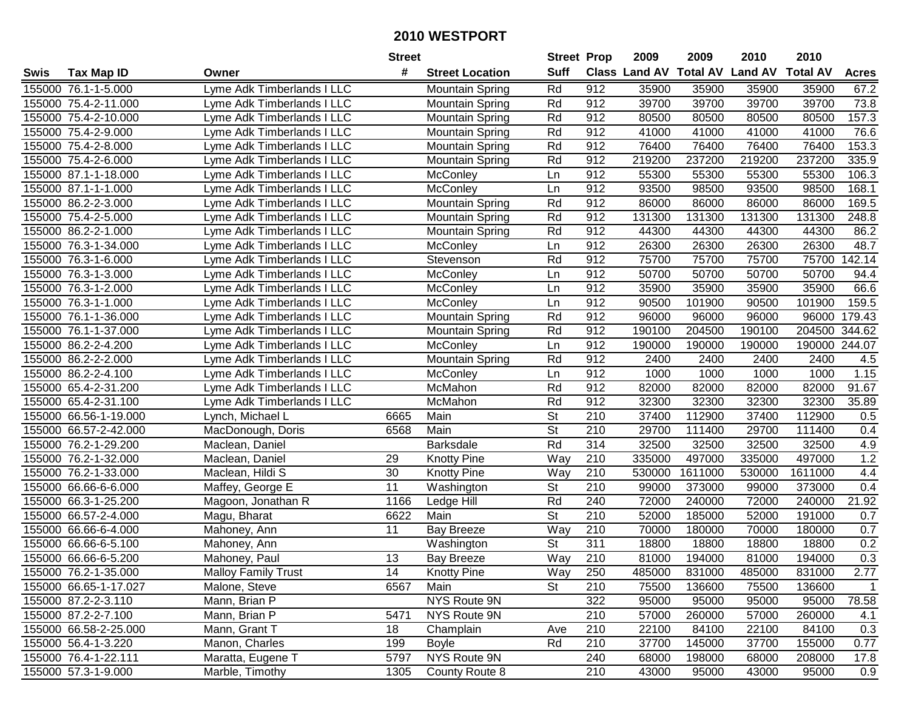|        |                       |                            | <b>Street</b>   |                        | <b>Street Prop</b>       |                  | 2009                          | 2009    | 2010           | 2010            |              |
|--------|-----------------------|----------------------------|-----------------|------------------------|--------------------------|------------------|-------------------------------|---------|----------------|-----------------|--------------|
| Swis   | <b>Tax Map ID</b>     | Owner                      | #               | <b>Street Location</b> | <b>Suff</b>              |                  | <b>Class Land AV Total AV</b> |         | <b>Land AV</b> | <b>Total AV</b> | <b>Acres</b> |
|        | 155000 76.1-1-5.000   | Lyme Adk Timberlands I LLC |                 | <b>Mountain Spring</b> | Rd                       | 912              | 35900                         | 35900   | 35900          | 35900           | 67.2         |
|        | 155000 75.4-2-11.000  | Lyme Adk Timberlands I LLC |                 | Mountain Spring        | Rd                       | 912              | 39700                         | 39700   | 39700          | 39700           | 73.8         |
|        | 155000 75.4-2-10.000  | Lyme Adk Timberlands I LLC |                 | <b>Mountain Spring</b> | Rd                       | 912              | 80500                         | 80500   | 80500          | 80500           | 157.3        |
|        | 155000 75.4-2-9.000   | Lyme Adk Timberlands I LLC |                 | <b>Mountain Spring</b> | Rd                       | 912              | 41000                         | 41000   | 41000          | 41000           | 76.6         |
|        | 155000 75.4-2-8.000   | Lyme Adk Timberlands I LLC |                 | <b>Mountain Spring</b> | Rd                       | 912              | 76400                         | 76400   | 76400          | 76400           | 153.3        |
|        | 155000 75.4-2-6.000   | Lyme Adk Timberlands I LLC |                 | <b>Mountain Spring</b> | Rd                       | 912              | 219200                        | 237200  | 219200         | 237200          | 335.9        |
|        | 155000 87.1-1-18.000  | Lyme Adk Timberlands I LLC |                 | McConley               | Ln                       | 912              | 55300                         | 55300   | 55300          | 55300           | 106.3        |
|        | 155000 87.1-1-1.000   | Lyme Adk Timberlands I LLC |                 | McConley               | Ln                       | 912              | 93500                         | 98500   | 93500          | 98500           | 168.1        |
|        | 155000 86.2-2-3.000   | Lyme Adk Timberlands I LLC |                 | <b>Mountain Spring</b> | Rd                       | 912              | 86000                         | 86000   | 86000          | 86000           | 169.5        |
|        | 155000 75.4-2-5.000   | Lyme Adk Timberlands I LLC |                 | <b>Mountain Spring</b> | Rd                       | 912              | 131300                        | 131300  | 131300         | 131300          | 248.8        |
|        | 155000 86.2-2-1.000   | Lyme Adk Timberlands I LLC |                 | <b>Mountain Spring</b> | Rd                       | 912              | 44300                         | 44300   | 44300          | 44300           | 86.2         |
|        | 155000 76.3-1-34.000  | Lyme Adk Timberlands I LLC |                 | McConley               | Ln                       | 912              | 26300                         | 26300   | 26300          | 26300           | 48.7         |
|        | 155000 76.3-1-6.000   | Lyme Adk Timberlands I LLC |                 | Stevenson              | Rd                       | 912              | 75700                         | 75700   | 75700          | 75700           | 142.14       |
|        | 155000 76.3-1-3.000   | Lyme Adk Timberlands I LLC |                 | McConley               | Ln                       | 912              | 50700                         | 50700   | 50700          | 50700           | 94.4         |
|        | 155000 76.3-1-2.000   | Lyme Adk Timberlands I LLC |                 | McConley               | Ln                       | 912              | 35900                         | 35900   | 35900          | 35900           | 66.6         |
|        | 155000 76.3-1-1.000   | Lyme Adk Timberlands I LLC |                 | <b>McConley</b>        | Ln                       | 912              | 90500                         | 101900  | 90500          | 101900          | 159.5        |
|        | 155000 76.1-1-36.000  | Lyme Adk Timberlands I LLC |                 | <b>Mountain Spring</b> | Rd                       | 912              | 96000                         | 96000   | 96000          | 96000           | 179.43       |
|        | 155000 76.1-1-37.000  | Lyme Adk Timberlands I LLC |                 | <b>Mountain Spring</b> | Rd                       | 912              | 190100                        | 204500  | 190100         | 204500          | 344.62       |
|        | 155000 86.2-2-4.200   | Lyme Adk Timberlands I LLC |                 | McConley               | Ln                       | 912              | 190000                        | 190000  | 190000         | 190000 244.07   |              |
|        | 155000 86.2-2-2.000   | Lyme Adk Timberlands I LLC |                 | <b>Mountain Spring</b> | Rd                       | 912              | 2400                          | 2400    | 2400           | 2400            | 4.5          |
|        | 155000 86.2-2-4.100   | Lyme Adk Timberlands I LLC |                 | McConley               | Ln                       | 912              | 1000                          | 1000    | 1000           | 1000            | 1.15         |
|        | 155000 65.4-2-31.200  | Lyme Adk Timberlands I LLC |                 | McMahon                | Rd                       | 912              | 82000                         | 82000   | 82000          | 82000           | 91.67        |
| 155000 | 65.4-2-31.100         | Lyme Adk Timberlands I LLC |                 | McMahon                | Rd                       | 912              | 32300                         | 32300   | 32300          | 32300           | 35.89        |
| 155000 | 66.56-1-19.000        | Lynch, Michael L           | 6665            | Main                   | St                       | 210              | 37400                         | 112900  | 37400          | 112900          | 0.5          |
| 155000 | 66.57-2-42.000        | MacDonough, Doris          | 6568            | Main                   | $\overline{\mathsf{St}}$ | 210              | 29700                         | 111400  | 29700          | 111400          | 0.4          |
| 155000 | 76.2-1-29.200         | Maclean, Daniel            |                 | <b>Barksdale</b>       | Rd                       | 314              | 32500                         | 32500   | 32500          | 32500           | 4.9          |
|        | 155000 76.2-1-32.000  | Maclean, Daniel            | 29              | <b>Knotty Pine</b>     | Way                      | 210              | 335000                        | 497000  | 335000         | 497000          | 1.2          |
|        | 155000 76.2-1-33.000  | Maclean, Hildi S           | 30              | <b>Knotty Pine</b>     | Way                      | 210              | 530000                        | 1611000 | 530000         | 1611000         | 4.4          |
|        | 155000 66.66-6-6.000  | Maffey, George E           | $\overline{11}$ | Washington             | $\overline{\mathsf{St}}$ | 210              | 99000                         | 373000  | 99000          | 373000          | 0.4          |
| 155000 | 66.3-1-25.200         | Magoon, Jonathan R         | 1166            | Ledge Hill             | Rd                       | 240              | 72000                         | 240000  | 72000          | 240000          | 21.92        |
|        | 155000 66.57-2-4.000  | Magu, Bharat               | 6622            | Main                   | $\overline{\mathsf{St}}$ | 210              | 52000                         | 185000  | 52000          | 191000          | 0.7          |
|        | 155000 66.66-6-4.000  | Mahoney, Ann               | 11              | <b>Bay Breeze</b>      | Way                      | 210              | 70000                         | 180000  | 70000          | 180000          | 0.7          |
|        | 155000 66.66-6-5.100  | Mahoney, Ann               |                 | Washington             | $\overline{\mathsf{St}}$ | 311              | 18800                         | 18800   | 18800          | 18800           | 0.2          |
|        | 155000 66.66-6-5.200  | Mahoney, Paul              | 13              | <b>Bay Breeze</b>      | $\overline{W}$ ay        | $\overline{210}$ | 81000                         | 194000  | 81000          | 194000          | 0.3          |
|        | 155000 76.2-1-35.000  | <b>Malloy Family Trust</b> | 14              | <b>Knotty Pine</b>     | Way                      | 250              | 485000                        | 831000  | 485000         | 831000          | 2.77         |
|        | 155000 66.65-1-17.027 | Malone, Steve              | 6567            | Main                   | <b>St</b>                | 210              | 75500                         | 136600  | 75500          | 136600          | $\mathbf{1}$ |
|        | 155000 87.2-2-3.110   | Mann, Brian P              |                 | NYS Route 9N           |                          | 322              | 95000                         | 95000   | 95000          | 95000           | 78.58        |
|        | 155000 87.2-2-7.100   | Mann, Brian P              | 5471            | NYS Route 9N           |                          | 210              | 57000                         | 260000  | 57000          | 260000          | 4.1          |
|        | 155000 66.58-2-25.000 | Mann, Grant T              | 18              | Champlain              | Ave                      | 210              | 22100                         | 84100   | 22100          | 84100           | 0.3          |
|        | 155000 56.4-1-3.220   | Manon, Charles             | 199             | <b>Boyle</b>           | Rd                       | 210              | 37700                         | 145000  | 37700          | 155000          | 0.77         |
|        | 155000 76.4-1-22.111  | Maratta, Eugene T          | 5797            | NYS Route 9N           |                          | 240              | 68000                         | 198000  | 68000          | 208000          | 17.8         |
|        | 155000 57.3-1-9.000   | Marble, Timothy            | 1305            | County Route 8         |                          | 210              | 43000                         | 95000   | 43000          | 95000           | 0.9          |
|        |                       |                            |                 |                        |                          |                  |                               |         |                |                 |              |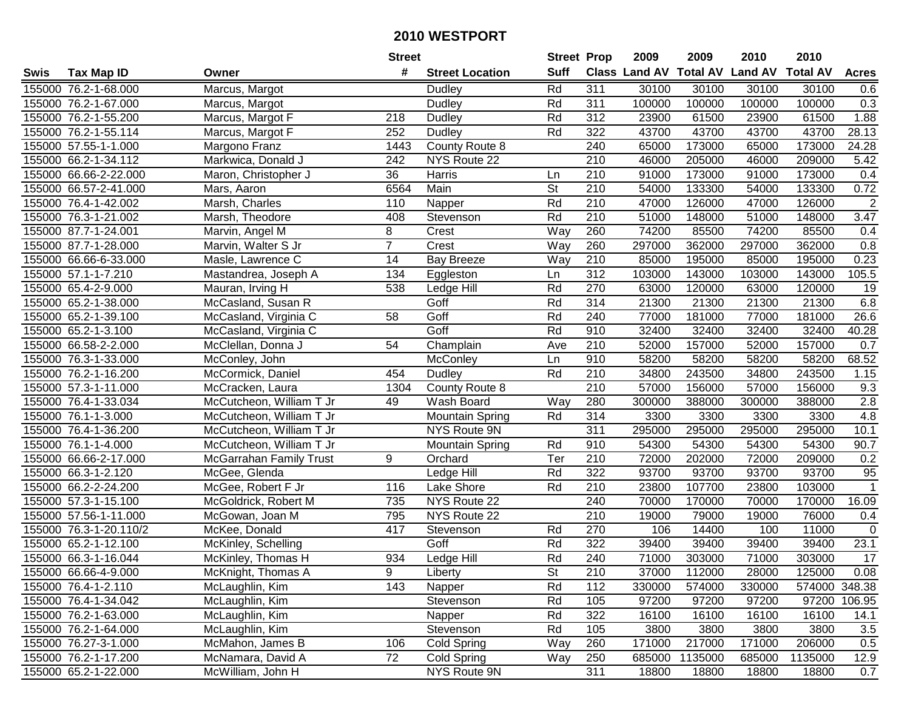|      |                        |                                | <b>Street</b>  |                        | <b>Street Prop</b>       |                  | 2009   | 2009    | 2010                           | 2010            |                 |
|------|------------------------|--------------------------------|----------------|------------------------|--------------------------|------------------|--------|---------|--------------------------------|-----------------|-----------------|
| Swis | <b>Tax Map ID</b>      | Owner                          | #              | <b>Street Location</b> | <b>Suff</b>              |                  |        |         | Class Land AV Total AV Land AV | <b>Total AV</b> | <b>Acres</b>    |
|      | 155000 76.2-1-68.000   | Marcus, Margot                 |                | Dudley                 | Rd                       | 311              | 30100  | 30100   | 30100                          | 30100           | 0.6             |
|      | 155000 76.2-1-67.000   | Marcus, Margot                 |                | Dudley                 | Rd                       | 311              | 100000 | 100000  | 100000                         | 100000          | 0.3             |
|      | 155000 76.2-1-55.200   | Marcus, Margot F               | 218            | Dudley                 | Rd                       | 312              | 23900  | 61500   | 23900                          | 61500           | 1.88            |
|      | 155000 76.2-1-55.114   | Marcus, Margot F               | 252            | Dudley                 | Rd                       | 322              | 43700  | 43700   | 43700                          | 43700           | 28.13           |
|      | 155000 57.55-1-1.000   | Margono Franz                  | 1443           | County Route 8         |                          | 240              | 65000  | 173000  | 65000                          | 173000          | 24.28           |
|      | 155000 66.2-1-34.112   | Markwica, Donald J             | 242            | NYS Route 22           |                          | $\overline{210}$ | 46000  | 205000  | 46000                          | 209000          | 5.42            |
|      | 155000 66.66-2-22.000  | Maron, Christopher J           | 36             | Harris                 | Ln                       | 210              | 91000  | 173000  | 91000                          | 173000          | 0.4             |
|      | 155000 66.57-2-41.000  | Mars, Aaron                    | 6564           | Main                   | $\overline{\mathsf{St}}$ | 210              | 54000  | 133300  | 54000                          | 133300          | 0.72            |
|      | 155000 76.4-1-42.002   | Marsh, Charles                 | 110            | Napper                 | Rd                       | $\overline{210}$ | 47000  | 126000  | 47000                          | 126000          | $\overline{2}$  |
|      | 155000 76.3-1-21.002   | Marsh, Theodore                | 408            | Stevenson              | Rd                       | 210              | 51000  | 148000  | 51000                          | 148000          | 3.47            |
|      | 155000 87.7-1-24.001   | Marvin, Angel M                | 8              | Crest                  | Way                      | 260              | 74200  | 85500   | 74200                          | 85500           | 0.4             |
|      | 155000 87.7-1-28.000   | Marvin, Walter S Jr            | $\overline{7}$ | Crest                  | Way                      | 260              | 297000 | 362000  | 297000                         | 362000          | 0.8             |
|      | 155000 66.66-6-33.000  | Masle, Lawrence C              | 14             | <b>Bay Breeze</b>      | Way                      | 210              | 85000  | 195000  | 85000                          | 195000          | 0.23            |
|      | 155000 57.1-1-7.210    | Mastandrea, Joseph A           | 134            | Eggleston              | Ln                       | 312              | 103000 | 143000  | 103000                         | 143000          | 105.5           |
|      | 155000 65.4-2-9.000    | Mauran, Irving H               | 538            | Ledge Hill             | Rd                       | 270              | 63000  | 120000  | 63000                          | 120000          | 19              |
|      | 155000 65.2-1-38.000   | McCasland, Susan R             |                | Goff                   | Rd                       | 314              | 21300  | 21300   | 21300                          | 21300           | 6.8             |
|      | 155000 65.2-1-39.100   | McCasland, Virginia C          | 58             | Goff                   | Rd                       | 240              | 77000  | 181000  | 77000                          | 181000          | 26.6            |
|      | 155000 65.2-1-3.100    | McCasland, Virginia C          |                | Goff                   | Rd                       | 910              | 32400  | 32400   | 32400                          | 32400           | 40.28           |
|      | 155000 66.58-2-2.000   | McClellan, Donna J             | 54             | Champlain              | Ave                      | 210              | 52000  | 157000  | 52000                          | 157000          | 0.7             |
|      | 155000 76.3-1-33.000   | McConley, John                 |                | McConley               | Ln                       | 910              | 58200  | 58200   | 58200                          | 58200           | 68.52           |
|      | 155000 76.2-1-16.200   | McCormick, Daniel              | 454            | Dudley                 | Rd                       | 210              | 34800  | 243500  | 34800                          | 243500          | 1.15            |
|      | 155000 57.3-1-11.000   | McCracken, Laura               | 1304           | County Route 8         |                          | 210              | 57000  | 156000  | 57000                          | 156000          | 9.3             |
|      | 155000 76.4-1-33.034   | McCutcheon, William T Jr       | 49             | Wash Board             | Way                      | 280              | 300000 | 388000  | 300000                         | 388000          | 2.8             |
|      | 155000 76.1-1-3.000    | McCutcheon, William T Jr       |                | <b>Mountain Spring</b> | Rd                       | 314              | 3300   | 3300    | 3300                           | 3300            | 4.8             |
|      | 155000 76.4-1-36.200   | McCutcheon, William T Jr       |                | NYS Route 9N           |                          | $\overline{311}$ | 295000 | 295000  | 295000                         | 295000          | 10.1            |
|      | 155000 76.1-1-4.000    | McCutcheon, William T Jr       |                | <b>Mountain Spring</b> | Rd                       | 910              | 54300  | 54300   | 54300                          | 54300           | 90.7            |
|      | 155000 66.66-2-17.000  | <b>McGarrahan Family Trust</b> | 9              | Orchard                | Ter                      | 210              | 72000  | 202000  | 72000                          | 209000          | 0.2             |
|      | 155000 66.3-1-2.120    | McGee, Glenda                  |                | Ledge Hill             | Rd                       | 322              | 93700  | 93700   | 93700                          | 93700           | 95              |
|      | 155000 66.2-2-24.200   | McGee, Robert F Jr             | 116            | Lake Shore             | Rd                       | 210              | 23800  | 107700  | 23800                          | 103000          | $\overline{1}$  |
|      | 155000 57.3-1-15.100   | McGoldrick, Robert M           | 735            | NYS Route 22           |                          | 240              | 70000  | 170000  | 70000                          | 170000          | 16.09           |
|      | 155000 57.56-1-11.000  | McGowan, Joan M                | 795            | NYS Route 22           |                          | $\overline{210}$ | 19000  | 79000   | 19000                          | 76000           | 0.4             |
|      | 155000 76.3-1-20.110/2 | McKee, Donald                  | 417            | Stevenson              | Rd                       | 270              | 106    | 14400   | 100                            | 11000           | $\mathbf 0$     |
|      | 155000 65.2-1-12.100   | McKinley, Schelling            |                | Goff                   | Rd                       | 322              | 39400  | 39400   | 39400                          | 39400           | 23.1            |
|      | 155000 66.3-1-16.044   | McKinley, Thomas H             | 934            | Ledge Hill             | Rd                       | 240              | 71000  | 303000  | 71000                          | 303000          | $\overline{17}$ |
|      | 155000 66.66-4-9.000   | McKnight, Thomas A             | 9              | Liberty                | St                       | 210              | 37000  | 112000  | 28000                          | 125000          | 0.08            |
|      | 155000 76.4-1-2.110    | McLaughlin, Kim                | 143            | Napper                 | Rd                       | 112              | 330000 | 574000  | 330000                         | 574000 348.38   |                 |
|      | 155000 76.4-1-34.042   | McLaughlin, Kim                |                | Stevenson              | Rd                       | 105              | 97200  | 97200   | 97200                          |                 | 97200 106.95    |
|      | 155000 76.2-1-63.000   | McLaughlin, Kim                |                | Napper                 | Rd                       | 322              | 16100  | 16100   | 16100                          | 16100           | 14.1            |
|      | 155000 76.2-1-64.000   | McLaughlin, Kim                |                | Stevenson              | Rd                       | 105              | 3800   | 3800    | 3800                           | 3800            | 3.5             |
|      | 155000 76.27-3-1.000   | McMahon, James B               | 106            | Cold Spring            | Way                      | 260              | 171000 | 217000  | 171000                         | 206000          | 0.5             |
|      | 155000 76.2-1-17.200   | McNamara, David A              | 72             | Cold Spring            | Way                      | 250              | 685000 | 1135000 | 685000                         | 1135000         | 12.9            |
|      | 155000 65.2-1-22.000   | McWilliam, John H              |                | NYS Route 9N           |                          | 311              | 18800  | 18800   | 18800                          | 18800           | 0.7             |
|      |                        |                                |                |                        |                          |                  |        |         |                                |                 |                 |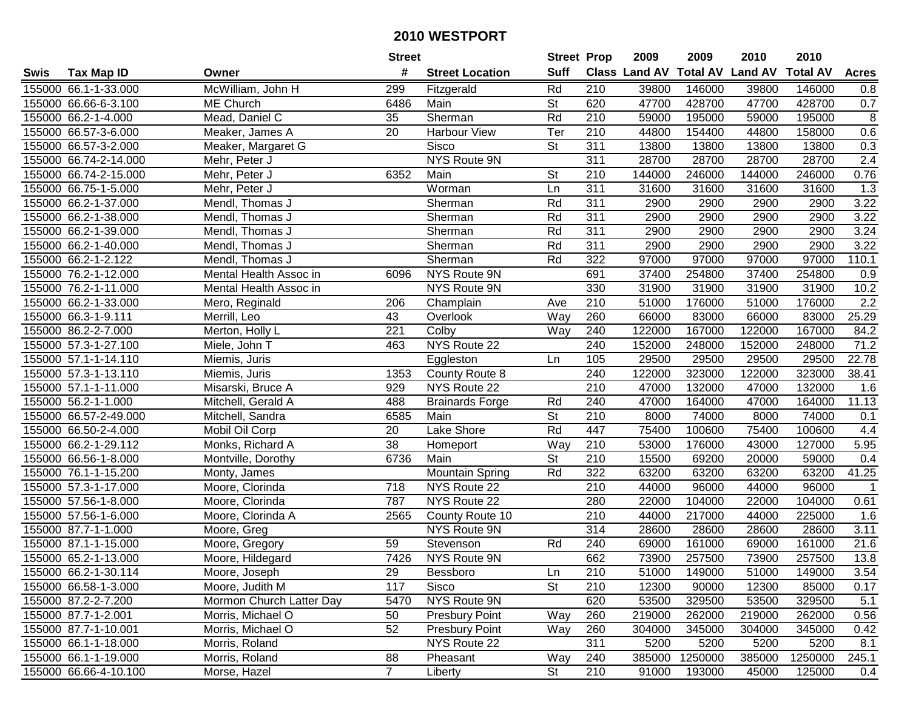|      |                       |                          | <b>Street</b>  |                        | <b>Street Prop</b>       |                  | 2009                 | 2009            | 2010           | 2010            |                    |
|------|-----------------------|--------------------------|----------------|------------------------|--------------------------|------------------|----------------------|-----------------|----------------|-----------------|--------------------|
| Swis | <b>Tax Map ID</b>     | Owner                    | #              | <b>Street Location</b> | <b>Suff</b>              |                  | <b>Class Land AV</b> | <b>Total AV</b> | <b>Land AV</b> | <b>Total AV</b> | <b>Acres</b>       |
|      | 155000 66.1-1-33.000  | McWilliam, John H        | 299            | Fitzgerald             | Rd                       | 210              | 39800                | 146000          | 39800          | 146000          | 0.8                |
|      | 155000 66.66-6-3.100  | <b>ME Church</b>         | 6486           | Main                   | St                       | 620              | 47700                | 428700          | 47700          | 428700          | 0.7                |
|      | 155000 66.2-1-4.000   | Mead, Daniel C           | 35             | Sherman                | Rd                       | 210              | 59000                | 195000          | 59000          | 195000          | 8                  |
|      | 155000 66.57-3-6.000  | Meaker, James A          | 20             | <b>Harbour View</b>    | Ter                      | 210              | 44800                | 154400          | 44800          | 158000          | 0.6                |
|      | 155000 66.57-3-2.000  | Meaker, Margaret G       |                | <b>Sisco</b>           | <b>St</b>                | 311              | 13800                | 13800           | 13800          | 13800           | 0.3                |
|      | 155000 66.74-2-14.000 | Mehr, Peter J            |                | <b>NYS Route 9N</b>    |                          | 311              | 28700                | 28700           | 28700          | 28700           | 2.4                |
|      | 155000 66.74-2-15.000 | Mehr, Peter J            | 6352           | Main                   | St                       | 210              | 144000               | 246000          | 144000         | 246000          | 0.76               |
|      | 155000 66.75-1-5.000  | Mehr, Peter J            |                | Worman                 | Ln                       | 311              | 31600                | 31600           | 31600          | 31600           | 1.3                |
|      | 155000 66.2-1-37.000  | Mendl, Thomas J          |                | Sherman                | Rd                       | 311              | 2900                 | 2900            | 2900           | 2900            | 3.22               |
|      | 155000 66.2-1-38.000  | Mendl, Thomas J          |                | Sherman                | Rd                       | 311              | 2900                 | 2900            | 2900           | 2900            | 3.22               |
|      | 155000 66.2-1-39.000  | Mendl, Thomas J          |                | Sherman                | Rd                       | 311              | 2900                 | 2900            | 2900           | 2900            | 3.24               |
|      | 155000 66.2-1-40.000  | Mendl, Thomas J          |                | Sherman                | Rd                       | 311              | 2900                 | 2900            | 2900           | 2900            | 3.22               |
|      | 155000 66.2-1-2.122   | Mendl, Thomas J          |                | Sherman                | Rd                       | 322              | 97000                | 97000           | 97000          | 97000           | 110.1              |
|      | 155000 76.2-1-12.000  | Mental Health Assoc in   | 6096           | NYS Route 9N           |                          | 691              | 37400                | 254800          | 37400          | 254800          | 0.9                |
|      | 155000 76.2-1-11.000  | Mental Health Assoc in   |                | NYS Route 9N           |                          | 330              | 31900                | 31900           | 31900          | 31900           | 10.2               |
|      | 155000 66.2-1-33.000  | Mero, Reginald           | 206            | Champlain              | Ave                      | 210              | 51000                | 176000          | 51000          | 176000          | 2.2                |
|      | 155000 66.3-1-9.111   | Merrill, Leo             | 43             | Overlook               | Way                      | 260              | 66000                | 83000           | 66000          | 83000           | 25.29              |
|      | 155000 86.2-2-7.000   | Merton, Holly L          | 221            | Colby                  | Way                      | 240              | 122000               | 167000          | 122000         | 167000          | 84.2               |
|      | 155000 57.3-1-27.100  | Miele, John T            | 463            | NYS Route 22           |                          | 240              | 152000               | 248000          | 152000         | 248000          | 71.2               |
|      | 155000 57.1-1-14.110  | Miemis, Juris            |                | Eggleston              | Ln                       | 105              | 29500                | 29500           | 29500          | 29500           | 22.78              |
|      | 155000 57.3-1-13.110  | Miemis, Juris            | 1353           | County Route 8         |                          | 240              | 122000               | 323000          | 122000         | 323000          | 38.41              |
|      | 155000 57.1-1-11.000  | Misarski, Bruce A        | 929            | NYS Route 22           |                          | 210              | 47000                | 132000          | 47000          | 132000          | 1.6                |
|      | 155000 56.2-1-1.000   | Mitchell, Gerald A       | 488            | <b>Brainards Forge</b> | Rd                       | 240              | 47000                | 164000          | 47000          | 164000          | 11.13              |
|      | 155000 66.57-2-49.000 | Mitchell, Sandra         | 6585           | Main                   | St                       | 210              | 8000                 | 74000           | 8000           | 74000           | 0.1                |
|      | 155000 66.50-2-4.000  | Mobil Oil Corp           | 20             | Lake Shore             | Rd                       | 447              | 75400                | 100600          | 75400          | 100600          | 4.4                |
|      | 155000 66.2-1-29.112  | Monks, Richard A         | 38             | Homeport               | Way                      | 210              | 53000                | 176000          | 43000          | 127000          | 5.95               |
|      | 155000 66.56-1-8.000  | Montville, Dorothy       | 6736           | Main                   | $\overline{\mathsf{St}}$ | 210              | 15500                | 69200           | 20000          | 59000           | 0.4                |
|      | 155000 76.1-1-15.200  | Monty, James             |                | <b>Mountain Spring</b> | Rd                       | 322              | 63200                | 63200           | 63200          | 63200           | $\overline{4}1.25$ |
|      | 155000 57.3-1-17.000  | Moore, Clorinda          | 718            | NYS Route 22           |                          | $\overline{210}$ | 44000                | 96000           | 44000          | 96000           |                    |
|      | 155000 57.56-1-8.000  | Moore, Clorinda          | 787            | NYS Route 22           |                          | 280              | 22000                | 104000          | 22000          | 104000          | 0.61               |
|      | 155000 57.56-1-6.000  | Moore, Clorinda A        | 2565           | County Route 10        |                          | $\overline{210}$ | 44000                | 217000          | 44000          | 225000          | 1.6                |
|      | 155000 87.7-1-1.000   | Moore, Greg              |                | NYS Route 9N           |                          | 314              | 28600                | 28600           | 28600          | 28600           | 3.11               |
|      | 155000 87.1-1-15.000  | Moore, Gregory           | 59             | Stevenson              | Rd                       | 240              | 69000                | 161000          | 69000          | 161000          | 21.6               |
|      | 155000 65.2-1-13.000  | Moore, Hildegard         | 7426           | NYS Route 9N           |                          | 662              | 73900                | 257500          | 73900          | 257500          | 13.8               |
|      | 155000 66.2-1-30.114  | Moore, Joseph            | 29             | Bessboro               | Ln                       | 210              | 51000                | 149000          | 51000          | 149000          | 3.54               |
|      | 155000 66.58-1-3.000  | Moore, Judith M          | 117            | Sisco                  | <b>St</b>                | 210              | 12300                | 90000           | 12300          | 85000           | 0.17               |
|      | 155000 87.2-2-7.200   | Mormon Church Latter Day | 5470           | NYS Route 9N           |                          | 620              | 53500                | 329500          | 53500          | 329500          | 5.1                |
|      | 155000 87.7-1-2.001   | Morris, Michael O        | 50             | <b>Presbury Point</b>  | Way                      | 260              | 219000               | 262000          | 219000         | 262000          | 0.56               |
|      | 155000 87.7-1-10.001  | Morris, Michael O        | 52             | <b>Presbury Point</b>  | Way                      | 260              | 304000               | 345000          | 304000         | 345000          | 0.42               |
|      | 155000 66.1-1-18.000  | Morris, Roland           |                | NYS Route 22           |                          | 311              | 5200                 | 5200            | 5200           | 5200            | 8.1                |
|      | 155000 66.1-1-19.000  | Morris, Roland           | 88             | Pheasant               | Way                      | 240              | 385000               | 1250000         | 385000         | 1250000         | 245.1              |
|      | 155000 66.66-4-10.100 | Morse, Hazel             | $\overline{7}$ | Liberty                | $\overline{\mathsf{St}}$ | 210              | 91000                | 193000          | 45000          | 125000          | 0.4                |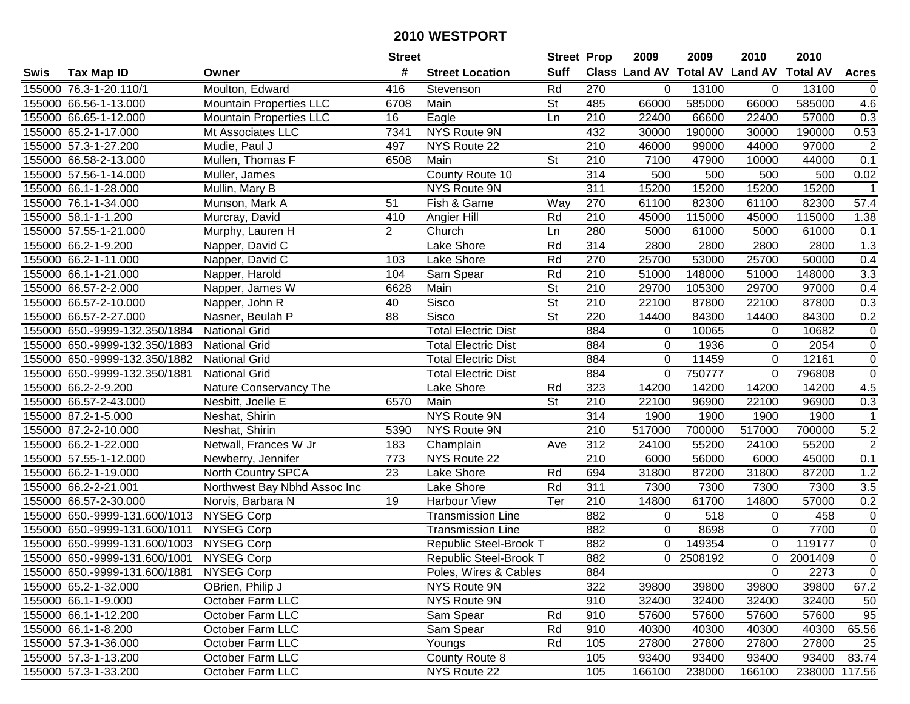|        |                               |                                | <b>Street</b>  |                            | <b>Street Prop</b>       |                  | 2009                          | 2009      | 2010                    | 2010          |                  |
|--------|-------------------------------|--------------------------------|----------------|----------------------------|--------------------------|------------------|-------------------------------|-----------|-------------------------|---------------|------------------|
| Swis   | <b>Tax Map ID</b>             | Owner                          | #              | <b>Street Location</b>     | <b>Suff</b>              |                  | <b>Class Land AV Total AV</b> |           | <b>Land AV Total AV</b> |               | <b>Acres</b>     |
|        | 155000 76.3-1-20.110/1        | Moulton, Edward                | 416            | Stevenson                  | Rd                       | 270              | 0                             | 13100     | 0                       | 13100         | $\overline{0}$   |
|        | 155000 66.56-1-13.000         | <b>Mountain Properties LLC</b> | 6708           | Main                       | St                       | 485              | 66000                         | 585000    | 66000                   | 585000        | 4.6              |
|        | 155000 66.65-1-12.000         | <b>Mountain Properties LLC</b> | 16             | Eagle                      | Ln                       | 210              | 22400                         | 66600     | 22400                   | 57000         | 0.3              |
|        | 155000 65.2-1-17.000          | Mt Associates LLC              | 7341           | NYS Route 9N               |                          | 432              | 30000                         | 190000    | 30000                   | 190000        | 0.53             |
|        | 155000 57.3-1-27.200          | Mudie, Paul J                  | 497            | NYS Route 22               |                          | 210              | 46000                         | 99000     | 44000                   | 97000         | $\overline{2}$   |
|        | 155000 66.58-2-13.000         | Mullen, Thomas F               | 6508           | Main                       | $\overline{\mathsf{St}}$ | 210              | 7100                          | 47900     | 10000                   | 44000         | 0.1              |
|        | 155000 57.56-1-14.000         | Muller, James                  |                | County Route 10            |                          | 314              | 500                           | 500       | 500                     | 500           | 0.02             |
|        | 155000 66.1-1-28.000          | Mullin, Mary B                 |                | NYS Route 9N               |                          | 311              | 15200                         | 15200     | 15200                   | 15200         | $\overline{1}$   |
|        | 155000 76.1-1-34.000          | Munson, Mark A                 | 51             | Fish & Game                | Way                      | 270              | 61100                         | 82300     | 61100                   | 82300         | 57.4             |
|        | 155000 58.1-1-1.200           | Murcray, David                 | 410            | Angier Hill                | Rd                       | 210              | 45000                         | 115000    | 45000                   | 115000        | 1.38             |
|        | 155000 57.55-1-21.000         | Murphy, Lauren H               | $\overline{2}$ | Church                     | Ln                       | 280              | 5000                          | 61000     | 5000                    | 61000         | 0.1              |
|        | 155000 66.2-1-9.200           | Napper, David C                |                | Lake Shore                 | Rd                       | 314              | 2800                          | 2800      | 2800                    | 2800          | 1.3              |
|        | 155000 66.2-1-11.000          | Napper, David C                | 103            | Lake Shore                 | Rd                       | 270              | 25700                         | 53000     | 25700                   | 50000         | 0.4              |
|        | 155000 66.1-1-21.000          | Napper, Harold                 | 104            | Sam Spear                  | Rd                       | 210              | 51000                         | 148000    | 51000                   | 148000        | 3.3              |
|        | 155000 66.57-2-2.000          | Napper, James W                | 6628           | Main                       | $\overline{\mathsf{St}}$ | 210              | 29700                         | 105300    | 29700                   | 97000         | 0.4              |
|        | 155000 66.57-2-10.000         | Napper, John R                 | 40             | Sisco                      | St                       | 210              | 22100                         | 87800     | 22100                   | 87800         | 0.3              |
|        | 155000 66.57-2-27.000         | Nasner, Beulah P               | 88             | Sisco                      | $\overline{\mathsf{St}}$ | 220              | 14400                         | 84300     | 14400                   | 84300         | 0.2              |
|        | 155000 650.-9999-132.350/1884 | <b>National Grid</b>           |                | <b>Total Electric Dist</b> |                          | 884              | 0                             | 10065     | 0                       | 10682         | $\boldsymbol{0}$ |
|        | 155000 650.-9999-132.350/1883 | <b>National Grid</b>           |                | <b>Total Electric Dist</b> |                          | 884              | 0                             | 1936      | $\Omega$                | 2054          | $\overline{0}$   |
|        | 155000 650.-9999-132.350/1882 | <b>National Grid</b>           |                | <b>Total Electric Dist</b> |                          | 884              | 0                             | 11459     | $\Omega$                | 12161         | $\overline{0}$   |
|        | 155000 650.-9999-132.350/1881 | <b>National Grid</b>           |                | <b>Total Electric Dist</b> |                          | 884              | $\mathbf 0$                   | 750777    | $\mathbf 0$             | 796808        | $\overline{0}$   |
|        | 155000 66.2-2-9.200           | Nature Conservancy The         |                | Lake Shore                 | Rd                       | 323              | 14200                         | 14200     | 14200                   | 14200         | 4.5              |
| 155000 | 66.57-2-43.000                | Nesbitt, Joelle E              | 6570           | Main                       | <b>St</b>                | 210              | 22100                         | 96900     | 22100                   | 96900         | 0.3              |
|        | 155000 87.2-1-5.000           | Neshat, Shirin                 |                | NYS Route 9N               |                          | 314              | 1900                          | 1900      | 1900                    | 1900          | $\overline{1}$   |
|        | 155000 87.2-2-10.000          | Neshat, Shirin                 | 5390           | NYS Route 9N               |                          | $\overline{210}$ | 517000                        | 700000    | 517000                  | 700000        | 5.2              |
|        | 155000 66.2-1-22.000          | Netwall, Frances W Jr          | 183            | Champlain                  | Ave                      | $\overline{312}$ | 24100                         | 55200     | 24100                   | 55200         | $\overline{2}$   |
|        | 155000 57.55-1-12.000         | Newberry, Jennifer             | 773            | NYS Route 22               |                          | 210              | 6000                          | 56000     | 6000                    | 45000         | 0.1              |
|        | 155000 66.2-1-19.000          | North Country SPCA             | 23             | Lake Shore                 | Rd                       | 694              | 31800                         | 87200     | 31800                   | 87200         | 1.2              |
|        | 155000 66.2-2-21.001          | Northwest Bay Nbhd Assoc Inc   |                | Lake Shore                 | Rd                       | $\overline{311}$ | 7300                          | 7300      | 7300                    | 7300          | 3.5              |
|        | 155000 66.57-2-30.000         | Norvis, Barbara N              | 19             | Harbour View               | Ter                      | $\overline{210}$ | 14800                         | 61700     | 14800                   | 57000         | 0.2              |
|        | 155000 650.-9999-131.600/1013 | <b>NYSEG Corp</b>              |                | <b>Transmission Line</b>   |                          | 882              | 0                             | 518       | $\mathbf 0$             | 458           | $\overline{0}$   |
|        | 155000 650.-9999-131.600/1011 | <b>NYSEG Corp</b>              |                | <b>Transmission Line</b>   |                          | 882              | 0                             | 8698      | 0                       | 7700          | $\overline{0}$   |
|        | 155000 650.-9999-131.600/1003 | NYSEG Corp                     |                | Republic Steel-Brook T     |                          | 882              | 0                             | 149354    | $\Omega$                | 119177        | $\overline{0}$   |
|        | 155000 650.-9999-131.600/1001 | NYSEG Corp                     |                | Republic Steel-Brook T     |                          | 882              |                               | 0 2508192 | 0                       | 2001409       | $\overline{0}$   |
|        | 155000 650.-9999-131.600/1881 | NYSEG Corp                     |                | Poles, Wires & Cables      |                          | 884              |                               |           | 0                       | 2273          | $\mathbf 0$      |
|        | 155000 65.2-1-32.000          | OBrien, Philip J               |                | NYS Route 9N               |                          | 322              | 39800                         | 39800     | 39800                   | 39800         | 67.2             |
|        | 155000 66.1-1-9.000           | October Farm LLC               |                | NYS Route 9N               |                          | 910              | 32400                         | 32400     | 32400                   | 32400         | 50               |
|        | 155000 66.1-1-12.200          | October Farm LLC               |                | Sam Spear                  | Rd                       | 910              | 57600                         | 57600     | 57600                   | 57600         | 95               |
|        | 155000 66.1-1-8.200           | October Farm LLC               |                | Sam Spear                  | Rd                       | 910              | 40300                         | 40300     | 40300                   | 40300         | 65.56            |
|        | 155000 57.3-1-36.000          | October Farm LLC               |                | Youngs                     | Rd                       | 105              | 27800                         | 27800     | 27800                   | 27800         | 25               |
|        | 155000 57.3-1-13.200          | October Farm LLC               |                | County Route 8             |                          | 105              | 93400                         | 93400     | 93400                   | 93400         | 83.74            |
|        | 155000 57.3-1-33.200          | October Farm LLC               |                | NYS Route 22               |                          | 105              | 166100                        | 238000    | 166100                  | 238000 117.56 |                  |
|        |                               |                                |                |                            |                          |                  |                               |           |                         |               |                  |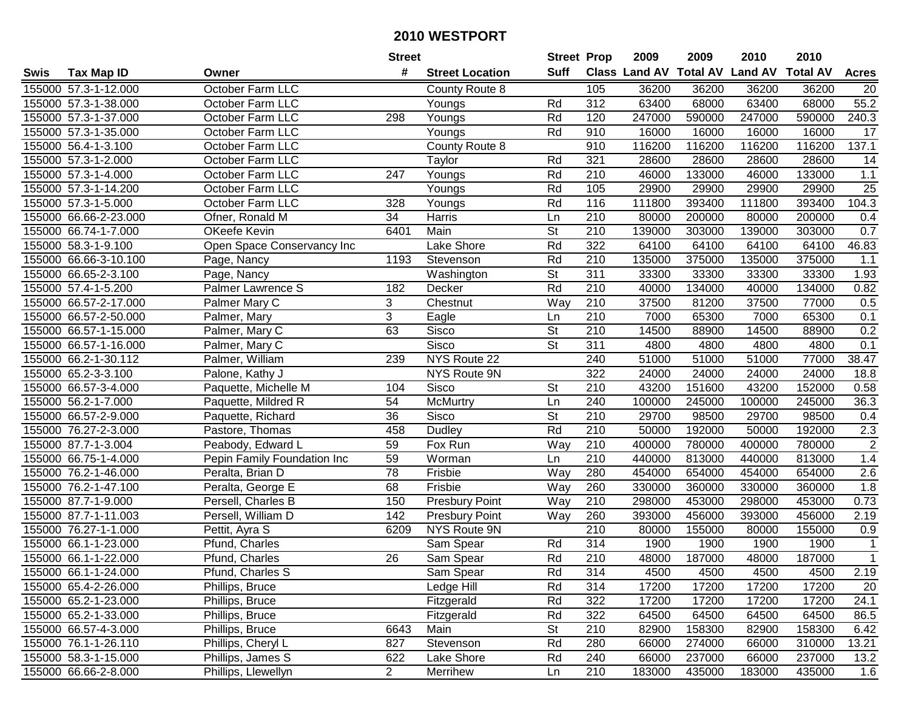|      |                       |                             | <b>Street</b>   |                        | <b>Street Prop</b>       |                  | 2009                          | 2009   | 2010           | 2010            |                 |
|------|-----------------------|-----------------------------|-----------------|------------------------|--------------------------|------------------|-------------------------------|--------|----------------|-----------------|-----------------|
| Swis | <b>Tax Map ID</b>     | Owner                       | #               | <b>Street Location</b> | <b>Suff</b>              |                  | <b>Class Land AV Total AV</b> |        | <b>Land AV</b> | <b>Total AV</b> | <b>Acres</b>    |
|      | 155000 57.3-1-12.000  | October Farm LLC            |                 | County Route 8         |                          | 105              | 36200                         | 36200  | 36200          | 36200           | 20              |
|      | 155000 57.3-1-38.000  | October Farm LLC            |                 | Youngs                 | Rd                       | 312              | 63400                         | 68000  | 63400          | 68000           | 55.2            |
|      | 155000 57.3-1-37.000  | October Farm LLC            | 298             | Youngs                 | Rd                       | 120              | 247000                        | 590000 | 247000         | 590000          | 240.3           |
|      | 155000 57.3-1-35.000  | October Farm LLC            |                 | Youngs                 | Rd                       | 910              | 16000                         | 16000  | 16000          | 16000           | 17              |
|      | 155000 56.4-1-3.100   | October Farm LLC            |                 | County Route 8         |                          | 910              | 116200                        | 116200 | 116200         | 116200          | 137.1           |
|      | 155000 57.3-1-2.000   | October Farm LLC            |                 | Taylor                 | Rd                       | 321              | 28600                         | 28600  | 28600          | 28600           | $\overline{14}$ |
|      | 155000 57.3-1-4.000   | October Farm LLC            | 247             | Youngs                 | Rd                       | 210              | 46000                         | 133000 | 46000          | 133000          | $1.1$           |
|      | 155000 57.3-1-14.200  | October Farm LLC            |                 | Youngs                 | Rd                       | 105              | 29900                         | 29900  | 29900          | 29900           | 25              |
|      | 155000 57.3-1-5.000   | October Farm LLC            | 328             | Youngs                 | Rd                       | 116              | 111800                        | 393400 | 111800         | 393400          | 104.3           |
|      | 155000 66.66-2-23.000 | Ofner, Ronald M             | 34              | Harris                 | Ln                       | 210              | 80000                         | 200000 | 80000          | 200000          | 0.4             |
|      | 155000 66.74-1-7.000  | OKeefe Kevin                | 6401            | Main                   | $\overline{\mathsf{St}}$ | 210              | 139000                        | 303000 | 139000         | 303000          | 0.7             |
|      | 155000 58.3-1-9.100   | Open Space Conservancy Inc  |                 | Lake Shore             | Rd                       | 322              | 64100                         | 64100  | 64100          | 64100           | 46.83           |
|      | 155000 66.66-3-10.100 | Page, Nancy                 | 1193            | Stevenson              | Rd                       | $\overline{210}$ | 135000                        | 375000 | 135000         | 375000          | 1.1             |
|      | 155000 66.65-2-3.100  | Page, Nancy                 |                 | Washington             | <b>St</b>                | 311              | 33300                         | 33300  | 33300          | 33300           | 1.93            |
|      | 155000 57.4-1-5.200   | Palmer Lawrence S           | 182             | Decker                 | Rd                       | 210              | 40000                         | 134000 | 40000          | 134000          | 0.82            |
|      | 155000 66.57-2-17.000 | Palmer Mary C               | 3               | Chestnut               | Way                      | 210              | 37500                         | 81200  | 37500          | 77000           | 0.5             |
|      | 155000 66.57-2-50.000 | Palmer, Mary                | 3               | Eagle                  | Ln                       | 210              | 7000                          | 65300  | 7000           | 65300           | 0.1             |
|      | 155000 66.57-1-15.000 | Palmer, Mary C              | 63              | Sisco                  | $\overline{\mathsf{St}}$ | 210              | 14500                         | 88900  | 14500          | 88900           | 0.2             |
|      | 155000 66.57-1-16.000 | Palmer, Mary C              |                 | Sisco                  | <b>St</b>                | 311              | 4800                          | 4800   | 4800           | 4800            | 0.1             |
|      | 155000 66.2-1-30.112  | Palmer, William             | 239             | NYS Route 22           |                          | 240              | 51000                         | 51000  | 51000          | 77000           | 38.47           |
|      | 155000 65.2-3-3.100   | Palone, Kathy J             |                 | NYS Route 9N           |                          | 322              | 24000                         | 24000  | 24000          | 24000           | 18.8            |
|      | 155000 66.57-3-4.000  | Paquette, Michelle M        | 104             | Sisco                  | <b>St</b>                | 210              | 43200                         | 151600 | 43200          | 152000          | 0.58            |
|      | 155000 56.2-1-7.000   | Paquette, Mildred R         | 54              | McMurtry               | Ln                       | 240              | 100000                        | 245000 | 100000         | 245000          | 36.3            |
|      | 155000 66.57-2-9.000  | Paquette, Richard           | 36              | Sisco                  | <b>St</b>                | 210              | 29700                         | 98500  | 29700          | 98500           | 0.4             |
|      | 155000 76.27-2-3.000  | Pastore, Thomas             | 458             | Dudley                 | Rd                       | 210              | 50000                         | 192000 | 50000          | 192000          | 2.3             |
|      | 155000 87.7-1-3.004   | Peabody, Edward L           | 59              | Fox Run                | Way                      | 210              | 400000                        | 780000 | 400000         | 780000          | $\overline{2}$  |
|      | 155000 66.75-1-4.000  | Pepin Family Foundation Inc | 59              | Worman                 | Ln                       | 210              | 440000                        | 813000 | 440000         | 813000          | 1.4             |
|      | 155000 76.2-1-46.000  | Peralta, Brian D            | 78              | Frisbie                | Way                      | 280              | 454000                        | 654000 | 454000         | 654000          | 2.6             |
|      | 155000 76.2-1-47.100  | Peralta, George E           | 68              | Frisbie                | Way                      | 260              | 330000                        | 360000 | 330000         | 360000          | 1.8             |
|      | 155000 87.7-1-9.000   | Persell, Charles B          | 150             | Presbury Point         | Way                      | 210              | 298000                        | 453000 | 298000         | 453000          | 0.73            |
|      | 155000 87.7-1-11.003  | Persell, William D          | 142             | <b>Presbury Point</b>  | Way                      | 260              | 393000                        | 456000 | 393000         | 456000          | 2.19            |
|      | 155000 76.27-1-1.000  | Pettit, Ayra S              | 6209            | NYS Route 9N           |                          | 210              | 80000                         | 155000 | 80000          | 155000          | 0.9             |
|      | 155000 66.1-1-23.000  | Pfund, Charles              |                 | Sam Spear              | Rd                       | 314              | 1900                          | 1900   | 1900           | 1900            | $\mathbf{1}$    |
|      | 155000 66.1-1-22.000  | Pfund, Charles              | $\overline{26}$ | Sam Spear              | Rd                       | $\overline{210}$ | 48000                         | 187000 | 48000          | 187000          | $\mathbf{1}$    |
|      | 155000 66.1-1-24.000  | Pfund, Charles S            |                 | Sam Spear              | Rd                       | 314              | 4500                          | 4500   | 4500           | 4500            | 2.19            |
|      | 155000 65.4-2-26.000  | Phillips, Bruce             |                 | Ledge Hill             | Rd                       | 314              | 17200                         | 17200  | 17200          | 17200           | 20              |
|      | 155000 65.2-1-23.000  | Phillips, Bruce             |                 | Fitzgerald             | Rd                       | 322              | 17200                         | 17200  | 17200          | 17200           | 24.1            |
|      | 155000 65.2-1-33.000  | Phillips, Bruce             |                 | Fitzgerald             | Rd                       | 322              | 64500                         | 64500  | 64500          | 64500           | 86.5            |
|      | 155000 66.57-4-3.000  | Phillips, Bruce             | 6643            | Main                   | <b>St</b>                | 210              | 82900                         | 158300 | 82900          | 158300          | 6.42            |
|      | 155000 76.1-1-26.110  | Phillips, Cheryl L          | 827             | Stevenson              | Rd                       | 280              | 66000                         | 274000 | 66000          | 310000          | 13.21           |
|      | 155000 58.3-1-15.000  | Phillips, James S           | 622             | Lake Shore             | Rd                       | 240              | 66000                         | 237000 | 66000          | 237000          | 13.2            |
|      | 155000 66.66-2-8.000  | Phillips, Llewellyn         | $\overline{2}$  | Merrihew               | Ln                       | 210              | 183000                        | 435000 | 183000         | 435000          | 1.6             |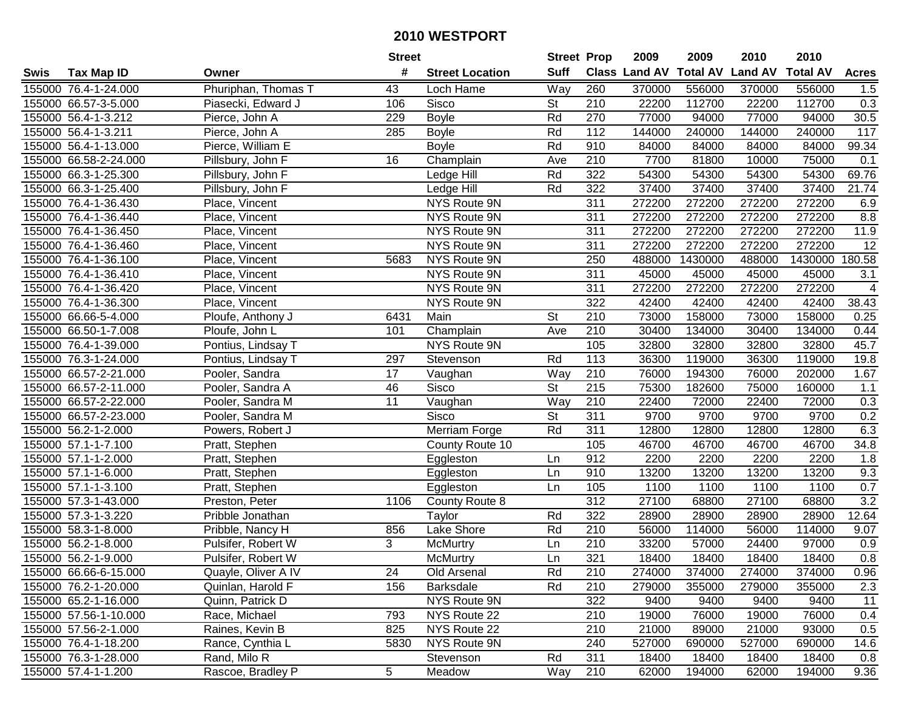| #<br><b>Suff</b><br><b>Total AV</b><br>Class Land AV<br><b>Land AV</b><br><b>Total AV</b><br><b>Tax Map ID</b><br><b>Street Location</b><br><b>Acres</b><br>Swis<br>Owner<br>Way<br>260<br>370000<br>155000 76.4-1-24.000<br>Phuriphan, Thomas T<br>43<br>Loch Hame<br>370000<br>556000<br>556000<br>1.5<br>155000 66.57-3-5.000<br>106<br>Sisco<br><b>St</b><br>210<br>22200<br>112700<br>22200<br>112700<br>0.3<br>Piasecki, Edward J<br>30.5<br>155000 56.4-1-3.212<br>229<br><b>Boyle</b><br>Rd<br>270<br>77000<br>94000<br>77000<br>94000<br>Pierce, John A<br>$\frac{117}{117}$<br>Rd<br>112<br>144000<br>240000<br>144000<br>240000<br>155000 56.4-1-3.211<br>Pierce, John A<br>285<br><b>Boyle</b><br>155000 56.4-1-13.000<br>Pierce, William E<br>Rd<br>910<br>84000<br>84000<br>84000<br>84000<br>99.34<br><b>Boyle</b><br>7700<br>155000 66.58-2-24.000<br>Pillsbury, John F<br>16<br>Champlain<br>210<br>81800<br>10000<br>75000<br>0.1<br>Ave<br>69.76<br>Rd<br>322<br>54300<br>54300<br>54300<br>155000 66.3-1-25.300<br>Pillsbury, John F<br>54300<br>Ledge Hill<br>322<br>37400<br>21.74<br>155000 66.3-1-25.400<br>Rd<br>37400<br>37400<br>37400<br>Pillsbury, John F<br>Ledge Hill<br>NYS Route 9N<br>311<br>272200<br>272200<br>272200<br>155000 76.4-1-36.430<br>Place, Vincent<br>272200<br>6.9<br>NYS Route 9N<br>311<br>272200<br>272200<br>272200<br>8.8<br>155000 76.4-1-36.440<br>272200<br>Place, Vincent<br>311<br>272200<br>272200<br>272200<br>155000 76.4-1-36.450<br>NYS Route 9N<br>272200<br>11.9<br>Place, Vincent<br>155000 76.4-1-36.460<br>NYS Route 9N<br>311<br>272200<br>272200<br>272200<br>272200<br>12<br>Place, Vincent<br>155000 76.4-1-36.100<br>NYS Route 9N<br>250<br>488000<br>1430000<br>488000<br>1430000<br>180.58<br>Place, Vincent<br>5683<br>155000 76.4-1-36.410<br>NYS Route 9N<br>311<br>45000<br>45000<br>45000<br>45000<br>3.1<br>Place, Vincent<br>311<br>272200<br>272200<br>155000 76.4-1-36.420<br>NYS Route 9N<br>272200<br>272200<br>$\overline{4}$<br>Place, Vincent<br>322<br>38.43<br>NYS Route 9N<br>42400<br>42400<br>42400<br>155000 76.4-1-36.300<br>Place, Vincent<br>42400<br>St<br>210<br>155000 66.66-5-4.000<br>73000<br>158000<br>73000<br>158000<br>0.25<br>Ploufe, Anthony J<br>6431<br>Main<br>155000 66.50-1-7.008<br>Champlain<br>210<br>30400<br>134000<br>30400<br>0.44<br>Ploufe, John L<br>101<br>Ave<br>134000<br>45.7<br>155000 76.4-1-39.000<br>NYS Route 9N<br>105<br>32800<br>32800<br>32800<br>32800<br>Pontius, Lindsay T<br>155000 76.3-1-24.000<br>Rd<br>113<br>36300<br>119000<br>36300<br>119000<br>19.8<br>Pontius, Lindsay T<br>297<br>Stevenson<br>Way<br>210<br>76000<br>194300<br>76000<br>1.67<br>155000 66.57-2-21.000<br>Pooler, Sandra<br>17<br>202000<br>Vaughan<br><b>St</b><br>155000 66.57-2-11.000<br>46<br>Sisco<br>215<br>75300<br>182600<br>75000<br>160000<br>1.1<br>Pooler, Sandra A<br>11<br>Way<br>210<br>155000 66.57-2-22.000<br>Pooler, Sandra M<br>22400<br>72000<br>22400<br>72000<br>0.3<br>Vaughan<br><b>St</b><br>311<br>9700<br>0.2<br>155000 66.57-2-23.000<br>Sisco<br>9700<br>9700<br>9700<br>Pooler, Sandra M<br>311<br>155000 56.2-1-2.000<br>Rd<br>12800<br>12800<br>12800<br>6.3<br>Merriam Forge<br>12800<br>Powers, Robert J<br>105<br>155000 57.1-1-7.100<br>Pratt, Stephen<br>46700<br>46700<br>46700<br>34.8<br>County Route 10<br>46700<br>912<br>2200<br>2200<br>155000 57.1-1-2.000<br>Pratt, Stephen<br>2200<br>2200<br>1.8<br>Eggleston<br>Ln<br>910<br>13200<br>9.3<br>155000 57.1-1-6.000<br>13200<br>13200<br>13200<br>Pratt, Stephen<br>Eggleston<br>Ln<br>$\frac{105}{2}$<br>0.7<br>155000 57.1-1-3.100<br>1100<br>1100<br>1100<br>1100<br>Pratt, Stephen<br>Ln<br>Eggleston<br>312<br>3.2<br>27100<br>68800<br>155000 57.3-1-43.000<br>27100<br>68800<br>Preston, Peter<br>1106<br>County Route 8<br>322<br>155000 57.3-1-3.220<br>Rd<br>28900<br>28900<br>12.64<br>28900<br>28900<br>Pribble Jonathan<br>Taylor<br>155000 58.3-1-8.000<br>856<br>Lake Shore<br>Rd<br>210<br>56000<br>114000<br>56000<br>114000<br>9.07<br>Pribble, Nancy H<br>155000 56.2-1-8.000<br>3<br>$\overline{210}$<br><b>McMurtry</b><br>33200<br>57000<br>24400<br>97000<br>0.9<br>Pulsifer, Robert W<br>Ln<br>321<br>0.8<br>155000 56.2-1-9.000<br>18400<br>18400<br>Pulsifer, Robert W<br>McMurtry<br>Ln<br>18400<br>18400<br>155000 66.66-6-15.000<br>Quayle, Oliver A IV<br>24<br>Old Arsenal<br>Rd<br>210<br>274000<br>374000<br>274000<br>374000<br>0.96<br>2.3<br>155000 76.2-1-20.000<br>Quinlan, Harold F<br>156<br><b>Barksdale</b><br>Rd<br>210<br>279000<br>355000<br>355000<br>279000<br>322<br>11<br>155000 65.2-1-16.000<br>NYS Route 9N<br>9400<br>9400<br>9400<br>9400<br>Quinn, Patrick D<br>NYS Route 22<br>19000<br>76000<br>0.4<br>155000 57.56-1-10.000<br>Race, Michael<br>793<br>210<br>76000<br>19000<br>NYS Route 22<br>0.5<br>155000 57.56-2-1.000<br>Raines, Kevin B<br>825<br>210<br>21000<br>89000<br>21000<br>93000<br>NYS Route 9N<br>155000 76.4-1-18.200<br>Rance, Cynthia L<br>5830<br>240<br>527000<br>690000<br>527000<br>690000<br>14.6<br>155000 76.3-1-28.000<br>Rand, Milo R<br>Rd<br>311<br>18400<br>18400<br>18400<br>Stevenson<br>18400<br>0.8<br>5<br>155000 57.4-1-1.200<br>210<br>62000<br>62000<br>9.36<br>194000<br>194000<br>Meadow |  |                   | <b>Street</b> | <b>Street Prop</b> | 2009 | 2009 | 2010 | 2010 |  |
|--------------------------------------------------------------------------------------------------------------------------------------------------------------------------------------------------------------------------------------------------------------------------------------------------------------------------------------------------------------------------------------------------------------------------------------------------------------------------------------------------------------------------------------------------------------------------------------------------------------------------------------------------------------------------------------------------------------------------------------------------------------------------------------------------------------------------------------------------------------------------------------------------------------------------------------------------------------------------------------------------------------------------------------------------------------------------------------------------------------------------------------------------------------------------------------------------------------------------------------------------------------------------------------------------------------------------------------------------------------------------------------------------------------------------------------------------------------------------------------------------------------------------------------------------------------------------------------------------------------------------------------------------------------------------------------------------------------------------------------------------------------------------------------------------------------------------------------------------------------------------------------------------------------------------------------------------------------------------------------------------------------------------------------------------------------------------------------------------------------------------------------------------------------------------------------------------------------------------------------------------------------------------------------------------------------------------------------------------------------------------------------------------------------------------------------------------------------------------------------------------------------------------------------------------------------------------------------------------------------------------------------------------------------------------------------------------------------------------------------------------------------------------------------------------------------------------------------------------------------------------------------------------------------------------------------------------------------------------------------------------------------------------------------------------------------------------------------------------------------------------------------------------------------------------------------------------------------------------------------------------------------------------------------------------------------------------------------------------------------------------------------------------------------------------------------------------------------------------------------------------------------------------------------------------------------------------------------------------------------------------------------------------------------------------------------------------------------------------------------------------------------------------------------------------------------------------------------------------------------------------------------------------------------------------------------------------------------------------------------------------------------------------------------------------------------------------------------------------------------------------------------------------------------------------------------------------------------------------------------------------------------------------------------------------------------------------------------------------------------------------------------------------------------------------------------------------------------------------------------------------------------------------------------------------------------------------------------------------------------------------------------------------------------------------------------------------------------------------------------------------------------------------------------------------------------------------------------------------------------------------------------------------------------------------------------------------------------------------------------------------------------------------------------------------------------------------------------------------------------------------------------------------------------------------------------------------------------------------------------------------------------------------------------------------------------------------|--|-------------------|---------------|--------------------|------|------|------|------|--|
|                                                                                                                                                                                                                                                                                                                                                                                                                                                                                                                                                                                                                                                                                                                                                                                                                                                                                                                                                                                                                                                                                                                                                                                                                                                                                                                                                                                                                                                                                                                                                                                                                                                                                                                                                                                                                                                                                                                                                                                                                                                                                                                                                                                                                                                                                                                                                                                                                                                                                                                                                                                                                                                                                                                                                                                                                                                                                                                                                                                                                                                                                                                                                                                                                                                                                                                                                                                                                                                                                                                                                                                                                                                                                                                                                                                                                                                                                                                                                                                                                                                                                                                                                                                                                                                                                                                                                                                                                                                                                                                                                                                                                                                                                                                                                                                                                                                                                                                                                                                                                                                                                                                                                                                                                                                                                                                          |  |                   |               |                    |      |      |      |      |  |
|                                                                                                                                                                                                                                                                                                                                                                                                                                                                                                                                                                                                                                                                                                                                                                                                                                                                                                                                                                                                                                                                                                                                                                                                                                                                                                                                                                                                                                                                                                                                                                                                                                                                                                                                                                                                                                                                                                                                                                                                                                                                                                                                                                                                                                                                                                                                                                                                                                                                                                                                                                                                                                                                                                                                                                                                                                                                                                                                                                                                                                                                                                                                                                                                                                                                                                                                                                                                                                                                                                                                                                                                                                                                                                                                                                                                                                                                                                                                                                                                                                                                                                                                                                                                                                                                                                                                                                                                                                                                                                                                                                                                                                                                                                                                                                                                                                                                                                                                                                                                                                                                                                                                                                                                                                                                                                                          |  |                   |               |                    |      |      |      |      |  |
|                                                                                                                                                                                                                                                                                                                                                                                                                                                                                                                                                                                                                                                                                                                                                                                                                                                                                                                                                                                                                                                                                                                                                                                                                                                                                                                                                                                                                                                                                                                                                                                                                                                                                                                                                                                                                                                                                                                                                                                                                                                                                                                                                                                                                                                                                                                                                                                                                                                                                                                                                                                                                                                                                                                                                                                                                                                                                                                                                                                                                                                                                                                                                                                                                                                                                                                                                                                                                                                                                                                                                                                                                                                                                                                                                                                                                                                                                                                                                                                                                                                                                                                                                                                                                                                                                                                                                                                                                                                                                                                                                                                                                                                                                                                                                                                                                                                                                                                                                                                                                                                                                                                                                                                                                                                                                                                          |  |                   |               |                    |      |      |      |      |  |
|                                                                                                                                                                                                                                                                                                                                                                                                                                                                                                                                                                                                                                                                                                                                                                                                                                                                                                                                                                                                                                                                                                                                                                                                                                                                                                                                                                                                                                                                                                                                                                                                                                                                                                                                                                                                                                                                                                                                                                                                                                                                                                                                                                                                                                                                                                                                                                                                                                                                                                                                                                                                                                                                                                                                                                                                                                                                                                                                                                                                                                                                                                                                                                                                                                                                                                                                                                                                                                                                                                                                                                                                                                                                                                                                                                                                                                                                                                                                                                                                                                                                                                                                                                                                                                                                                                                                                                                                                                                                                                                                                                                                                                                                                                                                                                                                                                                                                                                                                                                                                                                                                                                                                                                                                                                                                                                          |  |                   |               |                    |      |      |      |      |  |
|                                                                                                                                                                                                                                                                                                                                                                                                                                                                                                                                                                                                                                                                                                                                                                                                                                                                                                                                                                                                                                                                                                                                                                                                                                                                                                                                                                                                                                                                                                                                                                                                                                                                                                                                                                                                                                                                                                                                                                                                                                                                                                                                                                                                                                                                                                                                                                                                                                                                                                                                                                                                                                                                                                                                                                                                                                                                                                                                                                                                                                                                                                                                                                                                                                                                                                                                                                                                                                                                                                                                                                                                                                                                                                                                                                                                                                                                                                                                                                                                                                                                                                                                                                                                                                                                                                                                                                                                                                                                                                                                                                                                                                                                                                                                                                                                                                                                                                                                                                                                                                                                                                                                                                                                                                                                                                                          |  |                   |               |                    |      |      |      |      |  |
|                                                                                                                                                                                                                                                                                                                                                                                                                                                                                                                                                                                                                                                                                                                                                                                                                                                                                                                                                                                                                                                                                                                                                                                                                                                                                                                                                                                                                                                                                                                                                                                                                                                                                                                                                                                                                                                                                                                                                                                                                                                                                                                                                                                                                                                                                                                                                                                                                                                                                                                                                                                                                                                                                                                                                                                                                                                                                                                                                                                                                                                                                                                                                                                                                                                                                                                                                                                                                                                                                                                                                                                                                                                                                                                                                                                                                                                                                                                                                                                                                                                                                                                                                                                                                                                                                                                                                                                                                                                                                                                                                                                                                                                                                                                                                                                                                                                                                                                                                                                                                                                                                                                                                                                                                                                                                                                          |  |                   |               |                    |      |      |      |      |  |
|                                                                                                                                                                                                                                                                                                                                                                                                                                                                                                                                                                                                                                                                                                                                                                                                                                                                                                                                                                                                                                                                                                                                                                                                                                                                                                                                                                                                                                                                                                                                                                                                                                                                                                                                                                                                                                                                                                                                                                                                                                                                                                                                                                                                                                                                                                                                                                                                                                                                                                                                                                                                                                                                                                                                                                                                                                                                                                                                                                                                                                                                                                                                                                                                                                                                                                                                                                                                                                                                                                                                                                                                                                                                                                                                                                                                                                                                                                                                                                                                                                                                                                                                                                                                                                                                                                                                                                                                                                                                                                                                                                                                                                                                                                                                                                                                                                                                                                                                                                                                                                                                                                                                                                                                                                                                                                                          |  |                   |               |                    |      |      |      |      |  |
|                                                                                                                                                                                                                                                                                                                                                                                                                                                                                                                                                                                                                                                                                                                                                                                                                                                                                                                                                                                                                                                                                                                                                                                                                                                                                                                                                                                                                                                                                                                                                                                                                                                                                                                                                                                                                                                                                                                                                                                                                                                                                                                                                                                                                                                                                                                                                                                                                                                                                                                                                                                                                                                                                                                                                                                                                                                                                                                                                                                                                                                                                                                                                                                                                                                                                                                                                                                                                                                                                                                                                                                                                                                                                                                                                                                                                                                                                                                                                                                                                                                                                                                                                                                                                                                                                                                                                                                                                                                                                                                                                                                                                                                                                                                                                                                                                                                                                                                                                                                                                                                                                                                                                                                                                                                                                                                          |  |                   |               |                    |      |      |      |      |  |
|                                                                                                                                                                                                                                                                                                                                                                                                                                                                                                                                                                                                                                                                                                                                                                                                                                                                                                                                                                                                                                                                                                                                                                                                                                                                                                                                                                                                                                                                                                                                                                                                                                                                                                                                                                                                                                                                                                                                                                                                                                                                                                                                                                                                                                                                                                                                                                                                                                                                                                                                                                                                                                                                                                                                                                                                                                                                                                                                                                                                                                                                                                                                                                                                                                                                                                                                                                                                                                                                                                                                                                                                                                                                                                                                                                                                                                                                                                                                                                                                                                                                                                                                                                                                                                                                                                                                                                                                                                                                                                                                                                                                                                                                                                                                                                                                                                                                                                                                                                                                                                                                                                                                                                                                                                                                                                                          |  |                   |               |                    |      |      |      |      |  |
|                                                                                                                                                                                                                                                                                                                                                                                                                                                                                                                                                                                                                                                                                                                                                                                                                                                                                                                                                                                                                                                                                                                                                                                                                                                                                                                                                                                                                                                                                                                                                                                                                                                                                                                                                                                                                                                                                                                                                                                                                                                                                                                                                                                                                                                                                                                                                                                                                                                                                                                                                                                                                                                                                                                                                                                                                                                                                                                                                                                                                                                                                                                                                                                                                                                                                                                                                                                                                                                                                                                                                                                                                                                                                                                                                                                                                                                                                                                                                                                                                                                                                                                                                                                                                                                                                                                                                                                                                                                                                                                                                                                                                                                                                                                                                                                                                                                                                                                                                                                                                                                                                                                                                                                                                                                                                                                          |  |                   |               |                    |      |      |      |      |  |
|                                                                                                                                                                                                                                                                                                                                                                                                                                                                                                                                                                                                                                                                                                                                                                                                                                                                                                                                                                                                                                                                                                                                                                                                                                                                                                                                                                                                                                                                                                                                                                                                                                                                                                                                                                                                                                                                                                                                                                                                                                                                                                                                                                                                                                                                                                                                                                                                                                                                                                                                                                                                                                                                                                                                                                                                                                                                                                                                                                                                                                                                                                                                                                                                                                                                                                                                                                                                                                                                                                                                                                                                                                                                                                                                                                                                                                                                                                                                                                                                                                                                                                                                                                                                                                                                                                                                                                                                                                                                                                                                                                                                                                                                                                                                                                                                                                                                                                                                                                                                                                                                                                                                                                                                                                                                                                                          |  |                   |               |                    |      |      |      |      |  |
|                                                                                                                                                                                                                                                                                                                                                                                                                                                                                                                                                                                                                                                                                                                                                                                                                                                                                                                                                                                                                                                                                                                                                                                                                                                                                                                                                                                                                                                                                                                                                                                                                                                                                                                                                                                                                                                                                                                                                                                                                                                                                                                                                                                                                                                                                                                                                                                                                                                                                                                                                                                                                                                                                                                                                                                                                                                                                                                                                                                                                                                                                                                                                                                                                                                                                                                                                                                                                                                                                                                                                                                                                                                                                                                                                                                                                                                                                                                                                                                                                                                                                                                                                                                                                                                                                                                                                                                                                                                                                                                                                                                                                                                                                                                                                                                                                                                                                                                                                                                                                                                                                                                                                                                                                                                                                                                          |  |                   |               |                    |      |      |      |      |  |
|                                                                                                                                                                                                                                                                                                                                                                                                                                                                                                                                                                                                                                                                                                                                                                                                                                                                                                                                                                                                                                                                                                                                                                                                                                                                                                                                                                                                                                                                                                                                                                                                                                                                                                                                                                                                                                                                                                                                                                                                                                                                                                                                                                                                                                                                                                                                                                                                                                                                                                                                                                                                                                                                                                                                                                                                                                                                                                                                                                                                                                                                                                                                                                                                                                                                                                                                                                                                                                                                                                                                                                                                                                                                                                                                                                                                                                                                                                                                                                                                                                                                                                                                                                                                                                                                                                                                                                                                                                                                                                                                                                                                                                                                                                                                                                                                                                                                                                                                                                                                                                                                                                                                                                                                                                                                                                                          |  |                   |               |                    |      |      |      |      |  |
|                                                                                                                                                                                                                                                                                                                                                                                                                                                                                                                                                                                                                                                                                                                                                                                                                                                                                                                                                                                                                                                                                                                                                                                                                                                                                                                                                                                                                                                                                                                                                                                                                                                                                                                                                                                                                                                                                                                                                                                                                                                                                                                                                                                                                                                                                                                                                                                                                                                                                                                                                                                                                                                                                                                                                                                                                                                                                                                                                                                                                                                                                                                                                                                                                                                                                                                                                                                                                                                                                                                                                                                                                                                                                                                                                                                                                                                                                                                                                                                                                                                                                                                                                                                                                                                                                                                                                                                                                                                                                                                                                                                                                                                                                                                                                                                                                                                                                                                                                                                                                                                                                                                                                                                                                                                                                                                          |  |                   |               |                    |      |      |      |      |  |
|                                                                                                                                                                                                                                                                                                                                                                                                                                                                                                                                                                                                                                                                                                                                                                                                                                                                                                                                                                                                                                                                                                                                                                                                                                                                                                                                                                                                                                                                                                                                                                                                                                                                                                                                                                                                                                                                                                                                                                                                                                                                                                                                                                                                                                                                                                                                                                                                                                                                                                                                                                                                                                                                                                                                                                                                                                                                                                                                                                                                                                                                                                                                                                                                                                                                                                                                                                                                                                                                                                                                                                                                                                                                                                                                                                                                                                                                                                                                                                                                                                                                                                                                                                                                                                                                                                                                                                                                                                                                                                                                                                                                                                                                                                                                                                                                                                                                                                                                                                                                                                                                                                                                                                                                                                                                                                                          |  |                   |               |                    |      |      |      |      |  |
|                                                                                                                                                                                                                                                                                                                                                                                                                                                                                                                                                                                                                                                                                                                                                                                                                                                                                                                                                                                                                                                                                                                                                                                                                                                                                                                                                                                                                                                                                                                                                                                                                                                                                                                                                                                                                                                                                                                                                                                                                                                                                                                                                                                                                                                                                                                                                                                                                                                                                                                                                                                                                                                                                                                                                                                                                                                                                                                                                                                                                                                                                                                                                                                                                                                                                                                                                                                                                                                                                                                                                                                                                                                                                                                                                                                                                                                                                                                                                                                                                                                                                                                                                                                                                                                                                                                                                                                                                                                                                                                                                                                                                                                                                                                                                                                                                                                                                                                                                                                                                                                                                                                                                                                                                                                                                                                          |  |                   |               |                    |      |      |      |      |  |
|                                                                                                                                                                                                                                                                                                                                                                                                                                                                                                                                                                                                                                                                                                                                                                                                                                                                                                                                                                                                                                                                                                                                                                                                                                                                                                                                                                                                                                                                                                                                                                                                                                                                                                                                                                                                                                                                                                                                                                                                                                                                                                                                                                                                                                                                                                                                                                                                                                                                                                                                                                                                                                                                                                                                                                                                                                                                                                                                                                                                                                                                                                                                                                                                                                                                                                                                                                                                                                                                                                                                                                                                                                                                                                                                                                                                                                                                                                                                                                                                                                                                                                                                                                                                                                                                                                                                                                                                                                                                                                                                                                                                                                                                                                                                                                                                                                                                                                                                                                                                                                                                                                                                                                                                                                                                                                                          |  |                   |               |                    |      |      |      |      |  |
|                                                                                                                                                                                                                                                                                                                                                                                                                                                                                                                                                                                                                                                                                                                                                                                                                                                                                                                                                                                                                                                                                                                                                                                                                                                                                                                                                                                                                                                                                                                                                                                                                                                                                                                                                                                                                                                                                                                                                                                                                                                                                                                                                                                                                                                                                                                                                                                                                                                                                                                                                                                                                                                                                                                                                                                                                                                                                                                                                                                                                                                                                                                                                                                                                                                                                                                                                                                                                                                                                                                                                                                                                                                                                                                                                                                                                                                                                                                                                                                                                                                                                                                                                                                                                                                                                                                                                                                                                                                                                                                                                                                                                                                                                                                                                                                                                                                                                                                                                                                                                                                                                                                                                                                                                                                                                                                          |  |                   |               |                    |      |      |      |      |  |
|                                                                                                                                                                                                                                                                                                                                                                                                                                                                                                                                                                                                                                                                                                                                                                                                                                                                                                                                                                                                                                                                                                                                                                                                                                                                                                                                                                                                                                                                                                                                                                                                                                                                                                                                                                                                                                                                                                                                                                                                                                                                                                                                                                                                                                                                                                                                                                                                                                                                                                                                                                                                                                                                                                                                                                                                                                                                                                                                                                                                                                                                                                                                                                                                                                                                                                                                                                                                                                                                                                                                                                                                                                                                                                                                                                                                                                                                                                                                                                                                                                                                                                                                                                                                                                                                                                                                                                                                                                                                                                                                                                                                                                                                                                                                                                                                                                                                                                                                                                                                                                                                                                                                                                                                                                                                                                                          |  |                   |               |                    |      |      |      |      |  |
|                                                                                                                                                                                                                                                                                                                                                                                                                                                                                                                                                                                                                                                                                                                                                                                                                                                                                                                                                                                                                                                                                                                                                                                                                                                                                                                                                                                                                                                                                                                                                                                                                                                                                                                                                                                                                                                                                                                                                                                                                                                                                                                                                                                                                                                                                                                                                                                                                                                                                                                                                                                                                                                                                                                                                                                                                                                                                                                                                                                                                                                                                                                                                                                                                                                                                                                                                                                                                                                                                                                                                                                                                                                                                                                                                                                                                                                                                                                                                                                                                                                                                                                                                                                                                                                                                                                                                                                                                                                                                                                                                                                                                                                                                                                                                                                                                                                                                                                                                                                                                                                                                                                                                                                                                                                                                                                          |  |                   |               |                    |      |      |      |      |  |
|                                                                                                                                                                                                                                                                                                                                                                                                                                                                                                                                                                                                                                                                                                                                                                                                                                                                                                                                                                                                                                                                                                                                                                                                                                                                                                                                                                                                                                                                                                                                                                                                                                                                                                                                                                                                                                                                                                                                                                                                                                                                                                                                                                                                                                                                                                                                                                                                                                                                                                                                                                                                                                                                                                                                                                                                                                                                                                                                                                                                                                                                                                                                                                                                                                                                                                                                                                                                                                                                                                                                                                                                                                                                                                                                                                                                                                                                                                                                                                                                                                                                                                                                                                                                                                                                                                                                                                                                                                                                                                                                                                                                                                                                                                                                                                                                                                                                                                                                                                                                                                                                                                                                                                                                                                                                                                                          |  |                   |               |                    |      |      |      |      |  |
|                                                                                                                                                                                                                                                                                                                                                                                                                                                                                                                                                                                                                                                                                                                                                                                                                                                                                                                                                                                                                                                                                                                                                                                                                                                                                                                                                                                                                                                                                                                                                                                                                                                                                                                                                                                                                                                                                                                                                                                                                                                                                                                                                                                                                                                                                                                                                                                                                                                                                                                                                                                                                                                                                                                                                                                                                                                                                                                                                                                                                                                                                                                                                                                                                                                                                                                                                                                                                                                                                                                                                                                                                                                                                                                                                                                                                                                                                                                                                                                                                                                                                                                                                                                                                                                                                                                                                                                                                                                                                                                                                                                                                                                                                                                                                                                                                                                                                                                                                                                                                                                                                                                                                                                                                                                                                                                          |  |                   |               |                    |      |      |      |      |  |
|                                                                                                                                                                                                                                                                                                                                                                                                                                                                                                                                                                                                                                                                                                                                                                                                                                                                                                                                                                                                                                                                                                                                                                                                                                                                                                                                                                                                                                                                                                                                                                                                                                                                                                                                                                                                                                                                                                                                                                                                                                                                                                                                                                                                                                                                                                                                                                                                                                                                                                                                                                                                                                                                                                                                                                                                                                                                                                                                                                                                                                                                                                                                                                                                                                                                                                                                                                                                                                                                                                                                                                                                                                                                                                                                                                                                                                                                                                                                                                                                                                                                                                                                                                                                                                                                                                                                                                                                                                                                                                                                                                                                                                                                                                                                                                                                                                                                                                                                                                                                                                                                                                                                                                                                                                                                                                                          |  |                   |               |                    |      |      |      |      |  |
|                                                                                                                                                                                                                                                                                                                                                                                                                                                                                                                                                                                                                                                                                                                                                                                                                                                                                                                                                                                                                                                                                                                                                                                                                                                                                                                                                                                                                                                                                                                                                                                                                                                                                                                                                                                                                                                                                                                                                                                                                                                                                                                                                                                                                                                                                                                                                                                                                                                                                                                                                                                                                                                                                                                                                                                                                                                                                                                                                                                                                                                                                                                                                                                                                                                                                                                                                                                                                                                                                                                                                                                                                                                                                                                                                                                                                                                                                                                                                                                                                                                                                                                                                                                                                                                                                                                                                                                                                                                                                                                                                                                                                                                                                                                                                                                                                                                                                                                                                                                                                                                                                                                                                                                                                                                                                                                          |  |                   |               |                    |      |      |      |      |  |
|                                                                                                                                                                                                                                                                                                                                                                                                                                                                                                                                                                                                                                                                                                                                                                                                                                                                                                                                                                                                                                                                                                                                                                                                                                                                                                                                                                                                                                                                                                                                                                                                                                                                                                                                                                                                                                                                                                                                                                                                                                                                                                                                                                                                                                                                                                                                                                                                                                                                                                                                                                                                                                                                                                                                                                                                                                                                                                                                                                                                                                                                                                                                                                                                                                                                                                                                                                                                                                                                                                                                                                                                                                                                                                                                                                                                                                                                                                                                                                                                                                                                                                                                                                                                                                                                                                                                                                                                                                                                                                                                                                                                                                                                                                                                                                                                                                                                                                                                                                                                                                                                                                                                                                                                                                                                                                                          |  |                   |               |                    |      |      |      |      |  |
|                                                                                                                                                                                                                                                                                                                                                                                                                                                                                                                                                                                                                                                                                                                                                                                                                                                                                                                                                                                                                                                                                                                                                                                                                                                                                                                                                                                                                                                                                                                                                                                                                                                                                                                                                                                                                                                                                                                                                                                                                                                                                                                                                                                                                                                                                                                                                                                                                                                                                                                                                                                                                                                                                                                                                                                                                                                                                                                                                                                                                                                                                                                                                                                                                                                                                                                                                                                                                                                                                                                                                                                                                                                                                                                                                                                                                                                                                                                                                                                                                                                                                                                                                                                                                                                                                                                                                                                                                                                                                                                                                                                                                                                                                                                                                                                                                                                                                                                                                                                                                                                                                                                                                                                                                                                                                                                          |  |                   |               |                    |      |      |      |      |  |
|                                                                                                                                                                                                                                                                                                                                                                                                                                                                                                                                                                                                                                                                                                                                                                                                                                                                                                                                                                                                                                                                                                                                                                                                                                                                                                                                                                                                                                                                                                                                                                                                                                                                                                                                                                                                                                                                                                                                                                                                                                                                                                                                                                                                                                                                                                                                                                                                                                                                                                                                                                                                                                                                                                                                                                                                                                                                                                                                                                                                                                                                                                                                                                                                                                                                                                                                                                                                                                                                                                                                                                                                                                                                                                                                                                                                                                                                                                                                                                                                                                                                                                                                                                                                                                                                                                                                                                                                                                                                                                                                                                                                                                                                                                                                                                                                                                                                                                                                                                                                                                                                                                                                                                                                                                                                                                                          |  |                   |               |                    |      |      |      |      |  |
|                                                                                                                                                                                                                                                                                                                                                                                                                                                                                                                                                                                                                                                                                                                                                                                                                                                                                                                                                                                                                                                                                                                                                                                                                                                                                                                                                                                                                                                                                                                                                                                                                                                                                                                                                                                                                                                                                                                                                                                                                                                                                                                                                                                                                                                                                                                                                                                                                                                                                                                                                                                                                                                                                                                                                                                                                                                                                                                                                                                                                                                                                                                                                                                                                                                                                                                                                                                                                                                                                                                                                                                                                                                                                                                                                                                                                                                                                                                                                                                                                                                                                                                                                                                                                                                                                                                                                                                                                                                                                                                                                                                                                                                                                                                                                                                                                                                                                                                                                                                                                                                                                                                                                                                                                                                                                                                          |  |                   |               |                    |      |      |      |      |  |
|                                                                                                                                                                                                                                                                                                                                                                                                                                                                                                                                                                                                                                                                                                                                                                                                                                                                                                                                                                                                                                                                                                                                                                                                                                                                                                                                                                                                                                                                                                                                                                                                                                                                                                                                                                                                                                                                                                                                                                                                                                                                                                                                                                                                                                                                                                                                                                                                                                                                                                                                                                                                                                                                                                                                                                                                                                                                                                                                                                                                                                                                                                                                                                                                                                                                                                                                                                                                                                                                                                                                                                                                                                                                                                                                                                                                                                                                                                                                                                                                                                                                                                                                                                                                                                                                                                                                                                                                                                                                                                                                                                                                                                                                                                                                                                                                                                                                                                                                                                                                                                                                                                                                                                                                                                                                                                                          |  |                   |               |                    |      |      |      |      |  |
|                                                                                                                                                                                                                                                                                                                                                                                                                                                                                                                                                                                                                                                                                                                                                                                                                                                                                                                                                                                                                                                                                                                                                                                                                                                                                                                                                                                                                                                                                                                                                                                                                                                                                                                                                                                                                                                                                                                                                                                                                                                                                                                                                                                                                                                                                                                                                                                                                                                                                                                                                                                                                                                                                                                                                                                                                                                                                                                                                                                                                                                                                                                                                                                                                                                                                                                                                                                                                                                                                                                                                                                                                                                                                                                                                                                                                                                                                                                                                                                                                                                                                                                                                                                                                                                                                                                                                                                                                                                                                                                                                                                                                                                                                                                                                                                                                                                                                                                                                                                                                                                                                                                                                                                                                                                                                                                          |  |                   |               |                    |      |      |      |      |  |
|                                                                                                                                                                                                                                                                                                                                                                                                                                                                                                                                                                                                                                                                                                                                                                                                                                                                                                                                                                                                                                                                                                                                                                                                                                                                                                                                                                                                                                                                                                                                                                                                                                                                                                                                                                                                                                                                                                                                                                                                                                                                                                                                                                                                                                                                                                                                                                                                                                                                                                                                                                                                                                                                                                                                                                                                                                                                                                                                                                                                                                                                                                                                                                                                                                                                                                                                                                                                                                                                                                                                                                                                                                                                                                                                                                                                                                                                                                                                                                                                                                                                                                                                                                                                                                                                                                                                                                                                                                                                                                                                                                                                                                                                                                                                                                                                                                                                                                                                                                                                                                                                                                                                                                                                                                                                                                                          |  |                   |               |                    |      |      |      |      |  |
|                                                                                                                                                                                                                                                                                                                                                                                                                                                                                                                                                                                                                                                                                                                                                                                                                                                                                                                                                                                                                                                                                                                                                                                                                                                                                                                                                                                                                                                                                                                                                                                                                                                                                                                                                                                                                                                                                                                                                                                                                                                                                                                                                                                                                                                                                                                                                                                                                                                                                                                                                                                                                                                                                                                                                                                                                                                                                                                                                                                                                                                                                                                                                                                                                                                                                                                                                                                                                                                                                                                                                                                                                                                                                                                                                                                                                                                                                                                                                                                                                                                                                                                                                                                                                                                                                                                                                                                                                                                                                                                                                                                                                                                                                                                                                                                                                                                                                                                                                                                                                                                                                                                                                                                                                                                                                                                          |  |                   |               |                    |      |      |      |      |  |
|                                                                                                                                                                                                                                                                                                                                                                                                                                                                                                                                                                                                                                                                                                                                                                                                                                                                                                                                                                                                                                                                                                                                                                                                                                                                                                                                                                                                                                                                                                                                                                                                                                                                                                                                                                                                                                                                                                                                                                                                                                                                                                                                                                                                                                                                                                                                                                                                                                                                                                                                                                                                                                                                                                                                                                                                                                                                                                                                                                                                                                                                                                                                                                                                                                                                                                                                                                                                                                                                                                                                                                                                                                                                                                                                                                                                                                                                                                                                                                                                                                                                                                                                                                                                                                                                                                                                                                                                                                                                                                                                                                                                                                                                                                                                                                                                                                                                                                                                                                                                                                                                                                                                                                                                                                                                                                                          |  |                   |               |                    |      |      |      |      |  |
|                                                                                                                                                                                                                                                                                                                                                                                                                                                                                                                                                                                                                                                                                                                                                                                                                                                                                                                                                                                                                                                                                                                                                                                                                                                                                                                                                                                                                                                                                                                                                                                                                                                                                                                                                                                                                                                                                                                                                                                                                                                                                                                                                                                                                                                                                                                                                                                                                                                                                                                                                                                                                                                                                                                                                                                                                                                                                                                                                                                                                                                                                                                                                                                                                                                                                                                                                                                                                                                                                                                                                                                                                                                                                                                                                                                                                                                                                                                                                                                                                                                                                                                                                                                                                                                                                                                                                                                                                                                                                                                                                                                                                                                                                                                                                                                                                                                                                                                                                                                                                                                                                                                                                                                                                                                                                                                          |  |                   |               |                    |      |      |      |      |  |
|                                                                                                                                                                                                                                                                                                                                                                                                                                                                                                                                                                                                                                                                                                                                                                                                                                                                                                                                                                                                                                                                                                                                                                                                                                                                                                                                                                                                                                                                                                                                                                                                                                                                                                                                                                                                                                                                                                                                                                                                                                                                                                                                                                                                                                                                                                                                                                                                                                                                                                                                                                                                                                                                                                                                                                                                                                                                                                                                                                                                                                                                                                                                                                                                                                                                                                                                                                                                                                                                                                                                                                                                                                                                                                                                                                                                                                                                                                                                                                                                                                                                                                                                                                                                                                                                                                                                                                                                                                                                                                                                                                                                                                                                                                                                                                                                                                                                                                                                                                                                                                                                                                                                                                                                                                                                                                                          |  |                   |               |                    |      |      |      |      |  |
|                                                                                                                                                                                                                                                                                                                                                                                                                                                                                                                                                                                                                                                                                                                                                                                                                                                                                                                                                                                                                                                                                                                                                                                                                                                                                                                                                                                                                                                                                                                                                                                                                                                                                                                                                                                                                                                                                                                                                                                                                                                                                                                                                                                                                                                                                                                                                                                                                                                                                                                                                                                                                                                                                                                                                                                                                                                                                                                                                                                                                                                                                                                                                                                                                                                                                                                                                                                                                                                                                                                                                                                                                                                                                                                                                                                                                                                                                                                                                                                                                                                                                                                                                                                                                                                                                                                                                                                                                                                                                                                                                                                                                                                                                                                                                                                                                                                                                                                                                                                                                                                                                                                                                                                                                                                                                                                          |  |                   |               |                    |      |      |      |      |  |
|                                                                                                                                                                                                                                                                                                                                                                                                                                                                                                                                                                                                                                                                                                                                                                                                                                                                                                                                                                                                                                                                                                                                                                                                                                                                                                                                                                                                                                                                                                                                                                                                                                                                                                                                                                                                                                                                                                                                                                                                                                                                                                                                                                                                                                                                                                                                                                                                                                                                                                                                                                                                                                                                                                                                                                                                                                                                                                                                                                                                                                                                                                                                                                                                                                                                                                                                                                                                                                                                                                                                                                                                                                                                                                                                                                                                                                                                                                                                                                                                                                                                                                                                                                                                                                                                                                                                                                                                                                                                                                                                                                                                                                                                                                                                                                                                                                                                                                                                                                                                                                                                                                                                                                                                                                                                                                                          |  |                   |               |                    |      |      |      |      |  |
|                                                                                                                                                                                                                                                                                                                                                                                                                                                                                                                                                                                                                                                                                                                                                                                                                                                                                                                                                                                                                                                                                                                                                                                                                                                                                                                                                                                                                                                                                                                                                                                                                                                                                                                                                                                                                                                                                                                                                                                                                                                                                                                                                                                                                                                                                                                                                                                                                                                                                                                                                                                                                                                                                                                                                                                                                                                                                                                                                                                                                                                                                                                                                                                                                                                                                                                                                                                                                                                                                                                                                                                                                                                                                                                                                                                                                                                                                                                                                                                                                                                                                                                                                                                                                                                                                                                                                                                                                                                                                                                                                                                                                                                                                                                                                                                                                                                                                                                                                                                                                                                                                                                                                                                                                                                                                                                          |  |                   |               |                    |      |      |      |      |  |
|                                                                                                                                                                                                                                                                                                                                                                                                                                                                                                                                                                                                                                                                                                                                                                                                                                                                                                                                                                                                                                                                                                                                                                                                                                                                                                                                                                                                                                                                                                                                                                                                                                                                                                                                                                                                                                                                                                                                                                                                                                                                                                                                                                                                                                                                                                                                                                                                                                                                                                                                                                                                                                                                                                                                                                                                                                                                                                                                                                                                                                                                                                                                                                                                                                                                                                                                                                                                                                                                                                                                                                                                                                                                                                                                                                                                                                                                                                                                                                                                                                                                                                                                                                                                                                                                                                                                                                                                                                                                                                                                                                                                                                                                                                                                                                                                                                                                                                                                                                                                                                                                                                                                                                                                                                                                                                                          |  |                   |               |                    |      |      |      |      |  |
|                                                                                                                                                                                                                                                                                                                                                                                                                                                                                                                                                                                                                                                                                                                                                                                                                                                                                                                                                                                                                                                                                                                                                                                                                                                                                                                                                                                                                                                                                                                                                                                                                                                                                                                                                                                                                                                                                                                                                                                                                                                                                                                                                                                                                                                                                                                                                                                                                                                                                                                                                                                                                                                                                                                                                                                                                                                                                                                                                                                                                                                                                                                                                                                                                                                                                                                                                                                                                                                                                                                                                                                                                                                                                                                                                                                                                                                                                                                                                                                                                                                                                                                                                                                                                                                                                                                                                                                                                                                                                                                                                                                                                                                                                                                                                                                                                                                                                                                                                                                                                                                                                                                                                                                                                                                                                                                          |  |                   |               |                    |      |      |      |      |  |
|                                                                                                                                                                                                                                                                                                                                                                                                                                                                                                                                                                                                                                                                                                                                                                                                                                                                                                                                                                                                                                                                                                                                                                                                                                                                                                                                                                                                                                                                                                                                                                                                                                                                                                                                                                                                                                                                                                                                                                                                                                                                                                                                                                                                                                                                                                                                                                                                                                                                                                                                                                                                                                                                                                                                                                                                                                                                                                                                                                                                                                                                                                                                                                                                                                                                                                                                                                                                                                                                                                                                                                                                                                                                                                                                                                                                                                                                                                                                                                                                                                                                                                                                                                                                                                                                                                                                                                                                                                                                                                                                                                                                                                                                                                                                                                                                                                                                                                                                                                                                                                                                                                                                                                                                                                                                                                                          |  |                   |               |                    |      |      |      |      |  |
|                                                                                                                                                                                                                                                                                                                                                                                                                                                                                                                                                                                                                                                                                                                                                                                                                                                                                                                                                                                                                                                                                                                                                                                                                                                                                                                                                                                                                                                                                                                                                                                                                                                                                                                                                                                                                                                                                                                                                                                                                                                                                                                                                                                                                                                                                                                                                                                                                                                                                                                                                                                                                                                                                                                                                                                                                                                                                                                                                                                                                                                                                                                                                                                                                                                                                                                                                                                                                                                                                                                                                                                                                                                                                                                                                                                                                                                                                                                                                                                                                                                                                                                                                                                                                                                                                                                                                                                                                                                                                                                                                                                                                                                                                                                                                                                                                                                                                                                                                                                                                                                                                                                                                                                                                                                                                                                          |  |                   |               |                    |      |      |      |      |  |
|                                                                                                                                                                                                                                                                                                                                                                                                                                                                                                                                                                                                                                                                                                                                                                                                                                                                                                                                                                                                                                                                                                                                                                                                                                                                                                                                                                                                                                                                                                                                                                                                                                                                                                                                                                                                                                                                                                                                                                                                                                                                                                                                                                                                                                                                                                                                                                                                                                                                                                                                                                                                                                                                                                                                                                                                                                                                                                                                                                                                                                                                                                                                                                                                                                                                                                                                                                                                                                                                                                                                                                                                                                                                                                                                                                                                                                                                                                                                                                                                                                                                                                                                                                                                                                                                                                                                                                                                                                                                                                                                                                                                                                                                                                                                                                                                                                                                                                                                                                                                                                                                                                                                                                                                                                                                                                                          |  | Rascoe, Bradley P |               | Way                |      |      |      |      |  |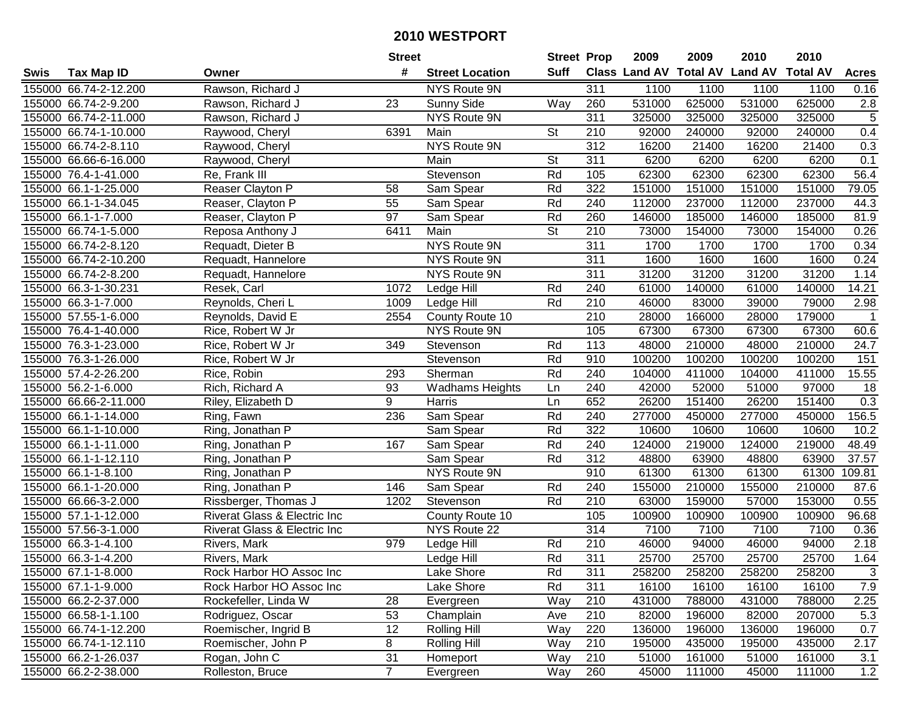| #<br><b>Suff</b><br><b>Class Land AV Total AV</b><br><b>Land AV</b><br><b>Total AV</b><br><b>Acres</b><br><b>Tax Map ID</b><br><b>Street Location</b><br>Swis<br>Owner<br>Rawson, Richard J<br>155000 66.74-2-12.200<br>NYS Route 9N<br>311<br>1100<br>1100<br>1100<br>1100<br>0.16<br>531000<br>625000<br>531000<br>625000<br>155000 66.74-2-9.200<br>23<br><b>Sunny Side</b><br>$2.8$<br>Rawson, Richard J<br>Way<br>260<br>5<br>155000 66.74-2-11.000<br>NYS Route 9N<br>311<br>325000<br>325000<br>325000<br>325000<br>Rawson, Richard J<br>210<br>92000<br>0.4<br>155000 66.74-1-10.000<br>Raywood, Cheryl<br>6391<br>Main<br><b>St</b><br>240000<br>92000<br>240000<br>155000 66.74-2-8.110<br>NYS Route 9N<br>312<br>16200<br>21400<br>16200<br>21400<br>0.3<br>Raywood, Cheryl<br>155000 66.66-6-16.000<br>Main<br>St<br>311<br>6200<br>6200<br>6200<br>6200<br>0.1<br>Raywood, Cheryl<br>56.4<br>Stevenson<br>Rd<br>62300<br>155000 76.4-1-41.000<br>Re, Frank III<br>105<br>62300<br>62300<br>62300<br>322<br>79.05<br>Reaser Clayton P<br>Rd<br>151000<br>151000<br>151000<br>151000<br>155000 66.1-1-25.000<br>58<br>Sam Spear<br>Rd<br>237000<br>155000 66.1-1-34.045<br>Reaser, Clayton P<br>55<br>240<br>112000<br>112000<br>237000<br>44.3<br>Sam Spear<br>97<br>Rd<br>81.9<br>155000 66.1-1-7.000<br>Reaser, Clayton P<br>260<br>146000<br>185000<br>146000<br>185000<br>Sam Spear<br>St<br>155000 66.74-1-5.000<br>Reposa Anthony J<br>Main<br>210<br>73000<br>154000<br>73000<br>154000<br>6411<br>0.26<br>155000 66.74-2-8.120<br>Requadt, Dieter B<br>NYS Route 9N<br>311<br>1700<br>1700<br>1700<br>0.34<br>1700<br>155000 66.74-2-10.200<br>NYS Route 9N<br>311<br>1600<br>1600<br>1600<br>1600<br>Requadt, Hannelore<br>0.24<br>311<br>31200<br>155000 66.74-2-8.200<br>NYS Route 9N<br>31200<br>31200<br>31200<br>1.14<br>Requadt, Hannelore<br>155000 66.3-1-30.231<br>Rd<br>240<br>61000<br>140000<br>61000<br>140000<br>14.21<br>Resek, Carl<br>1072<br>Ledge Hill<br>155000 66.3-1-7.000<br>Rd<br>210<br>46000<br>39000<br>79000<br>2.98<br>Reynolds, Cheri L<br>1009<br>Ledge Hill<br>83000<br>210<br>155000 57.55-1-6.000<br>2554<br>28000<br>166000<br>28000<br>179000<br>Reynolds, David E<br>County Route 10<br>-1<br>105<br>NYS Route 9N<br>67300<br>67300<br>67300<br>67300<br>60.6<br>155000 76.4-1-40.000<br>Rice, Robert W Jr<br>155000 76.3-1-23.000<br>Rice, Robert W Jr<br>349<br>113<br>48000<br>210000<br>48000<br>210000<br>24.7<br>Stevenson<br>Rd<br>155000 76.3-1-26.000<br>Stevenson<br>Rd<br>910<br>100200<br>100200<br>100200<br>100200<br>151<br>Rice, Robert W Jr<br>Rd<br>Sherman<br>240<br>411000<br>15.55<br>155000 57.4-2-26.200<br>Rice, Robin<br>293<br>104000<br>411000<br>104000<br>Rich, Richard A<br>155000 56.2-1-6.000<br>93<br>240<br>42000<br>52000<br>51000<br>97000<br>18<br><b>Wadhams Heights</b><br>Ln<br>9<br>0.3<br>155000 66.66-2-11.000<br>Harris<br>Ln<br>652<br>26200<br>151400<br>26200<br>151400<br>Riley, Elizabeth D<br>156.5<br>155000 66.1-1-14.000<br>236<br>Rd<br>240<br>277000<br>450000<br>277000<br>450000<br>Ring, Fawn<br>Sam Spear<br>Rd<br>322<br>10600<br>10600<br>155000 66.1-1-10.000<br>Ring, Jonathan P<br>Sam Spear<br>10600<br>10600<br>10.2<br>Rd<br>219000<br>155000 66.1-1-11.000<br>167<br>240<br>124000<br>124000<br>219000<br>48.49<br>Ring, Jonathan P<br>Sam Spear<br>312<br>63900<br>37.57<br>155000 66.1-1-12.110<br>Rd<br>48800<br>63900<br>48800<br>Ring, Jonathan P<br>Sam Spear<br>61300<br>61300<br>109.81<br>155000 66.1-1-8.100<br>NYS Route 9N<br>910<br>61300<br>61300<br>Ring, Jonathan P<br>Rd<br>240<br>155000<br>210000<br>155000<br>210000<br>155000 66.1-1-20.000<br>Ring, Jonathan P<br>146<br>Sam Spear<br>87.6<br>Rd<br>$\overline{210}$<br>155000 66.66-3-2.000<br>Rissberger, Thomas J<br>63000<br>159000<br>57000<br>153000<br>0.55<br>1202<br>Stevenson<br>105<br>155000 57.1-1-12.000<br><b>Riverat Glass &amp; Electric Inc</b><br>County Route 10<br>100900<br>100900<br>100900<br>100900<br>96.68<br>7100<br>155000 57.56-3-1.000<br>NYS Route 22<br>314<br>7100<br>7100<br>7100<br>Riverat Glass & Electric Inc<br>0.36<br>155000 66.3-1-4.100<br>2.18<br>979<br>Rd<br>210<br>46000<br>94000<br>46000<br>94000<br>Rivers, Mark<br>Ledge Hill<br>Rd<br>311<br>155000 66.3-1-4.200<br>25700<br>25700<br>25700<br>25700<br>1.64<br>Rivers, Mark<br>Ledge Hill<br>155000 67.1-1-8.000<br>Rock Harbor HO Assoc Inc<br>Lake Shore<br>Rd<br>311<br>258200<br>258200<br>258200<br>258200<br>3<br>7.9<br>155000 67.1-1-9.000<br>Rock Harbor HO Assoc Inc<br>Lake Shore<br>Rd<br>311<br>16100<br>16100<br>16100<br>16100<br>431000<br>431000<br>788000<br>2.25<br>155000 66.2-2-37.000<br>Rockefeller, Linda W<br>28<br>Way<br>210<br>788000<br>Evergreen<br>155000 66.58-1-1.100<br>53<br>210<br>82000<br>196000<br>82000<br>207000<br>5.3<br>Rodriguez, Oscar<br>Champlain<br>Ave<br>155000 66.74-1-12.200<br>12<br>0.7<br>Roemischer, Ingrid B<br><b>Rolling Hill</b><br>Way<br>220<br>136000<br>196000<br>136000<br>196000<br>8<br>210<br>155000 66.74-1-12.110<br>Roemischer, John P<br><b>Rolling Hill</b><br>Way<br>195000<br>435000<br>195000<br>435000<br>2.17<br>31<br>155000 66.2-1-26.037<br>Rogan, John C<br>210<br>51000<br>161000<br>51000<br>161000<br>Way<br>3.1<br>Homeport<br>$\overline{7}$<br>155000 66.2-2-38.000<br>Rolleston, Bruce<br>260<br>45000<br>45000<br>111000<br>1.2<br>Way<br>111000<br>Evergreen |  | <b>Street</b> | <b>Street Prop</b> | 2009 | 2009 | 2010 | 2010 |  |
|--------------------------------------------------------------------------------------------------------------------------------------------------------------------------------------------------------------------------------------------------------------------------------------------------------------------------------------------------------------------------------------------------------------------------------------------------------------------------------------------------------------------------------------------------------------------------------------------------------------------------------------------------------------------------------------------------------------------------------------------------------------------------------------------------------------------------------------------------------------------------------------------------------------------------------------------------------------------------------------------------------------------------------------------------------------------------------------------------------------------------------------------------------------------------------------------------------------------------------------------------------------------------------------------------------------------------------------------------------------------------------------------------------------------------------------------------------------------------------------------------------------------------------------------------------------------------------------------------------------------------------------------------------------------------------------------------------------------------------------------------------------------------------------------------------------------------------------------------------------------------------------------------------------------------------------------------------------------------------------------------------------------------------------------------------------------------------------------------------------------------------------------------------------------------------------------------------------------------------------------------------------------------------------------------------------------------------------------------------------------------------------------------------------------------------------------------------------------------------------------------------------------------------------------------------------------------------------------------------------------------------------------------------------------------------------------------------------------------------------------------------------------------------------------------------------------------------------------------------------------------------------------------------------------------------------------------------------------------------------------------------------------------------------------------------------------------------------------------------------------------------------------------------------------------------------------------------------------------------------------------------------------------------------------------------------------------------------------------------------------------------------------------------------------------------------------------------------------------------------------------------------------------------------------------------------------------------------------------------------------------------------------------------------------------------------------------------------------------------------------------------------------------------------------------------------------------------------------------------------------------------------------------------------------------------------------------------------------------------------------------------------------------------------------------------------------------------------------------------------------------------------------------------------------------------------------------------------------------------------------------------------------------------------------------------------------------------------------------------------------------------------------------------------------------------------------------------------------------------------------------------------------------------------------------------------------------------------------------------------------------------------------------------------------------------------------------------------------------------------------------------------------------------------------------------------------------------------------------------------------------------------------------------------------------------------------------------------------------------------------------------------------------------------------------------------------------------------------------------------------------------------------------------------------------------------------------------------------------------------------------------------------------------------------------------------------------------------------------------------------------------------------------------------------------------------------------------------------|--|---------------|--------------------|------|------|------|------|--|
|                                                                                                                                                                                                                                                                                                                                                                                                                                                                                                                                                                                                                                                                                                                                                                                                                                                                                                                                                                                                                                                                                                                                                                                                                                                                                                                                                                                                                                                                                                                                                                                                                                                                                                                                                                                                                                                                                                                                                                                                                                                                                                                                                                                                                                                                                                                                                                                                                                                                                                                                                                                                                                                                                                                                                                                                                                                                                                                                                                                                                                                                                                                                                                                                                                                                                                                                                                                                                                                                                                                                                                                                                                                                                                                                                                                                                                                                                                                                                                                                                                                                                                                                                                                                                                                                                                                                                                                                                                                                                                                                                                                                                                                                                                                                                                                                                                                                                                                                                                                                                                                                                                                                                                                                                                                                                                                                                                                                                                                                    |  |               |                    |      |      |      |      |  |
|                                                                                                                                                                                                                                                                                                                                                                                                                                                                                                                                                                                                                                                                                                                                                                                                                                                                                                                                                                                                                                                                                                                                                                                                                                                                                                                                                                                                                                                                                                                                                                                                                                                                                                                                                                                                                                                                                                                                                                                                                                                                                                                                                                                                                                                                                                                                                                                                                                                                                                                                                                                                                                                                                                                                                                                                                                                                                                                                                                                                                                                                                                                                                                                                                                                                                                                                                                                                                                                                                                                                                                                                                                                                                                                                                                                                                                                                                                                                                                                                                                                                                                                                                                                                                                                                                                                                                                                                                                                                                                                                                                                                                                                                                                                                                                                                                                                                                                                                                                                                                                                                                                                                                                                                                                                                                                                                                                                                                                                                    |  |               |                    |      |      |      |      |  |
|                                                                                                                                                                                                                                                                                                                                                                                                                                                                                                                                                                                                                                                                                                                                                                                                                                                                                                                                                                                                                                                                                                                                                                                                                                                                                                                                                                                                                                                                                                                                                                                                                                                                                                                                                                                                                                                                                                                                                                                                                                                                                                                                                                                                                                                                                                                                                                                                                                                                                                                                                                                                                                                                                                                                                                                                                                                                                                                                                                                                                                                                                                                                                                                                                                                                                                                                                                                                                                                                                                                                                                                                                                                                                                                                                                                                                                                                                                                                                                                                                                                                                                                                                                                                                                                                                                                                                                                                                                                                                                                                                                                                                                                                                                                                                                                                                                                                                                                                                                                                                                                                                                                                                                                                                                                                                                                                                                                                                                                                    |  |               |                    |      |      |      |      |  |
|                                                                                                                                                                                                                                                                                                                                                                                                                                                                                                                                                                                                                                                                                                                                                                                                                                                                                                                                                                                                                                                                                                                                                                                                                                                                                                                                                                                                                                                                                                                                                                                                                                                                                                                                                                                                                                                                                                                                                                                                                                                                                                                                                                                                                                                                                                                                                                                                                                                                                                                                                                                                                                                                                                                                                                                                                                                                                                                                                                                                                                                                                                                                                                                                                                                                                                                                                                                                                                                                                                                                                                                                                                                                                                                                                                                                                                                                                                                                                                                                                                                                                                                                                                                                                                                                                                                                                                                                                                                                                                                                                                                                                                                                                                                                                                                                                                                                                                                                                                                                                                                                                                                                                                                                                                                                                                                                                                                                                                                                    |  |               |                    |      |      |      |      |  |
|                                                                                                                                                                                                                                                                                                                                                                                                                                                                                                                                                                                                                                                                                                                                                                                                                                                                                                                                                                                                                                                                                                                                                                                                                                                                                                                                                                                                                                                                                                                                                                                                                                                                                                                                                                                                                                                                                                                                                                                                                                                                                                                                                                                                                                                                                                                                                                                                                                                                                                                                                                                                                                                                                                                                                                                                                                                                                                                                                                                                                                                                                                                                                                                                                                                                                                                                                                                                                                                                                                                                                                                                                                                                                                                                                                                                                                                                                                                                                                                                                                                                                                                                                                                                                                                                                                                                                                                                                                                                                                                                                                                                                                                                                                                                                                                                                                                                                                                                                                                                                                                                                                                                                                                                                                                                                                                                                                                                                                                                    |  |               |                    |      |      |      |      |  |
|                                                                                                                                                                                                                                                                                                                                                                                                                                                                                                                                                                                                                                                                                                                                                                                                                                                                                                                                                                                                                                                                                                                                                                                                                                                                                                                                                                                                                                                                                                                                                                                                                                                                                                                                                                                                                                                                                                                                                                                                                                                                                                                                                                                                                                                                                                                                                                                                                                                                                                                                                                                                                                                                                                                                                                                                                                                                                                                                                                                                                                                                                                                                                                                                                                                                                                                                                                                                                                                                                                                                                                                                                                                                                                                                                                                                                                                                                                                                                                                                                                                                                                                                                                                                                                                                                                                                                                                                                                                                                                                                                                                                                                                                                                                                                                                                                                                                                                                                                                                                                                                                                                                                                                                                                                                                                                                                                                                                                                                                    |  |               |                    |      |      |      |      |  |
|                                                                                                                                                                                                                                                                                                                                                                                                                                                                                                                                                                                                                                                                                                                                                                                                                                                                                                                                                                                                                                                                                                                                                                                                                                                                                                                                                                                                                                                                                                                                                                                                                                                                                                                                                                                                                                                                                                                                                                                                                                                                                                                                                                                                                                                                                                                                                                                                                                                                                                                                                                                                                                                                                                                                                                                                                                                                                                                                                                                                                                                                                                                                                                                                                                                                                                                                                                                                                                                                                                                                                                                                                                                                                                                                                                                                                                                                                                                                                                                                                                                                                                                                                                                                                                                                                                                                                                                                                                                                                                                                                                                                                                                                                                                                                                                                                                                                                                                                                                                                                                                                                                                                                                                                                                                                                                                                                                                                                                                                    |  |               |                    |      |      |      |      |  |
|                                                                                                                                                                                                                                                                                                                                                                                                                                                                                                                                                                                                                                                                                                                                                                                                                                                                                                                                                                                                                                                                                                                                                                                                                                                                                                                                                                                                                                                                                                                                                                                                                                                                                                                                                                                                                                                                                                                                                                                                                                                                                                                                                                                                                                                                                                                                                                                                                                                                                                                                                                                                                                                                                                                                                                                                                                                                                                                                                                                                                                                                                                                                                                                                                                                                                                                                                                                                                                                                                                                                                                                                                                                                                                                                                                                                                                                                                                                                                                                                                                                                                                                                                                                                                                                                                                                                                                                                                                                                                                                                                                                                                                                                                                                                                                                                                                                                                                                                                                                                                                                                                                                                                                                                                                                                                                                                                                                                                                                                    |  |               |                    |      |      |      |      |  |
|                                                                                                                                                                                                                                                                                                                                                                                                                                                                                                                                                                                                                                                                                                                                                                                                                                                                                                                                                                                                                                                                                                                                                                                                                                                                                                                                                                                                                                                                                                                                                                                                                                                                                                                                                                                                                                                                                                                                                                                                                                                                                                                                                                                                                                                                                                                                                                                                                                                                                                                                                                                                                                                                                                                                                                                                                                                                                                                                                                                                                                                                                                                                                                                                                                                                                                                                                                                                                                                                                                                                                                                                                                                                                                                                                                                                                                                                                                                                                                                                                                                                                                                                                                                                                                                                                                                                                                                                                                                                                                                                                                                                                                                                                                                                                                                                                                                                                                                                                                                                                                                                                                                                                                                                                                                                                                                                                                                                                                                                    |  |               |                    |      |      |      |      |  |
|                                                                                                                                                                                                                                                                                                                                                                                                                                                                                                                                                                                                                                                                                                                                                                                                                                                                                                                                                                                                                                                                                                                                                                                                                                                                                                                                                                                                                                                                                                                                                                                                                                                                                                                                                                                                                                                                                                                                                                                                                                                                                                                                                                                                                                                                                                                                                                                                                                                                                                                                                                                                                                                                                                                                                                                                                                                                                                                                                                                                                                                                                                                                                                                                                                                                                                                                                                                                                                                                                                                                                                                                                                                                                                                                                                                                                                                                                                                                                                                                                                                                                                                                                                                                                                                                                                                                                                                                                                                                                                                                                                                                                                                                                                                                                                                                                                                                                                                                                                                                                                                                                                                                                                                                                                                                                                                                                                                                                                                                    |  |               |                    |      |      |      |      |  |
|                                                                                                                                                                                                                                                                                                                                                                                                                                                                                                                                                                                                                                                                                                                                                                                                                                                                                                                                                                                                                                                                                                                                                                                                                                                                                                                                                                                                                                                                                                                                                                                                                                                                                                                                                                                                                                                                                                                                                                                                                                                                                                                                                                                                                                                                                                                                                                                                                                                                                                                                                                                                                                                                                                                                                                                                                                                                                                                                                                                                                                                                                                                                                                                                                                                                                                                                                                                                                                                                                                                                                                                                                                                                                                                                                                                                                                                                                                                                                                                                                                                                                                                                                                                                                                                                                                                                                                                                                                                                                                                                                                                                                                                                                                                                                                                                                                                                                                                                                                                                                                                                                                                                                                                                                                                                                                                                                                                                                                                                    |  |               |                    |      |      |      |      |  |
|                                                                                                                                                                                                                                                                                                                                                                                                                                                                                                                                                                                                                                                                                                                                                                                                                                                                                                                                                                                                                                                                                                                                                                                                                                                                                                                                                                                                                                                                                                                                                                                                                                                                                                                                                                                                                                                                                                                                                                                                                                                                                                                                                                                                                                                                                                                                                                                                                                                                                                                                                                                                                                                                                                                                                                                                                                                                                                                                                                                                                                                                                                                                                                                                                                                                                                                                                                                                                                                                                                                                                                                                                                                                                                                                                                                                                                                                                                                                                                                                                                                                                                                                                                                                                                                                                                                                                                                                                                                                                                                                                                                                                                                                                                                                                                                                                                                                                                                                                                                                                                                                                                                                                                                                                                                                                                                                                                                                                                                                    |  |               |                    |      |      |      |      |  |
|                                                                                                                                                                                                                                                                                                                                                                                                                                                                                                                                                                                                                                                                                                                                                                                                                                                                                                                                                                                                                                                                                                                                                                                                                                                                                                                                                                                                                                                                                                                                                                                                                                                                                                                                                                                                                                                                                                                                                                                                                                                                                                                                                                                                                                                                                                                                                                                                                                                                                                                                                                                                                                                                                                                                                                                                                                                                                                                                                                                                                                                                                                                                                                                                                                                                                                                                                                                                                                                                                                                                                                                                                                                                                                                                                                                                                                                                                                                                                                                                                                                                                                                                                                                                                                                                                                                                                                                                                                                                                                                                                                                                                                                                                                                                                                                                                                                                                                                                                                                                                                                                                                                                                                                                                                                                                                                                                                                                                                                                    |  |               |                    |      |      |      |      |  |
|                                                                                                                                                                                                                                                                                                                                                                                                                                                                                                                                                                                                                                                                                                                                                                                                                                                                                                                                                                                                                                                                                                                                                                                                                                                                                                                                                                                                                                                                                                                                                                                                                                                                                                                                                                                                                                                                                                                                                                                                                                                                                                                                                                                                                                                                                                                                                                                                                                                                                                                                                                                                                                                                                                                                                                                                                                                                                                                                                                                                                                                                                                                                                                                                                                                                                                                                                                                                                                                                                                                                                                                                                                                                                                                                                                                                                                                                                                                                                                                                                                                                                                                                                                                                                                                                                                                                                                                                                                                                                                                                                                                                                                                                                                                                                                                                                                                                                                                                                                                                                                                                                                                                                                                                                                                                                                                                                                                                                                                                    |  |               |                    |      |      |      |      |  |
|                                                                                                                                                                                                                                                                                                                                                                                                                                                                                                                                                                                                                                                                                                                                                                                                                                                                                                                                                                                                                                                                                                                                                                                                                                                                                                                                                                                                                                                                                                                                                                                                                                                                                                                                                                                                                                                                                                                                                                                                                                                                                                                                                                                                                                                                                                                                                                                                                                                                                                                                                                                                                                                                                                                                                                                                                                                                                                                                                                                                                                                                                                                                                                                                                                                                                                                                                                                                                                                                                                                                                                                                                                                                                                                                                                                                                                                                                                                                                                                                                                                                                                                                                                                                                                                                                                                                                                                                                                                                                                                                                                                                                                                                                                                                                                                                                                                                                                                                                                                                                                                                                                                                                                                                                                                                                                                                                                                                                                                                    |  |               |                    |      |      |      |      |  |
|                                                                                                                                                                                                                                                                                                                                                                                                                                                                                                                                                                                                                                                                                                                                                                                                                                                                                                                                                                                                                                                                                                                                                                                                                                                                                                                                                                                                                                                                                                                                                                                                                                                                                                                                                                                                                                                                                                                                                                                                                                                                                                                                                                                                                                                                                                                                                                                                                                                                                                                                                                                                                                                                                                                                                                                                                                                                                                                                                                                                                                                                                                                                                                                                                                                                                                                                                                                                                                                                                                                                                                                                                                                                                                                                                                                                                                                                                                                                                                                                                                                                                                                                                                                                                                                                                                                                                                                                                                                                                                                                                                                                                                                                                                                                                                                                                                                                                                                                                                                                                                                                                                                                                                                                                                                                                                                                                                                                                                                                    |  |               |                    |      |      |      |      |  |
|                                                                                                                                                                                                                                                                                                                                                                                                                                                                                                                                                                                                                                                                                                                                                                                                                                                                                                                                                                                                                                                                                                                                                                                                                                                                                                                                                                                                                                                                                                                                                                                                                                                                                                                                                                                                                                                                                                                                                                                                                                                                                                                                                                                                                                                                                                                                                                                                                                                                                                                                                                                                                                                                                                                                                                                                                                                                                                                                                                                                                                                                                                                                                                                                                                                                                                                                                                                                                                                                                                                                                                                                                                                                                                                                                                                                                                                                                                                                                                                                                                                                                                                                                                                                                                                                                                                                                                                                                                                                                                                                                                                                                                                                                                                                                                                                                                                                                                                                                                                                                                                                                                                                                                                                                                                                                                                                                                                                                                                                    |  |               |                    |      |      |      |      |  |
|                                                                                                                                                                                                                                                                                                                                                                                                                                                                                                                                                                                                                                                                                                                                                                                                                                                                                                                                                                                                                                                                                                                                                                                                                                                                                                                                                                                                                                                                                                                                                                                                                                                                                                                                                                                                                                                                                                                                                                                                                                                                                                                                                                                                                                                                                                                                                                                                                                                                                                                                                                                                                                                                                                                                                                                                                                                                                                                                                                                                                                                                                                                                                                                                                                                                                                                                                                                                                                                                                                                                                                                                                                                                                                                                                                                                                                                                                                                                                                                                                                                                                                                                                                                                                                                                                                                                                                                                                                                                                                                                                                                                                                                                                                                                                                                                                                                                                                                                                                                                                                                                                                                                                                                                                                                                                                                                                                                                                                                                    |  |               |                    |      |      |      |      |  |
|                                                                                                                                                                                                                                                                                                                                                                                                                                                                                                                                                                                                                                                                                                                                                                                                                                                                                                                                                                                                                                                                                                                                                                                                                                                                                                                                                                                                                                                                                                                                                                                                                                                                                                                                                                                                                                                                                                                                                                                                                                                                                                                                                                                                                                                                                                                                                                                                                                                                                                                                                                                                                                                                                                                                                                                                                                                                                                                                                                                                                                                                                                                                                                                                                                                                                                                                                                                                                                                                                                                                                                                                                                                                                                                                                                                                                                                                                                                                                                                                                                                                                                                                                                                                                                                                                                                                                                                                                                                                                                                                                                                                                                                                                                                                                                                                                                                                                                                                                                                                                                                                                                                                                                                                                                                                                                                                                                                                                                                                    |  |               |                    |      |      |      |      |  |
|                                                                                                                                                                                                                                                                                                                                                                                                                                                                                                                                                                                                                                                                                                                                                                                                                                                                                                                                                                                                                                                                                                                                                                                                                                                                                                                                                                                                                                                                                                                                                                                                                                                                                                                                                                                                                                                                                                                                                                                                                                                                                                                                                                                                                                                                                                                                                                                                                                                                                                                                                                                                                                                                                                                                                                                                                                                                                                                                                                                                                                                                                                                                                                                                                                                                                                                                                                                                                                                                                                                                                                                                                                                                                                                                                                                                                                                                                                                                                                                                                                                                                                                                                                                                                                                                                                                                                                                                                                                                                                                                                                                                                                                                                                                                                                                                                                                                                                                                                                                                                                                                                                                                                                                                                                                                                                                                                                                                                                                                    |  |               |                    |      |      |      |      |  |
|                                                                                                                                                                                                                                                                                                                                                                                                                                                                                                                                                                                                                                                                                                                                                                                                                                                                                                                                                                                                                                                                                                                                                                                                                                                                                                                                                                                                                                                                                                                                                                                                                                                                                                                                                                                                                                                                                                                                                                                                                                                                                                                                                                                                                                                                                                                                                                                                                                                                                                                                                                                                                                                                                                                                                                                                                                                                                                                                                                                                                                                                                                                                                                                                                                                                                                                                                                                                                                                                                                                                                                                                                                                                                                                                                                                                                                                                                                                                                                                                                                                                                                                                                                                                                                                                                                                                                                                                                                                                                                                                                                                                                                                                                                                                                                                                                                                                                                                                                                                                                                                                                                                                                                                                                                                                                                                                                                                                                                                                    |  |               |                    |      |      |      |      |  |
|                                                                                                                                                                                                                                                                                                                                                                                                                                                                                                                                                                                                                                                                                                                                                                                                                                                                                                                                                                                                                                                                                                                                                                                                                                                                                                                                                                                                                                                                                                                                                                                                                                                                                                                                                                                                                                                                                                                                                                                                                                                                                                                                                                                                                                                                                                                                                                                                                                                                                                                                                                                                                                                                                                                                                                                                                                                                                                                                                                                                                                                                                                                                                                                                                                                                                                                                                                                                                                                                                                                                                                                                                                                                                                                                                                                                                                                                                                                                                                                                                                                                                                                                                                                                                                                                                                                                                                                                                                                                                                                                                                                                                                                                                                                                                                                                                                                                                                                                                                                                                                                                                                                                                                                                                                                                                                                                                                                                                                                                    |  |               |                    |      |      |      |      |  |
|                                                                                                                                                                                                                                                                                                                                                                                                                                                                                                                                                                                                                                                                                                                                                                                                                                                                                                                                                                                                                                                                                                                                                                                                                                                                                                                                                                                                                                                                                                                                                                                                                                                                                                                                                                                                                                                                                                                                                                                                                                                                                                                                                                                                                                                                                                                                                                                                                                                                                                                                                                                                                                                                                                                                                                                                                                                                                                                                                                                                                                                                                                                                                                                                                                                                                                                                                                                                                                                                                                                                                                                                                                                                                                                                                                                                                                                                                                                                                                                                                                                                                                                                                                                                                                                                                                                                                                                                                                                                                                                                                                                                                                                                                                                                                                                                                                                                                                                                                                                                                                                                                                                                                                                                                                                                                                                                                                                                                                                                    |  |               |                    |      |      |      |      |  |
|                                                                                                                                                                                                                                                                                                                                                                                                                                                                                                                                                                                                                                                                                                                                                                                                                                                                                                                                                                                                                                                                                                                                                                                                                                                                                                                                                                                                                                                                                                                                                                                                                                                                                                                                                                                                                                                                                                                                                                                                                                                                                                                                                                                                                                                                                                                                                                                                                                                                                                                                                                                                                                                                                                                                                                                                                                                                                                                                                                                                                                                                                                                                                                                                                                                                                                                                                                                                                                                                                                                                                                                                                                                                                                                                                                                                                                                                                                                                                                                                                                                                                                                                                                                                                                                                                                                                                                                                                                                                                                                                                                                                                                                                                                                                                                                                                                                                                                                                                                                                                                                                                                                                                                                                                                                                                                                                                                                                                                                                    |  |               |                    |      |      |      |      |  |
|                                                                                                                                                                                                                                                                                                                                                                                                                                                                                                                                                                                                                                                                                                                                                                                                                                                                                                                                                                                                                                                                                                                                                                                                                                                                                                                                                                                                                                                                                                                                                                                                                                                                                                                                                                                                                                                                                                                                                                                                                                                                                                                                                                                                                                                                                                                                                                                                                                                                                                                                                                                                                                                                                                                                                                                                                                                                                                                                                                                                                                                                                                                                                                                                                                                                                                                                                                                                                                                                                                                                                                                                                                                                                                                                                                                                                                                                                                                                                                                                                                                                                                                                                                                                                                                                                                                                                                                                                                                                                                                                                                                                                                                                                                                                                                                                                                                                                                                                                                                                                                                                                                                                                                                                                                                                                                                                                                                                                                                                    |  |               |                    |      |      |      |      |  |
|                                                                                                                                                                                                                                                                                                                                                                                                                                                                                                                                                                                                                                                                                                                                                                                                                                                                                                                                                                                                                                                                                                                                                                                                                                                                                                                                                                                                                                                                                                                                                                                                                                                                                                                                                                                                                                                                                                                                                                                                                                                                                                                                                                                                                                                                                                                                                                                                                                                                                                                                                                                                                                                                                                                                                                                                                                                                                                                                                                                                                                                                                                                                                                                                                                                                                                                                                                                                                                                                                                                                                                                                                                                                                                                                                                                                                                                                                                                                                                                                                                                                                                                                                                                                                                                                                                                                                                                                                                                                                                                                                                                                                                                                                                                                                                                                                                                                                                                                                                                                                                                                                                                                                                                                                                                                                                                                                                                                                                                                    |  |               |                    |      |      |      |      |  |
|                                                                                                                                                                                                                                                                                                                                                                                                                                                                                                                                                                                                                                                                                                                                                                                                                                                                                                                                                                                                                                                                                                                                                                                                                                                                                                                                                                                                                                                                                                                                                                                                                                                                                                                                                                                                                                                                                                                                                                                                                                                                                                                                                                                                                                                                                                                                                                                                                                                                                                                                                                                                                                                                                                                                                                                                                                                                                                                                                                                                                                                                                                                                                                                                                                                                                                                                                                                                                                                                                                                                                                                                                                                                                                                                                                                                                                                                                                                                                                                                                                                                                                                                                                                                                                                                                                                                                                                                                                                                                                                                                                                                                                                                                                                                                                                                                                                                                                                                                                                                                                                                                                                                                                                                                                                                                                                                                                                                                                                                    |  |               |                    |      |      |      |      |  |
|                                                                                                                                                                                                                                                                                                                                                                                                                                                                                                                                                                                                                                                                                                                                                                                                                                                                                                                                                                                                                                                                                                                                                                                                                                                                                                                                                                                                                                                                                                                                                                                                                                                                                                                                                                                                                                                                                                                                                                                                                                                                                                                                                                                                                                                                                                                                                                                                                                                                                                                                                                                                                                                                                                                                                                                                                                                                                                                                                                                                                                                                                                                                                                                                                                                                                                                                                                                                                                                                                                                                                                                                                                                                                                                                                                                                                                                                                                                                                                                                                                                                                                                                                                                                                                                                                                                                                                                                                                                                                                                                                                                                                                                                                                                                                                                                                                                                                                                                                                                                                                                                                                                                                                                                                                                                                                                                                                                                                                                                    |  |               |                    |      |      |      |      |  |
|                                                                                                                                                                                                                                                                                                                                                                                                                                                                                                                                                                                                                                                                                                                                                                                                                                                                                                                                                                                                                                                                                                                                                                                                                                                                                                                                                                                                                                                                                                                                                                                                                                                                                                                                                                                                                                                                                                                                                                                                                                                                                                                                                                                                                                                                                                                                                                                                                                                                                                                                                                                                                                                                                                                                                                                                                                                                                                                                                                                                                                                                                                                                                                                                                                                                                                                                                                                                                                                                                                                                                                                                                                                                                                                                                                                                                                                                                                                                                                                                                                                                                                                                                                                                                                                                                                                                                                                                                                                                                                                                                                                                                                                                                                                                                                                                                                                                                                                                                                                                                                                                                                                                                                                                                                                                                                                                                                                                                                                                    |  |               |                    |      |      |      |      |  |
|                                                                                                                                                                                                                                                                                                                                                                                                                                                                                                                                                                                                                                                                                                                                                                                                                                                                                                                                                                                                                                                                                                                                                                                                                                                                                                                                                                                                                                                                                                                                                                                                                                                                                                                                                                                                                                                                                                                                                                                                                                                                                                                                                                                                                                                                                                                                                                                                                                                                                                                                                                                                                                                                                                                                                                                                                                                                                                                                                                                                                                                                                                                                                                                                                                                                                                                                                                                                                                                                                                                                                                                                                                                                                                                                                                                                                                                                                                                                                                                                                                                                                                                                                                                                                                                                                                                                                                                                                                                                                                                                                                                                                                                                                                                                                                                                                                                                                                                                                                                                                                                                                                                                                                                                                                                                                                                                                                                                                                                                    |  |               |                    |      |      |      |      |  |
|                                                                                                                                                                                                                                                                                                                                                                                                                                                                                                                                                                                                                                                                                                                                                                                                                                                                                                                                                                                                                                                                                                                                                                                                                                                                                                                                                                                                                                                                                                                                                                                                                                                                                                                                                                                                                                                                                                                                                                                                                                                                                                                                                                                                                                                                                                                                                                                                                                                                                                                                                                                                                                                                                                                                                                                                                                                                                                                                                                                                                                                                                                                                                                                                                                                                                                                                                                                                                                                                                                                                                                                                                                                                                                                                                                                                                                                                                                                                                                                                                                                                                                                                                                                                                                                                                                                                                                                                                                                                                                                                                                                                                                                                                                                                                                                                                                                                                                                                                                                                                                                                                                                                                                                                                                                                                                                                                                                                                                                                    |  |               |                    |      |      |      |      |  |
|                                                                                                                                                                                                                                                                                                                                                                                                                                                                                                                                                                                                                                                                                                                                                                                                                                                                                                                                                                                                                                                                                                                                                                                                                                                                                                                                                                                                                                                                                                                                                                                                                                                                                                                                                                                                                                                                                                                                                                                                                                                                                                                                                                                                                                                                                                                                                                                                                                                                                                                                                                                                                                                                                                                                                                                                                                                                                                                                                                                                                                                                                                                                                                                                                                                                                                                                                                                                                                                                                                                                                                                                                                                                                                                                                                                                                                                                                                                                                                                                                                                                                                                                                                                                                                                                                                                                                                                                                                                                                                                                                                                                                                                                                                                                                                                                                                                                                                                                                                                                                                                                                                                                                                                                                                                                                                                                                                                                                                                                    |  |               |                    |      |      |      |      |  |
|                                                                                                                                                                                                                                                                                                                                                                                                                                                                                                                                                                                                                                                                                                                                                                                                                                                                                                                                                                                                                                                                                                                                                                                                                                                                                                                                                                                                                                                                                                                                                                                                                                                                                                                                                                                                                                                                                                                                                                                                                                                                                                                                                                                                                                                                                                                                                                                                                                                                                                                                                                                                                                                                                                                                                                                                                                                                                                                                                                                                                                                                                                                                                                                                                                                                                                                                                                                                                                                                                                                                                                                                                                                                                                                                                                                                                                                                                                                                                                                                                                                                                                                                                                                                                                                                                                                                                                                                                                                                                                                                                                                                                                                                                                                                                                                                                                                                                                                                                                                                                                                                                                                                                                                                                                                                                                                                                                                                                                                                    |  |               |                    |      |      |      |      |  |
|                                                                                                                                                                                                                                                                                                                                                                                                                                                                                                                                                                                                                                                                                                                                                                                                                                                                                                                                                                                                                                                                                                                                                                                                                                                                                                                                                                                                                                                                                                                                                                                                                                                                                                                                                                                                                                                                                                                                                                                                                                                                                                                                                                                                                                                                                                                                                                                                                                                                                                                                                                                                                                                                                                                                                                                                                                                                                                                                                                                                                                                                                                                                                                                                                                                                                                                                                                                                                                                                                                                                                                                                                                                                                                                                                                                                                                                                                                                                                                                                                                                                                                                                                                                                                                                                                                                                                                                                                                                                                                                                                                                                                                                                                                                                                                                                                                                                                                                                                                                                                                                                                                                                                                                                                                                                                                                                                                                                                                                                    |  |               |                    |      |      |      |      |  |
|                                                                                                                                                                                                                                                                                                                                                                                                                                                                                                                                                                                                                                                                                                                                                                                                                                                                                                                                                                                                                                                                                                                                                                                                                                                                                                                                                                                                                                                                                                                                                                                                                                                                                                                                                                                                                                                                                                                                                                                                                                                                                                                                                                                                                                                                                                                                                                                                                                                                                                                                                                                                                                                                                                                                                                                                                                                                                                                                                                                                                                                                                                                                                                                                                                                                                                                                                                                                                                                                                                                                                                                                                                                                                                                                                                                                                                                                                                                                                                                                                                                                                                                                                                                                                                                                                                                                                                                                                                                                                                                                                                                                                                                                                                                                                                                                                                                                                                                                                                                                                                                                                                                                                                                                                                                                                                                                                                                                                                                                    |  |               |                    |      |      |      |      |  |
|                                                                                                                                                                                                                                                                                                                                                                                                                                                                                                                                                                                                                                                                                                                                                                                                                                                                                                                                                                                                                                                                                                                                                                                                                                                                                                                                                                                                                                                                                                                                                                                                                                                                                                                                                                                                                                                                                                                                                                                                                                                                                                                                                                                                                                                                                                                                                                                                                                                                                                                                                                                                                                                                                                                                                                                                                                                                                                                                                                                                                                                                                                                                                                                                                                                                                                                                                                                                                                                                                                                                                                                                                                                                                                                                                                                                                                                                                                                                                                                                                                                                                                                                                                                                                                                                                                                                                                                                                                                                                                                                                                                                                                                                                                                                                                                                                                                                                                                                                                                                                                                                                                                                                                                                                                                                                                                                                                                                                                                                    |  |               |                    |      |      |      |      |  |
|                                                                                                                                                                                                                                                                                                                                                                                                                                                                                                                                                                                                                                                                                                                                                                                                                                                                                                                                                                                                                                                                                                                                                                                                                                                                                                                                                                                                                                                                                                                                                                                                                                                                                                                                                                                                                                                                                                                                                                                                                                                                                                                                                                                                                                                                                                                                                                                                                                                                                                                                                                                                                                                                                                                                                                                                                                                                                                                                                                                                                                                                                                                                                                                                                                                                                                                                                                                                                                                                                                                                                                                                                                                                                                                                                                                                                                                                                                                                                                                                                                                                                                                                                                                                                                                                                                                                                                                                                                                                                                                                                                                                                                                                                                                                                                                                                                                                                                                                                                                                                                                                                                                                                                                                                                                                                                                                                                                                                                                                    |  |               |                    |      |      |      |      |  |
|                                                                                                                                                                                                                                                                                                                                                                                                                                                                                                                                                                                                                                                                                                                                                                                                                                                                                                                                                                                                                                                                                                                                                                                                                                                                                                                                                                                                                                                                                                                                                                                                                                                                                                                                                                                                                                                                                                                                                                                                                                                                                                                                                                                                                                                                                                                                                                                                                                                                                                                                                                                                                                                                                                                                                                                                                                                                                                                                                                                                                                                                                                                                                                                                                                                                                                                                                                                                                                                                                                                                                                                                                                                                                                                                                                                                                                                                                                                                                                                                                                                                                                                                                                                                                                                                                                                                                                                                                                                                                                                                                                                                                                                                                                                                                                                                                                                                                                                                                                                                                                                                                                                                                                                                                                                                                                                                                                                                                                                                    |  |               |                    |      |      |      |      |  |
|                                                                                                                                                                                                                                                                                                                                                                                                                                                                                                                                                                                                                                                                                                                                                                                                                                                                                                                                                                                                                                                                                                                                                                                                                                                                                                                                                                                                                                                                                                                                                                                                                                                                                                                                                                                                                                                                                                                                                                                                                                                                                                                                                                                                                                                                                                                                                                                                                                                                                                                                                                                                                                                                                                                                                                                                                                                                                                                                                                                                                                                                                                                                                                                                                                                                                                                                                                                                                                                                                                                                                                                                                                                                                                                                                                                                                                                                                                                                                                                                                                                                                                                                                                                                                                                                                                                                                                                                                                                                                                                                                                                                                                                                                                                                                                                                                                                                                                                                                                                                                                                                                                                                                                                                                                                                                                                                                                                                                                                                    |  |               |                    |      |      |      |      |  |
|                                                                                                                                                                                                                                                                                                                                                                                                                                                                                                                                                                                                                                                                                                                                                                                                                                                                                                                                                                                                                                                                                                                                                                                                                                                                                                                                                                                                                                                                                                                                                                                                                                                                                                                                                                                                                                                                                                                                                                                                                                                                                                                                                                                                                                                                                                                                                                                                                                                                                                                                                                                                                                                                                                                                                                                                                                                                                                                                                                                                                                                                                                                                                                                                                                                                                                                                                                                                                                                                                                                                                                                                                                                                                                                                                                                                                                                                                                                                                                                                                                                                                                                                                                                                                                                                                                                                                                                                                                                                                                                                                                                                                                                                                                                                                                                                                                                                                                                                                                                                                                                                                                                                                                                                                                                                                                                                                                                                                                                                    |  |               |                    |      |      |      |      |  |
|                                                                                                                                                                                                                                                                                                                                                                                                                                                                                                                                                                                                                                                                                                                                                                                                                                                                                                                                                                                                                                                                                                                                                                                                                                                                                                                                                                                                                                                                                                                                                                                                                                                                                                                                                                                                                                                                                                                                                                                                                                                                                                                                                                                                                                                                                                                                                                                                                                                                                                                                                                                                                                                                                                                                                                                                                                                                                                                                                                                                                                                                                                                                                                                                                                                                                                                                                                                                                                                                                                                                                                                                                                                                                                                                                                                                                                                                                                                                                                                                                                                                                                                                                                                                                                                                                                                                                                                                                                                                                                                                                                                                                                                                                                                                                                                                                                                                                                                                                                                                                                                                                                                                                                                                                                                                                                                                                                                                                                                                    |  |               |                    |      |      |      |      |  |
|                                                                                                                                                                                                                                                                                                                                                                                                                                                                                                                                                                                                                                                                                                                                                                                                                                                                                                                                                                                                                                                                                                                                                                                                                                                                                                                                                                                                                                                                                                                                                                                                                                                                                                                                                                                                                                                                                                                                                                                                                                                                                                                                                                                                                                                                                                                                                                                                                                                                                                                                                                                                                                                                                                                                                                                                                                                                                                                                                                                                                                                                                                                                                                                                                                                                                                                                                                                                                                                                                                                                                                                                                                                                                                                                                                                                                                                                                                                                                                                                                                                                                                                                                                                                                                                                                                                                                                                                                                                                                                                                                                                                                                                                                                                                                                                                                                                                                                                                                                                                                                                                                                                                                                                                                                                                                                                                                                                                                                                                    |  |               |                    |      |      |      |      |  |
|                                                                                                                                                                                                                                                                                                                                                                                                                                                                                                                                                                                                                                                                                                                                                                                                                                                                                                                                                                                                                                                                                                                                                                                                                                                                                                                                                                                                                                                                                                                                                                                                                                                                                                                                                                                                                                                                                                                                                                                                                                                                                                                                                                                                                                                                                                                                                                                                                                                                                                                                                                                                                                                                                                                                                                                                                                                                                                                                                                                                                                                                                                                                                                                                                                                                                                                                                                                                                                                                                                                                                                                                                                                                                                                                                                                                                                                                                                                                                                                                                                                                                                                                                                                                                                                                                                                                                                                                                                                                                                                                                                                                                                                                                                                                                                                                                                                                                                                                                                                                                                                                                                                                                                                                                                                                                                                                                                                                                                                                    |  |               |                    |      |      |      |      |  |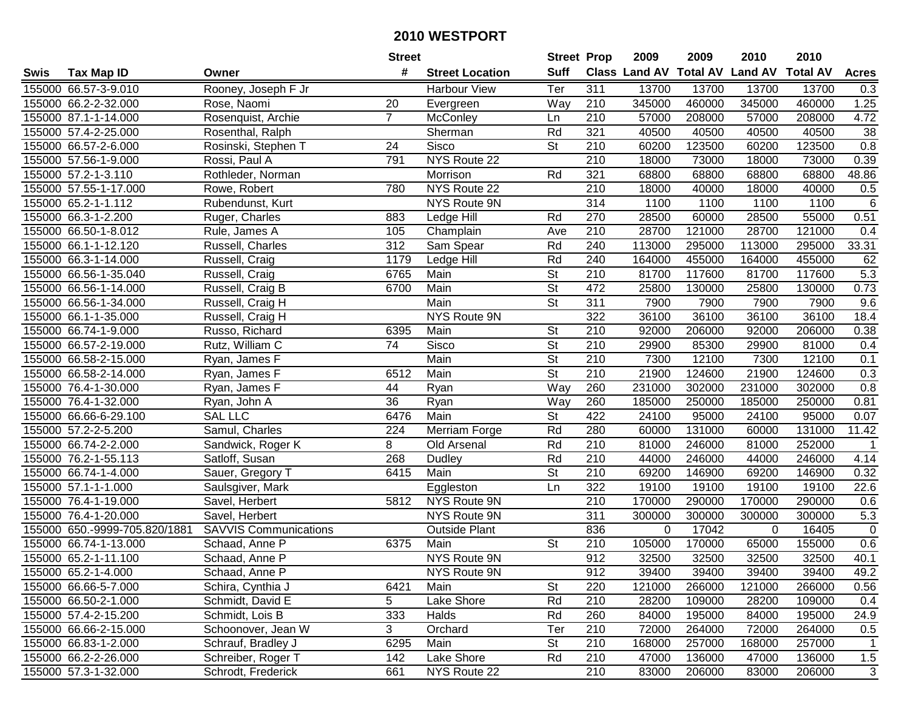|      |                               |                              | <b>Street</b>  |                        | <b>Street Prop</b>       |                  | 2009                          | 2009   | 2010           | 2010            |                 |
|------|-------------------------------|------------------------------|----------------|------------------------|--------------------------|------------------|-------------------------------|--------|----------------|-----------------|-----------------|
| Swis | <b>Tax Map ID</b>             | Owner                        | #              | <b>Street Location</b> | <b>Suff</b>              |                  | <b>Class Land AV Total AV</b> |        | <b>Land AV</b> | <b>Total AV</b> | <b>Acres</b>    |
|      | 155000 66.57-3-9.010          | Rooney, Joseph F Jr          |                | <b>Harbour View</b>    | Ter                      | 311              | 13700                         | 13700  | 13700          | 13700           | 0.3             |
|      | 155000 66.2-2-32.000          | Rose, Naomi                  | 20             | Evergreen              | Way                      | 210              | 345000                        | 460000 | 345000         | 460000          | 1.25            |
|      | 155000 87.1-1-14.000          | Rosenquist, Archie           | $\overline{7}$ | McConley               | Ln                       | 210              | 57000                         | 208000 | 57000          | 208000          | 4.72            |
|      | 155000 57.4-2-25.000          | Rosenthal, Ralph             |                | Sherman                | Rd                       | 321              | 40500                         | 40500  | 40500          | 40500           | $\overline{38}$ |
|      | 155000 66.57-2-6.000          | Rosinski, Stephen T          | 24             | <b>Sisco</b>           | <b>St</b>                | 210              | 60200                         | 123500 | 60200          | 123500          | 0.8             |
|      | 155000 57.56-1-9.000          | Rossi, Paul A                | 791            | NYS Route 22           |                          | $\overline{210}$ | 18000                         | 73000  | 18000          | 73000           | 0.39            |
|      | 155000 57.2-1-3.110           | Rothleder, Norman            |                | Morrison               | Rd                       | 321              | 68800                         | 68800  | 68800          | 68800           | 48.86           |
|      | 155000 57.55-1-17.000         | Rowe, Robert                 | 780            | NYS Route 22           |                          | 210              | 18000                         | 40000  | 18000          | 40000           | 0.5             |
|      | 155000 65.2-1-1.112           | Rubendunst, Kurt             |                | <b>NYS Route 9N</b>    |                          | 314              | 1100                          | 1100   | 1100           | 1100            | 6               |
|      | 155000 66.3-1-2.200           | Ruger, Charles               | 883            | Ledge Hill             | Rd                       | 270              | 28500                         | 60000  | 28500          | 55000           | 0.51            |
|      | 155000 66.50-1-8.012          | Rule, James A                | 105            | Champlain              | Ave                      | 210              | 28700                         | 121000 | 28700          | 121000          | 0.4             |
|      | 155000 66.1-1-12.120          | Russell, Charles             | 312            | Sam Spear              | Rd                       | 240              | 113000                        | 295000 | 113000         | 295000          | 33.31           |
|      | 155000 66.3-1-14.000          | Russell, Craig               | 1179           | Ledge Hill             | Rd                       | 240              | 164000                        | 455000 | 164000         | 455000          | 62              |
|      | 155000 66.56-1-35.040         | Russell, Craig               | 6765           | Main                   | <b>St</b>                | 210              | 81700                         | 117600 | 81700          | 117600          | 5.3             |
|      | 155000 66.56-1-14.000         | Russell, Craig B             | 6700           | Main                   | $\overline{\mathsf{St}}$ | 472              | 25800                         | 130000 | 25800          | 130000          | 0.73            |
|      | 155000 66.56-1-34.000         | Russell, Craig H             |                | Main                   | $\overline{\mathsf{St}}$ | 311              | 7900                          | 7900   | 7900           | 7900            | 9.6             |
|      | 155000 66.1-1-35.000          | Russell, Craig H             |                | NYS Route 9N           |                          | 322              | 36100                         | 36100  | 36100          | 36100           | 18.4            |
|      | 155000 66.74-1-9.000          | Russo, Richard               | 6395           | Main                   | <b>St</b>                | 210              | 92000                         | 206000 | 92000          | 206000          | 0.38            |
|      | 155000 66.57-2-19.000         | Rutz, William C              | 74             | Sisco                  | <b>St</b>                | 210              | 29900                         | 85300  | 29900          | 81000           | 0.4             |
|      | 155000 66.58-2-15.000         | Ryan, James F                |                | Main                   | <b>St</b>                | 210              | 7300                          | 12100  | 7300           | 12100           | 0.1             |
|      | 155000 66.58-2-14.000         | Ryan, James F                | 6512           | Main                   | $\overline{\mathsf{St}}$ | 210              | 21900                         | 124600 | 21900          | 124600          | 0.3             |
|      | 155000 76.4-1-30.000          | Ryan, James F                | 44             | Ryan                   | Way                      | 260              | 231000                        | 302000 | 231000         | 302000          | 0.8             |
|      | 155000 76.4-1-32.000          | Ryan, John A                 | 36             | Ryan                   | Way                      | 260              | 185000                        | 250000 | 185000         | 250000          | 0.81            |
|      | 155000 66.66-6-29.100         | <b>SAL LLC</b>               | 6476           | Main                   | St                       | 422              | 24100                         | 95000  | 24100          | 95000           | 0.07            |
|      | 155000 57.2-2-5.200           | Samul, Charles               | 224            | Merriam Forge          | Rd                       | 280              | 60000                         | 131000 | 60000          | 131000          | 11.42           |
|      | 155000 66.74-2-2.000          | Sandwick, Roger K            | 8              | Old Arsenal            | Rd                       | 210              | 81000                         | 246000 | 81000          | 252000          | $\overline{1}$  |
|      | 155000 76.2-1-55.113          | Satloff, Susan               | 268            | Dudley                 | Rd                       | 210              | 44000                         | 246000 | 44000          | 246000          | 4.14            |
|      | 155000 66.74-1-4.000          | Sauer, Gregory T             | 6415           | Main                   | $\overline{\mathsf{St}}$ | 210              | 69200                         | 146900 | 69200          | 146900          | 0.32            |
|      | 155000 57.1-1-1.000           | Saulsgiver, Mark             |                | Eggleston              | Ln                       | 322              | 19100                         | 19100  | 19100          | 19100           | 22.6            |
|      | 155000 76.4-1-19.000          | Savel, Herbert               | 5812           | NYS Route 9N           |                          | $\overline{210}$ | 170000                        | 290000 | 170000         | 290000          | 0.6             |
|      | 155000 76.4-1-20.000          | Savel, Herbert               |                | <b>NYS Route 9N</b>    |                          | 311              | 300000                        | 300000 | 300000         | 300000          | 5.3             |
|      | 155000 650.-9999-705.820/1881 | <b>SAVVIS Communications</b> |                | <b>Outside Plant</b>   |                          | 836              | 0                             | 17042  | 0              | 16405           | $\mathbf 0$     |
|      | 155000 66.74-1-13.000         | Schaad, Anne P               | 6375           | Main                   | $\overline{\mathsf{St}}$ | $\overline{210}$ | 105000                        | 170000 | 65000          | 155000          | 0.6             |
|      | 155000 65.2-1-11.100          | Schaad, Anne P               |                | <b>NYS Route 9N</b>    |                          | 912              | 32500                         | 32500  | 32500          | 32500           | 40.1            |
|      | 155000 65.2-1-4.000           | Schaad, Anne P               |                | NYS Route 9N           |                          | 912              | 39400                         | 39400  | 39400          | 39400           | 49.2            |
|      | 155000 66.66-5-7.000          | Schira, Cynthia J            | 6421           | Main                   | <b>St</b>                | 220              | 121000                        | 266000 | 121000         | 266000          | 0.56            |
|      | 155000 66.50-2-1.000          | Schmidt, David E             | 5              | Lake Shore             | Rd                       | 210              | 28200                         | 109000 | 28200          | 109000          | 0.4             |
|      | 155000 57.4-2-15.200          | Schmidt, Lois B              | 333            | Halds                  | Rd                       | 260              | 84000                         | 195000 | 84000          | 195000          | 24.9            |
|      | 155000 66.66-2-15.000         | Schoonover, Jean W           | 3              | Orchard                | Ter                      | 210              | 72000                         | 264000 | 72000          | 264000          | 0.5             |
|      | 155000 66.83-1-2.000          | Schrauf, Bradley J           | 6295           | Main                   | <b>St</b>                | 210              | 168000                        | 257000 | 168000         | 257000          | $\mathbf{1}$    |
|      | 155000 66.2-2-26.000          | Schreiber, Roger T           | 142            | Lake Shore             | Rd                       | 210              | 47000                         | 136000 | 47000          | 136000          | 1.5             |
|      | 155000 57.3-1-32.000          | Schrodt, Frederick           | 661            | NYS Route 22           |                          | 210              | 83000                         | 206000 | 83000          | 206000          | 3               |
|      |                               |                              |                |                        |                          |                  |                               |        |                |                 |                 |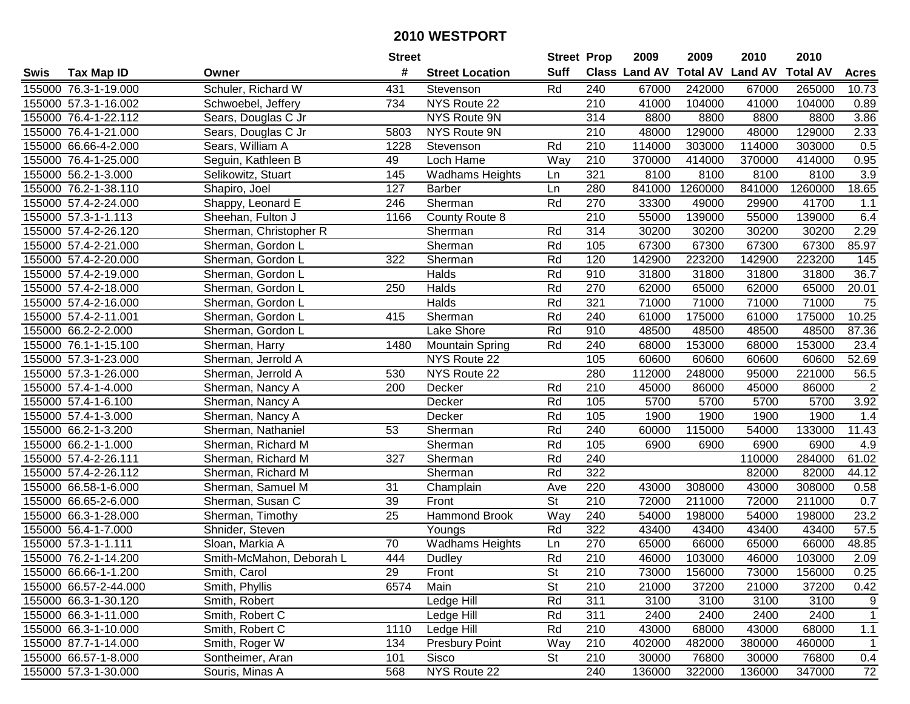|      |                       |                          | <b>Street</b>   |                        | <b>Street Prop</b>       |                  | 2009          | 2009            | 2010           | 2010            |                |
|------|-----------------------|--------------------------|-----------------|------------------------|--------------------------|------------------|---------------|-----------------|----------------|-----------------|----------------|
| Swis | <b>Tax Map ID</b>     | Owner                    | #               | <b>Street Location</b> | <b>Suff</b>              |                  | Class Land AV | <b>Total AV</b> | <b>Land AV</b> | <b>Total AV</b> | <b>Acres</b>   |
|      | 155000 76.3-1-19.000  | Schuler, Richard W       | 431             | Stevenson              | Rd                       | 240              | 67000         | 242000          | 67000          | 265000          | 10.73          |
|      | 155000 57.3-1-16.002  | Schwoebel, Jeffery       | 734             | NYS Route 22           |                          | 210              | 41000         | 104000          | 41000          | 104000          | 0.89           |
|      | 155000 76.4-1-22.112  | Sears, Douglas C Jr      |                 | NYS Route 9N           |                          | 314              | 8800          | 8800            | 8800           | 8800            | 3.86           |
|      | 155000 76.4-1-21.000  | Sears, Douglas C Jr      | 5803            | NYS Route 9N           |                          | 210              | 48000         | 129000          | 48000          | 129000          | 2.33           |
|      | 155000 66.66-4-2.000  | Sears, William A         | 1228            | Stevenson              | Rd                       | 210              | 114000        | 303000          | 114000         | 303000          | 0.5            |
|      | 155000 76.4-1-25.000  | Seguin, Kathleen B       | 49              | Loch Hame              | Way                      | $\overline{210}$ | 370000        | 414000          | 370000         | 414000          | 0.95           |
|      | 155000 56.2-1-3.000   | Selikowitz, Stuart       | 145             | <b>Wadhams Heights</b> | Ln                       | 321              | 8100          | 8100            | 8100           | 8100            | 3.9            |
|      | 155000 76.2-1-38.110  | Shapiro, Joel            | 127             | Barber                 | Ln                       | 280              | 841000        | 1260000         | 841000         | 1260000         | 18.65          |
|      | 155000 57.4-2-24.000  | Shappy, Leonard E        | 246             | Sherman                | Rd                       | 270              | 33300         | 49000           | 29900          | 41700           | 1.1            |
|      | 155000 57.3-1-1.113   | Sheehan, Fulton J        | 1166            | County Route 8         |                          | $\overline{210}$ | 55000         | 139000          | 55000          | 139000          | 6.4            |
|      | 155000 57.4-2-26.120  | Sherman, Christopher R   |                 | Sherman                | Rd                       | 314              | 30200         | 30200           | 30200          | 30200           | 2.29           |
|      | 155000 57.4-2-21.000  | Sherman, Gordon L        |                 | Sherman                | Rd                       | 105              | 67300         | 67300           | 67300          | 67300           | 85.97          |
|      | 155000 57.4-2-20.000  | Sherman, Gordon L        | 322             | Sherman                | Rd                       | 120              | 142900        | 223200          | 142900         | 223200          | 145            |
|      | 155000 57.4-2-19.000  | Sherman, Gordon L        |                 | Halds                  | Rd                       | 910              | 31800         | 31800           | 31800          | 31800           | 36.7           |
|      | 155000 57.4-2-18.000  | Sherman, Gordon L        | 250             | Halds                  | Rd                       | 270              | 62000         | 65000           | 62000          | 65000           | 20.01          |
|      | 155000 57.4-2-16.000  | Sherman, Gordon L        |                 | Halds                  | Rd                       | 321              | 71000         | 71000           | 71000          | 71000           | 75             |
|      | 155000 57.4-2-11.001  | Sherman, Gordon L        | 415             | Sherman                | Rd                       | 240              | 61000         | 175000          | 61000          | 175000          | 10.25          |
|      | 155000 66.2-2-2.000   | Sherman, Gordon L        |                 | Lake Shore             | Rd                       | 910              | 48500         | 48500           | 48500          | 48500           | 87.36          |
|      | 155000 76.1-1-15.100  | Sherman, Harry           | 1480            | <b>Mountain Spring</b> | Rd                       | 240              | 68000         | 153000          | 68000          | 153000          | 23.4           |
|      | 155000 57.3-1-23.000  | Sherman, Jerrold A       |                 | NYS Route 22           |                          | 105              | 60600         | 60600           | 60600          | 60600           | 52.69          |
|      | 155000 57.3-1-26.000  | Sherman, Jerrold A       | 530             | NYS Route 22           |                          | 280              | 112000        | 248000          | 95000          | 221000          | 56.5           |
|      | 155000 57.4-1-4.000   | Sherman, Nancy A         | 200             | Decker                 | Rd                       | 210              | 45000         | 86000           | 45000          | 86000           | $\overline{2}$ |
|      | 155000 57.4-1-6.100   | Sherman, Nancy A         |                 | Decker                 | Rd                       | 105              | 5700          | 5700            | 5700           | 5700            | 3.92           |
|      | 155000 57.4-1-3.000   | Sherman, Nancy A         |                 | Decker                 | Rd                       | 105              | 1900          | 1900            | 1900           | 1900            | 1.4            |
|      | 155000 66.2-1-3.200   | Sherman, Nathaniel       | 53              | Sherman                | Rd                       | 240              | 60000         | 115000          | 54000          | 133000          | 11.43          |
|      | 155000 66.2-1-1.000   | Sherman, Richard M       |                 | Sherman                | Rd                       | 105              | 6900          | 6900            | 6900           | 6900            | 4.9            |
|      | 155000 57.4-2-26.111  | Sherman, Richard M       | 327             | Sherman                | Rd                       | 240              |               |                 | 110000         | 284000          | 61.02          |
|      | 155000 57.4-2-26.112  | Sherman, Richard M       |                 | Sherman                | Rd                       | 322              |               |                 | 82000          | 82000           | 44.12          |
|      | 155000 66.58-1-6.000  | Sherman, Samuel M        | 31              | Champlain              | Ave                      | 220              | 43000         | 308000          | 43000          | 308000          | 0.58           |
|      | 155000 66.65-2-6.000  | Sherman, Susan C         | 39              | Front                  | $\overline{\mathsf{St}}$ | $\overline{210}$ | 72000         | 211000          | 72000          | 211000          | 0.7            |
|      | 155000 66.3-1-28.000  | Sherman, Timothy         | $\overline{25}$ | <b>Hammond Brook</b>   | Way                      | 240              | 54000         | 198000          | 54000          | 198000          | 23.2           |
|      | 155000 56.4-1-7.000   | Shnider, Steven          |                 | Youngs                 | Rd                       | 322              | 43400         | 43400           | 43400          | 43400           | 57.5           |
|      | 155000 57.3-1-1.111   | Sloan, Markia A          | $\overline{70}$ | <b>Wadhams Heights</b> | Ln                       | 270              | 65000         | 66000           | 65000          | 66000           | 48.85          |
|      | 155000 76.2-1-14.200  | Smith-McMahon, Deborah L | 444             | <b>Dudley</b>          | Rd                       | $\overline{210}$ | 46000         | 103000          | 46000          | 103000          | 2.09           |
|      | 155000 66.66-1-1.200  | Smith, Carol             | 29              | Front                  | St                       | 210              | 73000         | 156000          | 73000          | 156000          | 0.25           |
|      | 155000 66.57-2-44.000 | Smith, Phyllis           | 6574            | Main                   | <b>St</b>                | 210              | 21000         | 37200           | 21000          | 37200           | 0.42           |
|      | 155000 66.3-1-30.120  | Smith, Robert            |                 | Ledge Hill             | Rd                       | 311              | 3100          | 3100            | 3100           | 3100            | 9              |
|      | 155000 66.3-1-11.000  | Smith, Robert C          |                 | Ledge Hill             | Rd                       | 311              | 2400          | 2400            | 2400           | 2400            | $\mathbf{1}$   |
|      | 155000 66.3-1-10.000  | Smith, Robert C          | 1110            | Ledge Hill             | Rd                       | 210              | 43000         | 68000           | 43000          | 68000           | 1.1            |
|      | 155000 87.7-1-14.000  | Smith, Roger W           | 134             | <b>Presbury Point</b>  | Way                      | 210              | 402000        | 482000          | 380000         | 460000          | $\mathbf{1}$   |
|      | 155000 66.57-1-8.000  | Sontheimer, Aran         | 101             | Sisco                  | St                       | 210              | 30000         | 76800           | 30000          | 76800           | 0.4            |
|      | 155000 57.3-1-30.000  | Souris, Minas A          | 568             | NYS Route 22           |                          | 240              | 136000        | 322000          | 136000         | 347000          | 72             |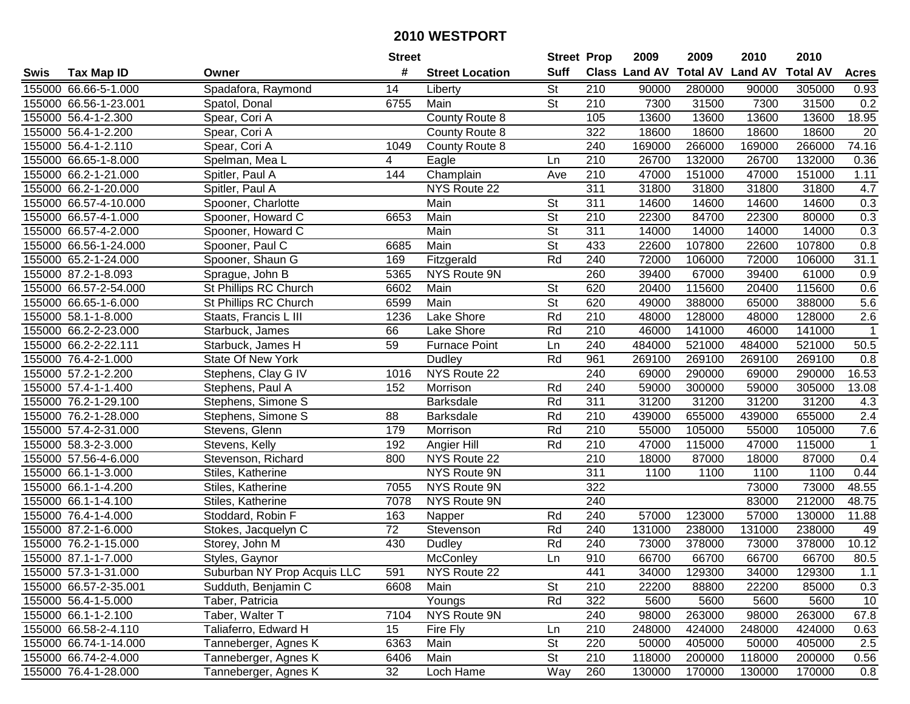|      |                       |                             | <b>Street</b>   |                        | <b>Street Prop</b>       |                  | 2009          | 2009            | 2010           | 2010            |                |
|------|-----------------------|-----------------------------|-----------------|------------------------|--------------------------|------------------|---------------|-----------------|----------------|-----------------|----------------|
| Swis | <b>Tax Map ID</b>     | Owner                       | #               | <b>Street Location</b> | <b>Suff</b>              |                  | Class Land AV | <b>Total AV</b> | <b>Land AV</b> | <b>Total AV</b> | <b>Acres</b>   |
|      | 155000 66.66-5-1.000  | Spadafora, Raymond          | 14              | Liberty                | <b>St</b>                | 210              | 90000         | 280000          | 90000          | 305000          | 0.93           |
|      | 155000 66.56-1-23.001 | Spatol, Donal               | 6755            | Main                   | $\overline{\mathsf{St}}$ | 210              | 7300          | 31500           | 7300           | 31500           | 0.2            |
|      | 155000 56.4-1-2.300   | Spear, Cori A               |                 | County Route 8         |                          | 105              | 13600         | 13600           | 13600          | 13600           | 18.95          |
|      | 155000 56.4-1-2.200   | Spear, Cori A               |                 | County Route 8         |                          | 322              | 18600         | 18600           | 18600          | 18600           | 20             |
|      | 155000 56.4-1-2.110   | Spear, Cori A               | 1049            | County Route 8         |                          | 240              | 169000        | 266000          | 169000         | 266000          | 74.16          |
|      | 155000 66.65-1-8.000  | Spelman, Mea L              | 4               | Eagle                  | Ln                       | 210              | 26700         | 132000          | 26700          | 132000          | 0.36           |
|      | 155000 66.2-1-21.000  | Spitler, Paul A             | 144             | Champlain              | Ave                      | 210              | 47000         | 151000          | 47000          | 151000          | 1.11           |
|      | 155000 66.2-1-20.000  | Spitler, Paul A             |                 | NYS Route 22           |                          | 311              | 31800         | 31800           | 31800          | 31800           | 4.7            |
|      | 155000 66.57-4-10.000 | Spooner, Charlotte          |                 | Main                   | $\overline{\mathsf{St}}$ | 311              | 14600         | 14600           | 14600          | 14600           | 0.3            |
|      | 155000 66.57-4-1.000  | Spooner, Howard C           | 6653            | Main                   | $\overline{\mathsf{St}}$ | 210              | 22300         | 84700           | 22300          | 80000           | 0.3            |
|      | 155000 66.57-4-2.000  | Spooner, Howard C           |                 | Main                   | $\overline{\mathsf{St}}$ | 311              | 14000         | 14000           | 14000          | 14000           | 0.3            |
|      | 155000 66.56-1-24.000 | Spooner, Paul C             | 6685            | Main                   | <b>St</b>                | 433              | 22600         | 107800          | 22600          | 107800          | 0.8            |
|      | 155000 65.2-1-24.000  | Spooner, Shaun G            | 169             | Fitzgerald             | Rd                       | 240              | 72000         | 106000          | 72000          | 106000          | 31.1           |
|      | 155000 87.2-1-8.093   | Sprague, John B             | 5365            | NYS Route 9N           |                          | 260              | 39400         | 67000           | 39400          | 61000           | 0.9            |
|      | 155000 66.57-2-54.000 | St Phillips RC Church       | 6602            | Main                   | <b>St</b>                | 620              | 20400         | 115600          | 20400          | 115600          | 0.6            |
|      | 155000 66.65-1-6.000  | St Phillips RC Church       | 6599            | Main                   | <b>St</b>                | 620              | 49000         | 388000          | 65000          | 388000          | 5.6            |
|      | 155000 58.1-1-8.000   | Staats, Francis L III       | 1236            | Lake Shore             | Rd                       | 210              | 48000         | 128000          | 48000          | 128000          | 2.6            |
|      | 155000 66.2-2-23.000  | Starbuck, James             | 66              | Lake Shore             | Rd                       | 210              | 46000         | 141000          | 46000          | 141000          | $\mathbf 1$    |
|      | 155000 66.2-2-22.111  | Starbuck, James H           | 59              | <b>Furnace Point</b>   | Ln                       | 240              | 484000        | 521000          | 484000         | 521000          | 50.5           |
|      | 155000 76.4-2-1.000   | <b>State Of New York</b>    |                 | Dudley                 | Rd                       | 961              | 269100        | 269100          | 269100         | 269100          | 0.8            |
|      | 155000 57.2-1-2.200   | Stephens, Clay G IV         | 1016            | NYS Route 22           |                          | 240              | 69000         | 290000          | 69000          | 290000          | 16.53          |
|      | 155000 57.4-1-1.400   | Stephens, Paul A            | 152             | Morrison               | Rd                       | 240              | 59000         | 300000          | 59000          | 305000          | 13.08          |
|      | 155000 76.2-1-29.100  | Stephens, Simone S          |                 | <b>Barksdale</b>       | Rd                       | 311              | 31200         | 31200           | 31200          | 31200           | 4.3            |
|      | 155000 76.2-1-28.000  | Stephens, Simone S          | 88              | <b>Barksdale</b>       | Rd                       | 210              | 439000        | 655000          | 439000         | 655000          | 2.4            |
|      | 155000 57.4-2-31.000  | Stevens, Glenn              | 179             | Morrison               | Rd                       | $\overline{210}$ | 55000         | 105000          | 55000          | 105000          | 7.6            |
|      | 155000 58.3-2-3.000   | Stevens, Kelly              | 192             | Angier Hill            | Rd                       | 210              | 47000         | 115000          | 47000          | 115000          | $\overline{1}$ |
|      | 155000 57.56-4-6.000  | Stevenson, Richard          | 800             | NYS Route 22           |                          | 210              | 18000         | 87000           | 18000          | 87000           | 0.4            |
|      | 155000 66.1-1-3.000   | Stiles, Katherine           |                 | NYS Route 9N           |                          | 311              | 1100          | 1100            | 1100           | 1100            | 0.44           |
|      | 155000 66.1-1-4.200   | Stiles, Katherine           | 7055            | NYS Route 9N           |                          | 322              |               |                 | 73000          | 73000           | 48.55          |
|      | 155000 66.1-1-4.100   | Stiles, Katherine           | 7078            | NYS Route 9N           |                          | 240              |               |                 | 83000          | 212000          | 48.75          |
|      | 155000 76.4-1-4.000   | Stoddard, Robin F           | 163             | Napper                 | Rd                       | $\overline{240}$ | 57000         | 123000          | 57000          | 130000          | 11.88          |
|      | 155000 87.2-1-6.000   | Stokes, Jacquelyn C         | $\overline{72}$ | Stevenson              | Rd                       | 240              | 131000        | 238000          | 131000         | 238000          | 49             |
|      | 155000 76.2-1-15.000  | Storey, John M              | 430             | <b>Dudley</b>          | Rd                       | 240              | 73000         | 378000          | 73000          | 378000          | 10.12          |
|      | 155000 87.1-1-7.000   | Styles, Gaynor              |                 | McConley               | Ln                       | 910              | 66700         | 66700           | 66700          | 66700           | 80.5           |
|      | 155000 57.3-1-31.000  | Suburban NY Prop Acquis LLC | 591             | NYS Route 22           |                          | 441              | 34000         | 129300          | 34000          | 129300          | 1.1            |
|      | 155000 66.57-2-35.001 | Sudduth, Benjamin C         | 6608            | Main                   | <b>St</b>                | 210              | 22200         | 88800           | 22200          | 85000           | 0.3            |
|      | 155000 56.4-1-5.000   | Taber, Patricia             |                 | Youngs                 | Rd                       | 322              | 5600          | 5600            | 5600           | 5600            | 10             |
|      | 155000 66.1-1-2.100   | Taber, Walter T             | 7104            | <b>NYS Route 9N</b>    |                          | 240              | 98000         | 263000          | 98000          | 263000          | 67.8           |
|      | 155000 66.58-2-4.110  | Taliaferro, Edward H        | 15              | Fire Fly               | Ln                       | 210              | 248000        | 424000          | 248000         | 424000          | 0.63           |
|      | 155000 66.74-1-14.000 | Tanneberger, Agnes K        | 6363            | Main                   | <b>St</b>                | 220              | 50000         | 405000          | 50000          | 405000          | 2.5            |
|      | 155000 66.74-2-4.000  | Tanneberger, Agnes K        | 6406            | Main                   | <b>St</b>                | 210              | 118000        | 200000          | 118000         | 200000          | 0.56           |
|      | 155000 76.4-1-28.000  | Tanneberger, Agnes K        | 32              | Loch Hame              | Way                      | 260              | 130000        | 170000          | 130000         | 170000          | 0.8            |
|      |                       |                             |                 |                        |                          |                  |               |                 |                |                 |                |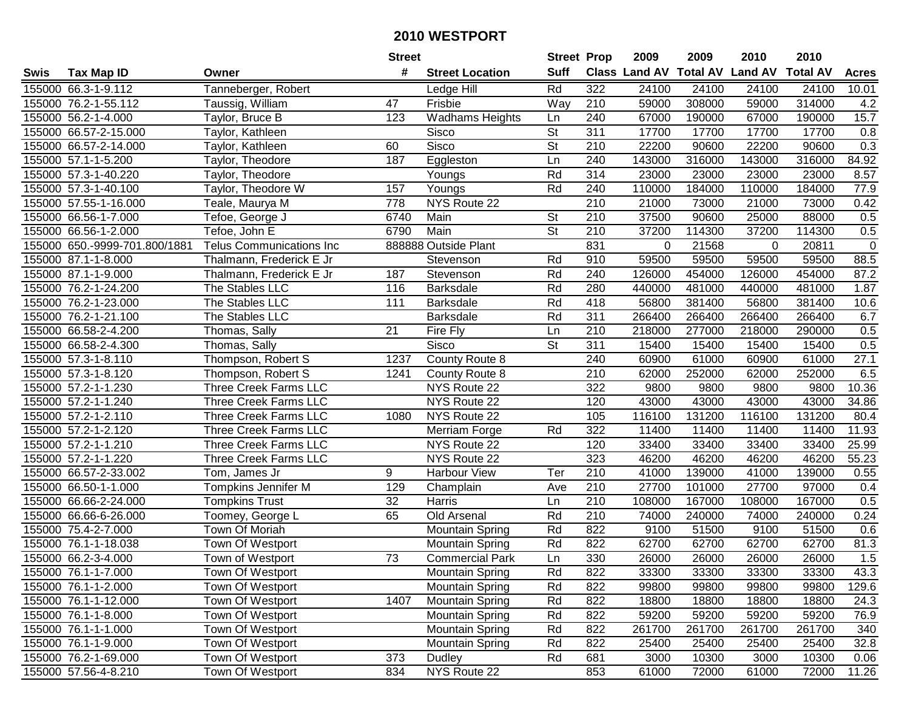|      |                               |                                 | <b>Street</b>    |                        | <b>Street Prop</b>       |                  | 2009                 | 2009            | 2010           | 2010            |              |
|------|-------------------------------|---------------------------------|------------------|------------------------|--------------------------|------------------|----------------------|-----------------|----------------|-----------------|--------------|
| Swis | <b>Tax Map ID</b>             | Owner                           | #                | <b>Street Location</b> | <b>Suff</b>              |                  | <b>Class Land AV</b> | <b>Total AV</b> | <b>Land AV</b> | <b>Total AV</b> | <b>Acres</b> |
|      | 155000 66.3-1-9.112           | Tanneberger, Robert             |                  | Ledge Hill             | Rd                       | 322              | 24100                | 24100           | 24100          | 24100           | 10.01        |
|      | 155000 76.2-1-55.112          | Taussig, William                | 47               | Frisbie                | Way                      | 210              | 59000                | 308000          | 59000          | 314000          | 4.2          |
|      | 155000 56.2-1-4.000           | Taylor, Bruce B                 | 123              | <b>Wadhams Heights</b> | Ln                       | 240              | 67000                | 190000          | 67000          | 190000          | 15.7         |
|      | 155000 66.57-2-15.000         | Taylor, Kathleen                |                  | Sisco                  | $\overline{\mathsf{St}}$ | 311              | 17700                | 17700           | 17700          | 17700           | 0.8          |
|      | 155000 66.57-2-14.000         | Taylor, Kathleen                | 60               | <b>Sisco</b>           | $\overline{\mathsf{St}}$ | 210              | 22200                | 90600           | 22200          | 90600           | 0.3          |
|      | 155000 57.1-1-5.200           | Taylor, Theodore                | 187              | Eggleston              | Ln                       | 240              | 143000               | 316000          | 143000         | 316000          | 84.92        |
|      | 155000 57.3-1-40.220          | Taylor, Theodore                |                  | Youngs                 | Rd                       | 314              | 23000                | 23000           | 23000          | 23000           | 8.57         |
|      | 155000 57.3-1-40.100          | Taylor, Theodore W              | 157              | Youngs                 | Rd                       | 240              | 110000               | 184000          | 110000         | 184000          | 77.9         |
|      | 155000 57.55-1-16.000         | Teale, Maurya M                 | $\overline{778}$ | NYS Route 22           |                          | $\overline{210}$ | 21000                | 73000           | 21000          | 73000           | 0.42         |
|      | 155000 66.56-1-7.000          | Tefoe, George J                 | 6740             | Main                   | St                       | 210              | 37500                | 90600           | 25000          | 88000           | 0.5          |
|      | 155000 66.56-1-2.000          | Tefoe, John E                   | 6790             | Main                   | St                       | 210              | 37200                | 114300          | 37200          | 114300          | 0.5          |
|      | 155000 650.-9999-701.800/1881 | <b>Telus Communications Inc</b> |                  | 888888 Outside Plant   |                          | 831              | 0                    | 21568           | 0              | 20811           | $\mathbf 0$  |
|      | 155000 87.1-1-8.000           | Thalmann, Frederick E Jr        |                  | Stevenson              | Rd                       | 910              | 59500                | 59500           | 59500          | 59500           | 88.5         |
|      | 155000 87.1-1-9.000           | Thalmann, Frederick E Jr        | 187              | Stevenson              | Rd                       | 240              | 126000               | 454000          | 126000         | 454000          | 87.2         |
|      | 155000 76.2-1-24.200          | The Stables LLC                 | 116              | <b>Barksdale</b>       | Rd                       | 280              | 440000               | 481000          | 440000         | 481000          | 1.87         |
|      | 155000 76.2-1-23.000          | The Stables LLC                 | 111              | Barksdale              | Rd                       | 418              | 56800                | 381400          | 56800          | 381400          | 10.6         |
|      | 155000 76.2-1-21.100          | The Stables LLC                 |                  | <b>Barksdale</b>       | Rd                       | $\overline{311}$ | 266400               | 266400          | 266400         | 266400          | 6.7          |
|      | 155000 66.58-2-4.200          | Thomas, Sally                   | 21               | Fire Fly               | Ln                       | 210              | 218000               | 277000          | 218000         | 290000          | 0.5          |
|      | 155000 66.58-2-4.300          | Thomas, Sally                   |                  | Sisco                  | $\overline{\mathsf{St}}$ | 311              | 15400                | 15400           | 15400          | 15400           | 0.5          |
|      | 155000 57.3-1-8.110           | Thompson, Robert S              | 1237             | County Route 8         |                          | 240              | 60900                | 61000           | 60900          | 61000           | 27.1         |
|      | 155000 57.3-1-8.120           | Thompson, Robert S              | 1241             | County Route 8         |                          | 210              | 62000                | 252000          | 62000          | 252000          | 6.5          |
|      | 155000 57.2-1-1.230           | Three Creek Farms LLC           |                  | NYS Route 22           |                          | 322              | 9800                 | 9800            | 9800           | 9800            | 10.36        |
|      | 155000 57.2-1-1.240           | Three Creek Farms LLC           |                  | NYS Route 22           |                          | 120              | 43000                | 43000           | 43000          | 43000           | 34.86        |
|      | 155000 57.2-1-2.110           | Three Creek Farms LLC           | 1080             | NYS Route 22           |                          | 105              | 116100               | 131200          | 116100         | 131200          | 80.4         |
|      | 155000 57.2-1-2.120           | Three Creek Farms LLC           |                  | Merriam Forge          | Rd                       | 322              | 11400                | 11400           | 11400          | 11400           | 11.93        |
|      | 155000 57.2-1-1.210           | Three Creek Farms LLC           |                  | NYS Route 22           |                          | 120              | 33400                | 33400           | 33400          | 33400           | 25.99        |
|      | 155000 57.2-1-1.220           | Three Creek Farms LLC           |                  | NYS Route 22           |                          | 323              | 46200                | 46200           | 46200          | 46200           | 55.23        |
|      | 155000 66.57-2-33.002         | Tom, James Jr                   | 9                | <b>Harbour View</b>    | Ter                      | 210              | 41000                | 139000          | 41000          | 139000          | 0.55         |
|      | 155000 66.50-1-1.000          | Tompkins Jennifer M             | 129              | Champlain              | Ave                      | 210              | 27700                | 101000          | 27700          | 97000           | 0.4          |
|      | 155000 66.66-2-24.000         | <b>Tompkins Trust</b>           | $\overline{32}$  | Harris                 | Ln                       | $\overline{210}$ | 108000               | 167000          | 108000         | 167000          | 0.5          |
|      | 155000 66.66-6-26.000         | Toomey, George L                | 65               | Old Arsenal            | Rd                       | 210              | 74000                | 240000          | 74000          | 240000          | 0.24         |
|      | 155000 75.4-2-7.000           | <b>Town Of Moriah</b>           |                  | Mountain Spring        | Rd                       | 822              | 9100                 | 51500           | 9100           | 51500           | 0.6          |
|      | 155000 76.1-1-18.038          | Town Of Westport                |                  | <b>Mountain Spring</b> | Rd                       | 822              | 62700                | 62700           | 62700          | 62700           | 81.3         |
|      | 155000 66.2-3-4.000           | Town of Westport                | $\overline{73}$  | <b>Commercial Park</b> | Ln                       | 330              | 26000                | 26000           | 26000          | 26000           | 1.5          |
|      | 155000 76.1-1-7.000           | Town Of Westport                |                  | <b>Mountain Spring</b> | Rd                       | 822              | 33300                | 33300           | 33300          | 33300           | 43.3         |
|      | 155000 76.1-1-2.000           | Town Of Westport                |                  | <b>Mountain Spring</b> | Rd                       | 822              | 99800                | 99800           | 99800          | 99800           | 129.6        |
|      | 155000 76.1-1-12.000          | Town Of Westport                | 1407             | <b>Mountain Spring</b> | Rd                       | 822              | 18800                | 18800           | 18800          | 18800           | 24.3         |
|      | 155000 76.1-1-8.000           | Town Of Westport                |                  | <b>Mountain Spring</b> | Rd                       | 822              | 59200                | 59200           | 59200          | 59200           | 76.9         |
|      | 155000 76.1-1-1.000           | Town Of Westport                |                  | Mountain Spring        | Rd                       | 822              | 261700               | 261700          | 261700         | 261700          | 340          |
|      | 155000 76.1-1-9.000           | Town Of Westport                |                  | <b>Mountain Spring</b> | Rd                       | 822              | 25400                | 25400           | 25400          | 25400           | 32.8         |
|      | 155000 76.2-1-69.000          | Town Of Westport                | 373              | Dudley                 | Rd                       | 681              | 3000                 | 10300           | 3000           | 10300           | 0.06         |
|      | 155000 57.56-4-8.210          | Town Of Westport                | 834              | NYS Route 22           |                          | 853              | 61000                | 72000           | 61000          | 72000           | 11.26        |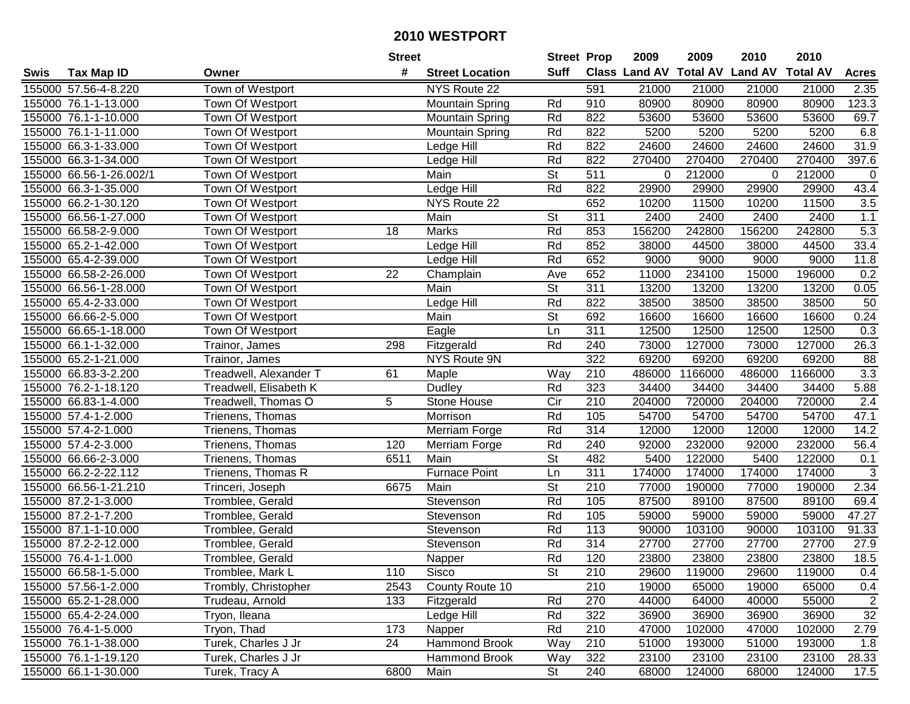|        |                         |                        | <b>Street</b> |                        | <b>Street Prop</b>       |                  | 2009                          | 2009    | 2010           | 2010            |                  |
|--------|-------------------------|------------------------|---------------|------------------------|--------------------------|------------------|-------------------------------|---------|----------------|-----------------|------------------|
| Swis   | <b>Tax Map ID</b>       | Owner                  | #             | <b>Street Location</b> | <b>Suff</b>              |                  | <b>Class Land AV Total AV</b> |         | <b>Land AV</b> | <b>Total AV</b> | <b>Acres</b>     |
|        | 155000 57.56-4-8.220    | Town of Westport       |               | NYS Route 22           |                          | 591              | 21000                         | 21000   | 21000          | 21000           | 2.35             |
|        | 155000 76.1-1-13.000    | Town Of Westport       |               | Mountain Spring        | Rd                       | 910              | 80900                         | 80900   | 80900          | 80900           | 123.3            |
|        | 155000 76.1-1-10.000    | Town Of Westport       |               | Mountain Spring        | Rd                       | 822              | 53600                         | 53600   | 53600          | 53600           | 69.7             |
|        | 155000 76.1-1-11.000    | Town Of Westport       |               | <b>Mountain Spring</b> | Rd                       | 822              | 5200                          | 5200    | 5200           | 5200            | 6.8              |
|        | 155000 66.3-1-33.000    | Town Of Westport       |               | Ledge Hill             | Rd                       | 822              | 24600                         | 24600   | 24600          | 24600           | 31.9             |
|        | 155000 66.3-1-34.000    | Town Of Westport       |               | Ledge Hill             | Rd                       | 822              | 270400                        | 270400  | 270400         | 270400          | 397.6            |
|        | 155000 66.56-1-26.002/1 | Town Of Westport       |               | Main                   | <b>St</b>                | 511              | 0                             | 212000  | 0              | 212000          | $\mathbf 0$      |
|        | 155000 66.3-1-35.000    | Town Of Westport       |               | <b>Ledge Hill</b>      | Rd                       | 822              | 29900                         | 29900   | 29900          | 29900           | 43.4             |
|        | 155000 66.2-1-30.120    | Town Of Westport       |               | NYS Route 22           |                          | 652              | 10200                         | 11500   | 10200          | 11500           | 3.5              |
|        | 155000 66.56-1-27.000   | Town Of Westport       |               | Main                   | <b>St</b>                | 311              | 2400                          | 2400    | 2400           | 2400            | 1.1              |
|        | 155000 66.58-2-9.000    | Town Of Westport       | 18            | Marks                  | Rd                       | 853              | 156200                        | 242800  | 156200         | 242800          | $\overline{5.3}$ |
|        | 155000 65.2-1-42.000    | Town Of Westport       |               | Ledge Hill             | Rd                       | 852              | 38000                         | 44500   | 38000          | 44500           | 33.4             |
|        | 155000 65.4-2-39.000    | Town Of Westport       |               | Ledge Hill             | Rd                       | 652              | 9000                          | 9000    | 9000           | 9000            | 11.8             |
|        | 155000 66.58-2-26.000   | Town Of Westport       | 22            | Champlain              | Ave                      | 652              | 11000                         | 234100  | 15000          | 196000          | 0.2              |
|        | 155000 66.56-1-28.000   | Town Of Westport       |               | Main                   | <b>St</b>                | 311              | 13200                         | 13200   | 13200          | 13200           | 0.05             |
|        | 155000 65.4-2-33.000    | Town Of Westport       |               | Ledge Hill             | Rd                       | 822              | 38500                         | 38500   | 38500          | 38500           | 50               |
|        | 155000 66.66-2-5.000    | Town Of Westport       |               | Main                   | $\overline{\mathsf{St}}$ | 692              | 16600                         | 16600   | 16600          | 16600           | 0.24             |
| 155000 | 66.65-1-18.000          | Town Of Westport       |               | Eagle                  | Ln                       | 311              | 12500                         | 12500   | 12500          | 12500           | 0.3              |
|        | 155000 66.1-1-32.000    | Trainor, James         | 298           | Fitzgerald             | Rd                       | 240              | 73000                         | 127000  | 73000          | 127000          | 26.3             |
|        | 155000 65.2-1-21.000    | Trainor, James         |               | NYS Route 9N           |                          | 322              | 69200                         | 69200   | 69200          | 69200           | 88               |
|        | 155000 66.83-3-2.200    | Treadwell, Alexander T | 61            | Maple                  | Way                      | 210              | 486000                        | 1166000 | 486000         | 1166000         | 3.3              |
| 155000 | 76.2-1-18.120           | Treadwell, Elisabeth K |               | Dudley                 | Rd                       | 323              | 34400                         | 34400   | 34400          | 34400           | 5.88             |
| 155000 | 66.83-1-4.000           | Treadwell, Thomas O    | 5             | Stone House            | Cir                      | 210              | 204000                        | 720000  | 204000         | 720000          | 2.4              |
|        | 155000 57.4-1-2.000     | Trienens, Thomas       |               | Morrison               | Rd                       | 105              | 54700                         | 54700   | 54700          | 54700           | 47.1             |
|        | 155000 57.4-2-1.000     | Trienens, Thomas       |               | Merriam Forge          | Rd                       | 314              | 12000                         | 12000   | 12000          | 12000           | 14.2             |
|        | 155000 57.4-2-3.000     | Trienens, Thomas       | 120           | Merriam Forge          | Rd                       | 240              | 92000                         | 232000  | 92000          | 232000          | 56.4             |
|        | 155000 66.66-2-3.000    | Trienens, Thomas       | 6511          | Main                   | $\overline{\mathsf{St}}$ | 482              | 5400                          | 122000  | 5400           | 122000          | 0.1              |
|        | 155000 66.2-2-22.112    | Trienens, Thomas R     |               | <b>Furnace Point</b>   | Ln                       | 311              | 174000                        | 174000  | 174000         | 174000          | 3                |
|        | 155000 66.56-1-21.210   | Trinceri, Joseph       | 6675          | Main                   | $\overline{\mathsf{St}}$ | $\overline{210}$ | 77000                         | 190000  | 77000          | 190000          | 2.34             |
|        | 155000 87.2-1-3.000     | Tromblee, Gerald       |               | Stevenson              | Rd                       | 105              | 87500                         | 89100   | 87500          | 89100           | 69.4             |
|        | 155000 87.2-1-7.200     | Tromblee, Gerald       |               | Stevenson              | Rd                       | 105              | 59000                         | 59000   | 59000          | 59000           | 47.27            |
|        | 155000 87.1-1-10.000    | Tromblee, Gerald       |               | Stevenson              | Rd                       | 113              | 90000                         | 103100  | 90000          | 103100          | 91.33            |
|        | 155000 87.2-2-12.000    | Tromblee, Gerald       |               | Stevenson              | Rd                       | 314              | 27700                         | 27700   | 27700          | 27700           | 27.9             |
|        | 155000 76.4-1-1.000     | Tromblee, Gerald       |               | Napper                 | Rd                       | 120              | 23800                         | 23800   | 23800          | 23800           | 18.5             |
|        | 155000 66.58-1-5.000    | Tromblee, Mark L       | 110           | Sisco                  | St                       | 210              | 29600                         | 119000  | 29600          | 119000          | 0.4              |
|        | 155000 57.56-1-2.000    | Trombly, Christopher   | 2543          | County Route 10        |                          | 210              | 19000                         | 65000   | 19000          | 65000           | 0.4              |
|        | 155000 65.2-1-28.000    | Trudeau, Arnold        | 133           | Fitzgerald             | Rd                       | 270              | 44000                         | 64000   | 40000          | 55000           | $\overline{2}$   |
|        | 155000 65.4-2-24.000    | Tryon, Ileana          |               | Ledge Hill             | Rd                       | 322              | 36900                         | 36900   | 36900          | 36900           | 32               |
|        | 155000 76.4-1-5.000     | Tryon, Thad            | 173           | Napper                 | Rd                       | 210              | 47000                         | 102000  | 47000          | 102000          | 2.79             |
|        | 155000 76.1-1-38.000    | Turek, Charles J Jr    | 24            | Hammond Brook          | Way                      | 210              | 51000                         | 193000  | 51000          | 193000          | 1.8              |
|        | 155000 76.1-1-19.120    | Turek, Charles J Jr    |               | Hammond Brook          | Way                      | 322              | 23100                         | 23100   | 23100          | 23100           | 28.33            |
|        | 155000 66.1-1-30.000    | Turek, Tracy A         | 6800          | Main                   | $\overline{\mathsf{St}}$ | 240              | 68000                         | 124000  | 68000          | 124000          | 17.5             |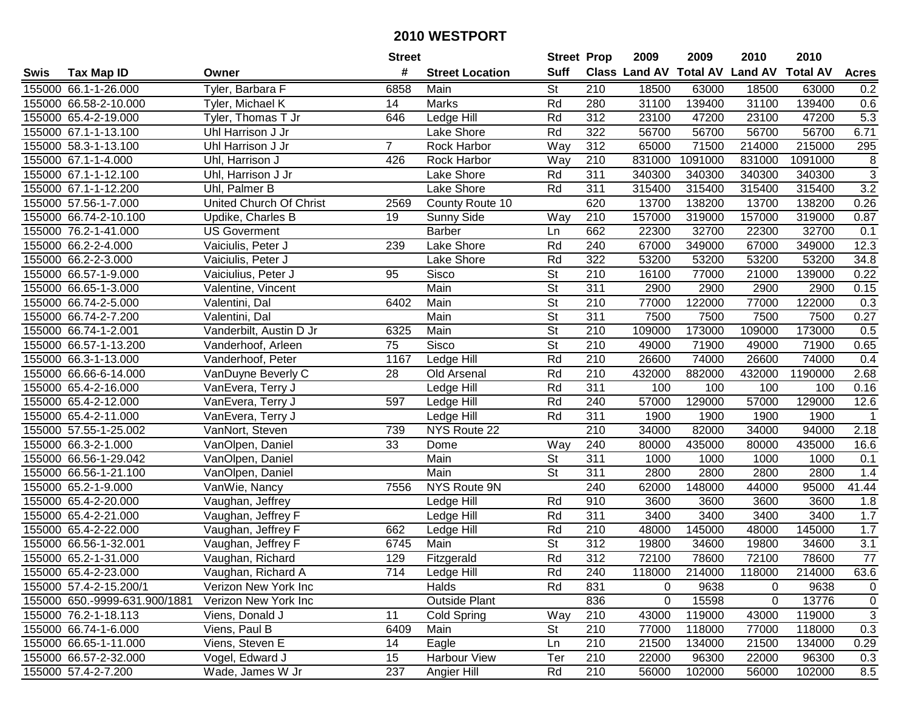|      |                               |                                | <b>Street</b>  |                        | <b>Street Prop</b>       |                  | 2009                          | 2009    | 2010           | 2010            |                |
|------|-------------------------------|--------------------------------|----------------|------------------------|--------------------------|------------------|-------------------------------|---------|----------------|-----------------|----------------|
| Swis | <b>Tax Map ID</b>             | Owner                          | #              | <b>Street Location</b> | <b>Suff</b>              |                  | <b>Class Land AV Total AV</b> |         | <b>Land AV</b> | <b>Total AV</b> | <b>Acres</b>   |
|      | 155000 66.1-1-26.000          | Tyler, Barbara F               | 6858           | Main                   | St                       | 210              | 18500                         | 63000   | 18500          | 63000           | 0.2            |
|      | 155000 66.58-2-10.000         | Tyler, Michael K               | 14             | Marks                  | Rd                       | 280              | 31100                         | 139400  | 31100          | 139400          | 0.6            |
|      | 155000 65.4-2-19.000          | Tyler, Thomas T Jr             | 646            | Ledge Hill             | Rd                       | 312              | 23100                         | 47200   | 23100          | 47200           | 5.3            |
|      | 155000 67.1-1-13.100          | Uhl Harrison J Jr              |                | Lake Shore             | Rd                       | 322              | 56700                         | 56700   | 56700          | 56700           | 6.71           |
|      | 155000 58.3-1-13.100          | Uhl Harrison J Jr              | $\overline{7}$ | Rock Harbor            | Way                      | 312              | 65000                         | 71500   | 214000         | 215000          | 295            |
|      | 155000 67.1-1-4.000           | Uhl, Harrison J                | 426            | Rock Harbor            | Way                      | 210              | 831000                        | 1091000 | 831000         | 1091000         | 8              |
|      | 155000 67.1-1-12.100          | Uhl, Harrison J Jr             |                | Lake Shore             | Rd                       | 311              | 340300                        | 340300  | 340300         | 340300          | $\overline{3}$ |
|      | 155000 67.1-1-12.200          | Uhl, Palmer B                  |                | Lake Shore             | Rd                       | 311              | 315400                        | 315400  | 315400         | 315400          | 3.2            |
|      | 155000 57.56-1-7.000          | <b>United Church Of Christ</b> | 2569           | County Route 10        |                          | 620              | 13700                         | 138200  | 13700          | 138200          | 0.26           |
|      | 155000 66.74-2-10.100         | Updike, Charles B              | 19             | Sunny Side             | Way                      | 210              | 157000                        | 319000  | 157000         | 319000          | 0.87           |
|      | 155000 76.2-1-41.000          | <b>US Goverment</b>            |                | <b>Barber</b>          | Ln                       | 662              | 22300                         | 32700   | 22300          | 32700           | 0.1            |
|      | 155000 66.2-2-4.000           | Vaiciulis, Peter J             | 239            | Lake Shore             | Rd                       | 240              | 67000                         | 349000  | 67000          | 349000          | 12.3           |
|      | 155000 66.2-2-3.000           | Vaiciulis, Peter J             |                | Lake Shore             | Rd                       | 322              | 53200                         | 53200   | 53200          | 53200           | 34.8           |
|      | 155000 66.57-1-9.000          | Vaiciulius, Peter J            | 95             | Sisco                  | <b>St</b>                | 210              | 16100                         | 77000   | 21000          | 139000          | 0.22           |
|      | 155000 66.65-1-3.000          | Valentine, Vincent             |                | Main                   | $\overline{\mathsf{St}}$ | 311              | 2900                          | 2900    | 2900           | 2900            | 0.15           |
|      | 155000 66.74-2-5.000          | Valentini, Dal                 | 6402           | Main                   | $\overline{\mathsf{St}}$ | 210              | 77000                         | 122000  | 77000          | 122000          | 0.3            |
|      | 155000 66.74-2-7.200          | Valentini, Dal                 |                | Main                   | $\overline{\mathsf{St}}$ | $\overline{311}$ | 7500                          | 7500    | 7500           | 7500            | 0.27           |
|      | 155000 66.74-1-2.001          | Vanderbilt, Austin D Jr        | 6325           | Main                   | $\overline{St}$          | 210              | 109000                        | 173000  | 109000         | 173000          | 0.5            |
|      | 155000 66.57-1-13.200         | Vanderhoof, Arleen             | 75             | Sisco                  | $\overline{\mathsf{St}}$ | 210              | 49000                         | 71900   | 49000          | 71900           | 0.65           |
|      | 155000 66.3-1-13.000          | Vanderhoof, Peter              | 1167           | Ledge Hill             | Rd                       | 210              | 26600                         | 74000   | 26600          | 74000           | 0.4            |
|      | 155000 66.66-6-14.000         | VanDuyne Beverly C             | 28             | Old Arsenal            | Rd                       | 210              | 432000                        | 882000  | 432000         | 1190000         | 2.68           |
|      | 155000 65.4-2-16.000          | VanEvera, Terry J              |                | Ledge Hill             | Rd                       | 311              | 100                           | 100     | 100            | 100             | 0.16           |
|      | 155000 65.4-2-12.000          | VanEvera, Terry J              | 597            | Ledge Hill             | Rd                       | 240              | 57000                         | 129000  | 57000          | 129000          | 12.6           |
|      | 155000 65.4-2-11.000          | VanEvera, Terry J              |                | Ledge Hill             | Rd                       | 311              | 1900                          | 1900    | 1900           | 1900            | $\mathbf{1}$   |
|      | 155000 57.55-1-25.002         | VanNort, Steven                | 739            | NYS Route 22           |                          | $\overline{210}$ | 34000                         | 82000   | 34000          | 94000           | 2.18           |
|      | 155000 66.3-2-1.000           | VanOlpen, Daniel               | 33             | Dome                   | Way                      | 240              | 80000                         | 435000  | 80000          | 435000          | 16.6           |
|      | 155000 66.56-1-29.042         | VanOlpen, Daniel               |                | Main                   | St                       | 311              | 1000                          | 1000    | 1000           | 1000            | 0.1            |
|      | 155000 66.56-1-21.100         | VanOlpen, Daniel               |                | Main                   | St                       | 311              | 2800                          | 2800    | 2800           | 2800            | 1.4            |
|      | 155000 65.2-1-9.000           | VanWie, Nancy                  | 7556           | NYS Route 9N           |                          | 240              | 62000                         | 148000  | 44000          | 95000           | 41.44          |
|      | 155000 65.4-2-20.000          | Vaughan, Jeffrey               |                | Ledge Hill             | Rd                       | 910              | 3600                          | 3600    | 3600           | 3600            | 1.8            |
|      | 155000 65.4-2-21.000          | Vaughan, Jeffrey F             |                | Ledge Hill             | Rd                       | $\overline{311}$ | 3400                          | 3400    | 3400           | 3400            | 1.7            |
|      | 155000 65.4-2-22.000          | Vaughan, Jeffrey F             | 662            | Ledge Hill             | Rd                       | 210              | 48000                         | 145000  | 48000          | 145000          | 1.7            |
|      | 155000 66.56-1-32.001         | Vaughan, Jeffrey F             | 6745           | Main                   | $\overline{\mathsf{St}}$ | $\overline{312}$ | 19800                         | 34600   | 19800          | 34600           | 3.1            |
|      | 155000 65.2-1-31.000          | Vaughan, Richard               | 129            | Fitzgerald             | Rd                       | $\overline{312}$ | 72100                         | 78600   | 72100          | 78600           | 77             |
|      | 155000 65.4-2-23.000          | Vaughan, Richard A             | 714            | Ledge Hill             | Rd                       | 240              | 118000                        | 214000  | 118000         | 214000          | 63.6           |
|      | 155000 57.4-2-15.200/1        | Verizon New York Inc           |                | Halds                  | Rd                       | 831              | 0                             | 9638    | 0              | 9638            | 0              |
|      | 155000 650.-9999-631.900/1881 | Verizon New York Inc           |                | <b>Outside Plant</b>   |                          | 836              | 0                             | 15598   | 0              | 13776           | $\mathbf 0$    |
|      | 155000 76.2-1-18.113          | Viens, Donald J                | 11             | Cold Spring            | Way                      | 210              | 43000                         | 119000  | 43000          | 119000          | $\mathbf{3}$   |
|      | 155000 66.74-1-6.000          | Viens, Paul B                  | 6409           | Main                   | <b>St</b>                | 210              | 77000                         | 118000  | 77000          | 118000          | 0.3            |
|      | 155000 66.65-1-11.000         | Viens, Steven E                | 14             | Eagle                  | Ln                       | 210              | 21500                         | 134000  | 21500          | 134000          | 0.29           |
|      | 155000 66.57-2-32.000         | Vogel, Edward J                | 15             | Harbour View           | Ter                      | 210              | 22000                         | 96300   | 22000          | 96300           | 0.3            |
|      | 155000 57.4-2-7.200           | Wade, James W Jr               | 237            | Angier Hill            | Rd                       | 210              | 56000                         | 102000  | 56000          | 102000          | 8.5            |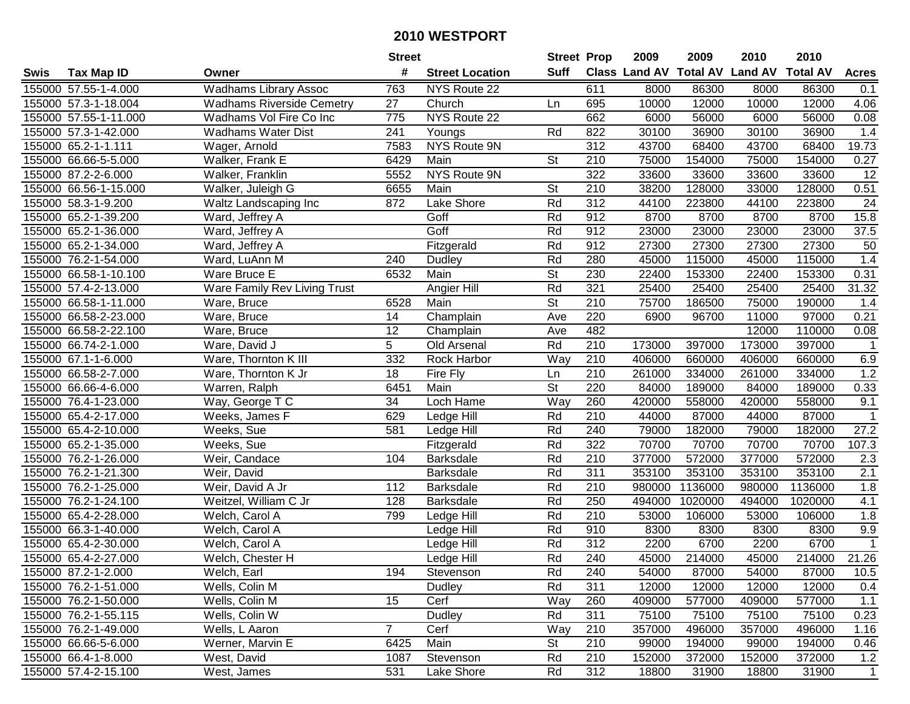| #<br><b>Suff</b><br><b>Class Land AV Total AV</b><br><b>Land AV</b><br><b>Total AV</b><br><b>Tax Map ID</b><br><b>Street Location</b><br><b>Acres</b><br>Swis<br>Owner<br>155000 57.55-1-4.000<br><b>Wadhams Library Assoc</b><br>763<br>NYS Route 22<br>611<br>8000<br>86300<br>8000<br>86300<br>0.1<br>155000 57.3-1-18.004<br><b>Wadhams Riverside Cemetry</b><br>27<br>Church<br>695<br>10000<br>12000<br>10000<br>12000<br>4.06<br>Ln<br>155000 57.55-1-11.000<br>Wadhams Vol Fire Co Inc<br>775<br>NYS Route 22<br>662<br>6000<br>56000<br>6000<br>56000<br>0.08<br>241<br>30100<br>36900<br>1.4<br>155000 57.3-1-42.000<br>Wadhams Water Dist<br>Rd<br>822<br>36900<br>30100<br>Youngs<br>155000 65.2-1-1.111<br>NYS Route 9N<br>312<br>43700<br>68400<br>43700<br>68400<br>19.73<br>Wager, Arnold<br>7583<br>0.27<br>155000 66.66-5-5.000<br>Walker, Frank E<br>6429<br>Main<br><b>St</b><br>210<br>75000<br>154000<br>75000<br>154000<br><b>NYS Route 9N</b><br>322<br>12<br>155000 87.2-2-6.000<br>Walker, Franklin<br>5552<br>33600<br>33600<br>33600<br>33600<br>210<br>0.51<br>155000 66.56-1-15.000<br>$\overline{\mathsf{St}}$<br>38200<br>128000<br>33000<br>128000<br>Walker, Juleigh G<br>6655<br>Main<br>$\overline{312}$<br>155000 58.3-1-9.200<br>872<br><b>Lake Shore</b><br>Rd<br>44100<br>223800<br>44100<br>223800<br>Waltz Landscaping Inc<br>24<br>Goff<br>912<br>8700<br>155000 65.2-1-39.200<br>Ward, Jeffrey A<br>Rd<br>8700<br>8700<br>8700<br>15.8<br>Goff<br>Rd<br>912<br>23000<br>155000 65.2-1-36.000<br>Ward, Jeffrey A<br>23000<br>23000<br>23000<br>37.5<br>155000 65.2-1-34.000<br>Rd<br>912<br>27300<br>27300<br>27300<br>27300<br>Ward, Jeffrey A<br>Fitzgerald<br>50<br>Rd<br>1.4<br>155000 76.2-1-54.000<br>280<br>45000<br>115000<br>45000<br>115000<br>Ward, LuAnn M<br>240<br>Dudley<br><b>St</b><br>230<br>155000 66.58-1-10.100<br>6532<br>Main<br>22400<br>153300<br>22400<br>153300<br>0.31<br>Ware Bruce E<br>Rd<br>321<br>31.32<br>155000 57.4-2-13.000<br>Angier Hill<br>25400<br>25400<br>25400<br>25400<br>Ware Family Rev Living Trust<br><b>St</b><br>155000 66.58-1-11.000<br>210<br>75700<br>186500<br>75000<br>190000<br>6528<br>Main<br>1.4<br>Ware, Bruce<br>220<br>0.21<br>155000 66.58-2-23.000<br>14<br>Ave<br>6900<br>96700<br>11000<br>97000<br>Ware, Bruce<br>Champlain<br>12<br>482<br>155000 66.58-2-22.100<br>Champlain<br>110000<br>0.08<br>Ware, Bruce<br>Ave<br>12000<br>5<br>Rd<br>210<br>155000 66.74-2-1.000<br>Ware, David J<br>173000<br>397000<br>173000<br>Old Arsenal<br>397000<br>$\mathbf 1$<br>155000 67.1-1-6.000<br>Ware, Thornton K III<br>332<br>Rock Harbor<br>Way<br>210<br>406000<br>660000<br>406000<br>660000<br>6.9<br>1.2<br>210<br>155000 66.58-2-7.000<br>Ware, Thornton K Jr<br>18<br>Fire Fly<br>261000<br>334000<br>261000<br>334000<br>Ln<br><b>St</b><br>0.33<br>155000 66.66-4-6.000<br>Warren, Ralph<br>6451<br>Main<br>220<br>84000<br>189000<br>84000<br>189000<br>Way<br>260<br>9.1<br>155000 76.4-1-23.000<br>Way, George T C<br>34<br>Loch Hame<br>420000<br>558000<br>420000<br>558000<br>629<br>Rd<br>210<br>44000<br>87000<br>87000<br>155000 65.4-2-17.000<br>Weeks, James F<br>44000<br>$\mathbf 1$<br>Ledge Hill<br>Rd<br>240<br>182000<br>182000<br>27.2<br>155000 65.4-2-10.000<br>581<br>79000<br>79000<br>Weeks, Sue<br>Ledge Hill<br>Rd<br>322<br>70700<br>70700<br>107.3<br>155000 65.2-1-35.000<br>70700<br>70700<br>Weeks, Sue<br>Fitzgerald<br>Rd<br>210<br>572000<br>377000<br>572000<br>155000 76.2-1-26.000<br>Weir, Candace<br>104<br><b>Barksdale</b><br>377000<br>2.3<br>Rd<br>311<br>353100<br>155000 76.2-1-21.300<br>Weir, David<br>353100<br>353100<br>353100<br>2.1<br><b>Barksdale</b><br>Rd<br>155000 76.2-1-25.000<br>210<br>1136000<br>1136000<br>1.8<br>Weir, David A Jr<br>112<br>980000<br>980000<br><b>Barksdale</b><br>Rd<br>250<br>155000 76.2-1-24.100<br>128<br>494000<br>1020000<br>494000<br>1020000<br>4.1<br>Weitzel, William C Jr<br><b>Barksdale</b><br>799<br>Rd<br>$\overline{210}$<br>106000<br>1.8<br>155000 65.4-2-28.000<br>53000<br>53000<br>106000<br>Welch, Carol A<br>Ledge Hill<br>155000 66.3-1-40.000<br>Rd<br>910<br>8300<br>8300<br>9.9<br>Welch, Carol A<br>8300<br>8300<br>Ledge Hill<br>312<br>155000 65.4-2-30.000<br>Rd<br>2200<br>6700<br>2200<br>6700<br>Welch, Carol A<br>$\mathbf{1}$<br>Ledge Hill<br>Rd<br>155000 65.4-2-27.000<br>Welch, Chester H<br>240<br>45000<br>214000<br>45000<br>214000<br>21.26<br>Ledge Hill<br>155000 87.2-1-2.000<br>Welch, Earl<br>194<br>Stevenson<br>Rd<br>240<br>54000<br>87000<br>54000<br>87000<br>10.5<br>155000 76.2-1-51.000<br>Wells, Colin M<br>Rd<br>311<br>12000<br>12000<br>12000<br>12000<br>0.4<br>Dudley<br>Cerf<br>409000<br>577000<br>155000 76.2-1-50.000<br>Wells, Colin M<br>15<br>Way<br>260<br>577000<br>409000<br>1.1<br>311<br>155000 76.2-1-55.115<br>Rd<br>75100<br>75100<br>75100<br>75100<br>0.23<br>Wells, Colin W<br>Dudley<br>$\overline{7}$<br>155000 76.2-1-49.000<br>Wells, L Aaron<br>Cerf<br>Way<br>210<br>357000<br>496000<br>357000<br>496000<br>1.16<br><b>St</b><br>210<br>155000 66.66-5-6.000<br>Werner, Marvin E<br>6425<br>Main<br>99000<br>194000<br>99000<br>194000<br>0.46<br>155000 66.4-1-8.000<br>1087<br>Rd<br>210<br>152000<br>372000<br>152000<br>372000<br>1.2<br>West, David<br>Stevenson<br>155000 57.4-2-15.100<br>312<br>West, James<br>531<br>Lake Shore<br>Rd<br>18800<br>31900<br>31900<br>$\mathbf{1}$<br>18800 |  | <b>Street</b> | <b>Street Prop</b> | 2009 | 2009 | 2010 | 2010 |  |
|--------------------------------------------------------------------------------------------------------------------------------------------------------------------------------------------------------------------------------------------------------------------------------------------------------------------------------------------------------------------------------------------------------------------------------------------------------------------------------------------------------------------------------------------------------------------------------------------------------------------------------------------------------------------------------------------------------------------------------------------------------------------------------------------------------------------------------------------------------------------------------------------------------------------------------------------------------------------------------------------------------------------------------------------------------------------------------------------------------------------------------------------------------------------------------------------------------------------------------------------------------------------------------------------------------------------------------------------------------------------------------------------------------------------------------------------------------------------------------------------------------------------------------------------------------------------------------------------------------------------------------------------------------------------------------------------------------------------------------------------------------------------------------------------------------------------------------------------------------------------------------------------------------------------------------------------------------------------------------------------------------------------------------------------------------------------------------------------------------------------------------------------------------------------------------------------------------------------------------------------------------------------------------------------------------------------------------------------------------------------------------------------------------------------------------------------------------------------------------------------------------------------------------------------------------------------------------------------------------------------------------------------------------------------------------------------------------------------------------------------------------------------------------------------------------------------------------------------------------------------------------------------------------------------------------------------------------------------------------------------------------------------------------------------------------------------------------------------------------------------------------------------------------------------------------------------------------------------------------------------------------------------------------------------------------------------------------------------------------------------------------------------------------------------------------------------------------------------------------------------------------------------------------------------------------------------------------------------------------------------------------------------------------------------------------------------------------------------------------------------------------------------------------------------------------------------------------------------------------------------------------------------------------------------------------------------------------------------------------------------------------------------------------------------------------------------------------------------------------------------------------------------------------------------------------------------------------------------------------------------------------------------------------------------------------------------------------------------------------------------------------------------------------------------------------------------------------------------------------------------------------------------------------------------------------------------------------------------------------------------------------------------------------------------------------------------------------------------------------------------------------------------------------------------------------------------------------------------------------------------------------------------------------------------------------------------------------------------------------------------------------------------------------------------------------------------------------------------------------------------------------------------------------------------------------------------------------------------------------------------------------------------------------------------------------------------------------------------------------------------------------------------------------------------------------------------------------------------------------------------------|--|---------------|--------------------|------|------|------|------|--|
|                                                                                                                                                                                                                                                                                                                                                                                                                                                                                                                                                                                                                                                                                                                                                                                                                                                                                                                                                                                                                                                                                                                                                                                                                                                                                                                                                                                                                                                                                                                                                                                                                                                                                                                                                                                                                                                                                                                                                                                                                                                                                                                                                                                                                                                                                                                                                                                                                                                                                                                                                                                                                                                                                                                                                                                                                                                                                                                                                                                                                                                                                                                                                                                                                                                                                                                                                                                                                                                                                                                                                                                                                                                                                                                                                                                                                                                                                                                                                                                                                                                                                                                                                                                                                                                                                                                                                                                                                                                                                                                                                                                                                                                                                                                                                                                                                                                                                                                                                                                                                                                                                                                                                                                                                                                                                                                                                                                                                                                                                                  |  |               |                    |      |      |      |      |  |
|                                                                                                                                                                                                                                                                                                                                                                                                                                                                                                                                                                                                                                                                                                                                                                                                                                                                                                                                                                                                                                                                                                                                                                                                                                                                                                                                                                                                                                                                                                                                                                                                                                                                                                                                                                                                                                                                                                                                                                                                                                                                                                                                                                                                                                                                                                                                                                                                                                                                                                                                                                                                                                                                                                                                                                                                                                                                                                                                                                                                                                                                                                                                                                                                                                                                                                                                                                                                                                                                                                                                                                                                                                                                                                                                                                                                                                                                                                                                                                                                                                                                                                                                                                                                                                                                                                                                                                                                                                                                                                                                                                                                                                                                                                                                                                                                                                                                                                                                                                                                                                                                                                                                                                                                                                                                                                                                                                                                                                                                                                  |  |               |                    |      |      |      |      |  |
|                                                                                                                                                                                                                                                                                                                                                                                                                                                                                                                                                                                                                                                                                                                                                                                                                                                                                                                                                                                                                                                                                                                                                                                                                                                                                                                                                                                                                                                                                                                                                                                                                                                                                                                                                                                                                                                                                                                                                                                                                                                                                                                                                                                                                                                                                                                                                                                                                                                                                                                                                                                                                                                                                                                                                                                                                                                                                                                                                                                                                                                                                                                                                                                                                                                                                                                                                                                                                                                                                                                                                                                                                                                                                                                                                                                                                                                                                                                                                                                                                                                                                                                                                                                                                                                                                                                                                                                                                                                                                                                                                                                                                                                                                                                                                                                                                                                                                                                                                                                                                                                                                                                                                                                                                                                                                                                                                                                                                                                                                                  |  |               |                    |      |      |      |      |  |
|                                                                                                                                                                                                                                                                                                                                                                                                                                                                                                                                                                                                                                                                                                                                                                                                                                                                                                                                                                                                                                                                                                                                                                                                                                                                                                                                                                                                                                                                                                                                                                                                                                                                                                                                                                                                                                                                                                                                                                                                                                                                                                                                                                                                                                                                                                                                                                                                                                                                                                                                                                                                                                                                                                                                                                                                                                                                                                                                                                                                                                                                                                                                                                                                                                                                                                                                                                                                                                                                                                                                                                                                                                                                                                                                                                                                                                                                                                                                                                                                                                                                                                                                                                                                                                                                                                                                                                                                                                                                                                                                                                                                                                                                                                                                                                                                                                                                                                                                                                                                                                                                                                                                                                                                                                                                                                                                                                                                                                                                                                  |  |               |                    |      |      |      |      |  |
|                                                                                                                                                                                                                                                                                                                                                                                                                                                                                                                                                                                                                                                                                                                                                                                                                                                                                                                                                                                                                                                                                                                                                                                                                                                                                                                                                                                                                                                                                                                                                                                                                                                                                                                                                                                                                                                                                                                                                                                                                                                                                                                                                                                                                                                                                                                                                                                                                                                                                                                                                                                                                                                                                                                                                                                                                                                                                                                                                                                                                                                                                                                                                                                                                                                                                                                                                                                                                                                                                                                                                                                                                                                                                                                                                                                                                                                                                                                                                                                                                                                                                                                                                                                                                                                                                                                                                                                                                                                                                                                                                                                                                                                                                                                                                                                                                                                                                                                                                                                                                                                                                                                                                                                                                                                                                                                                                                                                                                                                                                  |  |               |                    |      |      |      |      |  |
|                                                                                                                                                                                                                                                                                                                                                                                                                                                                                                                                                                                                                                                                                                                                                                                                                                                                                                                                                                                                                                                                                                                                                                                                                                                                                                                                                                                                                                                                                                                                                                                                                                                                                                                                                                                                                                                                                                                                                                                                                                                                                                                                                                                                                                                                                                                                                                                                                                                                                                                                                                                                                                                                                                                                                                                                                                                                                                                                                                                                                                                                                                                                                                                                                                                                                                                                                                                                                                                                                                                                                                                                                                                                                                                                                                                                                                                                                                                                                                                                                                                                                                                                                                                                                                                                                                                                                                                                                                                                                                                                                                                                                                                                                                                                                                                                                                                                                                                                                                                                                                                                                                                                                                                                                                                                                                                                                                                                                                                                                                  |  |               |                    |      |      |      |      |  |
|                                                                                                                                                                                                                                                                                                                                                                                                                                                                                                                                                                                                                                                                                                                                                                                                                                                                                                                                                                                                                                                                                                                                                                                                                                                                                                                                                                                                                                                                                                                                                                                                                                                                                                                                                                                                                                                                                                                                                                                                                                                                                                                                                                                                                                                                                                                                                                                                                                                                                                                                                                                                                                                                                                                                                                                                                                                                                                                                                                                                                                                                                                                                                                                                                                                                                                                                                                                                                                                                                                                                                                                                                                                                                                                                                                                                                                                                                                                                                                                                                                                                                                                                                                                                                                                                                                                                                                                                                                                                                                                                                                                                                                                                                                                                                                                                                                                                                                                                                                                                                                                                                                                                                                                                                                                                                                                                                                                                                                                                                                  |  |               |                    |      |      |      |      |  |
|                                                                                                                                                                                                                                                                                                                                                                                                                                                                                                                                                                                                                                                                                                                                                                                                                                                                                                                                                                                                                                                                                                                                                                                                                                                                                                                                                                                                                                                                                                                                                                                                                                                                                                                                                                                                                                                                                                                                                                                                                                                                                                                                                                                                                                                                                                                                                                                                                                                                                                                                                                                                                                                                                                                                                                                                                                                                                                                                                                                                                                                                                                                                                                                                                                                                                                                                                                                                                                                                                                                                                                                                                                                                                                                                                                                                                                                                                                                                                                                                                                                                                                                                                                                                                                                                                                                                                                                                                                                                                                                                                                                                                                                                                                                                                                                                                                                                                                                                                                                                                                                                                                                                                                                                                                                                                                                                                                                                                                                                                                  |  |               |                    |      |      |      |      |  |
|                                                                                                                                                                                                                                                                                                                                                                                                                                                                                                                                                                                                                                                                                                                                                                                                                                                                                                                                                                                                                                                                                                                                                                                                                                                                                                                                                                                                                                                                                                                                                                                                                                                                                                                                                                                                                                                                                                                                                                                                                                                                                                                                                                                                                                                                                                                                                                                                                                                                                                                                                                                                                                                                                                                                                                                                                                                                                                                                                                                                                                                                                                                                                                                                                                                                                                                                                                                                                                                                                                                                                                                                                                                                                                                                                                                                                                                                                                                                                                                                                                                                                                                                                                                                                                                                                                                                                                                                                                                                                                                                                                                                                                                                                                                                                                                                                                                                                                                                                                                                                                                                                                                                                                                                                                                                                                                                                                                                                                                                                                  |  |               |                    |      |      |      |      |  |
|                                                                                                                                                                                                                                                                                                                                                                                                                                                                                                                                                                                                                                                                                                                                                                                                                                                                                                                                                                                                                                                                                                                                                                                                                                                                                                                                                                                                                                                                                                                                                                                                                                                                                                                                                                                                                                                                                                                                                                                                                                                                                                                                                                                                                                                                                                                                                                                                                                                                                                                                                                                                                                                                                                                                                                                                                                                                                                                                                                                                                                                                                                                                                                                                                                                                                                                                                                                                                                                                                                                                                                                                                                                                                                                                                                                                                                                                                                                                                                                                                                                                                                                                                                                                                                                                                                                                                                                                                                                                                                                                                                                                                                                                                                                                                                                                                                                                                                                                                                                                                                                                                                                                                                                                                                                                                                                                                                                                                                                                                                  |  |               |                    |      |      |      |      |  |
|                                                                                                                                                                                                                                                                                                                                                                                                                                                                                                                                                                                                                                                                                                                                                                                                                                                                                                                                                                                                                                                                                                                                                                                                                                                                                                                                                                                                                                                                                                                                                                                                                                                                                                                                                                                                                                                                                                                                                                                                                                                                                                                                                                                                                                                                                                                                                                                                                                                                                                                                                                                                                                                                                                                                                                                                                                                                                                                                                                                                                                                                                                                                                                                                                                                                                                                                                                                                                                                                                                                                                                                                                                                                                                                                                                                                                                                                                                                                                                                                                                                                                                                                                                                                                                                                                                                                                                                                                                                                                                                                                                                                                                                                                                                                                                                                                                                                                                                                                                                                                                                                                                                                                                                                                                                                                                                                                                                                                                                                                                  |  |               |                    |      |      |      |      |  |
|                                                                                                                                                                                                                                                                                                                                                                                                                                                                                                                                                                                                                                                                                                                                                                                                                                                                                                                                                                                                                                                                                                                                                                                                                                                                                                                                                                                                                                                                                                                                                                                                                                                                                                                                                                                                                                                                                                                                                                                                                                                                                                                                                                                                                                                                                                                                                                                                                                                                                                                                                                                                                                                                                                                                                                                                                                                                                                                                                                                                                                                                                                                                                                                                                                                                                                                                                                                                                                                                                                                                                                                                                                                                                                                                                                                                                                                                                                                                                                                                                                                                                                                                                                                                                                                                                                                                                                                                                                                                                                                                                                                                                                                                                                                                                                                                                                                                                                                                                                                                                                                                                                                                                                                                                                                                                                                                                                                                                                                                                                  |  |               |                    |      |      |      |      |  |
|                                                                                                                                                                                                                                                                                                                                                                                                                                                                                                                                                                                                                                                                                                                                                                                                                                                                                                                                                                                                                                                                                                                                                                                                                                                                                                                                                                                                                                                                                                                                                                                                                                                                                                                                                                                                                                                                                                                                                                                                                                                                                                                                                                                                                                                                                                                                                                                                                                                                                                                                                                                                                                                                                                                                                                                                                                                                                                                                                                                                                                                                                                                                                                                                                                                                                                                                                                                                                                                                                                                                                                                                                                                                                                                                                                                                                                                                                                                                                                                                                                                                                                                                                                                                                                                                                                                                                                                                                                                                                                                                                                                                                                                                                                                                                                                                                                                                                                                                                                                                                                                                                                                                                                                                                                                                                                                                                                                                                                                                                                  |  |               |                    |      |      |      |      |  |
|                                                                                                                                                                                                                                                                                                                                                                                                                                                                                                                                                                                                                                                                                                                                                                                                                                                                                                                                                                                                                                                                                                                                                                                                                                                                                                                                                                                                                                                                                                                                                                                                                                                                                                                                                                                                                                                                                                                                                                                                                                                                                                                                                                                                                                                                                                                                                                                                                                                                                                                                                                                                                                                                                                                                                                                                                                                                                                                                                                                                                                                                                                                                                                                                                                                                                                                                                                                                                                                                                                                                                                                                                                                                                                                                                                                                                                                                                                                                                                                                                                                                                                                                                                                                                                                                                                                                                                                                                                                                                                                                                                                                                                                                                                                                                                                                                                                                                                                                                                                                                                                                                                                                                                                                                                                                                                                                                                                                                                                                                                  |  |               |                    |      |      |      |      |  |
|                                                                                                                                                                                                                                                                                                                                                                                                                                                                                                                                                                                                                                                                                                                                                                                                                                                                                                                                                                                                                                                                                                                                                                                                                                                                                                                                                                                                                                                                                                                                                                                                                                                                                                                                                                                                                                                                                                                                                                                                                                                                                                                                                                                                                                                                                                                                                                                                                                                                                                                                                                                                                                                                                                                                                                                                                                                                                                                                                                                                                                                                                                                                                                                                                                                                                                                                                                                                                                                                                                                                                                                                                                                                                                                                                                                                                                                                                                                                                                                                                                                                                                                                                                                                                                                                                                                                                                                                                                                                                                                                                                                                                                                                                                                                                                                                                                                                                                                                                                                                                                                                                                                                                                                                                                                                                                                                                                                                                                                                                                  |  |               |                    |      |      |      |      |  |
|                                                                                                                                                                                                                                                                                                                                                                                                                                                                                                                                                                                                                                                                                                                                                                                                                                                                                                                                                                                                                                                                                                                                                                                                                                                                                                                                                                                                                                                                                                                                                                                                                                                                                                                                                                                                                                                                                                                                                                                                                                                                                                                                                                                                                                                                                                                                                                                                                                                                                                                                                                                                                                                                                                                                                                                                                                                                                                                                                                                                                                                                                                                                                                                                                                                                                                                                                                                                                                                                                                                                                                                                                                                                                                                                                                                                                                                                                                                                                                                                                                                                                                                                                                                                                                                                                                                                                                                                                                                                                                                                                                                                                                                                                                                                                                                                                                                                                                                                                                                                                                                                                                                                                                                                                                                                                                                                                                                                                                                                                                  |  |               |                    |      |      |      |      |  |
|                                                                                                                                                                                                                                                                                                                                                                                                                                                                                                                                                                                                                                                                                                                                                                                                                                                                                                                                                                                                                                                                                                                                                                                                                                                                                                                                                                                                                                                                                                                                                                                                                                                                                                                                                                                                                                                                                                                                                                                                                                                                                                                                                                                                                                                                                                                                                                                                                                                                                                                                                                                                                                                                                                                                                                                                                                                                                                                                                                                                                                                                                                                                                                                                                                                                                                                                                                                                                                                                                                                                                                                                                                                                                                                                                                                                                                                                                                                                                                                                                                                                                                                                                                                                                                                                                                                                                                                                                                                                                                                                                                                                                                                                                                                                                                                                                                                                                                                                                                                                                                                                                                                                                                                                                                                                                                                                                                                                                                                                                                  |  |               |                    |      |      |      |      |  |
|                                                                                                                                                                                                                                                                                                                                                                                                                                                                                                                                                                                                                                                                                                                                                                                                                                                                                                                                                                                                                                                                                                                                                                                                                                                                                                                                                                                                                                                                                                                                                                                                                                                                                                                                                                                                                                                                                                                                                                                                                                                                                                                                                                                                                                                                                                                                                                                                                                                                                                                                                                                                                                                                                                                                                                                                                                                                                                                                                                                                                                                                                                                                                                                                                                                                                                                                                                                                                                                                                                                                                                                                                                                                                                                                                                                                                                                                                                                                                                                                                                                                                                                                                                                                                                                                                                                                                                                                                                                                                                                                                                                                                                                                                                                                                                                                                                                                                                                                                                                                                                                                                                                                                                                                                                                                                                                                                                                                                                                                                                  |  |               |                    |      |      |      |      |  |
|                                                                                                                                                                                                                                                                                                                                                                                                                                                                                                                                                                                                                                                                                                                                                                                                                                                                                                                                                                                                                                                                                                                                                                                                                                                                                                                                                                                                                                                                                                                                                                                                                                                                                                                                                                                                                                                                                                                                                                                                                                                                                                                                                                                                                                                                                                                                                                                                                                                                                                                                                                                                                                                                                                                                                                                                                                                                                                                                                                                                                                                                                                                                                                                                                                                                                                                                                                                                                                                                                                                                                                                                                                                                                                                                                                                                                                                                                                                                                                                                                                                                                                                                                                                                                                                                                                                                                                                                                                                                                                                                                                                                                                                                                                                                                                                                                                                                                                                                                                                                                                                                                                                                                                                                                                                                                                                                                                                                                                                                                                  |  |               |                    |      |      |      |      |  |
|                                                                                                                                                                                                                                                                                                                                                                                                                                                                                                                                                                                                                                                                                                                                                                                                                                                                                                                                                                                                                                                                                                                                                                                                                                                                                                                                                                                                                                                                                                                                                                                                                                                                                                                                                                                                                                                                                                                                                                                                                                                                                                                                                                                                                                                                                                                                                                                                                                                                                                                                                                                                                                                                                                                                                                                                                                                                                                                                                                                                                                                                                                                                                                                                                                                                                                                                                                                                                                                                                                                                                                                                                                                                                                                                                                                                                                                                                                                                                                                                                                                                                                                                                                                                                                                                                                                                                                                                                                                                                                                                                                                                                                                                                                                                                                                                                                                                                                                                                                                                                                                                                                                                                                                                                                                                                                                                                                                                                                                                                                  |  |               |                    |      |      |      |      |  |
|                                                                                                                                                                                                                                                                                                                                                                                                                                                                                                                                                                                                                                                                                                                                                                                                                                                                                                                                                                                                                                                                                                                                                                                                                                                                                                                                                                                                                                                                                                                                                                                                                                                                                                                                                                                                                                                                                                                                                                                                                                                                                                                                                                                                                                                                                                                                                                                                                                                                                                                                                                                                                                                                                                                                                                                                                                                                                                                                                                                                                                                                                                                                                                                                                                                                                                                                                                                                                                                                                                                                                                                                                                                                                                                                                                                                                                                                                                                                                                                                                                                                                                                                                                                                                                                                                                                                                                                                                                                                                                                                                                                                                                                                                                                                                                                                                                                                                                                                                                                                                                                                                                                                                                                                                                                                                                                                                                                                                                                                                                  |  |               |                    |      |      |      |      |  |
|                                                                                                                                                                                                                                                                                                                                                                                                                                                                                                                                                                                                                                                                                                                                                                                                                                                                                                                                                                                                                                                                                                                                                                                                                                                                                                                                                                                                                                                                                                                                                                                                                                                                                                                                                                                                                                                                                                                                                                                                                                                                                                                                                                                                                                                                                                                                                                                                                                                                                                                                                                                                                                                                                                                                                                                                                                                                                                                                                                                                                                                                                                                                                                                                                                                                                                                                                                                                                                                                                                                                                                                                                                                                                                                                                                                                                                                                                                                                                                                                                                                                                                                                                                                                                                                                                                                                                                                                                                                                                                                                                                                                                                                                                                                                                                                                                                                                                                                                                                                                                                                                                                                                                                                                                                                                                                                                                                                                                                                                                                  |  |               |                    |      |      |      |      |  |
|                                                                                                                                                                                                                                                                                                                                                                                                                                                                                                                                                                                                                                                                                                                                                                                                                                                                                                                                                                                                                                                                                                                                                                                                                                                                                                                                                                                                                                                                                                                                                                                                                                                                                                                                                                                                                                                                                                                                                                                                                                                                                                                                                                                                                                                                                                                                                                                                                                                                                                                                                                                                                                                                                                                                                                                                                                                                                                                                                                                                                                                                                                                                                                                                                                                                                                                                                                                                                                                                                                                                                                                                                                                                                                                                                                                                                                                                                                                                                                                                                                                                                                                                                                                                                                                                                                                                                                                                                                                                                                                                                                                                                                                                                                                                                                                                                                                                                                                                                                                                                                                                                                                                                                                                                                                                                                                                                                                                                                                                                                  |  |               |                    |      |      |      |      |  |
|                                                                                                                                                                                                                                                                                                                                                                                                                                                                                                                                                                                                                                                                                                                                                                                                                                                                                                                                                                                                                                                                                                                                                                                                                                                                                                                                                                                                                                                                                                                                                                                                                                                                                                                                                                                                                                                                                                                                                                                                                                                                                                                                                                                                                                                                                                                                                                                                                                                                                                                                                                                                                                                                                                                                                                                                                                                                                                                                                                                                                                                                                                                                                                                                                                                                                                                                                                                                                                                                                                                                                                                                                                                                                                                                                                                                                                                                                                                                                                                                                                                                                                                                                                                                                                                                                                                                                                                                                                                                                                                                                                                                                                                                                                                                                                                                                                                                                                                                                                                                                                                                                                                                                                                                                                                                                                                                                                                                                                                                                                  |  |               |                    |      |      |      |      |  |
|                                                                                                                                                                                                                                                                                                                                                                                                                                                                                                                                                                                                                                                                                                                                                                                                                                                                                                                                                                                                                                                                                                                                                                                                                                                                                                                                                                                                                                                                                                                                                                                                                                                                                                                                                                                                                                                                                                                                                                                                                                                                                                                                                                                                                                                                                                                                                                                                                                                                                                                                                                                                                                                                                                                                                                                                                                                                                                                                                                                                                                                                                                                                                                                                                                                                                                                                                                                                                                                                                                                                                                                                                                                                                                                                                                                                                                                                                                                                                                                                                                                                                                                                                                                                                                                                                                                                                                                                                                                                                                                                                                                                                                                                                                                                                                                                                                                                                                                                                                                                                                                                                                                                                                                                                                                                                                                                                                                                                                                                                                  |  |               |                    |      |      |      |      |  |
|                                                                                                                                                                                                                                                                                                                                                                                                                                                                                                                                                                                                                                                                                                                                                                                                                                                                                                                                                                                                                                                                                                                                                                                                                                                                                                                                                                                                                                                                                                                                                                                                                                                                                                                                                                                                                                                                                                                                                                                                                                                                                                                                                                                                                                                                                                                                                                                                                                                                                                                                                                                                                                                                                                                                                                                                                                                                                                                                                                                                                                                                                                                                                                                                                                                                                                                                                                                                                                                                                                                                                                                                                                                                                                                                                                                                                                                                                                                                                                                                                                                                                                                                                                                                                                                                                                                                                                                                                                                                                                                                                                                                                                                                                                                                                                                                                                                                                                                                                                                                                                                                                                                                                                                                                                                                                                                                                                                                                                                                                                  |  |               |                    |      |      |      |      |  |
|                                                                                                                                                                                                                                                                                                                                                                                                                                                                                                                                                                                                                                                                                                                                                                                                                                                                                                                                                                                                                                                                                                                                                                                                                                                                                                                                                                                                                                                                                                                                                                                                                                                                                                                                                                                                                                                                                                                                                                                                                                                                                                                                                                                                                                                                                                                                                                                                                                                                                                                                                                                                                                                                                                                                                                                                                                                                                                                                                                                                                                                                                                                                                                                                                                                                                                                                                                                                                                                                                                                                                                                                                                                                                                                                                                                                                                                                                                                                                                                                                                                                                                                                                                                                                                                                                                                                                                                                                                                                                                                                                                                                                                                                                                                                                                                                                                                                                                                                                                                                                                                                                                                                                                                                                                                                                                                                                                                                                                                                                                  |  |               |                    |      |      |      |      |  |
|                                                                                                                                                                                                                                                                                                                                                                                                                                                                                                                                                                                                                                                                                                                                                                                                                                                                                                                                                                                                                                                                                                                                                                                                                                                                                                                                                                                                                                                                                                                                                                                                                                                                                                                                                                                                                                                                                                                                                                                                                                                                                                                                                                                                                                                                                                                                                                                                                                                                                                                                                                                                                                                                                                                                                                                                                                                                                                                                                                                                                                                                                                                                                                                                                                                                                                                                                                                                                                                                                                                                                                                                                                                                                                                                                                                                                                                                                                                                                                                                                                                                                                                                                                                                                                                                                                                                                                                                                                                                                                                                                                                                                                                                                                                                                                                                                                                                                                                                                                                                                                                                                                                                                                                                                                                                                                                                                                                                                                                                                                  |  |               |                    |      |      |      |      |  |
|                                                                                                                                                                                                                                                                                                                                                                                                                                                                                                                                                                                                                                                                                                                                                                                                                                                                                                                                                                                                                                                                                                                                                                                                                                                                                                                                                                                                                                                                                                                                                                                                                                                                                                                                                                                                                                                                                                                                                                                                                                                                                                                                                                                                                                                                                                                                                                                                                                                                                                                                                                                                                                                                                                                                                                                                                                                                                                                                                                                                                                                                                                                                                                                                                                                                                                                                                                                                                                                                                                                                                                                                                                                                                                                                                                                                                                                                                                                                                                                                                                                                                                                                                                                                                                                                                                                                                                                                                                                                                                                                                                                                                                                                                                                                                                                                                                                                                                                                                                                                                                                                                                                                                                                                                                                                                                                                                                                                                                                                                                  |  |               |                    |      |      |      |      |  |
|                                                                                                                                                                                                                                                                                                                                                                                                                                                                                                                                                                                                                                                                                                                                                                                                                                                                                                                                                                                                                                                                                                                                                                                                                                                                                                                                                                                                                                                                                                                                                                                                                                                                                                                                                                                                                                                                                                                                                                                                                                                                                                                                                                                                                                                                                                                                                                                                                                                                                                                                                                                                                                                                                                                                                                                                                                                                                                                                                                                                                                                                                                                                                                                                                                                                                                                                                                                                                                                                                                                                                                                                                                                                                                                                                                                                                                                                                                                                                                                                                                                                                                                                                                                                                                                                                                                                                                                                                                                                                                                                                                                                                                                                                                                                                                                                                                                                                                                                                                                                                                                                                                                                                                                                                                                                                                                                                                                                                                                                                                  |  |               |                    |      |      |      |      |  |
|                                                                                                                                                                                                                                                                                                                                                                                                                                                                                                                                                                                                                                                                                                                                                                                                                                                                                                                                                                                                                                                                                                                                                                                                                                                                                                                                                                                                                                                                                                                                                                                                                                                                                                                                                                                                                                                                                                                                                                                                                                                                                                                                                                                                                                                                                                                                                                                                                                                                                                                                                                                                                                                                                                                                                                                                                                                                                                                                                                                                                                                                                                                                                                                                                                                                                                                                                                                                                                                                                                                                                                                                                                                                                                                                                                                                                                                                                                                                                                                                                                                                                                                                                                                                                                                                                                                                                                                                                                                                                                                                                                                                                                                                                                                                                                                                                                                                                                                                                                                                                                                                                                                                                                                                                                                                                                                                                                                                                                                                                                  |  |               |                    |      |      |      |      |  |
|                                                                                                                                                                                                                                                                                                                                                                                                                                                                                                                                                                                                                                                                                                                                                                                                                                                                                                                                                                                                                                                                                                                                                                                                                                                                                                                                                                                                                                                                                                                                                                                                                                                                                                                                                                                                                                                                                                                                                                                                                                                                                                                                                                                                                                                                                                                                                                                                                                                                                                                                                                                                                                                                                                                                                                                                                                                                                                                                                                                                                                                                                                                                                                                                                                                                                                                                                                                                                                                                                                                                                                                                                                                                                                                                                                                                                                                                                                                                                                                                                                                                                                                                                                                                                                                                                                                                                                                                                                                                                                                                                                                                                                                                                                                                                                                                                                                                                                                                                                                                                                                                                                                                                                                                                                                                                                                                                                                                                                                                                                  |  |               |                    |      |      |      |      |  |
|                                                                                                                                                                                                                                                                                                                                                                                                                                                                                                                                                                                                                                                                                                                                                                                                                                                                                                                                                                                                                                                                                                                                                                                                                                                                                                                                                                                                                                                                                                                                                                                                                                                                                                                                                                                                                                                                                                                                                                                                                                                                                                                                                                                                                                                                                                                                                                                                                                                                                                                                                                                                                                                                                                                                                                                                                                                                                                                                                                                                                                                                                                                                                                                                                                                                                                                                                                                                                                                                                                                                                                                                                                                                                                                                                                                                                                                                                                                                                                                                                                                                                                                                                                                                                                                                                                                                                                                                                                                                                                                                                                                                                                                                                                                                                                                                                                                                                                                                                                                                                                                                                                                                                                                                                                                                                                                                                                                                                                                                                                  |  |               |                    |      |      |      |      |  |
|                                                                                                                                                                                                                                                                                                                                                                                                                                                                                                                                                                                                                                                                                                                                                                                                                                                                                                                                                                                                                                                                                                                                                                                                                                                                                                                                                                                                                                                                                                                                                                                                                                                                                                                                                                                                                                                                                                                                                                                                                                                                                                                                                                                                                                                                                                                                                                                                                                                                                                                                                                                                                                                                                                                                                                                                                                                                                                                                                                                                                                                                                                                                                                                                                                                                                                                                                                                                                                                                                                                                                                                                                                                                                                                                                                                                                                                                                                                                                                                                                                                                                                                                                                                                                                                                                                                                                                                                                                                                                                                                                                                                                                                                                                                                                                                                                                                                                                                                                                                                                                                                                                                                                                                                                                                                                                                                                                                                                                                                                                  |  |               |                    |      |      |      |      |  |
|                                                                                                                                                                                                                                                                                                                                                                                                                                                                                                                                                                                                                                                                                                                                                                                                                                                                                                                                                                                                                                                                                                                                                                                                                                                                                                                                                                                                                                                                                                                                                                                                                                                                                                                                                                                                                                                                                                                                                                                                                                                                                                                                                                                                                                                                                                                                                                                                                                                                                                                                                                                                                                                                                                                                                                                                                                                                                                                                                                                                                                                                                                                                                                                                                                                                                                                                                                                                                                                                                                                                                                                                                                                                                                                                                                                                                                                                                                                                                                                                                                                                                                                                                                                                                                                                                                                                                                                                                                                                                                                                                                                                                                                                                                                                                                                                                                                                                                                                                                                                                                                                                                                                                                                                                                                                                                                                                                                                                                                                                                  |  |               |                    |      |      |      |      |  |
|                                                                                                                                                                                                                                                                                                                                                                                                                                                                                                                                                                                                                                                                                                                                                                                                                                                                                                                                                                                                                                                                                                                                                                                                                                                                                                                                                                                                                                                                                                                                                                                                                                                                                                                                                                                                                                                                                                                                                                                                                                                                                                                                                                                                                                                                                                                                                                                                                                                                                                                                                                                                                                                                                                                                                                                                                                                                                                                                                                                                                                                                                                                                                                                                                                                                                                                                                                                                                                                                                                                                                                                                                                                                                                                                                                                                                                                                                                                                                                                                                                                                                                                                                                                                                                                                                                                                                                                                                                                                                                                                                                                                                                                                                                                                                                                                                                                                                                                                                                                                                                                                                                                                                                                                                                                                                                                                                                                                                                                                                                  |  |               |                    |      |      |      |      |  |
|                                                                                                                                                                                                                                                                                                                                                                                                                                                                                                                                                                                                                                                                                                                                                                                                                                                                                                                                                                                                                                                                                                                                                                                                                                                                                                                                                                                                                                                                                                                                                                                                                                                                                                                                                                                                                                                                                                                                                                                                                                                                                                                                                                                                                                                                                                                                                                                                                                                                                                                                                                                                                                                                                                                                                                                                                                                                                                                                                                                                                                                                                                                                                                                                                                                                                                                                                                                                                                                                                                                                                                                                                                                                                                                                                                                                                                                                                                                                                                                                                                                                                                                                                                                                                                                                                                                                                                                                                                                                                                                                                                                                                                                                                                                                                                                                                                                                                                                                                                                                                                                                                                                                                                                                                                                                                                                                                                                                                                                                                                  |  |               |                    |      |      |      |      |  |
|                                                                                                                                                                                                                                                                                                                                                                                                                                                                                                                                                                                                                                                                                                                                                                                                                                                                                                                                                                                                                                                                                                                                                                                                                                                                                                                                                                                                                                                                                                                                                                                                                                                                                                                                                                                                                                                                                                                                                                                                                                                                                                                                                                                                                                                                                                                                                                                                                                                                                                                                                                                                                                                                                                                                                                                                                                                                                                                                                                                                                                                                                                                                                                                                                                                                                                                                                                                                                                                                                                                                                                                                                                                                                                                                                                                                                                                                                                                                                                                                                                                                                                                                                                                                                                                                                                                                                                                                                                                                                                                                                                                                                                                                                                                                                                                                                                                                                                                                                                                                                                                                                                                                                                                                                                                                                                                                                                                                                                                                                                  |  |               |                    |      |      |      |      |  |
|                                                                                                                                                                                                                                                                                                                                                                                                                                                                                                                                                                                                                                                                                                                                                                                                                                                                                                                                                                                                                                                                                                                                                                                                                                                                                                                                                                                                                                                                                                                                                                                                                                                                                                                                                                                                                                                                                                                                                                                                                                                                                                                                                                                                                                                                                                                                                                                                                                                                                                                                                                                                                                                                                                                                                                                                                                                                                                                                                                                                                                                                                                                                                                                                                                                                                                                                                                                                                                                                                                                                                                                                                                                                                                                                                                                                                                                                                                                                                                                                                                                                                                                                                                                                                                                                                                                                                                                                                                                                                                                                                                                                                                                                                                                                                                                                                                                                                                                                                                                                                                                                                                                                                                                                                                                                                                                                                                                                                                                                                                  |  |               |                    |      |      |      |      |  |
|                                                                                                                                                                                                                                                                                                                                                                                                                                                                                                                                                                                                                                                                                                                                                                                                                                                                                                                                                                                                                                                                                                                                                                                                                                                                                                                                                                                                                                                                                                                                                                                                                                                                                                                                                                                                                                                                                                                                                                                                                                                                                                                                                                                                                                                                                                                                                                                                                                                                                                                                                                                                                                                                                                                                                                                                                                                                                                                                                                                                                                                                                                                                                                                                                                                                                                                                                                                                                                                                                                                                                                                                                                                                                                                                                                                                                                                                                                                                                                                                                                                                                                                                                                                                                                                                                                                                                                                                                                                                                                                                                                                                                                                                                                                                                                                                                                                                                                                                                                                                                                                                                                                                                                                                                                                                                                                                                                                                                                                                                                  |  |               |                    |      |      |      |      |  |
|                                                                                                                                                                                                                                                                                                                                                                                                                                                                                                                                                                                                                                                                                                                                                                                                                                                                                                                                                                                                                                                                                                                                                                                                                                                                                                                                                                                                                                                                                                                                                                                                                                                                                                                                                                                                                                                                                                                                                                                                                                                                                                                                                                                                                                                                                                                                                                                                                                                                                                                                                                                                                                                                                                                                                                                                                                                                                                                                                                                                                                                                                                                                                                                                                                                                                                                                                                                                                                                                                                                                                                                                                                                                                                                                                                                                                                                                                                                                                                                                                                                                                                                                                                                                                                                                                                                                                                                                                                                                                                                                                                                                                                                                                                                                                                                                                                                                                                                                                                                                                                                                                                                                                                                                                                                                                                                                                                                                                                                                                                  |  |               |                    |      |      |      |      |  |
|                                                                                                                                                                                                                                                                                                                                                                                                                                                                                                                                                                                                                                                                                                                                                                                                                                                                                                                                                                                                                                                                                                                                                                                                                                                                                                                                                                                                                                                                                                                                                                                                                                                                                                                                                                                                                                                                                                                                                                                                                                                                                                                                                                                                                                                                                                                                                                                                                                                                                                                                                                                                                                                                                                                                                                                                                                                                                                                                                                                                                                                                                                                                                                                                                                                                                                                                                                                                                                                                                                                                                                                                                                                                                                                                                                                                                                                                                                                                                                                                                                                                                                                                                                                                                                                                                                                                                                                                                                                                                                                                                                                                                                                                                                                                                                                                                                                                                                                                                                                                                                                                                                                                                                                                                                                                                                                                                                                                                                                                                                  |  |               |                    |      |      |      |      |  |
|                                                                                                                                                                                                                                                                                                                                                                                                                                                                                                                                                                                                                                                                                                                                                                                                                                                                                                                                                                                                                                                                                                                                                                                                                                                                                                                                                                                                                                                                                                                                                                                                                                                                                                                                                                                                                                                                                                                                                                                                                                                                                                                                                                                                                                                                                                                                                                                                                                                                                                                                                                                                                                                                                                                                                                                                                                                                                                                                                                                                                                                                                                                                                                                                                                                                                                                                                                                                                                                                                                                                                                                                                                                                                                                                                                                                                                                                                                                                                                                                                                                                                                                                                                                                                                                                                                                                                                                                                                                                                                                                                                                                                                                                                                                                                                                                                                                                                                                                                                                                                                                                                                                                                                                                                                                                                                                                                                                                                                                                                                  |  |               |                    |      |      |      |      |  |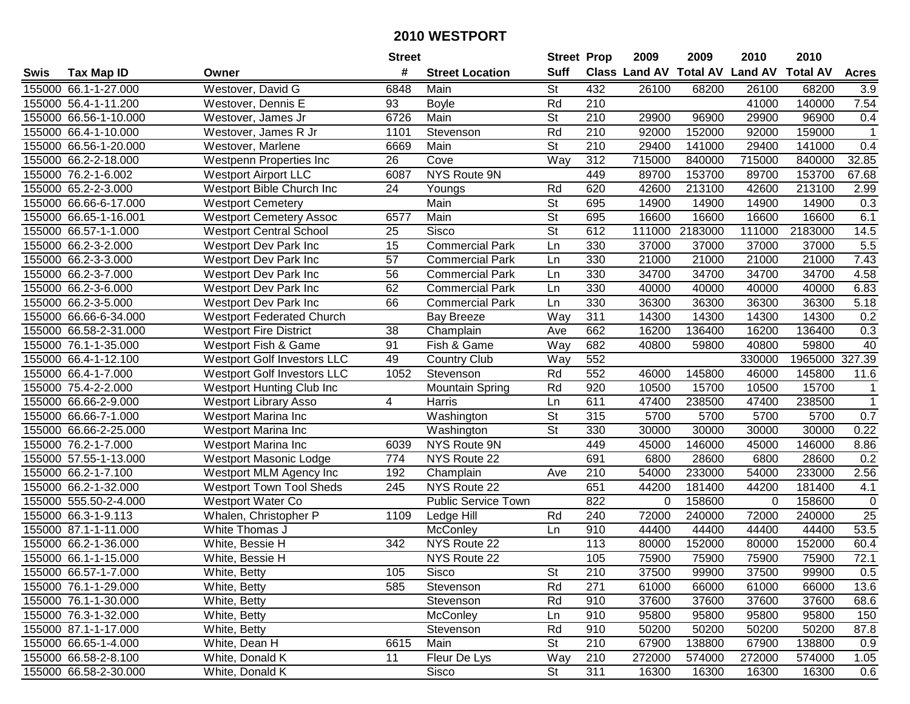|        |                       |                                  | <b>Street</b>    |                        | <b>Street Prop</b>       |                  | 2009                 | 2009            | 2010           | 2010            |                 |
|--------|-----------------------|----------------------------------|------------------|------------------------|--------------------------|------------------|----------------------|-----------------|----------------|-----------------|-----------------|
| Swis   | <b>Tax Map ID</b>     | Owner                            | #                | <b>Street Location</b> | <b>Suff</b>              |                  | <b>Class Land AV</b> | <b>Total AV</b> | <b>Land AV</b> | <b>Total AV</b> | <b>Acres</b>    |
|        | 155000 66.1-1-27.000  | Westover, David G                | 6848             | Main                   | St                       | 432              | 26100                | 68200           | 26100          | 68200           | 3.9             |
|        | 155000 56.4-1-11.200  | Westover, Dennis E               | 93               | <b>Boyle</b>           | Rd                       | 210              |                      |                 | 41000          | 140000          | 7.54            |
|        | 155000 66.56-1-10.000 | Westover, James Jr               | 6726             | Main                   | <b>St</b>                | 210              | 29900                | 96900           | 29900          | 96900           | 0.4             |
|        | 155000 66.4-1-10.000  | Westover, James R Jr             | 1101             | Stevenson              | Rd                       | 210              | 92000                | 152000          | 92000          | 159000          | $\mathbf{1}$    |
|        | 155000 66.56-1-20.000 | Westover, Marlene                | 6669             | Main                   | <b>St</b>                | 210              | 29400                | 141000          | 29400          | 141000          | 0.4             |
| 155000 | 66.2-2-18.000         | Westpenn Properties Inc          | 26               | Cove                   | Way                      | $\overline{312}$ | 715000               | 840000          | 715000         | 840000          | 32.85           |
|        | 155000 76.2-1-6.002   | <b>Westport Airport LLC</b>      | 6087             | NYS Route 9N           |                          | 449              | 89700                | 153700          | 89700          | 153700          | 67.68           |
| 155000 | 65.2-2-3.000          | Westport Bible Church Inc        | $\overline{24}$  | Youngs                 | Rd                       | 620              | 42600                | 213100          | 42600          | 213100          | 2.99            |
|        | 155000 66.66-6-17.000 | <b>Westport Cemetery</b>         |                  | Main                   | $\overline{\mathsf{St}}$ | 695              | 14900                | 14900           | 14900          | 14900           | 0.3             |
|        | 155000 66.65-1-16.001 | <b>Westport Cemetery Assoc</b>   | 6577             | Main                   | $\overline{\mathsf{St}}$ | 695              | 16600                | 16600           | 16600          | 16600           | 6.1             |
|        | 155000 66.57-1-1.000  | <b>Westport Central School</b>   | 25               | Sisco                  | <b>St</b>                | 612              | 111000               | 2183000         | 111000         | 2183000         | 14.5            |
|        | 155000 66.2-3-2.000   | <b>Westport Dev Park Inc</b>     | 15               | <b>Commercial Park</b> | Ln                       | 330              | 37000                | 37000           | 37000          | 37000           | 5.5             |
|        | 155000 66.2-3-3.000   | Westport Dev Park Inc            | 57               | <b>Commercial Park</b> | Ln                       | 330              | 21000                | 21000           | 21000          | 21000           | 7.43            |
|        | 155000 66.2-3-7.000   | <b>Westport Dev Park Inc</b>     | 56               | <b>Commercial Park</b> | Ln                       | 330              | 34700                | 34700           | 34700          | 34700           | 4.58            |
|        | 155000 66.2-3-6.000   | Westport Dev Park Inc            | 62               | <b>Commercial Park</b> | Ln                       | 330              | 40000                | 40000           | 40000          | 40000           | 6.83            |
|        | 155000 66.2-3-5.000   | <b>Westport Dev Park Inc</b>     | 66               | <b>Commercial Park</b> | Ln                       | 330              | 36300                | 36300           | 36300          | 36300           | 5.18            |
|        | 155000 66.66-6-34.000 | <b>Westport Federated Church</b> |                  | <b>Bay Breeze</b>      | Way                      | 311              | 14300                | 14300           | 14300          | 14300           | 0.2             |
|        | 155000 66.58-2-31.000 | <b>Westport Fire District</b>    | 38               | Champlain              | Ave                      | 662              | 16200                | 136400          | 16200          | 136400          | 0.3             |
|        | 155000 76.1-1-35.000  | <b>Westport Fish &amp; Game</b>  | 91               | Fish & Game            | Way                      | 682              | 40800                | 59800           | 40800          | 59800           | 40              |
|        | 155000 66.4-1-12.100  | Westport Golf Investors LLC      | 49               | <b>Country Club</b>    | Way                      | 552              |                      |                 | 330000         | 1965000         | 327.39          |
|        | 155000 66.4-1-7.000   | Westport Golf Investors LLC      | 1052             | Stevenson              | Rd                       | 552              | 46000                | 145800          | 46000          | 145800          | 11.6            |
|        | 155000 75.4-2-2.000   | Westport Hunting Club Inc        |                  | <b>Mountain Spring</b> | Rd                       | 920              | 10500                | 15700           | 10500          | 15700           | $\mathbf{1}$    |
| 155000 | 66.66-2-9.000         | <b>Westport Library Asso</b>     | 4                | Harris                 | Ln                       | 611              | 47400                | 238500          | 47400          | 238500          | $\mathbf{1}$    |
| 155000 | 66.66-7-1.000         | Westport Marina Inc              |                  | Washington             | <b>St</b>                | 315              | 5700                 | 5700            | 5700           | 5700            | 0.7             |
| 155000 | 66.66-2-25.000        | Westport Marina Inc              |                  | Washington             | $\overline{\mathsf{St}}$ | 330              | 30000                | 30000           | 30000          | 30000           | 0.22            |
|        | 155000 76.2-1-7.000   | Westport Marina Inc              | 6039             | NYS Route 9N           |                          | 449              | 45000                | 146000          | 45000          | 146000          | 8.86            |
|        | 155000 57.55-1-13.000 | <b>Westport Masonic Lodge</b>    | 774              | NYS Route 22           |                          | 691              | 6800                 | 28600           | 6800           | 28600           | 0.2             |
|        | 155000 66.2-1-7.100   | Westport MLM Agency Inc          | 192              | Champlain              | Ave                      | 210              | 54000                | 233000          | 54000          | 233000          | 2.56            |
|        | 155000 66.2-1-32.000  | <b>Westport Town Tool Sheds</b>  | 245              | NYS Route 22           |                          | 651              | 44200                | 181400          | 44200          | 181400          | 4.1             |
|        | 155000 555.50-2-4.000 | Westport Water Co                |                  | Public Service Town    |                          | 822              | $\Omega$             | 158600          | $\Omega$       | 158600          | 0               |
|        | 155000 66.3-1-9.113   | Whalen, Christopher P            | 1109             | Ledge Hill             | Rd                       | 240              | 72000                | 240000          | 72000          | 240000          | $\overline{25}$ |
|        | 155000 87.1-1-11.000  | White Thomas J                   |                  | McConley               | Ln                       | 910              | 44400                | 44400           | 44400          | 44400           | 53.5            |
|        | 155000 66.2-1-36.000  | White, Bessie H                  | $\overline{342}$ | NYS Route 22           |                          | 113              | 80000                | 152000          | 80000          | 152000          | 60.4            |
|        | 155000 66.1-1-15.000  | White, Bessie H                  |                  | NYS Route 22           |                          | 105              | 75900                | 75900           | 75900          | 75900           | 72.1            |
|        | 155000 66.57-1-7.000  | White, Betty                     | 105              | Sisco                  | St                       | 210              | 37500                | 99900           | 37500          | 99900           | 0.5             |
|        | 155000 76.1-1-29.000  | White, Betty                     | 585              | Stevenson              | Rd                       | 271              | 61000                | 66000           | 61000          | 66000           | 13.6            |
|        | 155000 76.1-1-30.000  | White, Betty                     |                  | Stevenson              | Rd                       | 910              | 37600                | 37600           | 37600          | 37600           | 68.6            |
|        | 155000 76.3-1-32.000  | White, Betty                     |                  | <b>McConley</b>        | Ln                       | 910              | 95800                | 95800           | 95800          | 95800           | 150             |
|        | 155000 87.1-1-17.000  | White, Betty                     |                  | Stevenson              | Rd                       | 910              | 50200                | 50200           | 50200          | 50200           | 87.8            |
|        | 155000 66.65-1-4.000  | White, Dean H                    | 6615             | Main                   | <b>St</b>                | 210              | 67900                | 138800          | 67900          | 138800          | 0.9             |
|        | 155000 66.58-2-8.100  | White, Donald K                  | 11               | Fleur De Lys           | Way                      | 210              | 272000               | 574000          | 272000         | 574000          | 1.05            |
|        | 155000 66.58-2-30.000 | White, Donald K                  |                  | Sisco                  | $\overline{\mathsf{St}}$ | 311              | 16300                | 16300           | 16300          | 16300           | 0.6             |
|        |                       |                                  |                  |                        |                          |                  |                      |                 |                |                 |                 |